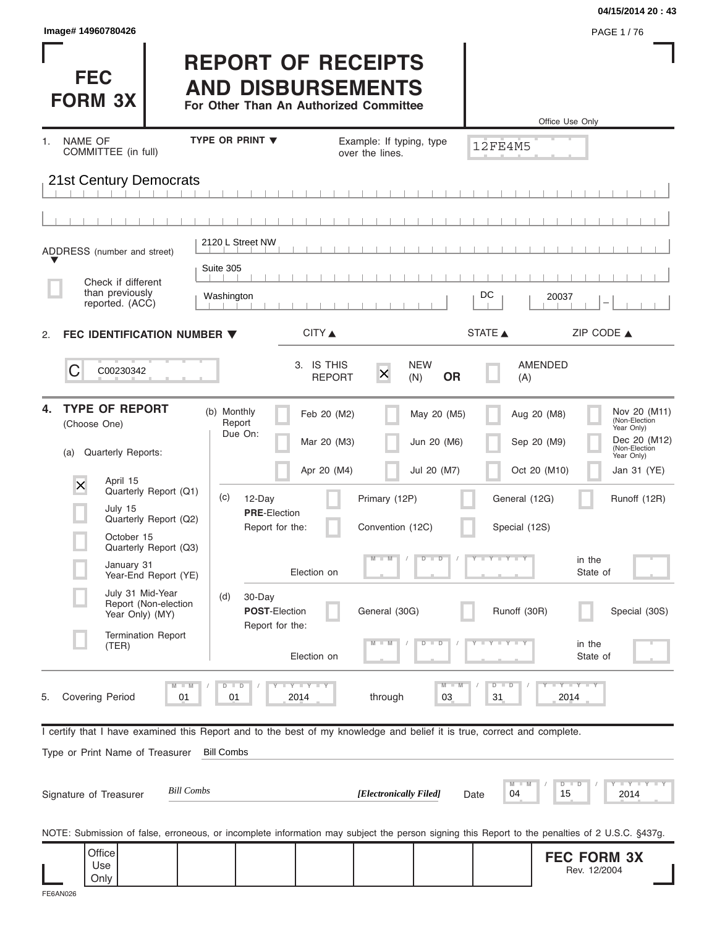| Image# 14960780426                                                                                                                             |                                                          |                                                                                                 |                                                         | 04/15/2014 20:43<br>PAGE 1/76                                                             |
|------------------------------------------------------------------------------------------------------------------------------------------------|----------------------------------------------------------|-------------------------------------------------------------------------------------------------|---------------------------------------------------------|-------------------------------------------------------------------------------------------|
| <b>FEC</b><br><b>FORM 3X</b>                                                                                                                   |                                                          | <b>REPORT OF RECEIPTS</b><br><b>AND DISBURSEMENTS</b><br>For Other Than An Authorized Committee |                                                         | Office Use Only                                                                           |
| NAME OF<br>1.                                                                                                                                  | <b>TYPE OR PRINT ▼</b>                                   | Example: If typing, type                                                                        | 12FE4M5                                                 |                                                                                           |
| COMMITTEE (in full)<br>21st Century Democrats                                                                                                  |                                                          | over the lines.                                                                                 |                                                         |                                                                                           |
|                                                                                                                                                |                                                          |                                                                                                 |                                                         |                                                                                           |
| ADDRESS (number and street)                                                                                                                    | 2120 L Street NW<br>Suite 305                            |                                                                                                 |                                                         |                                                                                           |
| Check if different<br>than previously<br>reported. (ACC)                                                                                       | Washington                                               |                                                                                                 | DC                                                      | 20037                                                                                     |
| FEC IDENTIFICATION NUMBER ▼<br>2.                                                                                                              |                                                          | CITY                                                                                            | STATE A                                                 | ZIP CODE $\triangle$                                                                      |
| C<br>C00230342                                                                                                                                 |                                                          | 3. IS THIS<br><b>NEW</b><br>$\times$<br><b>REPORT</b><br>(N)                                    | <b>OR</b><br>(A)                                        | AMENDED                                                                                   |
| <b>TYPE OF REPORT</b><br>4.<br>(Choose One)                                                                                                    | (b) Monthly<br>Report<br>Due On:                         | Feb 20 (M2)<br>Mar 20 (M3)                                                                      | May 20 (M5)<br>Jun 20 (M6)                              | Nov 20 (M11)<br>Aug 20 (M8)<br>(Non-Election<br>Year Only)<br>Dec 20 (M12)<br>Sep 20 (M9) |
| Quarterly Reports:<br>(a)                                                                                                                      |                                                          | Apr 20 (M4)                                                                                     | Jul 20 (M7)                                             | (Non-Election<br>Year Only)<br>Oct 20 (M10)<br>Jan 31 (YE)                                |
| April 15<br>X<br>Quarterly Report (Q1)<br>July 15<br>Quarterly Report (Q2)                                                                     | (c)<br>12-Day<br><b>PRE-Election</b><br>Report for the:  | Primary (12P)<br>Convention (12C)                                                               | General (12G)<br>Special (12S)                          | Runoff (12R)                                                                              |
| October 15<br>Quarterly Report (Q3)<br>January 31<br>Year-End Report (YE)                                                                      |                                                          | $M - M$<br>Election on                                                                          | $T - Y = T - Y - T$<br>$\overline{D}$<br>$\Box$         | in the<br>State of                                                                        |
| July 31 Mid-Year<br>Report (Non-election<br>Year Only) (MY)<br><b>Termination Report</b>                                                       | (d)<br>30-Day<br><b>POST-Election</b><br>Report for the: | General (30G)                                                                                   | Runoff (30R)                                            | Special (30S)                                                                             |
| (TER)                                                                                                                                          |                                                          | $-M$<br>Election on                                                                             | $\overline{\mathbb{D}}$<br>т                            | in the<br>State of                                                                        |
| $M - M$<br><b>Covering Period</b><br>01<br>5.                                                                                                  | $D$ $D$<br><b>LY LY LY</b><br>01<br>2014                 | through                                                                                         | $M - M$<br>$\widehat{\mathbb{D}}$<br>$\Box$<br>03<br>31 | $-Y - Y - Y$<br>2014                                                                      |
| I certify that I have examined this Report and to the best of my knowledge and belief it is true, correct and complete.                        |                                                          |                                                                                                 |                                                         |                                                                                           |
| Type or Print Name of Treasurer                                                                                                                | <b>Bill Combs</b>                                        |                                                                                                 |                                                         |                                                                                           |
| <b>Bill Combs</b><br>Signature of Treasurer                                                                                                    |                                                          | [Electronically Filed]                                                                          | M<br>04<br>Date                                         | $Y = Y + Y + Y + Y$<br>$D$ $D$<br>15<br>2014                                              |
| NOTE: Submission of false, erroneous, or incomplete information may subject the person signing this Report to the penalties of 2 U.S.C. §437g. |                                                          |                                                                                                 |                                                         |                                                                                           |
| Office<br>Use<br>Only                                                                                                                          |                                                          |                                                                                                 |                                                         | <b>FEC FORM 3X</b><br>Rev. 12/2004                                                        |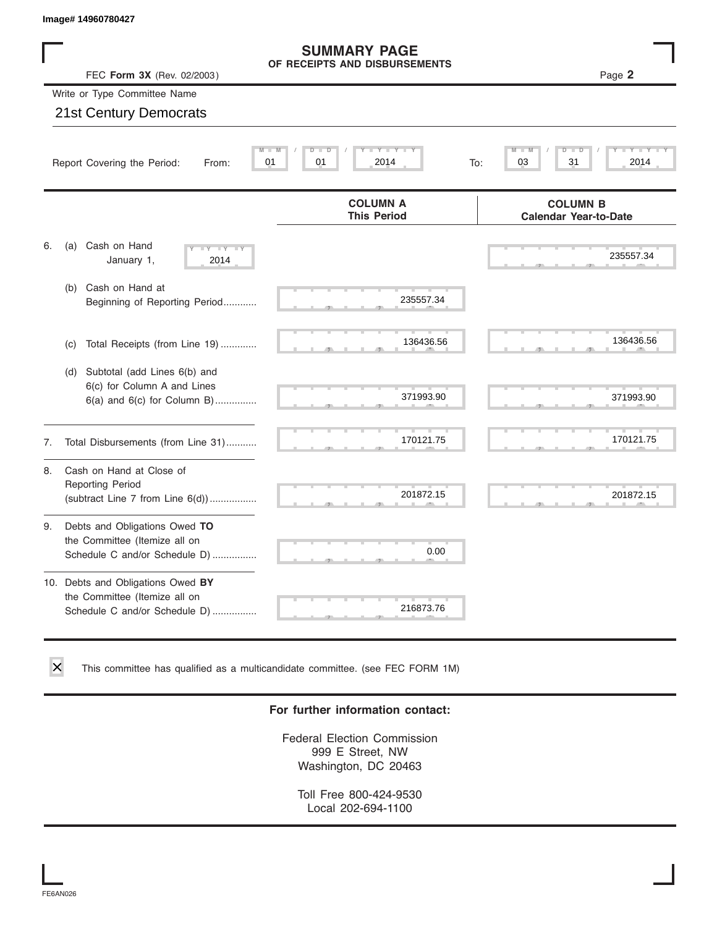|    | Image# 14960780427                                                                                    |                                                      |                                                 |
|----|-------------------------------------------------------------------------------------------------------|------------------------------------------------------|-------------------------------------------------|
|    | FEC Form 3X (Rev. 02/2003)                                                                            | <b>SUMMARY PAGE</b><br>OF RECEIPTS AND DISBURSEMENTS | Page 2                                          |
|    | Write or Type Committee Name                                                                          |                                                      |                                                 |
|    | <b>21st Century Democrats</b>                                                                         |                                                      |                                                 |
|    | Report Covering the Period:<br>From:                                                                  | $Y - Y - I$<br>M<br>D<br>D<br>01<br>01<br>2014       | D<br>To:<br>03<br>31<br>2014                    |
|    |                                                                                                       | <b>COLUMN A</b><br><b>This Period</b>                | <b>COLUMN B</b><br><b>Calendar Year-to-Date</b> |
| 6. | Cash on Hand<br>(a)<br>$-Y - Y - Y$<br>January 1,<br>2014                                             |                                                      | 235557.34                                       |
|    | Cash on Hand at<br>(b)<br>Beginning of Reporting Period                                               | 235557.34                                            |                                                 |
|    | Total Receipts (from Line 19)<br>(c)                                                                  | 136436.56                                            | 136436.56                                       |
|    | Subtotal (add Lines 6(b) and<br>(d)<br>6(c) for Column A and Lines<br>$6(a)$ and $6(c)$ for Column B) | 371993.90                                            | 371993.90                                       |
| 7. | Total Disbursements (from Line 31)                                                                    | 170121.75                                            | 170121.75                                       |
| 8. | Cash on Hand at Close of<br><b>Reporting Period</b><br>(subtract Line $7$ from Line $6(d)$ )          | 201872.15                                            | 201872.15                                       |
| 9. | Debts and Obligations Owed TO<br>the Committee (Itemize all on<br>Schedule C and/or Schedule D)       | 0.00                                                 |                                                 |
|    | 10. Debts and Obligations Owed BY<br>the Committee (Itemize all on<br>Schedule C and/or Schedule D)   | 216873.76                                            |                                                 |

This committee has qualified as a multicandidate committee. (see FEC FORM 1M)

#### **For further information contact:**

Federal Election Commission 999 E Street, NW Washington, DC 20463

Toll Free 800-424-9530 Local 202-694-1100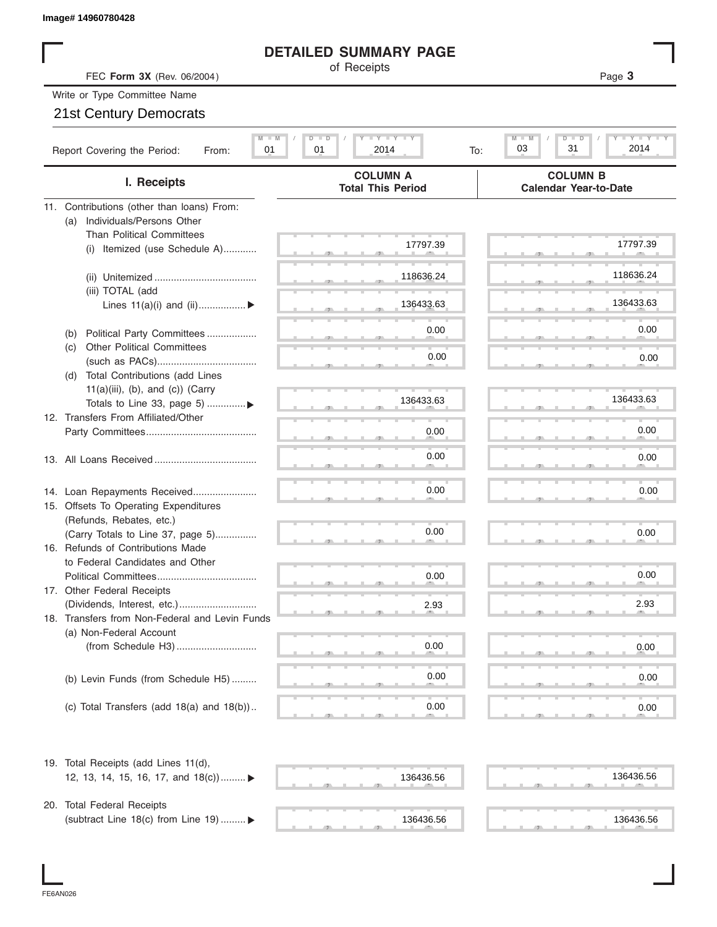#### **DETAILED SUMMARY PAGE**

| Image# 14960780428                                                           |                                                         |                                                 |
|------------------------------------------------------------------------------|---------------------------------------------------------|-------------------------------------------------|
|                                                                              | <b>DETAILED SUMMARY PAGE</b>                            |                                                 |
| FEC Form 3X (Rev. 06/2004)                                                   | of Receipts                                             | Page 3                                          |
| Write or Type Committee Name                                                 |                                                         |                                                 |
| 21st Century Democrats                                                       |                                                         |                                                 |
|                                                                              |                                                         |                                                 |
| $M - M$<br>Report Covering the Period:<br>01<br>From:                        | $I - Y - I - Y - I - Y$<br>$D$ $D$<br>01<br>2014<br>To: | Y TY<br>$M$ $\Box$<br>D<br>31<br>2014<br>03     |
| I. Receipts                                                                  | <b>COLUMN A</b><br><b>Total This Period</b>             | <b>COLUMN B</b><br><b>Calendar Year-to-Date</b> |
| 11. Contributions (other than loans) From:                                   |                                                         |                                                 |
| Individuals/Persons Other<br>(a)                                             |                                                         |                                                 |
| <b>Than Political Committees</b>                                             |                                                         |                                                 |
| Itemized (use Schedule A)<br>(i)                                             | 17797.39                                                | 17797.39                                        |
|                                                                              |                                                         |                                                 |
|                                                                              | 118636.24                                               | 118636.24                                       |
| (iii) TOTAL (add                                                             |                                                         |                                                 |
| Lines $11(a)(i)$ and $(ii)$                                                  | 136433.63                                               | 136433.63                                       |
|                                                                              |                                                         | 0.00                                            |
| Political Party Committees<br>(b)                                            | 0.00                                                    |                                                 |
| <b>Other Political Committees</b><br>(c)                                     | 0.00                                                    | 0.00                                            |
|                                                                              |                                                         |                                                 |
| Total Contributions (add Lines<br>(d)<br>$11(a)(iii)$ , (b), and (c)) (Carry |                                                         |                                                 |
| Totals to Line 33, page 5) ▶                                                 | 136433.63                                               | 136433.63                                       |
| 12. Transfers From Affiliated/Other                                          |                                                         |                                                 |
|                                                                              | 0.00                                                    | 0.00                                            |
|                                                                              |                                                         |                                                 |
|                                                                              | 0.00                                                    | 0.00                                            |
|                                                                              |                                                         |                                                 |
| 14. Loan Repayments Received                                                 | 0.00                                                    | 0.00                                            |
| 15. Offsets To Operating Expenditures                                        |                                                         |                                                 |
| (Refunds, Rebates, etc.)                                                     |                                                         |                                                 |
| (Carry Totals to Line 37, page 5)                                            | 0.00                                                    | 0.00                                            |
| 16. Refunds of Contributions Made                                            |                                                         |                                                 |
| to Federal Candidates and Other                                              |                                                         |                                                 |
| Political Committees                                                         | 0.00                                                    | 0.00                                            |
| 17. Other Federal Receipts                                                   |                                                         |                                                 |
|                                                                              | 2.93                                                    | 2.93                                            |
| 18. Transfers from Non-Federal and Levin Funds                               |                                                         |                                                 |
| (a) Non-Federal Account                                                      |                                                         |                                                 |
|                                                                              | 0.00                                                    | 0.00                                            |
|                                                                              |                                                         |                                                 |
| (b) Levin Funds (from Schedule H5)                                           | 0.00                                                    | 0.00                                            |
|                                                                              |                                                         |                                                 |
| (c) Total Transfers (add $18(a)$ and $18(b)$ )                               | 0.00                                                    | 0.00                                            |
| 19. Total Receipts (add Lines 11(d),                                         |                                                         |                                                 |
| 12, 13, 14, 15, 16, 17, and 18(c)) ►                                         | 136436.56                                               | 136436.56                                       |
|                                                                              |                                                         |                                                 |
| 20. Total Federal Receipts                                                   |                                                         |                                                 |
| (subtract Line 18(c) from Line 19)  ▶                                        | 136436.56                                               | 136436.56                                       |
|                                                                              |                                                         |                                                 |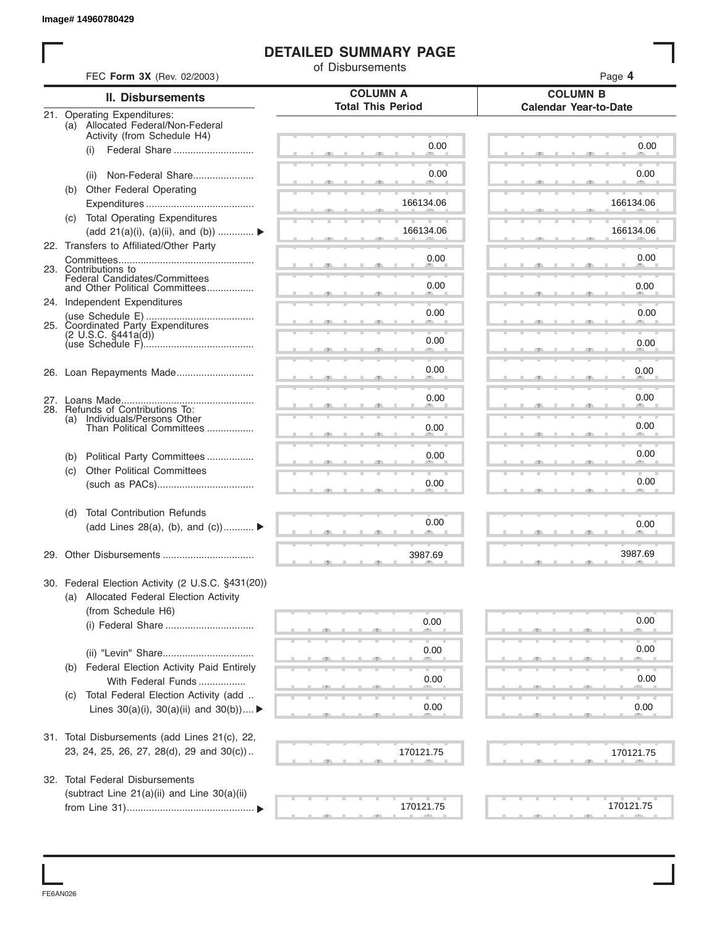#### **DETAILED SUMMARY PAGE**

|     |                                                                      | of Disbursements                            |                                                 |
|-----|----------------------------------------------------------------------|---------------------------------------------|-------------------------------------------------|
|     | FEC Form 3X (Rev. 02/2003)                                           |                                             | Page 4                                          |
|     | <b>II. Disbursements</b>                                             | <b>COLUMN A</b><br><b>Total This Period</b> | <b>COLUMN B</b><br><b>Calendar Year-to-Date</b> |
|     | 21. Operating Expenditures:<br>(a) Allocated Federal/Non-Federal     |                                             |                                                 |
|     | Activity (from Schedule H4)                                          |                                             |                                                 |
|     | Federal Share<br>(i)                                                 | 0.00                                        | 0.00                                            |
|     | Non-Federal Share                                                    | 0.00                                        | 0.00                                            |
|     | (ii)<br>(b) Other Federal Operating                                  |                                             |                                                 |
|     |                                                                      | 166134.06                                   | 166134.06                                       |
|     | (c) Total Operating Expenditures                                     |                                             |                                                 |
|     | (add 21(a)(i), (a)(ii), and (b))                                     | 166134.06                                   | 166134.06                                       |
|     | 22. Transfers to Affiliated/Other Party                              |                                             |                                                 |
|     |                                                                      | 0.00                                        | 0.00                                            |
|     | 23. Contributions to<br>Federal Candidates/Committees                |                                             |                                                 |
|     | and Other Political Committees                                       | 0.00                                        | 0.00                                            |
|     | 24. Independent Expenditures                                         |                                             |                                                 |
|     |                                                                      | 0.00                                        | 0.00                                            |
|     | 25. Coordinated Party Expenditures<br>$(2 \text{ U.S.C. } $441a(d))$ | 0.00                                        |                                                 |
|     |                                                                      |                                             | 0.00                                            |
|     |                                                                      | 0.00                                        | 0.00                                            |
|     |                                                                      |                                             |                                                 |
|     |                                                                      | 0.00                                        | 0.00                                            |
|     | 28. Refunds of Contributions To:                                     |                                             |                                                 |
| (a) | Individuals/Persons Other<br>Than Political Committees               | 0.00                                        | 0.00                                            |
|     |                                                                      |                                             |                                                 |
| (b) | Political Party Committees                                           | 0.00                                        | 0.00                                            |
| (c) | <b>Other Political Committees</b>                                    |                                             |                                                 |
|     |                                                                      | 0.00                                        | 0.00                                            |
|     |                                                                      |                                             |                                                 |
| (d) | <b>Total Contribution Refunds</b>                                    |                                             |                                                 |
|     | (add Lines 28(a), (b), and (c))                                      | 0.00                                        | 0.00                                            |
|     |                                                                      |                                             |                                                 |
|     | 29. Other Disbursements                                              | 3987.69                                     | 3987.69                                         |
|     | 30. Federal Election Activity (2 U.S.C. §431(20))                    |                                             |                                                 |
|     | (a) Allocated Federal Election Activity                              |                                             |                                                 |
|     | (from Schedule H6)                                                   |                                             |                                                 |
|     |                                                                      | 0.00                                        | 0.00                                            |
|     |                                                                      |                                             |                                                 |
|     |                                                                      | 0.00                                        | 0.00                                            |
|     | (b) Federal Election Activity Paid Entirely                          |                                             |                                                 |
|     | With Federal Funds                                                   | 0.00                                        | 0.00                                            |
| (C) | Total Federal Election Activity (add                                 |                                             |                                                 |
|     | Lines $30(a)(i)$ , $30(a)(ii)$ and $30(b))$                          | 0.00                                        | 0.00                                            |
|     |                                                                      |                                             |                                                 |
|     | 31. Total Disbursements (add Lines 21(c), 22,                        |                                             |                                                 |
|     | 23, 24, 25, 26, 27, 28(d), 29 and 30(c))                             | 170121.75                                   | 170121.75                                       |
|     | 32. Total Federal Disbursements                                      |                                             |                                                 |
|     | (subtract Line 21(a)(ii) and Line 30(a)(ii)                          |                                             |                                                 |
|     |                                                                      | 170121.75                                   | 170121.75                                       |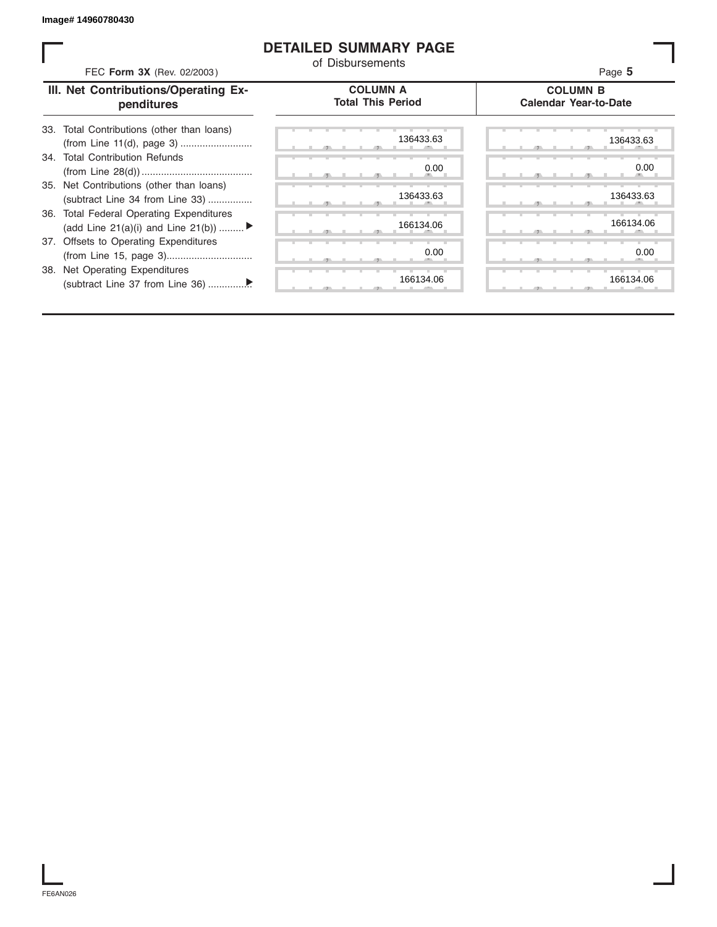#### **DETAILED SUMMARY PAGE**

| FEC Form 3X (Rev. 02/2003)                                                               | <b>DETAILED SUMMARY PAGE</b><br>of Disbursements | Page 5                                          |
|------------------------------------------------------------------------------------------|--------------------------------------------------|-------------------------------------------------|
| III. Net Contributions/Operating Ex-<br>penditures                                       | <b>COLUMN A</b><br><b>Total This Period</b>      | <b>COLUMN B</b><br><b>Calendar Year-to-Date</b> |
| Total Contributions (other than loans)<br>33.                                            | 136433.63                                        | 136433.63                                       |
| 34. Total Contribution Refunds                                                           | 0.00                                             | 0.00                                            |
| 35. Net Contributions (other than loans)<br>(subtract Line 34 from Line 33)              | 136433.63                                        | 136433.63                                       |
| <b>Total Federal Operating Expenditures</b><br>36.<br>(add Line 21(a)(i) and Line 21(b)) | 166134.06                                        | 166134.06                                       |
| 37. Offsets to Operating Expenditures                                                    | 0.00                                             | 0.00                                            |
| 38. Net Operating Expenditures                                                           | 166134.06                                        | 166134.06                                       |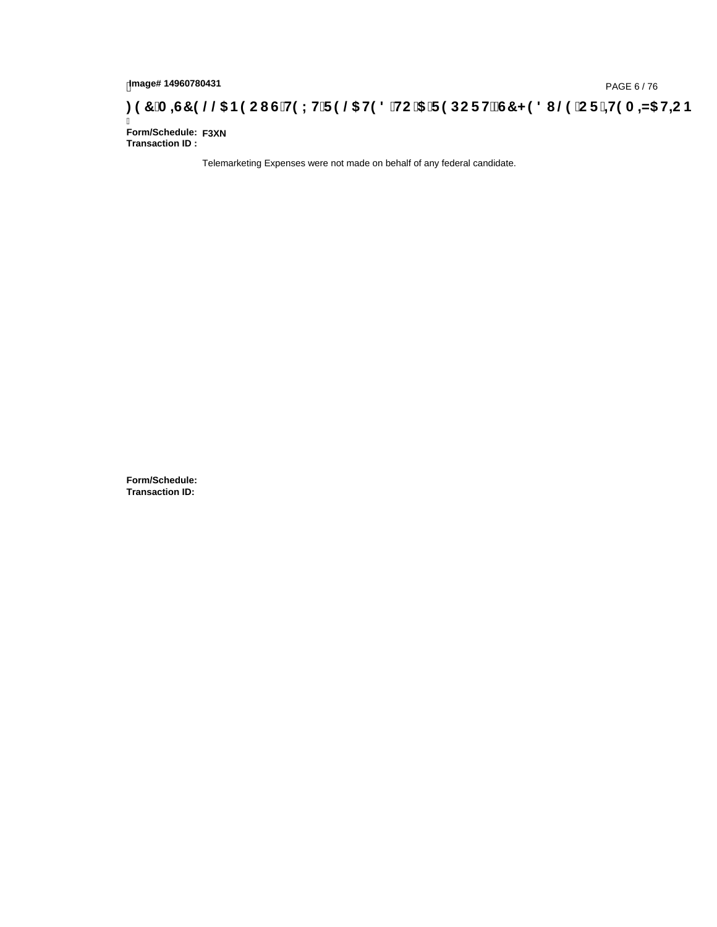# **)(&0,6&(//\$1(2867(;75(/\$7('72\$5(32576&+('8/(25,7(0,=\$7,21**

Ī **Form/Schedule: F3XNTransaction ID :** 

Telemarketing Expenses were not made on behalf of any federal candidate.

**Form/Schedule: Transaction ID:**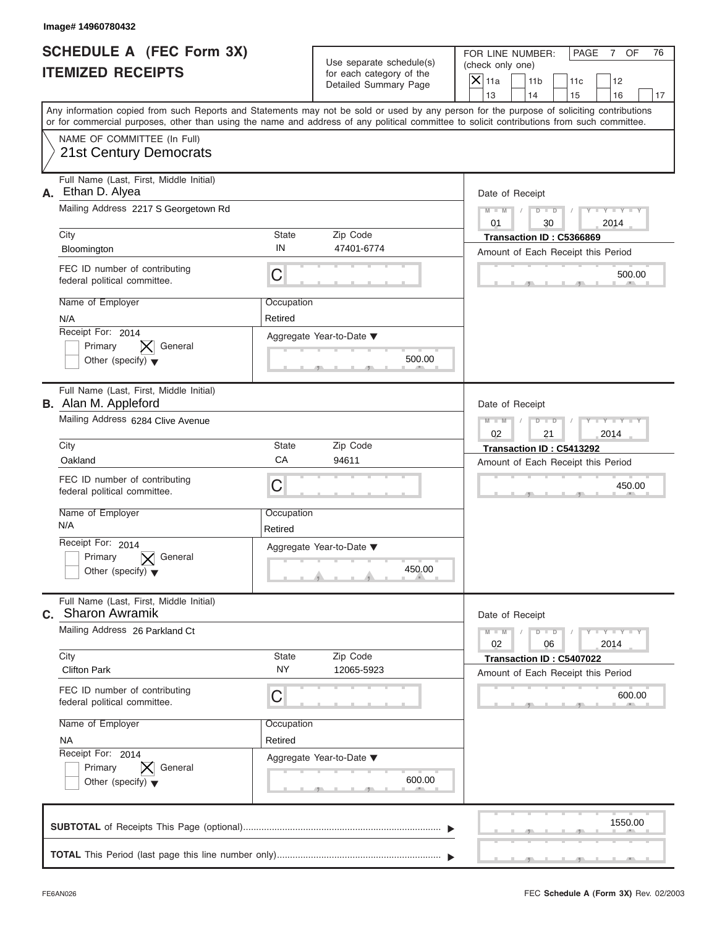| Image# 14960780432                                                              |                                                                                                                                            |                                                                                                                                           |
|---------------------------------------------------------------------------------|--------------------------------------------------------------------------------------------------------------------------------------------|-------------------------------------------------------------------------------------------------------------------------------------------|
| <b>SCHEDULE A (FEC Form 3X)</b><br><b>ITEMIZED RECEIPTS</b>                     | Use separate schedule(s)<br>for each category of the                                                                                       | FOR LINE NUMBER:<br>PAGE<br>7 OF<br>76<br>(check only one)                                                                                |
|                                                                                 | Detailed Summary Page                                                                                                                      | $\mathsf{X}$ 11a<br>11 <sub>b</sub><br>11c<br>12<br>13<br>14<br>15<br>16<br>17                                                            |
|                                                                                 | or for commercial purposes, other than using the name and address of any political committee to solicit contributions from such committee. | Any information copied from such Reports and Statements may not be sold or used by any person for the purpose of soliciting contributions |
| NAME OF COMMITTEE (In Full)<br><b>21st Century Democrats</b>                    |                                                                                                                                            |                                                                                                                                           |
| Full Name (Last, First, Middle Initial)<br>Ethan D. Alyea<br>А.                 |                                                                                                                                            | Date of Receipt                                                                                                                           |
| Mailing Address 2217 S Georgetown Rd                                            |                                                                                                                                            | $Y - Y - Y - Y - Y$<br>$M - M$<br>$D$ $D$<br>0.1<br>30<br>2014                                                                            |
| City<br>Bloomington                                                             | State<br>Zip Code<br>IN<br>47401-6774                                                                                                      | Transaction ID: C5366869<br>Amount of Each Receipt this Period                                                                            |
| FEC ID number of contributing<br>federal political committee.                   | C                                                                                                                                          | 500.00                                                                                                                                    |
| Name of Employer<br>N/A                                                         | Occupation<br>Retired                                                                                                                      |                                                                                                                                           |
| Receipt For: 2014<br>General<br>Primary<br>Other (specify) $\blacktriangledown$ | Aggregate Year-to-Date ▼<br>500.00                                                                                                         |                                                                                                                                           |
| Full Name (Last, First, Middle Initial)<br><b>B.</b> Alan M. Appleford          |                                                                                                                                            | Date of Receipt                                                                                                                           |
| Mailing Address 6284 Clive Avenue                                               |                                                                                                                                            | $M - M$<br>$D - I - D$<br>Y TYTTYTTY<br>2014<br>02<br>21                                                                                  |
| City                                                                            | <b>State</b><br>Zip Code                                                                                                                   | Transaction ID: C5413292                                                                                                                  |
| Oakland                                                                         | CA<br>94611                                                                                                                                | Amount of Each Receipt this Period                                                                                                        |
| FEC ID number of contributing<br>federal political committee.                   | C                                                                                                                                          | 450.00                                                                                                                                    |
| Name of Employer<br>N/A                                                         | Occupation<br>Retired                                                                                                                      |                                                                                                                                           |
| Receipt For: 2014                                                               | Aggregate Year-to-Date ▼                                                                                                                   |                                                                                                                                           |
| Primary<br>General<br>Other (specify) $\blacktriangledown$                      | 450.00                                                                                                                                     |                                                                                                                                           |
| Full Name (Last, First, Middle Initial)<br>C. Sharon Awramik                    |                                                                                                                                            | Date of Receipt                                                                                                                           |
| Mailing Address 26 Parkland Ct                                                  |                                                                                                                                            | $M - M$<br>$D - D$<br>$Y - Y - Y - Y - Y$<br>2014<br>02<br>06                                                                             |
| City<br><b>Clifton Park</b>                                                     | State<br>Zip Code<br><b>NY</b><br>12065-5923                                                                                               | Transaction ID: C5407022<br>Amount of Each Receipt this Period                                                                            |
| FEC ID number of contributing<br>federal political committee.                   | С                                                                                                                                          | 600.00                                                                                                                                    |
| Name of Employer                                                                | Occupation                                                                                                                                 |                                                                                                                                           |
| <b>NA</b><br>Receipt For: 2014                                                  | Retired                                                                                                                                    |                                                                                                                                           |
| Primary<br>General                                                              | Aggregate Year-to-Date ▼                                                                                                                   |                                                                                                                                           |
| Other (specify) $\blacktriangledown$                                            | 600.00                                                                                                                                     |                                                                                                                                           |
|                                                                                 |                                                                                                                                            | 1550.00                                                                                                                                   |
|                                                                                 |                                                                                                                                            |                                                                                                                                           |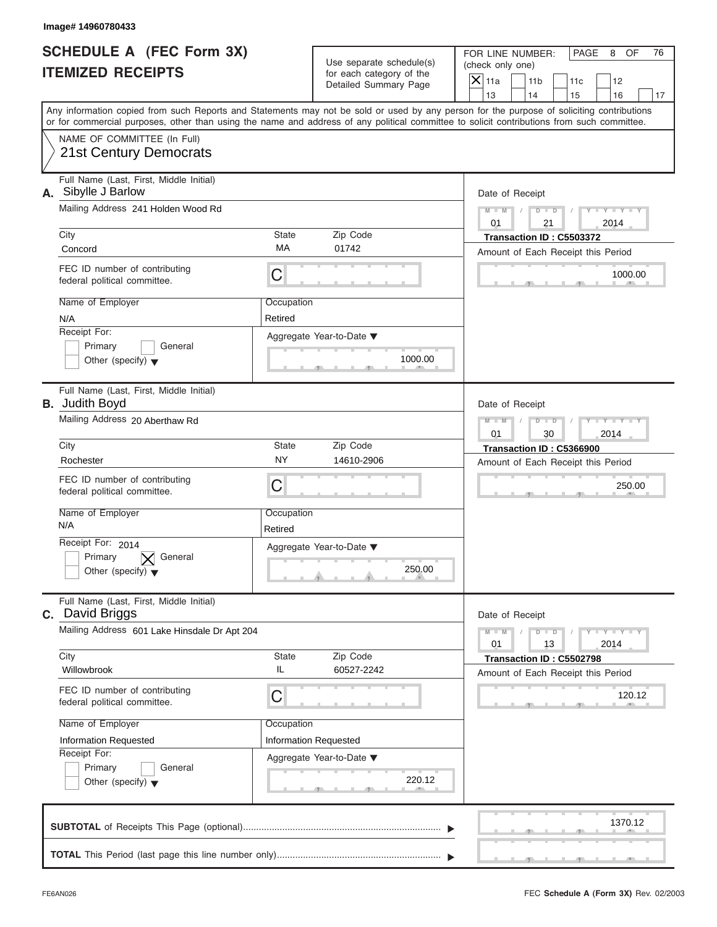| Image# 14960780433                                                                                                                                                                                                                                                                      |                       |                                                                               |                                                                             |                                                                          |
|-----------------------------------------------------------------------------------------------------------------------------------------------------------------------------------------------------------------------------------------------------------------------------------------|-----------------------|-------------------------------------------------------------------------------|-----------------------------------------------------------------------------|--------------------------------------------------------------------------|
| <b>SCHEDULE A (FEC Form 3X)</b><br><b>ITEMIZED RECEIPTS</b>                                                                                                                                                                                                                             |                       | Use separate schedule(s)<br>for each category of the<br>Detailed Summary Page | FOR LINE NUMBER:<br>(check only one)<br>$\mathsf{X}$ 11a<br>11 <sub>b</sub> | PAGE<br>8<br>OF<br>76<br>11c<br>12                                       |
| Any information copied from such Reports and Statements may not be sold or used by any person for the purpose of soliciting contributions<br>or for commercial purposes, other than using the name and address of any political committee to solicit contributions from such committee. |                       |                                                                               | 13<br>14                                                                    | 15<br>16<br>17                                                           |
| NAME OF COMMITTEE (In Full)<br>21st Century Democrats                                                                                                                                                                                                                                   |                       |                                                                               |                                                                             |                                                                          |
| Full Name (Last, First, Middle Initial)<br>A. Sibylle J Barlow<br>Mailing Address 241 Holden Wood Rd                                                                                                                                                                                    |                       |                                                                               | Date of Receipt<br>$D - D$<br>$M - M$                                       | $Y - Y - Y - Y$                                                          |
| City                                                                                                                                                                                                                                                                                    | <b>State</b>          | Zip Code                                                                      | 01<br>21<br>Transaction ID: C5503372                                        | 2014                                                                     |
| Concord                                                                                                                                                                                                                                                                                 | MA                    | 01742                                                                         |                                                                             | Amount of Each Receipt this Period                                       |
| FEC ID number of contributing<br>federal political committee.                                                                                                                                                                                                                           | C                     |                                                                               |                                                                             | 1000.00                                                                  |
| Name of Employer<br>N/A                                                                                                                                                                                                                                                                 | Occupation<br>Retired |                                                                               |                                                                             |                                                                          |
| Receipt For:<br>Primary<br>General<br>Other (specify) $\blacktriangledown$                                                                                                                                                                                                              |                       | Aggregate Year-to-Date ▼<br>1000.00                                           |                                                                             |                                                                          |
| Full Name (Last, First, Middle Initial)<br><b>B.</b> Judith Boyd                                                                                                                                                                                                                        |                       |                                                                               | Date of Receipt                                                             |                                                                          |
| Mailing Address 20 Aberthaw Rd                                                                                                                                                                                                                                                          |                       |                                                                               | $M - M$<br>$D - I - D$<br>01<br>30                                          | Y T Y T Y T<br>2014                                                      |
| City                                                                                                                                                                                                                                                                                    | State                 | Zip Code                                                                      | Transaction ID: C5366900                                                    |                                                                          |
| Rochester                                                                                                                                                                                                                                                                               | <b>NY</b>             | 14610-2906                                                                    |                                                                             | Amount of Each Receipt this Period                                       |
| FEC ID number of contributing<br>federal political committee.                                                                                                                                                                                                                           | C                     |                                                                               |                                                                             | 250.00                                                                   |
| Name of Employer<br>N/A                                                                                                                                                                                                                                                                 | Occupation<br>Retired |                                                                               |                                                                             |                                                                          |
| Receipt For: 2014<br>Primary<br>General<br>Other (specify) $\blacktriangledown$                                                                                                                                                                                                         |                       | Aggregate Year-to-Date ▼<br>250.00                                            |                                                                             |                                                                          |
| Full Name (Last, First, Middle Initial)<br>C. David Briggs                                                                                                                                                                                                                              |                       |                                                                               | Date of Receipt                                                             |                                                                          |
| Mailing Address 601 Lake Hinsdale Dr Apt 204                                                                                                                                                                                                                                            |                       |                                                                               | $M - M$<br>$D$ $D$<br>01<br>13                                              | $\mathbf{I} = \mathbf{Y} - \mathbf{I} - \mathbf{Y} - \mathbf{I}$<br>2014 |
| City<br>Willowbrook                                                                                                                                                                                                                                                                     | State<br>IL           | Zip Code<br>60527-2242                                                        | Transaction ID: C5502798                                                    | Amount of Each Receipt this Period                                       |
| FEC ID number of contributing<br>federal political committee.                                                                                                                                                                                                                           | С                     |                                                                               |                                                                             | 120.12                                                                   |
| Name of Employer                                                                                                                                                                                                                                                                        | Occupation            |                                                                               |                                                                             |                                                                          |
| Information Requested<br>Receipt For:                                                                                                                                                                                                                                                   | Information Requested |                                                                               |                                                                             |                                                                          |
| Primary<br>General<br>Other (specify) $\blacktriangledown$                                                                                                                                                                                                                              |                       | Aggregate Year-to-Date ▼<br>220.12                                            |                                                                             |                                                                          |
|                                                                                                                                                                                                                                                                                         |                       |                                                                               |                                                                             | 1370.12                                                                  |
|                                                                                                                                                                                                                                                                                         |                       |                                                                               |                                                                             |                                                                          |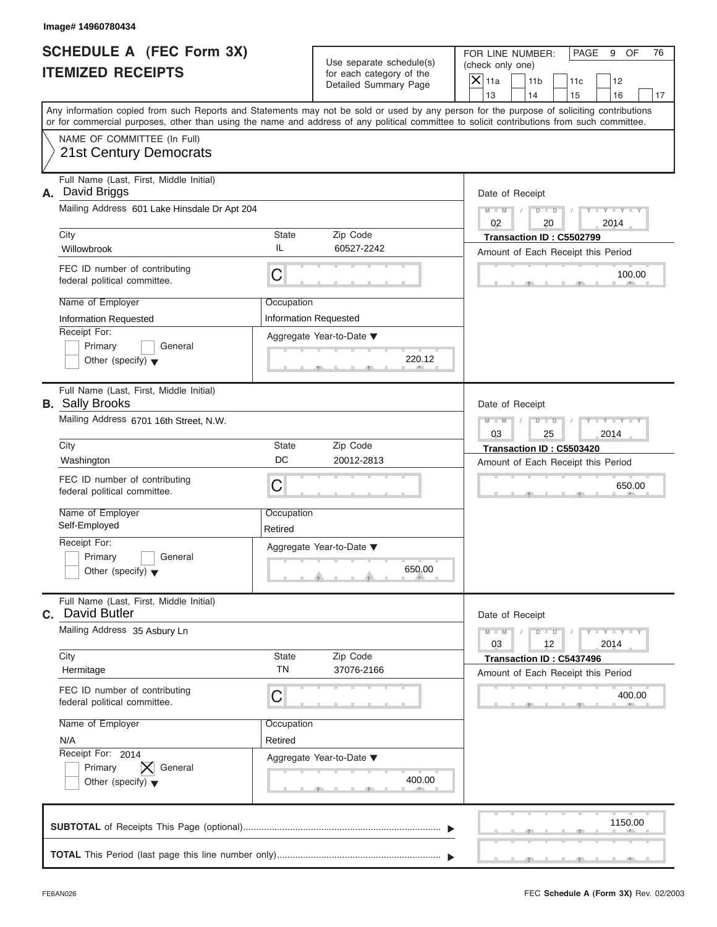Use separate schedule(s) | (check only one) for each category of the

FOR LINE NUMBER: | PAGE 9 OF

1150.00  $\frac{100.6}{2}$ Aggregate Year-to-Date ▼  $\frac{220.7}{1}$ C C S S S , , .  $\frac{400.1}{2}$  $\sim$  s  $\sim$  s  $\sim$  s  $\sim$  s  $\sim$  s  $\sim$  s  $\sim$  s  $\sim$  s  $\sim$  s  $\sim$  s  $\sim$  s  $\sim$  s  $\sim$  s  $\sim$  s  $\sim$  s  $\sim$  s  $\sim$  s  $\sim$  s  $\sim$  s  $\sim$  s  $\sim$  s  $\sim$  s  $\sim$  s  $\sim$  s  $\sim$  s  $\sim$  s  $\sim$  s  $\sim$  s  $\sim$  s  $\sim$  s  $\sim$  s  $\sim$ C **M**  $\blacksquare$  **M**  $\blacksquare$  **M M / D D / Y Y Y Y M = M / D**  $\sim$  650.0 , , . Any information copied from such Reports and Statements may not be sold or used by any person for the purpose of soliciting contributions or for commercial purposes, other than using the name and address of any political committee to solicit contributions from such committee. NAME OF COMMITTEE (In Full) **SUBTOTAL** of Receipts This Page (optional) ............................................................................ Full Name (Last, First, Middle Initial) Mailing Address 601 Lake Hinsdale Dr Apt 204 City **State** Zip Code Receipt For: Primary **General**  $\vert$  Other (specify)  $\blacktriangledown$ Amount of Each Receipt this Period **A.** Date of Receipt Name of Employer <br>
Occupation FEC ID number of contributing federal political committee. Full Name (Last, First, Middle Initial) Mailing Address 6701 16th Street, N.W. City **State** Zip Code Receipt For: Primary **General Other (specify)** ▼ Amount of Each Receipt this Period **B.** Sally Brooks Aggregate Year-to-Date ▼ Date of Receipt Name of Employer | Occupation FEC ID number of contributing federal political committee. Full Name (Last, First, Middle Initial) Mailing Address 35 Asbury Ln City **State** Zip Code Receipt For: 2014 Primary  $|\mathsf{X}|$  General  $\vert$  Other (specify)  $\blacktriangledown$ Amount of Each Receipt this Period **C.** Aggregate Year-to-Date ▼ Date of Receipt Name of Employer | Occupation FEC ID number of contributing federal political committee. Detailed Summary Page  $\begin{array}{|c|c|c|c|c|}\n\hline\n\text{Detailed Summary Page} \\
\hline\n\end{array}\n\quad\n\begin{array}{|c|c|c|c|c|}\n\hline\n\text{11a} & \text{11b} & \text{11c} & \text{12} \\
\hline\n\text{13} & \text{14} & \text{15} & \text{16}\n\end{array}$ | 13 | | 14 | | 15 | | 16 | | 17 650.00<br>
Date of Receipt<br>  $\begin{array}{c|c} \n\hline\n\text{Date of} & \text{Accept} \\
03 & 12 & 2014 \\
\hline\n\text{Transaction ID : C5437496} \\
\hline\n\text{Amount of Each Receiver this Period} \\
400.00\n\end{array}$ 20.12 Century Democrats and Control of the Street Account of Text Account of Text Account 2013<br>
Now the Street Accounts and Control of the Street Accounts and Control of Text Accounts and Control of Text Accounts and Cont Willowbrook IL 80527-2242<br>
Fect Diameter of completer Contributing<br>
Name of Employer<br>
Name of Employer<br>
Financy Chercal (Screen) Completion Requested<br>
The Chercal Poster (specify) **v** General (Agregate Year-to-Date **v**<br> (*N*)<br>
Compare of contribute's state and the contribute's state and the control of Each Decept this<br>
N/A Compare Control of Control of Control of Control of Control of Control of Control of Control of Control of Control City<br>
Willow brook Contributing<br>
Willow brook Contributing<br>
FEC ID number of contributing<br>
Nederal political committee.<br>
Name of Employer<br>
Name of Employer<br>
Technomic Requested<br>
Management (Security The Contributing Manage 9 OF<br>12<br>16<br>16 Thributior<br>mmittee<br>mmittee<br>100.00<br>100.00<br>650.00<br>650.00<br>400.00<br>400.00<br>400.00<br>400.00 2014 **Image# 14960780434** 030302 76 Sally Brooks 2014 2014 David Butler 2014 David Briggs Information Requested Retired Retired

 S S S , , . **TOTAL** This Period (last page this line number only).................................  $\frac{1}{\sqrt{1-\frac{1}{2}}}$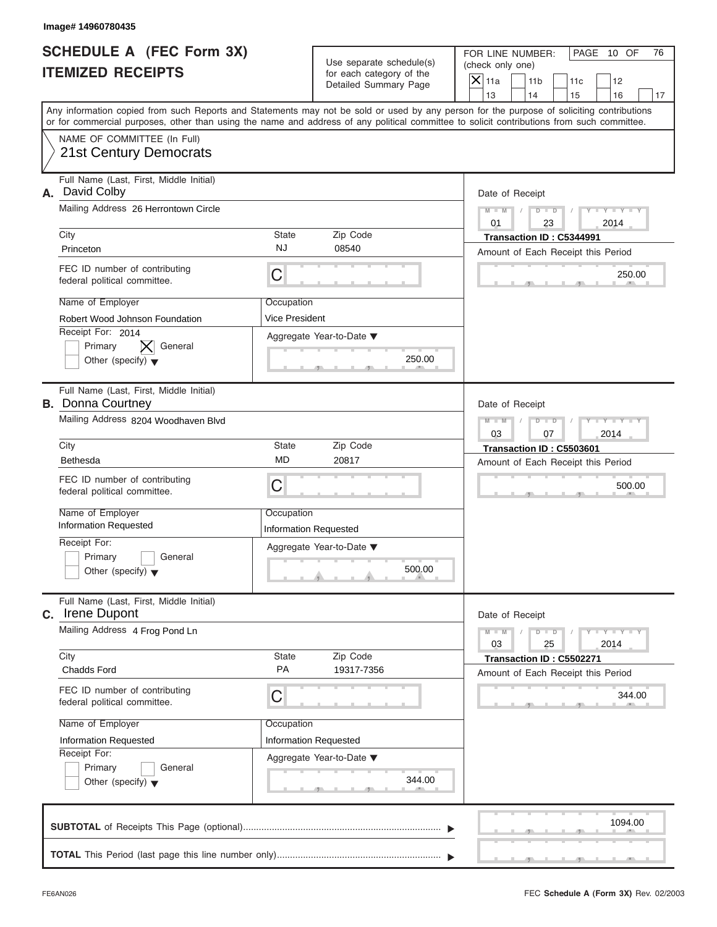| Image# 14960780435                                                              |                                            |                                                      |                                                                                                                                                                                                                                                                                         |
|---------------------------------------------------------------------------------|--------------------------------------------|------------------------------------------------------|-----------------------------------------------------------------------------------------------------------------------------------------------------------------------------------------------------------------------------------------------------------------------------------------|
| <b>SCHEDULE A (FEC Form 3X)</b><br><b>ITEMIZED RECEIPTS</b>                     |                                            | Use separate schedule(s)<br>for each category of the | FOR LINE NUMBER:<br>PAGE 10 OF<br>76<br>(check only one)                                                                                                                                                                                                                                |
|                                                                                 |                                            | Detailed Summary Page                                | $\mathsf{X} _{\mathsf{11a}}$<br>11 <sub>b</sub><br>11c<br>12<br>13<br>14<br>15<br>16<br>17                                                                                                                                                                                              |
|                                                                                 |                                            |                                                      | Any information copied from such Reports and Statements may not be sold or used by any person for the purpose of soliciting contributions<br>or for commercial purposes, other than using the name and address of any political committee to solicit contributions from such committee. |
| NAME OF COMMITTEE (In Full)<br>21st Century Democrats                           |                                            |                                                      |                                                                                                                                                                                                                                                                                         |
| Full Name (Last, First, Middle Initial)<br>David Colby<br>А.                    |                                            |                                                      | Date of Receipt                                                                                                                                                                                                                                                                         |
| Mailing Address 26 Herrontown Circle                                            |                                            |                                                      | $D$ $D$<br>$Y - Y - Y$<br>$M - M$<br>0.1<br>23<br>2014                                                                                                                                                                                                                                  |
| City<br>Princeton                                                               | State<br><b>NJ</b>                         | Zip Code<br>08540                                    | Transaction ID: C5344991<br>Amount of Each Receipt this Period                                                                                                                                                                                                                          |
| FEC ID number of contributing<br>federal political committee.                   | С                                          |                                                      | 250.00                                                                                                                                                                                                                                                                                  |
| Name of Employer<br>Robert Wood Johnson Foundation                              | Occupation<br>Vice President               |                                                      |                                                                                                                                                                                                                                                                                         |
| Receipt For: 2014<br>General<br>Primary<br>Other (specify) $\blacktriangledown$ |                                            | Aggregate Year-to-Date ▼<br>250.00                   |                                                                                                                                                                                                                                                                                         |
| Full Name (Last, First, Middle Initial)<br><b>B.</b> Donna Courtney             |                                            |                                                      | Date of Receipt                                                                                                                                                                                                                                                                         |
| Mailing Address 8204 Woodhaven Blvd                                             |                                            |                                                      | $D$ $D$<br>$Y - Y - Y - Y - Y$<br>$M - M$<br>03<br>2014<br>07                                                                                                                                                                                                                           |
| City<br><b>Bethesda</b>                                                         | State<br><b>MD</b>                         | Zip Code<br>20817                                    | Transaction ID: C5503601<br>Amount of Each Receipt this Period                                                                                                                                                                                                                          |
| FEC ID number of contributing<br>federal political committee.                   | С                                          |                                                      | 500.00                                                                                                                                                                                                                                                                                  |
| Name of Employer<br><b>Information Requested</b>                                | Occupation<br><b>Information Requested</b> |                                                      |                                                                                                                                                                                                                                                                                         |
| Receipt For:<br>Primary<br>General<br>Other (specify) $\blacktriangledown$      |                                            | Aggregate Year-to-Date ▼<br>500.00                   |                                                                                                                                                                                                                                                                                         |
| Full Name (Last, First, Middle Initial)<br>C. Irene Dupont                      |                                            |                                                      | Date of Receipt                                                                                                                                                                                                                                                                         |
| Mailing Address 4 Frog Pond Ln                                                  |                                            |                                                      | $Y = Y$<br>$M - M$<br>$D$ $D$<br>03<br>2014<br>25                                                                                                                                                                                                                                       |
| City<br>Chadds Ford                                                             | State<br>PA                                | Zip Code<br>19317-7356                               | Transaction ID: C5502271<br>Amount of Each Receipt this Period                                                                                                                                                                                                                          |
| FEC ID number of contributing<br>federal political committee.                   | С                                          |                                                      | 344.00                                                                                                                                                                                                                                                                                  |
| Name of Employer<br><b>Information Requested</b>                                | Occupation<br>Information Requested        |                                                      |                                                                                                                                                                                                                                                                                         |
| Receipt For:<br>Primary<br>General<br>Other (specify) $\blacktriangledown$      |                                            | Aggregate Year-to-Date ▼<br>344.00                   |                                                                                                                                                                                                                                                                                         |
|                                                                                 |                                            |                                                      | 1094.00                                                                                                                                                                                                                                                                                 |
|                                                                                 |                                            |                                                      |                                                                                                                                                                                                                                                                                         |

S S S , , .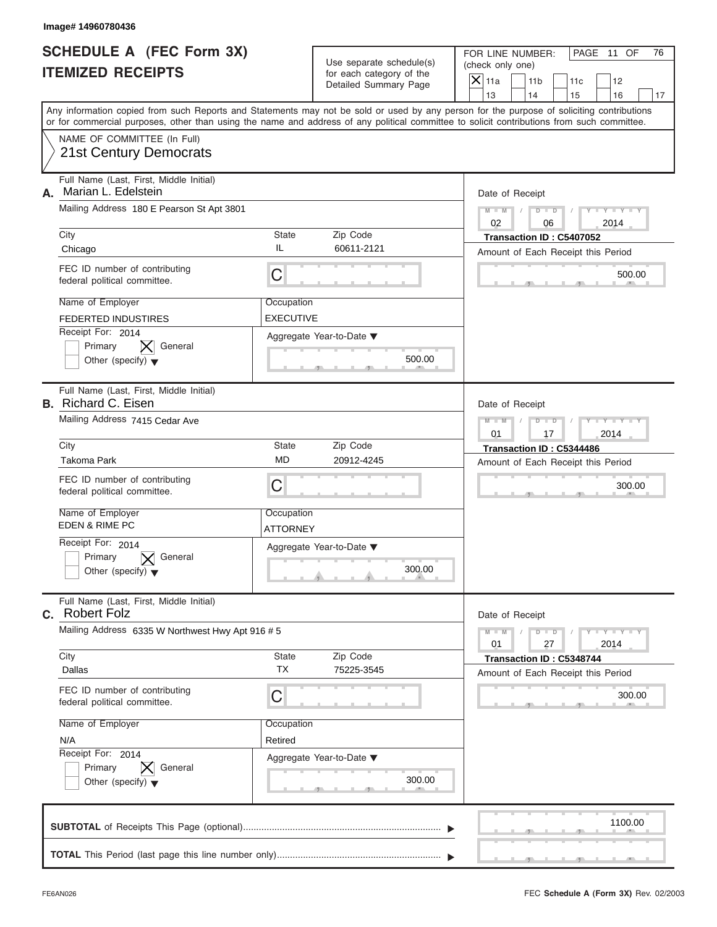| Image# 14960780436                                                                                                                                                                                                                                                                      |                                |                                                                               |                                                                             |                                                                          |
|-----------------------------------------------------------------------------------------------------------------------------------------------------------------------------------------------------------------------------------------------------------------------------------------|--------------------------------|-------------------------------------------------------------------------------|-----------------------------------------------------------------------------|--------------------------------------------------------------------------|
| <b>SCHEDULE A (FEC Form 3X)</b><br><b>ITEMIZED RECEIPTS</b>                                                                                                                                                                                                                             |                                | Use separate schedule(s)<br>for each category of the<br>Detailed Summary Page | FOR LINE NUMBER:<br>(check only one)<br>$\mathsf{X}$ 11a<br>11 <sub>b</sub> | PAGE 11 OF<br>76<br>11c<br>12                                            |
| Any information copied from such Reports and Statements may not be sold or used by any person for the purpose of soliciting contributions<br>or for commercial purposes, other than using the name and address of any political committee to solicit contributions from such committee. |                                |                                                                               | 13<br>14                                                                    | 15<br>16<br>17                                                           |
| NAME OF COMMITTEE (In Full)<br>21st Century Democrats                                                                                                                                                                                                                                   |                                |                                                                               |                                                                             |                                                                          |
| Full Name (Last, First, Middle Initial)<br>Marian L. Edelstein<br>А.                                                                                                                                                                                                                    |                                |                                                                               | Date of Receipt                                                             |                                                                          |
| Mailing Address 180 E Pearson St Apt 3801                                                                                                                                                                                                                                               |                                |                                                                               | $D - D$<br>$M - M$<br>02<br>06                                              | $Y - Y - Y - Y$<br>2014                                                  |
| City<br>Chicago                                                                                                                                                                                                                                                                         | State<br>IL                    | Zip Code<br>60611-2121                                                        | Transaction ID: C5407052<br>Amount of Each Receipt this Period              |                                                                          |
| FEC ID number of contributing<br>federal political committee.                                                                                                                                                                                                                           | C                              |                                                                               |                                                                             | 500.00                                                                   |
| Name of Employer<br><b>FEDERTED INDUSTIRES</b>                                                                                                                                                                                                                                          | Occupation<br><b>EXECUTIVE</b> |                                                                               |                                                                             |                                                                          |
| Receipt For: 2014<br>General<br>Primary<br>Other (specify) $\blacktriangledown$                                                                                                                                                                                                         |                                | Aggregate Year-to-Date $\blacktriangledown$<br>500.00                         |                                                                             |                                                                          |
| Full Name (Last, First, Middle Initial)<br><b>B.</b> Richard C. Eisen                                                                                                                                                                                                                   |                                |                                                                               | Date of Receipt                                                             |                                                                          |
| Mailing Address 7415 Cedar Ave                                                                                                                                                                                                                                                          |                                |                                                                               | $M - M$<br>$D - D$<br>01<br>17                                              | Y T Y T Y T<br>2014                                                      |
| City<br>Takoma Park                                                                                                                                                                                                                                                                     | State<br><b>MD</b>             | Zip Code<br>20912-4245                                                        | Transaction ID: C5344486                                                    |                                                                          |
| FEC ID number of contributing<br>federal political committee.                                                                                                                                                                                                                           | C                              |                                                                               | Amount of Each Receipt this Period                                          | 300.00                                                                   |
| Name of Employer<br><b>EDEN &amp; RIME PC</b>                                                                                                                                                                                                                                           | Occupation<br>ATTORNEY         |                                                                               |                                                                             |                                                                          |
| Receipt For: 2014<br>Primary<br>General<br>Other (specify) $\blacktriangledown$                                                                                                                                                                                                         |                                | Aggregate Year-to-Date ▼<br>300.00                                            |                                                                             |                                                                          |
| Full Name (Last, First, Middle Initial)<br>C. Robert Folz                                                                                                                                                                                                                               |                                |                                                                               | Date of Receipt                                                             |                                                                          |
| Mailing Address 6335 W Northwest Hwy Apt 916 # 5                                                                                                                                                                                                                                        |                                |                                                                               | $M - M$<br>$D$ $D$<br>01<br>27                                              | $\mathbf{Y}$ $\mathbf{Y}$ $\mathbf{Y}$ $\mathbf{Y}$ $\mathbf{Y}$<br>2014 |
| City<br>Dallas                                                                                                                                                                                                                                                                          | State<br><b>TX</b>             | Zip Code<br>75225-3545                                                        | Transaction ID: C5348744<br>Amount of Each Receipt this Period              |                                                                          |
| FEC ID number of contributing<br>federal political committee.                                                                                                                                                                                                                           | С                              |                                                                               |                                                                             | 300.00                                                                   |
| Name of Employer<br>N/A                                                                                                                                                                                                                                                                 | Occupation<br>Retired          |                                                                               |                                                                             |                                                                          |
| Receipt For: 2014<br>Primary<br>General<br>Other (specify) $\blacktriangledown$                                                                                                                                                                                                         |                                | Aggregate Year-to-Date ▼<br>300.00                                            |                                                                             |                                                                          |
|                                                                                                                                                                                                                                                                                         |                                |                                                                               |                                                                             | 1100.00                                                                  |
|                                                                                                                                                                                                                                                                                         |                                |                                                                               |                                                                             |                                                                          |

FEC **Schedule A (Form 3X)** Rev. 02/2003

J.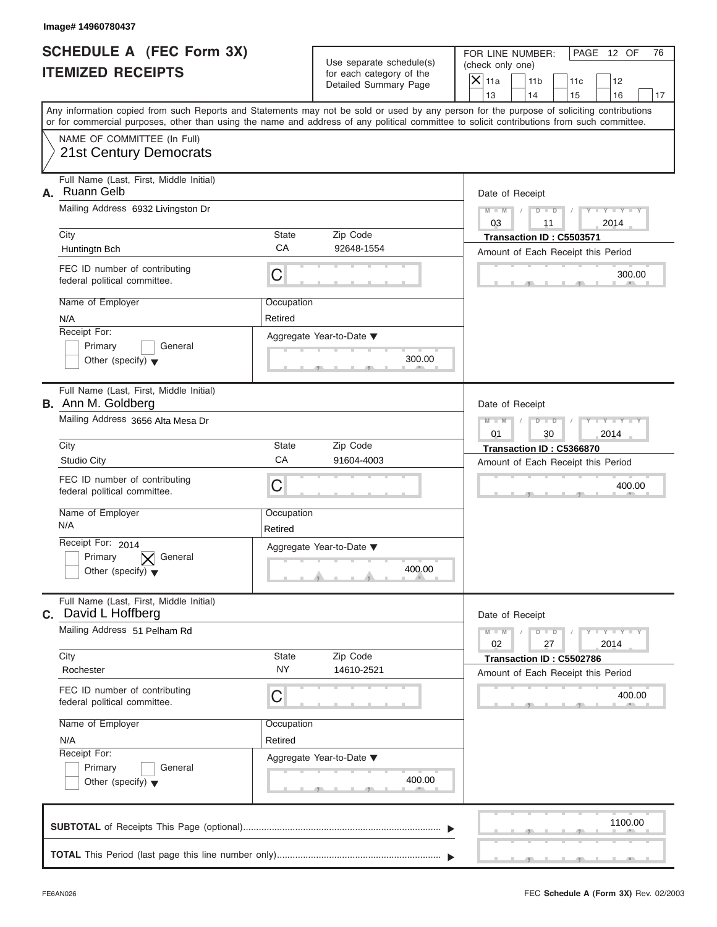| Image# 14960780437                                                                                                                                                                                                                                                                      |                       |                                                                               |                                                                             |                                                                          |
|-----------------------------------------------------------------------------------------------------------------------------------------------------------------------------------------------------------------------------------------------------------------------------------------|-----------------------|-------------------------------------------------------------------------------|-----------------------------------------------------------------------------|--------------------------------------------------------------------------|
| <b>SCHEDULE A (FEC Form 3X)</b><br><b>ITEMIZED RECEIPTS</b>                                                                                                                                                                                                                             |                       | Use separate schedule(s)<br>for each category of the<br>Detailed Summary Page | FOR LINE NUMBER:<br>(check only one)<br>$\mathsf{X}$ 11a<br>11 <sub>b</sub> | PAGE 12 OF<br>76<br>11c<br>12                                            |
| Any information copied from such Reports and Statements may not be sold or used by any person for the purpose of soliciting contributions<br>or for commercial purposes, other than using the name and address of any political committee to solicit contributions from such committee. |                       |                                                                               | 13<br>14                                                                    | 15<br>16<br>17                                                           |
| NAME OF COMMITTEE (In Full)<br>21st Century Democrats                                                                                                                                                                                                                                   |                       |                                                                               |                                                                             |                                                                          |
| Full Name (Last, First, Middle Initial)<br><b>Ruann Gelb</b><br>А.<br>Mailing Address 6932 Livingston Dr                                                                                                                                                                                |                       |                                                                               | Date of Receipt<br>$D - D$<br>$M - M$<br>03<br>11                           | $Y - Y - Y - Y$<br>2014                                                  |
| City                                                                                                                                                                                                                                                                                    | State<br>CA           | Zip Code<br>92648-1554                                                        | Transaction ID: C5503571                                                    |                                                                          |
| Huntingtn Bch<br>FEC ID number of contributing<br>federal political committee.                                                                                                                                                                                                          | C                     |                                                                               |                                                                             | Amount of Each Receipt this Period<br>300.00                             |
| Name of Employer<br>N/A<br>Receipt For:<br>Primary<br>General<br>Other (specify) $\blacktriangledown$                                                                                                                                                                                   | Occupation<br>Retired | Aggregate Year-to-Date ▼<br>300.00                                            |                                                                             |                                                                          |
| Full Name (Last, First, Middle Initial)<br><b>B.</b> Ann M. Goldberg<br>Mailing Address 3656 Alta Mesa Dr<br>City                                                                                                                                                                       | State                 | Zip Code                                                                      | Date of Receipt<br>$M - M$<br>$D - I - D$<br>01<br>30                       | Y T Y T Y T<br>2014                                                      |
| <b>Studio City</b>                                                                                                                                                                                                                                                                      | CA                    | 91604-4003                                                                    | Transaction ID: C5366870                                                    | Amount of Each Receipt this Period                                       |
| FEC ID number of contributing<br>federal political committee.                                                                                                                                                                                                                           | C                     |                                                                               |                                                                             | 400.00                                                                   |
| Name of Employer<br>N/A                                                                                                                                                                                                                                                                 | Occupation<br>Retired |                                                                               |                                                                             |                                                                          |
| Receipt For: 2014<br>Primary<br>General<br>Other (specify) $\blacktriangledown$                                                                                                                                                                                                         |                       | Aggregate Year-to-Date ▼<br>400.00                                            |                                                                             |                                                                          |
| Full Name (Last, First, Middle Initial)<br><b>C.</b> David L Hoffberg                                                                                                                                                                                                                   |                       |                                                                               | Date of Receipt                                                             |                                                                          |
| Mailing Address 51 Pelham Rd<br>City                                                                                                                                                                                                                                                    | State                 | Zip Code                                                                      | $M - M$<br>$D$ $D$<br>02<br>27                                              | $\mathbf{Y}$ $\mathbf{Y}$ $\mathbf{Y}$ $\mathbf{Y}$ $\mathbf{Y}$<br>2014 |
| Rochester                                                                                                                                                                                                                                                                               | <b>NY</b>             | 14610-2521                                                                    | Transaction ID: C5502786                                                    | Amount of Each Receipt this Period                                       |
| FEC ID number of contributing<br>federal political committee.                                                                                                                                                                                                                           | С                     |                                                                               |                                                                             | 400.00                                                                   |
| Name of Employer<br>N/A                                                                                                                                                                                                                                                                 | Occupation<br>Retired |                                                                               |                                                                             |                                                                          |
| Receipt For:<br>Primary<br>General<br>Other (specify) $\blacktriangledown$                                                                                                                                                                                                              |                       | Aggregate Year-to-Date ▼<br>400.00                                            |                                                                             |                                                                          |
|                                                                                                                                                                                                                                                                                         |                       |                                                                               |                                                                             | 1100.00                                                                  |
|                                                                                                                                                                                                                                                                                         |                       |                                                                               |                                                                             |                                                                          |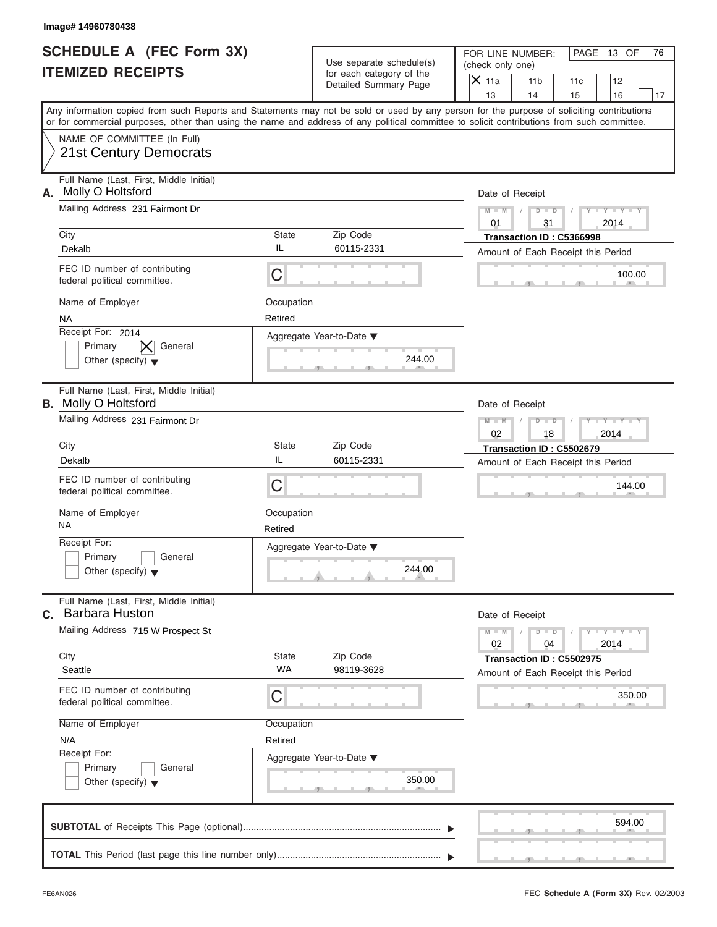| Image# 14960780438                                                                                                                                                                                                                                                                      |                       |                                                                               |                                                                               |                               |
|-----------------------------------------------------------------------------------------------------------------------------------------------------------------------------------------------------------------------------------------------------------------------------------------|-----------------------|-------------------------------------------------------------------------------|-------------------------------------------------------------------------------|-------------------------------|
| <b>SCHEDULE A (FEC Form 3X)</b><br><b>ITEMIZED RECEIPTS</b>                                                                                                                                                                                                                             |                       | Use separate schedule(s)<br>for each category of the<br>Detailed Summary Page | FOR LINE NUMBER:<br>(check only one)<br>$\overline{X}$ 11a<br>11 <sub>b</sub> | PAGE 13 OF<br>76<br>11c<br>12 |
|                                                                                                                                                                                                                                                                                         | 13<br>14              | 15<br>16<br>17                                                                |                                                                               |                               |
| Any information copied from such Reports and Statements may not be sold or used by any person for the purpose of soliciting contributions<br>or for commercial purposes, other than using the name and address of any political committee to solicit contributions from such committee. |                       |                                                                               |                                                                               |                               |
| NAME OF COMMITTEE (In Full)<br><b>21st Century Democrats</b>                                                                                                                                                                                                                            |                       |                                                                               |                                                                               |                               |
| Full Name (Last, First, Middle Initial)<br>Molly O Holtsford<br>А.                                                                                                                                                                                                                      |                       |                                                                               | Date of Receipt                                                               |                               |
| Mailing Address 231 Fairmont Dr                                                                                                                                                                                                                                                         |                       |                                                                               | $M - M$<br>$D$ $D$<br>0.1<br>31                                               | $Y - Y - Y - Y - Y$<br>2014   |
| City<br>Dekalb                                                                                                                                                                                                                                                                          | State<br>IL           | Zip Code<br>60115-2331                                                        | Transaction ID: C5366998                                                      |                               |
| FEC ID number of contributing<br>federal political committee.                                                                                                                                                                                                                           | C                     |                                                                               | Amount of Each Receipt this Period                                            | 100.00                        |
| Name of Employer<br><b>NA</b>                                                                                                                                                                                                                                                           | Occupation<br>Retired |                                                                               |                                                                               |                               |
| Receipt For: 2014<br>General<br>Primary<br>Other (specify) $\blacktriangledown$                                                                                                                                                                                                         |                       | Aggregate Year-to-Date ▼<br>244.00                                            |                                                                               |                               |
| Full Name (Last, First, Middle Initial)<br><b>B.</b> Molly O Holtsford                                                                                                                                                                                                                  |                       |                                                                               | Date of Receipt                                                               |                               |
| Mailing Address 231 Fairmont Dr                                                                                                                                                                                                                                                         |                       |                                                                               | $M - M$<br>$D$ $D$<br>02<br>18                                                | Y T Y T Y T<br>2014           |
| City<br>Dekalb                                                                                                                                                                                                                                                                          | State<br>IL           | Zip Code<br>60115-2331                                                        | Transaction ID: C5502679                                                      |                               |
| FEC ID number of contributing<br>federal political committee.                                                                                                                                                                                                                           | C                     |                                                                               | Amount of Each Receipt this Period                                            | 144.00                        |
| Name of Employer<br><b>NA</b>                                                                                                                                                                                                                                                           | Occupation<br>Retired |                                                                               |                                                                               |                               |
| Receipt For:<br>Primary<br>General<br>Other (specify) $\blacktriangledown$                                                                                                                                                                                                              |                       | Aggregate Year-to-Date ▼<br>244.00                                            |                                                                               |                               |
| Full Name (Last, First, Middle Initial)<br>C. Barbara Huston                                                                                                                                                                                                                            |                       |                                                                               | Date of Receipt                                                               |                               |
| Mailing Address 715 W Prospect St                                                                                                                                                                                                                                                       |                       |                                                                               | $M - M$<br>$D$ $D$<br>02<br>04                                                | $Y = Y + Y + Y$<br>2014       |
| City<br>Seattle                                                                                                                                                                                                                                                                         | State<br><b>WA</b>    | Zip Code<br>98119-3628                                                        | Transaction ID: C5502975<br>Amount of Each Receipt this Period                |                               |
| FEC ID number of contributing<br>federal political committee.                                                                                                                                                                                                                           | С                     |                                                                               |                                                                               | 350.00                        |
| Name of Employer                                                                                                                                                                                                                                                                        | Occupation            |                                                                               |                                                                               |                               |
| N/A<br>Receipt For:                                                                                                                                                                                                                                                                     | Retired               | Aggregate Year-to-Date ▼                                                      |                                                                               |                               |
| Primary<br>General<br>Other (specify) $\blacktriangledown$                                                                                                                                                                                                                              |                       | 350.00                                                                        |                                                                               |                               |
|                                                                                                                                                                                                                                                                                         |                       |                                                                               |                                                                               | 594.00                        |
|                                                                                                                                                                                                                                                                                         |                       |                                                                               |                                                                               |                               |

 $\mathcal{S}$  s  $\mathcal{S}$  ,  $\mathcal{S}$  ,  $\mathcal{S}$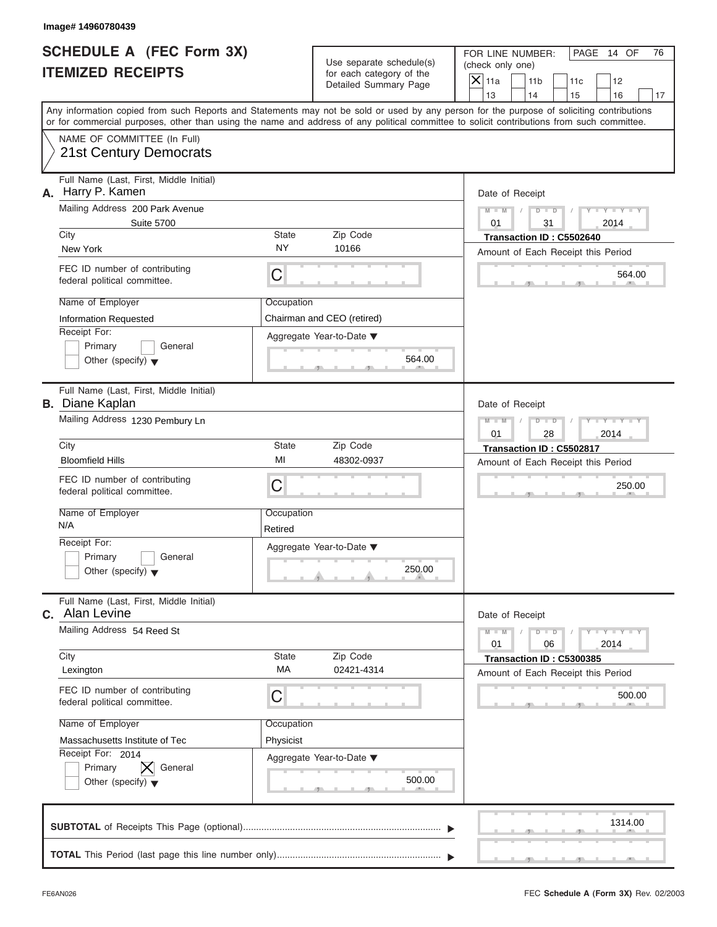| Image# 14960780439                                                |                                                                                                                                            |                                                                                                                                           |  |
|-------------------------------------------------------------------|--------------------------------------------------------------------------------------------------------------------------------------------|-------------------------------------------------------------------------------------------------------------------------------------------|--|
| <b>SCHEDULE A (FEC Form 3X)</b>                                   | Use separate schedule(s)                                                                                                                   | FOR LINE NUMBER:<br>PAGE 14 OF<br>76<br>(check only one)                                                                                  |  |
| <b>ITEMIZED RECEIPTS</b>                                          | for each category of the                                                                                                                   | $\mathsf{X}$ 11a<br>11 <sub>b</sub><br>11c<br>12                                                                                          |  |
|                                                                   | Detailed Summary Page                                                                                                                      | 13<br>14<br>15<br>16<br>17                                                                                                                |  |
|                                                                   | or for commercial purposes, other than using the name and address of any political committee to solicit contributions from such committee. | Any information copied from such Reports and Statements may not be sold or used by any person for the purpose of soliciting contributions |  |
| NAME OF COMMITTEE (In Full)<br>21st Century Democrats             |                                                                                                                                            |                                                                                                                                           |  |
| Full Name (Last, First, Middle Initial)<br>Harry P. Kamen<br>А.   |                                                                                                                                            | Date of Receipt                                                                                                                           |  |
| Mailing Address 200 Park Avenue<br><b>Suite 5700</b>              |                                                                                                                                            | $Y - Y - Y - Y - Y$<br>$M - M$<br>$D$ $\Box$ $D$<br>0.1<br>31<br>2014                                                                     |  |
| City                                                              | Zip Code<br><b>State</b>                                                                                                                   | Transaction ID: C5502640                                                                                                                  |  |
| New York                                                          | <b>NY</b><br>10166                                                                                                                         | Amount of Each Receipt this Period                                                                                                        |  |
| FEC ID number of contributing<br>federal political committee.     | C                                                                                                                                          | 564.00                                                                                                                                    |  |
| Name of Employer                                                  | Occupation                                                                                                                                 |                                                                                                                                           |  |
| Information Requested                                             | Chairman and CEO (retired)                                                                                                                 |                                                                                                                                           |  |
| Receipt For:                                                      | Aggregate Year-to-Date ▼                                                                                                                   |                                                                                                                                           |  |
| Primary<br>General<br>Other (specify) $\blacktriangledown$        | 564.00                                                                                                                                     |                                                                                                                                           |  |
| Full Name (Last, First, Middle Initial)<br><b>B.</b> Diane Kaplan |                                                                                                                                            | Date of Receipt                                                                                                                           |  |
| Mailing Address 1230 Pembury Ln                                   |                                                                                                                                            | Y TYTTYTTY<br>$M - M$<br>$D$ $D$<br>2014<br>01<br>28                                                                                      |  |
| City                                                              | State<br>Zip Code                                                                                                                          | Transaction ID: C5502817                                                                                                                  |  |
| <b>Bloomfield Hills</b>                                           | MI<br>48302-0937                                                                                                                           | Amount of Each Receipt this Period                                                                                                        |  |
| FEC ID number of contributing<br>federal political committee.     | C                                                                                                                                          | 250.00                                                                                                                                    |  |
| Name of Employer<br>N/A                                           | Occupation<br>Retired                                                                                                                      |                                                                                                                                           |  |
| Receipt For:                                                      | Aggregate Year-to-Date ▼                                                                                                                   |                                                                                                                                           |  |
| Primary<br>General<br>Other (specify) $\blacktriangledown$        | 250.00                                                                                                                                     |                                                                                                                                           |  |
| Full Name (Last, First, Middle Initial)<br>C. Alan Levine         |                                                                                                                                            | Date of Receipt                                                                                                                           |  |
| Mailing Address 54 Reed St                                        |                                                                                                                                            | $M - M$<br>$D - D$<br>$Y - Y - Y - Y - Y$<br>2014<br>01<br>06                                                                             |  |
| City<br>Lexington                                                 | State<br>Zip Code<br>MA<br>02421-4314                                                                                                      | Transaction ID: C5300385<br>Amount of Each Receipt this Period                                                                            |  |
| FEC ID number of contributing<br>federal political committee.     | С                                                                                                                                          | 500.00                                                                                                                                    |  |
| Name of Employer                                                  | Occupation                                                                                                                                 |                                                                                                                                           |  |
| Massachusetts Institute of Tec                                    | Physicist                                                                                                                                  |                                                                                                                                           |  |
| Receipt For: 2014                                                 | Aggregate Year-to-Date ▼                                                                                                                   |                                                                                                                                           |  |
| Primary<br>General<br>Other (specify) $\blacktriangledown$        | 500.00                                                                                                                                     |                                                                                                                                           |  |
|                                                                   |                                                                                                                                            | 1314.00                                                                                                                                   |  |
|                                                                   |                                                                                                                                            |                                                                                                                                           |  |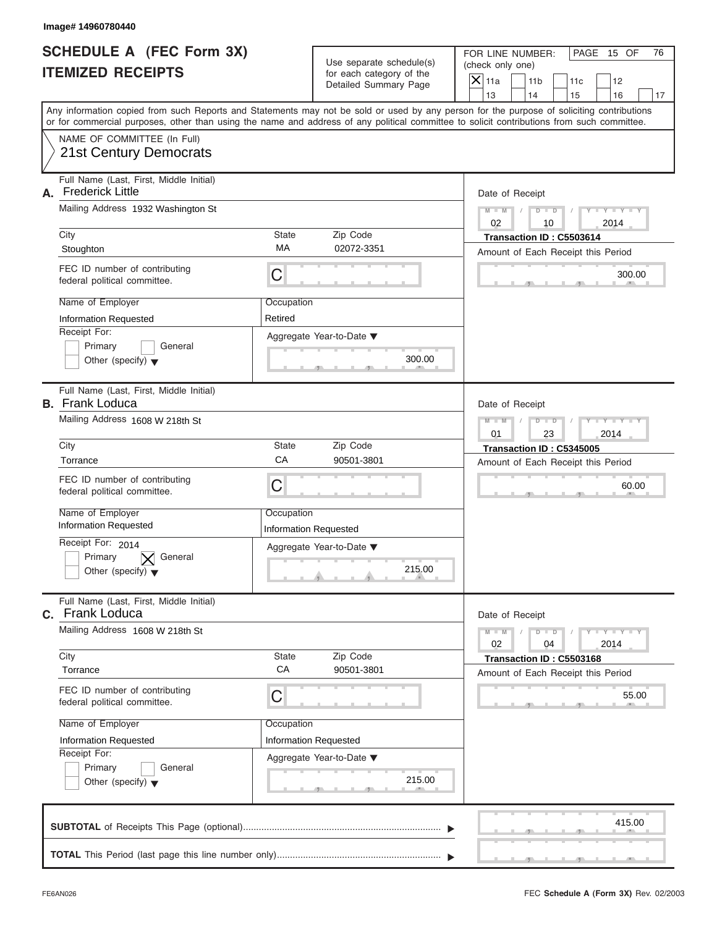| Image# 14960780440                                                                                                                                                                                                                                                                      |                                                                               |                                                                                                              |
|-----------------------------------------------------------------------------------------------------------------------------------------------------------------------------------------------------------------------------------------------------------------------------------------|-------------------------------------------------------------------------------|--------------------------------------------------------------------------------------------------------------|
| <b>SCHEDULE A (FEC Form 3X)</b><br><b>ITEMIZED RECEIPTS</b>                                                                                                                                                                                                                             | Use separate schedule(s)<br>for each category of the<br>Detailed Summary Page | PAGE 15 OF<br>FOR LINE NUMBER:<br>76<br>(check only one)<br>$\mathsf{X}$ 11a<br>11 <sub>b</sub><br>11c<br>12 |
|                                                                                                                                                                                                                                                                                         |                                                                               | 13<br>14<br>16<br>15<br>17                                                                                   |
| Any information copied from such Reports and Statements may not be sold or used by any person for the purpose of soliciting contributions<br>or for commercial purposes, other than using the name and address of any political committee to solicit contributions from such committee. |                                                                               |                                                                                                              |
| NAME OF COMMITTEE (In Full)<br>21st Century Democrats                                                                                                                                                                                                                                   |                                                                               |                                                                                                              |
| Full Name (Last, First, Middle Initial)<br><b>Frederick Little</b><br>А.                                                                                                                                                                                                                |                                                                               | Date of Receipt                                                                                              |
| Mailing Address 1932 Washington St                                                                                                                                                                                                                                                      |                                                                               | $M - M$<br>$D$ $D$<br>$Y - Y - Y - Y$<br>02<br>10<br>2014                                                    |
| City                                                                                                                                                                                                                                                                                    | State<br>Zip Code                                                             | Transaction ID: C5503614                                                                                     |
| Stoughton                                                                                                                                                                                                                                                                               | MA<br>02072-3351                                                              | Amount of Each Receipt this Period                                                                           |
| FEC ID number of contributing<br>federal political committee.                                                                                                                                                                                                                           | С                                                                             | 300.00                                                                                                       |
| Name of Employer                                                                                                                                                                                                                                                                        | Occupation                                                                    |                                                                                                              |
| Information Requested                                                                                                                                                                                                                                                                   | Retired                                                                       |                                                                                                              |
| Receipt For:<br>Primary<br>General                                                                                                                                                                                                                                                      | Aggregate Year-to-Date ▼                                                      |                                                                                                              |
| Other (specify) $\blacktriangledown$                                                                                                                                                                                                                                                    | 300.00                                                                        |                                                                                                              |
| Full Name (Last, First, Middle Initial)<br><b>B.</b> Frank Loduca                                                                                                                                                                                                                       |                                                                               | Date of Receipt                                                                                              |
| Mailing Address 1608 W 218th St                                                                                                                                                                                                                                                         |                                                                               | $D - I - D$<br>Y TY TY<br>$M - M$<br>2014<br>01<br>23                                                        |
| City                                                                                                                                                                                                                                                                                    | Zip Code<br>State                                                             | Transaction ID: C5345005                                                                                     |
| Torrance                                                                                                                                                                                                                                                                                | CA<br>90501-3801                                                              | Amount of Each Receipt this Period                                                                           |
| FEC ID number of contributing<br>federal political committee.                                                                                                                                                                                                                           | C                                                                             | 60.00                                                                                                        |
| Name of Employer                                                                                                                                                                                                                                                                        | Occupation                                                                    |                                                                                                              |
| <b>Information Requested</b>                                                                                                                                                                                                                                                            | <b>Information Requested</b>                                                  |                                                                                                              |
| Receipt For: 2014<br>Primary<br>General                                                                                                                                                                                                                                                 | Aggregate Year-to-Date ▼                                                      |                                                                                                              |
| Other (specify) $\blacktriangledown$                                                                                                                                                                                                                                                    | 215.00                                                                        |                                                                                                              |
| Full Name (Last, First, Middle Initial)<br>C. Frank Loduca                                                                                                                                                                                                                              |                                                                               | Date of Receipt                                                                                              |
| Mailing Address 1608 W 218th St                                                                                                                                                                                                                                                         |                                                                               | $M - M$<br>$Y - Y - Y - I$<br>$D - D$<br>02<br>2014<br>04                                                    |
| City<br>Torrance                                                                                                                                                                                                                                                                        | Zip Code<br>State<br>CA<br>90501-3801                                         | Transaction ID: C5503168<br>Amount of Each Receipt this Period                                               |
| FEC ID number of contributing<br>federal political committee.                                                                                                                                                                                                                           | С                                                                             | 55.00                                                                                                        |
| Name of Employer                                                                                                                                                                                                                                                                        | Occupation                                                                    |                                                                                                              |
| Information Requested                                                                                                                                                                                                                                                                   | Information Requested                                                         |                                                                                                              |
| Receipt For:<br>Primary<br>General                                                                                                                                                                                                                                                      | Aggregate Year-to-Date ▼                                                      |                                                                                                              |
| Other (specify) $\blacktriangledown$                                                                                                                                                                                                                                                    | 215.00                                                                        |                                                                                                              |
|                                                                                                                                                                                                                                                                                         |                                                                               | 415.00                                                                                                       |
|                                                                                                                                                                                                                                                                                         |                                                                               |                                                                                                              |

 $\mathcal{T}$  s s  $\mathcal{T}$  , and  $\mathcal{T}$  , .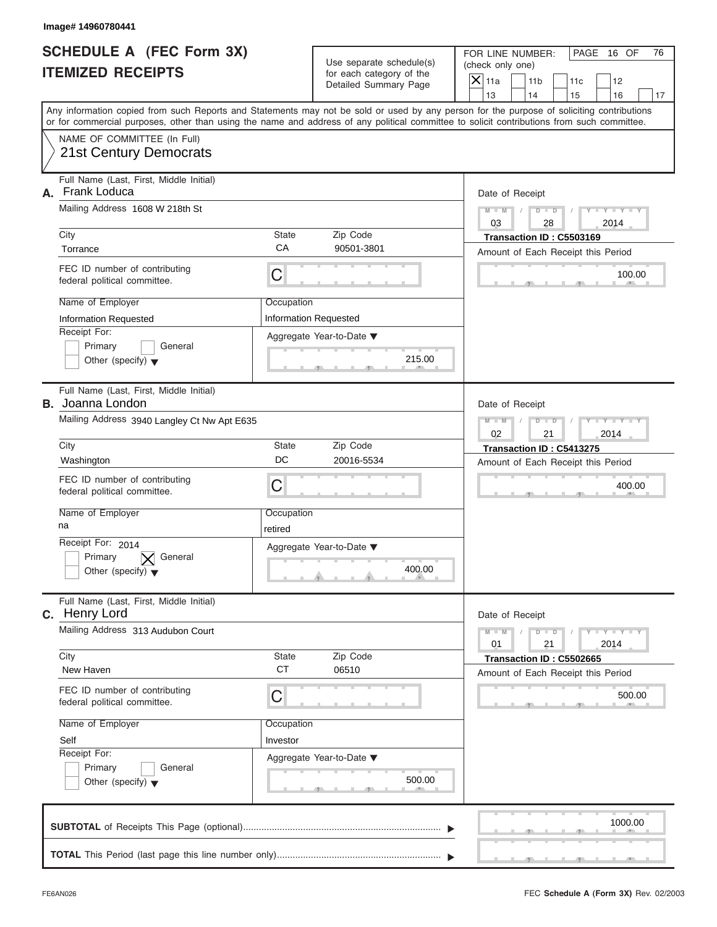| Image# 14960780441                                                         |                                         |                                                      |                                                                                                                                                                                                                                                                                         |
|----------------------------------------------------------------------------|-----------------------------------------|------------------------------------------------------|-----------------------------------------------------------------------------------------------------------------------------------------------------------------------------------------------------------------------------------------------------------------------------------------|
| <b>SCHEDULE A (FEC Form 3X)</b><br><b>ITEMIZED RECEIPTS</b>                |                                         | Use separate schedule(s)<br>for each category of the | FOR LINE NUMBER:<br>PAGE 16 OF<br>76<br>(check only one)                                                                                                                                                                                                                                |
|                                                                            |                                         | Detailed Summary Page                                | $\mathsf{X}$ 11a<br>11 <sub>b</sub><br>11c<br>12<br>13<br>14<br>15<br>16<br>17                                                                                                                                                                                                          |
|                                                                            |                                         |                                                      | Any information copied from such Reports and Statements may not be sold or used by any person for the purpose of soliciting contributions<br>or for commercial purposes, other than using the name and address of any political committee to solicit contributions from such committee. |
| NAME OF COMMITTEE (In Full)<br><b>21st Century Democrats</b>               |                                         |                                                      |                                                                                                                                                                                                                                                                                         |
| Full Name (Last, First, Middle Initial)<br><b>Frank Loduca</b><br>А.       |                                         |                                                      | Date of Receipt                                                                                                                                                                                                                                                                         |
| Mailing Address 1608 W 218th St                                            |                                         |                                                      | $D$ $D$<br>$Y - Y - Y - Y - Y$<br>$M - M$<br>03<br>28<br>2014                                                                                                                                                                                                                           |
| City<br>Torrance                                                           | State<br>Zip Code<br>CA<br>90501-3801   |                                                      | Transaction ID: C5503169<br>Amount of Each Receipt this Period                                                                                                                                                                                                                          |
| FEC ID number of contributing<br>federal political committee.              | C                                       |                                                      | 100.00                                                                                                                                                                                                                                                                                  |
| Name of Employer<br>Information Requested                                  | Occupation<br>Information Requested     |                                                      |                                                                                                                                                                                                                                                                                         |
| Receipt For:<br>Primary<br>General<br>Other (specify) $\blacktriangledown$ | Aggregate Year-to-Date ▼                | 215.00                                               |                                                                                                                                                                                                                                                                                         |
| Full Name (Last, First, Middle Initial)<br><b>B.</b> Joanna London         |                                         |                                                      | Date of Receipt                                                                                                                                                                                                                                                                         |
| Mailing Address 3940 Langley Ct Nw Apt E635                                |                                         |                                                      | $M - M$<br>$D - I - D$<br>Y TYTTYTTY<br>2014<br>02<br>21                                                                                                                                                                                                                                |
| City                                                                       | Zip Code<br><b>State</b>                |                                                      | Transaction ID: C5413275                                                                                                                                                                                                                                                                |
| Washington                                                                 | DC<br>20016-5534                        |                                                      | Amount of Each Receipt this Period                                                                                                                                                                                                                                                      |
| FEC ID number of contributing<br>federal political committee.              | C                                       |                                                      | 400.00                                                                                                                                                                                                                                                                                  |
| Name of Employer<br>na                                                     | Occupation<br>retired                   |                                                      |                                                                                                                                                                                                                                                                                         |
| Receipt For: 2014                                                          | Aggregate Year-to-Date ▼                |                                                      |                                                                                                                                                                                                                                                                                         |
| Primary<br>General<br>Other (specify) $\blacktriangledown$                 |                                         | 400.00                                               |                                                                                                                                                                                                                                                                                         |
| Full Name (Last, First, Middle Initial)<br>C. Henry Lord                   |                                         |                                                      | Date of Receipt                                                                                                                                                                                                                                                                         |
| Mailing Address 313 Audubon Court                                          |                                         |                                                      | $M - M$<br>$D - D$<br>$Y - Y - Y - Y - Y$<br>2014<br>01<br>21                                                                                                                                                                                                                           |
| City<br>New Haven                                                          | Zip Code<br>State<br><b>CT</b><br>06510 |                                                      | Transaction ID: C5502665<br>Amount of Each Receipt this Period                                                                                                                                                                                                                          |
| FEC ID number of contributing<br>federal political committee.              | С                                       |                                                      | 500.00                                                                                                                                                                                                                                                                                  |
| Name of Employer                                                           | Occupation                              |                                                      |                                                                                                                                                                                                                                                                                         |
| Self                                                                       | Investor                                |                                                      |                                                                                                                                                                                                                                                                                         |
| Receipt For:<br>Primary<br>General                                         | Aggregate Year-to-Date ▼                |                                                      |                                                                                                                                                                                                                                                                                         |
| Other (specify) $\blacktriangledown$                                       |                                         | 500.00                                               |                                                                                                                                                                                                                                                                                         |
|                                                                            |                                         |                                                      | 1000.00                                                                                                                                                                                                                                                                                 |
|                                                                            |                                         |                                                      |                                                                                                                                                                                                                                                                                         |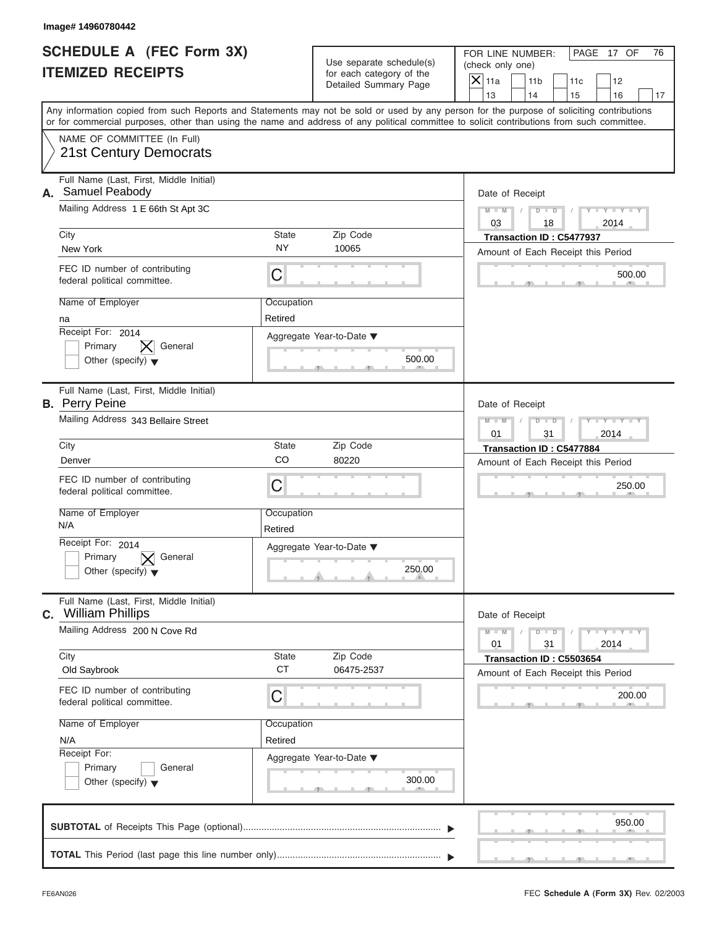|    | Image# 14960780442                                                                                                                                                                                                                                                                      |                       |                                                                               |                                                                                                                                |          |
|----|-----------------------------------------------------------------------------------------------------------------------------------------------------------------------------------------------------------------------------------------------------------------------------------------|-----------------------|-------------------------------------------------------------------------------|--------------------------------------------------------------------------------------------------------------------------------|----------|
|    | <b>SCHEDULE A (FEC Form 3X)</b><br><b>ITEMIZED RECEIPTS</b>                                                                                                                                                                                                                             |                       | Use separate schedule(s)<br>for each category of the<br>Detailed Summary Page | FOR LINE NUMBER:<br>PAGE 17 OF<br>(check only one)<br>$\mathsf{X}$ 11a<br>11 <sub>b</sub><br>11c<br>12<br>13<br>14<br>15<br>16 | 76<br>17 |
|    | Any information copied from such Reports and Statements may not be sold or used by any person for the purpose of soliciting contributions<br>or for commercial purposes, other than using the name and address of any political committee to solicit contributions from such committee. |                       |                                                                               |                                                                                                                                |          |
|    | NAME OF COMMITTEE (In Full)<br>21st Century Democrats                                                                                                                                                                                                                                   |                       |                                                                               |                                                                                                                                |          |
| А. | Full Name (Last, First, Middle Initial)<br>Samuel Peabody<br>Mailing Address 1 E 66th St Apt 3C                                                                                                                                                                                         |                       |                                                                               | Date of Receipt<br>$D - D$<br>$M - M$<br>$Y - Y - Y - Y - Y$<br>03<br>2014<br>18                                               |          |
|    | City                                                                                                                                                                                                                                                                                    | State                 | Zip Code                                                                      | Transaction ID: C5477937                                                                                                       |          |
|    | New York                                                                                                                                                                                                                                                                                | <b>NY</b>             | 10065                                                                         | Amount of Each Receipt this Period                                                                                             |          |
|    | FEC ID number of contributing<br>federal political committee.                                                                                                                                                                                                                           | C                     |                                                                               | 500.00                                                                                                                         |          |
|    | Name of Employer<br>na                                                                                                                                                                                                                                                                  | Occupation<br>Retired |                                                                               |                                                                                                                                |          |
|    | Receipt For: 2014<br>General<br>Primary<br>Other (specify) $\blacktriangledown$                                                                                                                                                                                                         |                       | Aggregate Year-to-Date ▼<br>500.00                                            |                                                                                                                                |          |
|    | Full Name (Last, First, Middle Initial)<br><b>B.</b> Perry Peine                                                                                                                                                                                                                        |                       |                                                                               | Date of Receipt                                                                                                                |          |
|    | Mailing Address 343 Bellaire Street                                                                                                                                                                                                                                                     |                       |                                                                               | $M - M$<br>$D - I - D$<br>Y T Y T Y T<br>2014<br>01<br>31                                                                      |          |
|    | City                                                                                                                                                                                                                                                                                    | State                 | Zip Code                                                                      | Transaction ID: C5477884                                                                                                       |          |
|    | Denver                                                                                                                                                                                                                                                                                  | CO                    | 80220                                                                         | Amount of Each Receipt this Period                                                                                             |          |
|    | FEC ID number of contributing<br>federal political committee.                                                                                                                                                                                                                           | C                     |                                                                               | 250.00                                                                                                                         |          |
|    | Name of Employer<br>N/A                                                                                                                                                                                                                                                                 | Occupation<br>Retired |                                                                               |                                                                                                                                |          |
|    | Receipt For: 2014<br>Primary<br>General<br>Other (specify) $\blacktriangledown$                                                                                                                                                                                                         |                       | Aggregate Year-to-Date ▼<br>250.00                                            |                                                                                                                                |          |
|    | Full Name (Last, First, Middle Initial)<br>C. William Phillips                                                                                                                                                                                                                          |                       |                                                                               | Date of Receipt                                                                                                                |          |
|    | Mailing Address 200 N Cove Rd                                                                                                                                                                                                                                                           |                       |                                                                               | $M - M$<br>$T - Y = Y - T$<br>$D$ $D$<br>2014<br>01<br>31                                                                      |          |
|    | City<br>Old Saybrook                                                                                                                                                                                                                                                                    | State<br><b>CT</b>    | Zip Code<br>06475-2537                                                        | Transaction ID: C5503654<br>Amount of Each Receipt this Period                                                                 |          |
|    | FEC ID number of contributing<br>federal political committee.                                                                                                                                                                                                                           | С                     |                                                                               | 200.00                                                                                                                         |          |
|    | Name of Employer                                                                                                                                                                                                                                                                        | Occupation            |                                                                               |                                                                                                                                |          |
|    | N/A                                                                                                                                                                                                                                                                                     | Retired               |                                                                               |                                                                                                                                |          |
|    | Receipt For:<br>Primary<br>General<br>Other (specify) $\blacktriangledown$                                                                                                                                                                                                              |                       | Aggregate Year-to-Date ▼<br>300.00                                            |                                                                                                                                |          |
|    |                                                                                                                                                                                                                                                                                         |                       |                                                                               | 950.00                                                                                                                         |          |
|    |                                                                                                                                                                                                                                                                                         |                       |                                                                               |                                                                                                                                |          |

FEC **Schedule A (Form 3X)** Rev. 02/2003

 $S = 1, 2, 3, ...$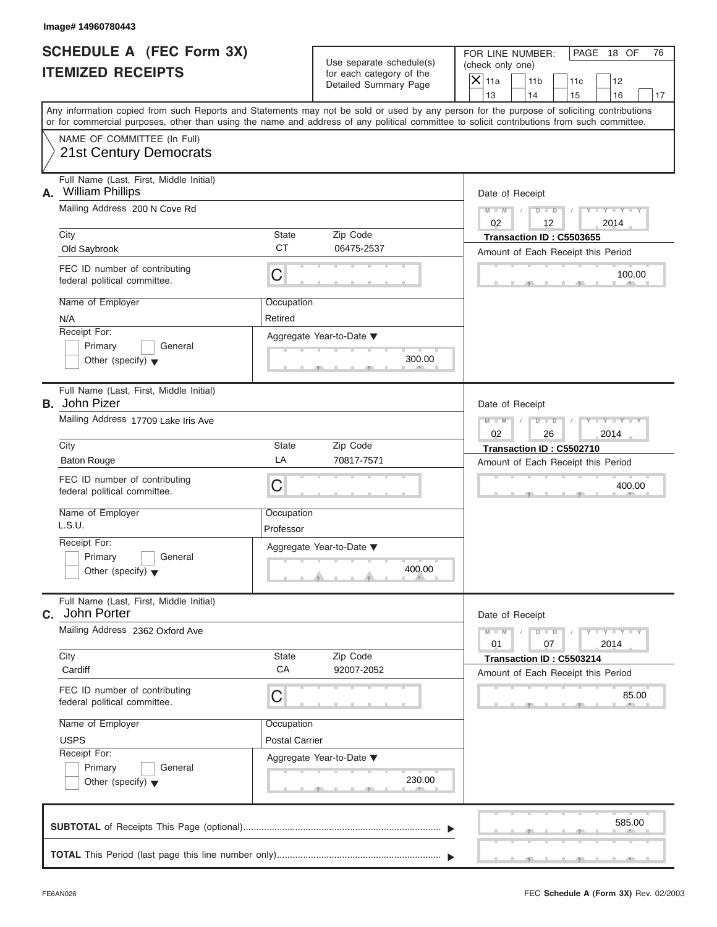|                                                             | Image# 14960780443                                                                                                                                                                                                                                                                      |                         |                                                      |                                        |                                                                |           |                         |    |
|-------------------------------------------------------------|-----------------------------------------------------------------------------------------------------------------------------------------------------------------------------------------------------------------------------------------------------------------------------------------|-------------------------|------------------------------------------------------|----------------------------------------|----------------------------------------------------------------|-----------|-------------------------|----|
| <b>SCHEDULE A (FEC Form 3X)</b><br><b>ITEMIZED RECEIPTS</b> |                                                                                                                                                                                                                                                                                         |                         | Use separate schedule(s)<br>for each category of the | (check only one)<br>$\overline{X}$ 11a | FOR LINE NUMBER:<br>11 <sub>b</sub>                            |           | PAGE 18 OF              | 76 |
|                                                             |                                                                                                                                                                                                                                                                                         |                         | Detailed Summary Page                                | 13                                     | 14                                                             | 11c<br>15 | 12<br>16                | 17 |
|                                                             | Any information copied from such Reports and Statements may not be sold or used by any person for the purpose of soliciting contributions<br>or for commercial purposes, other than using the name and address of any political committee to solicit contributions from such committee. |                         |                                                      |                                        |                                                                |           |                         |    |
|                                                             | NAME OF COMMITTEE (In Full)<br><b>21st Century Democrats</b>                                                                                                                                                                                                                            |                         |                                                      |                                        |                                                                |           |                         |    |
| А.                                                          | Full Name (Last, First, Middle Initial)<br><b>William Phillips</b>                                                                                                                                                                                                                      |                         |                                                      |                                        | Date of Receipt                                                |           |                         |    |
|                                                             | Mailing Address 200 N Cove Rd                                                                                                                                                                                                                                                           |                         |                                                      | $M - M$<br>02                          | $D - D$<br>12                                                  |           | $Y - Y - Y - Y$<br>2014 |    |
|                                                             | City                                                                                                                                                                                                                                                                                    | State<br><b>CT</b>      | Zip Code                                             |                                        | Transaction ID: C5503655                                       |           |                         |    |
|                                                             | Old Saybrook                                                                                                                                                                                                                                                                            |                         | 06475-2537                                           |                                        | Amount of Each Receipt this Period                             |           |                         |    |
|                                                             | FEC ID number of contributing<br>federal political committee.                                                                                                                                                                                                                           | $\mathsf C$             |                                                      |                                        |                                                                |           | 100.00                  |    |
|                                                             | Name of Employer                                                                                                                                                                                                                                                                        | Occupation              |                                                      |                                        |                                                                |           |                         |    |
|                                                             | N/A                                                                                                                                                                                                                                                                                     | Retired                 |                                                      |                                        |                                                                |           |                         |    |
|                                                             | Receipt For:<br>Primary<br>General                                                                                                                                                                                                                                                      |                         | Aggregate Year-to-Date ▼                             |                                        |                                                                |           |                         |    |
|                                                             | Other (specify) $\blacktriangledown$                                                                                                                                                                                                                                                    |                         | 300.00                                               |                                        |                                                                |           |                         |    |
|                                                             | Full Name (Last, First, Middle Initial)<br><b>B.</b> John Pizer                                                                                                                                                                                                                         |                         |                                                      |                                        | Date of Receipt                                                |           |                         |    |
|                                                             | Mailing Address 17709 Lake Iris Ave                                                                                                                                                                                                                                                     |                         |                                                      | $M - M$<br>02                          | $D$ $D$<br>26                                                  |           | Y T Y T Y T<br>2014     |    |
|                                                             | City                                                                                                                                                                                                                                                                                    | State                   | Zip Code                                             |                                        | Transaction ID: C5502710                                       |           |                         |    |
|                                                             | <b>Baton Rouge</b>                                                                                                                                                                                                                                                                      | LA                      | 70817-7571                                           |                                        | Amount of Each Receipt this Period                             |           |                         |    |
|                                                             | FEC ID number of contributing<br>federal political committee.                                                                                                                                                                                                                           | C                       |                                                      |                                        |                                                                |           | 400.00                  |    |
|                                                             | Name of Employer<br>L.S.U.                                                                                                                                                                                                                                                              | Occupation<br>Professor |                                                      |                                        |                                                                |           |                         |    |
|                                                             | Receipt For:                                                                                                                                                                                                                                                                            |                         | Aggregate Year-to-Date ▼                             |                                        |                                                                |           |                         |    |
|                                                             | Primary<br>General<br>Other (specify) $\blacktriangledown$                                                                                                                                                                                                                              |                         | 400.00                                               |                                        |                                                                |           |                         |    |
|                                                             | Full Name (Last, First, Middle Initial)<br>C. John Porter                                                                                                                                                                                                                               |                         |                                                      |                                        | Date of Receipt                                                |           |                         |    |
|                                                             | Mailing Address 2362 Oxford Ave                                                                                                                                                                                                                                                         |                         |                                                      | $M - M$<br>01                          | $D$ $D$<br>07                                                  |           | $Y = Y + Y + Y$<br>2014 |    |
|                                                             | City<br>Cardiff                                                                                                                                                                                                                                                                         | State<br>CA             | Zip Code<br>92007-2052                               |                                        | Transaction ID: C5503214<br>Amount of Each Receipt this Period |           |                         |    |
|                                                             | FEC ID number of contributing<br>federal political committee.                                                                                                                                                                                                                           | С                       |                                                      |                                        |                                                                |           | 85.00                   |    |
|                                                             | Name of Employer                                                                                                                                                                                                                                                                        | Occupation              |                                                      |                                        |                                                                |           |                         |    |
|                                                             | <b>USPS</b>                                                                                                                                                                                                                                                                             | <b>Postal Carrier</b>   |                                                      |                                        |                                                                |           |                         |    |
|                                                             | Receipt For:<br>Primary                                                                                                                                                                                                                                                                 |                         | Aggregate Year-to-Date ▼                             |                                        |                                                                |           |                         |    |
|                                                             | General<br>Other (specify) $\blacktriangledown$                                                                                                                                                                                                                                         |                         | 230.00                                               |                                        |                                                                |           |                         |    |
|                                                             |                                                                                                                                                                                                                                                                                         |                         |                                                      |                                        |                                                                |           | 585.00                  |    |
|                                                             |                                                                                                                                                                                                                                                                                         |                         |                                                      |                                        |                                                                |           |                         |    |

 $\mathcal{S}$  s  $\mathcal{S}$  ,  $\mathcal{S}$  ,  $\mathcal{S}$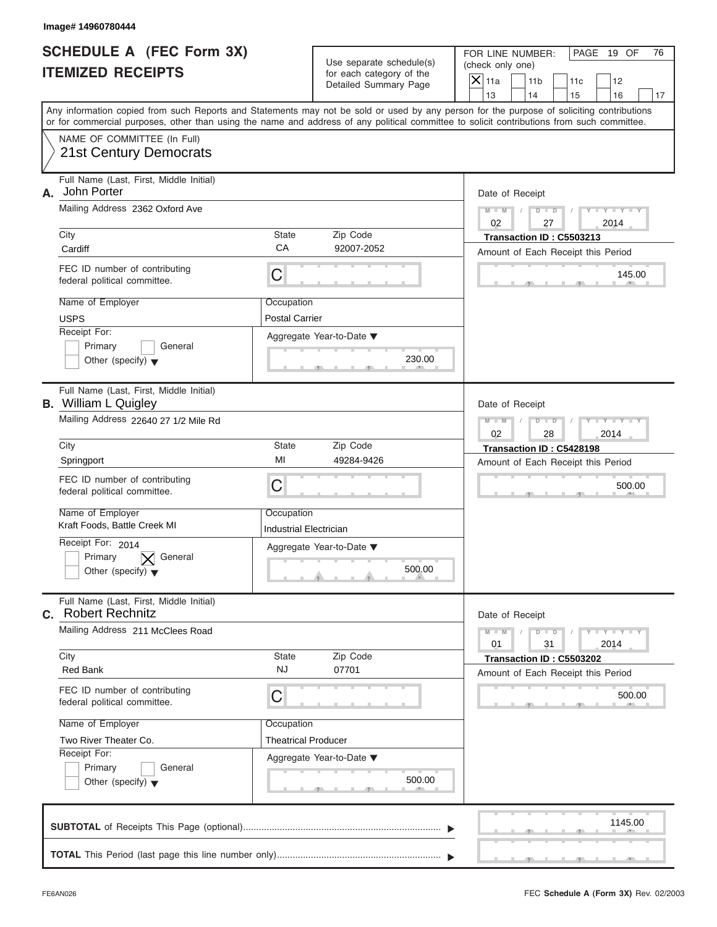Use separate schedule(s) | (check only one) for each category of the

FOR LINE NUMBER: | PAGE 19 OF

1145.00  $\frac{145.0}{2}$ Aggregate Year-to-Date ▼  $\frac{230.0}{2}$ C C S S S , , .  $\frac{500}{1}$  $\sim$  s  $\sim$  s  $\sim$  s  $\sim$  s  $\sim$  s  $\sim$ C **M + M M M / D D / Y Y Y Y M M / D D / Y Y Y Y**  $\sim$  500.0  $\frac{500}{1}$ Any information copied from such Reports and Statements may not be sold or used by any person for the purpose of soliciting contributions or for commercial purposes, other than using the name and address of any political committee to solicit contributions from such committee. NAME OF COMMITTEE (In Full) **SUBTOTAL** of Receipts This Page (optional) ............................................................................  $\frac{1}{\sqrt{1-\frac{1}{2}}}$  Full Name (Last, First, Middle Initial) Mailing Address 2362 Oxford Ave City **State** Zip Code Receipt For: Primary **General**  $\vert$  Other (specify)  $\blacktriangledown$ Amount of Each Receipt this Period **A.** Date of Receipt Name of Employer <br>
Occupation FEC ID number of contributing federal political committee. Full Name (Last, First, Middle Initial) Mailing Address 22640 27 1/2 Mile Rd City **State** Zip Code Receipt For: 2014 Primary  $\boxed{\bigtimes}$  General **Other (specify)** ▼ Amount of Each Receipt this Period **B.** William L Quigley Aggregate Year-to-Date ▼ Date of Receipt Name of Employer | Occupation FEC ID number of contributing federal political committee. Full Name (Last, First, Middle Initial) Mailing Address 211 McClees Road City **State** Zip Code Receipt For: Primary General  $\vert$  Other (specify)  $\blacktriangledown$ Amount of Each Receipt this Period **C.** Aggregate Year-to-Date ▼ Date of Receipt Name of Employer | Occupation FEC ID number of contributing federal political committee. Detailed Summary Page  $\begin{array}{|c|c|c|c|c|}\n\hline\n\text{Detailed Summary Page} \\
\hline\n\end{array}\n\quad\n\begin{array}{|c|c|c|c|c|}\n\hline\n\text{11a} & \text{11b} & \text{11c} & \text{12} \\
\hline\n\text{13} & \text{14} & \text{15} & \text{16}\n\end{array}$ | 13 | | 14 | | 15 | | 16 | | 17 500.00<br>
Date of Receipt<br>
01<br>
1 31<br>
Transaction ID : C5503202<br>
Amount of Each Receipt this Period<br>
500.00 21 St Century Democrats<br>
Solar Politics Additional Politics Additional Real Politics Additional Real Politics Additional Politics Century<br>
Contained politics and the century of the century of the century of the century of Cardiff Carl pumber of contributing<br>
EC ID number of complexer<br>
Name of Employer<br>
Necesial For:<br>
ID : Complexe Cardiff Cardiff Cardiff Cardiff Cardiff Cardiff Cardiff Cardiff Cardiff Cardiff Cardiff Cardiff Cardiff Cardiff United Contribution Controlled Controlled Controlled Controlled Controlled Controlled Controlled Controlled Controlled Controlled Controlled Controlled Controlled Controlled Controlled Controlled Controlled Controlled Con City<br>
Cardiff State Zip Code Candiff Candiff Candiff Candiff FEC ID number of contributing<br>
FEC ID number of contributing<br>
Narion of Employer<br>
Narion Creek MI 272814 Game Creek MI 272816 Game Creek MI 272816 Game Creek Min **INSEE OF ENERGY AND THE CONTROL CARR CONTROL CARR CONTROL CARR CONTROL CARR CONTROL CARR CONTROL CARR CONTROL CARR CONTROL CARR CONTROL CARR CONTROL CARR CONTROL CARR CONTROL CARR CONTROL CARR CONTROL CARR CONTROL CARR C** 

**TOTAL** This Period (last page this line number only) ...............................................................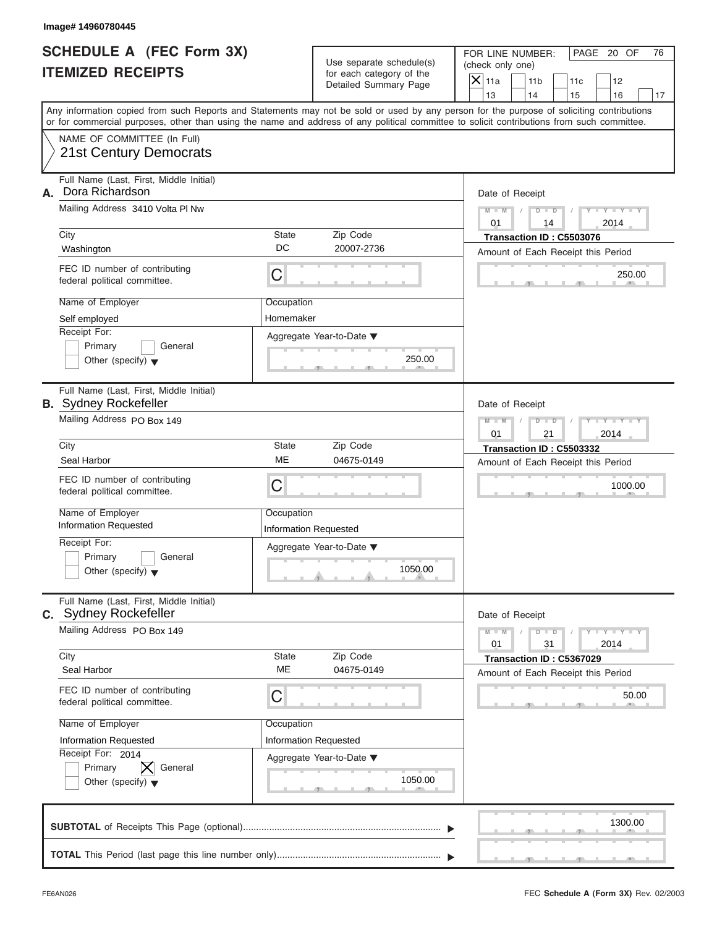| Image# 14960780445                                                                                                                         |                              |                                                                               |                                                                             |                                                                          |
|--------------------------------------------------------------------------------------------------------------------------------------------|------------------------------|-------------------------------------------------------------------------------|-----------------------------------------------------------------------------|--------------------------------------------------------------------------|
| <b>SCHEDULE A (FEC Form 3X)</b><br><b>ITEMIZED RECEIPTS</b>                                                                                |                              | Use separate schedule(s)<br>for each category of the<br>Detailed Summary Page | FOR LINE NUMBER:<br>(check only one)<br>$\mathsf{X}$ 11a<br>11 <sub>b</sub> | PAGE 20 OF<br>76<br>11c<br>12                                            |
| Any information copied from such Reports and Statements may not be sold or used by any person for the purpose of soliciting contributions  |                              |                                                                               | 13<br>14                                                                    | 15<br>16<br>17                                                           |
| or for commercial purposes, other than using the name and address of any political committee to solicit contributions from such committee. |                              |                                                                               |                                                                             |                                                                          |
| NAME OF COMMITTEE (In Full)<br>21st Century Democrats                                                                                      |                              |                                                                               |                                                                             |                                                                          |
| Full Name (Last, First, Middle Initial)<br>Dora Richardson<br>А.                                                                           |                              |                                                                               | Date of Receipt                                                             |                                                                          |
| Mailing Address 3410 Volta PI Nw                                                                                                           |                              |                                                                               | $M - M$<br>$D$ $D$                                                          | $Y = Y + Y + Y$                                                          |
| City                                                                                                                                       | <b>State</b>                 | Zip Code                                                                      | 01<br>14<br>Transaction ID: C5503076                                        | 2014                                                                     |
| Washington                                                                                                                                 | DC                           | 20007-2736                                                                    | Amount of Each Receipt this Period                                          |                                                                          |
| FEC ID number of contributing<br>federal political committee.                                                                              | C                            |                                                                               |                                                                             | 250.00                                                                   |
| Name of Employer                                                                                                                           | Occupation                   |                                                                               |                                                                             |                                                                          |
| Self employed                                                                                                                              | Homemaker                    |                                                                               |                                                                             |                                                                          |
| Receipt For:<br>Primary<br>General<br>Other (specify) $\blacktriangledown$                                                                 |                              | Aggregate Year-to-Date ▼<br>250.00                                            |                                                                             |                                                                          |
| Full Name (Last, First, Middle Initial)<br><b>B.</b> Sydney Rockefeller                                                                    |                              |                                                                               | Date of Receipt                                                             |                                                                          |
| Mailing Address PO Box 149                                                                                                                 |                              |                                                                               | $M - M$<br>$D - I - D$<br>01<br>21                                          | Y T Y T Y T<br>2014                                                      |
| City                                                                                                                                       | <b>State</b>                 | Zip Code                                                                      | Transaction ID: C5503332                                                    |                                                                          |
| Seal Harbor                                                                                                                                | ME                           | 04675-0149                                                                    | Amount of Each Receipt this Period                                          |                                                                          |
| FEC ID number of contributing<br>federal political committee.                                                                              | C                            |                                                                               |                                                                             | 1000.00                                                                  |
| Name of Employer                                                                                                                           | Occupation                   |                                                                               |                                                                             |                                                                          |
| <b>Information Requested</b><br>Receipt For:                                                                                               | <b>Information Requested</b> |                                                                               |                                                                             |                                                                          |
| Primary<br>General<br>Other (specify) $\blacktriangledown$                                                                                 |                              | Aggregate Year-to-Date ▼<br>1050.00                                           |                                                                             |                                                                          |
| Full Name (Last, First, Middle Initial)<br>C. Sydney Rockefeller                                                                           |                              |                                                                               | Date of Receipt                                                             |                                                                          |
| Mailing Address PO Box 149                                                                                                                 |                              |                                                                               | $M - M$<br>$D$ $D$<br>01<br>31                                              | $\mathbf{I} = \mathbf{Y} - \mathbf{I} - \mathbf{Y} - \mathbf{I}$<br>2014 |
| City<br>Seal Harbor                                                                                                                        | State<br>ME                  | Zip Code<br>04675-0149                                                        | Transaction ID: C5367029<br>Amount of Each Receipt this Period              |                                                                          |
| FEC ID number of contributing<br>federal political committee.                                                                              | С                            |                                                                               |                                                                             | 50.00                                                                    |
| Name of Employer                                                                                                                           | Occupation                   |                                                                               |                                                                             |                                                                          |
| Information Requested<br>Receipt For: 2014                                                                                                 | Information Requested        |                                                                               |                                                                             |                                                                          |
| Primary<br>General<br>Other (specify) $\blacktriangledown$                                                                                 |                              | Aggregate Year-to-Date ▼<br>1050.00                                           |                                                                             |                                                                          |
|                                                                                                                                            |                              |                                                                               |                                                                             | 1300.00                                                                  |
|                                                                                                                                            |                              |                                                                               |                                                                             |                                                                          |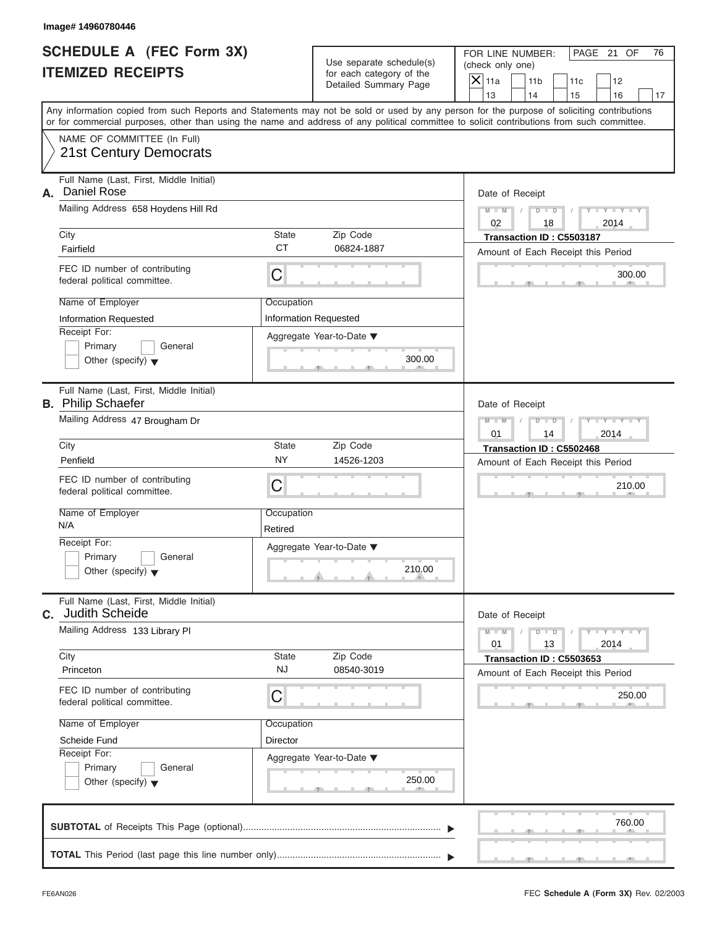|    | Image# 14960780446                                                   |                           |                                                                               |                                                                                                                                                                                                                                                                                         |
|----|----------------------------------------------------------------------|---------------------------|-------------------------------------------------------------------------------|-----------------------------------------------------------------------------------------------------------------------------------------------------------------------------------------------------------------------------------------------------------------------------------------|
|    | SCHEDULE A (FEC Form 3X)<br><b>ITEMIZED RECEIPTS</b>                 |                           | Use separate schedule(s)<br>for each category of the<br>Detailed Summary Page | FOR LINE NUMBER:<br>PAGE 21 OF<br>76<br>(check only one)<br>$\mathsf{X}$ 11a<br>11 <sub>b</sub><br>11c<br>12<br>13<br>14<br>15<br>16<br>17                                                                                                                                              |
|    |                                                                      |                           |                                                                               | Any information copied from such Reports and Statements may not be sold or used by any person for the purpose of soliciting contributions<br>or for commercial purposes, other than using the name and address of any political committee to solicit contributions from such committee. |
|    | NAME OF COMMITTEE (In Full)<br><b>21st Century Democrats</b>         |                           |                                                                               |                                                                                                                                                                                                                                                                                         |
|    |                                                                      |                           |                                                                               |                                                                                                                                                                                                                                                                                         |
| А. | Full Name (Last, First, Middle Initial)<br>Daniel Rose               |                           |                                                                               | Date of Receipt                                                                                                                                                                                                                                                                         |
|    | Mailing Address 658 Hoydens Hill Rd                                  |                           |                                                                               | $D$ $D$<br>$Y - Y - Y - Y - Y$<br>$M - M$                                                                                                                                                                                                                                               |
|    |                                                                      |                           |                                                                               | 02<br>18<br>2014                                                                                                                                                                                                                                                                        |
|    | City<br>Fairfield                                                    | <b>State</b><br><b>CT</b> | Zip Code<br>06824-1887                                                        | Transaction ID: C5503187                                                                                                                                                                                                                                                                |
|    |                                                                      |                           |                                                                               | Amount of Each Receipt this Period                                                                                                                                                                                                                                                      |
|    | FEC ID number of contributing<br>federal political committee.        | $\mathsf C$               |                                                                               | 300.00                                                                                                                                                                                                                                                                                  |
|    | Name of Employer                                                     | Occupation                |                                                                               |                                                                                                                                                                                                                                                                                         |
|    | <b>Information Requested</b><br>Receipt For:                         |                           | Information Requested                                                         |                                                                                                                                                                                                                                                                                         |
|    | Primary<br>General                                                   |                           | Aggregate Year-to-Date ▼                                                      |                                                                                                                                                                                                                                                                                         |
|    | Other (specify) $\blacktriangledown$                                 |                           | 300.00                                                                        |                                                                                                                                                                                                                                                                                         |
|    | Full Name (Last, First, Middle Initial)<br><b>B.</b> Philip Schaefer |                           |                                                                               | Date of Receipt                                                                                                                                                                                                                                                                         |
|    | Mailing Address 47 Brougham Dr                                       |                           |                                                                               | $Y - Y - Y - Y$<br>$M - M$<br>$D$ $D$<br>2014<br>01<br>14                                                                                                                                                                                                                               |
|    | City                                                                 | <b>State</b>              | Zip Code                                                                      | Transaction ID: C5502468                                                                                                                                                                                                                                                                |
|    | Penfield                                                             | <b>NY</b>                 | 14526-1203                                                                    | Amount of Each Receipt this Period                                                                                                                                                                                                                                                      |
|    | FEC ID number of contributing<br>federal political committee.        | C                         |                                                                               | 210.00                                                                                                                                                                                                                                                                                  |
|    | Name of Employer                                                     | Occupation                |                                                                               |                                                                                                                                                                                                                                                                                         |
|    | N/A                                                                  | Retired                   |                                                                               |                                                                                                                                                                                                                                                                                         |
|    | Receipt For:                                                         |                           | Aggregate Year-to-Date ▼                                                      |                                                                                                                                                                                                                                                                                         |
|    | Primary<br>General<br>Other (specify) $\blacktriangledown$           |                           | 210.00                                                                        |                                                                                                                                                                                                                                                                                         |
| C. | Full Name (Last, First, Middle Initial)<br>Judith Scheide            |                           |                                                                               | Date of Receipt                                                                                                                                                                                                                                                                         |
|    | Mailing Address 133 Library Pl                                       |                           |                                                                               | $Y - Y - Y - Y$<br>$M - M$<br>$D$ $D$<br>13<br>2014<br>01                                                                                                                                                                                                                               |
|    | City                                                                 | State                     | Zip Code                                                                      | Transaction ID: C5503653                                                                                                                                                                                                                                                                |
|    | Princeton                                                            | <b>NJ</b>                 | 08540-3019                                                                    | Amount of Each Receipt this Period                                                                                                                                                                                                                                                      |
|    | FEC ID number of contributing<br>federal political committee.        | C                         |                                                                               | 250.00                                                                                                                                                                                                                                                                                  |
|    | Name of Employer                                                     | Occupation                |                                                                               |                                                                                                                                                                                                                                                                                         |
|    | Scheide Fund                                                         | Director                  |                                                                               |                                                                                                                                                                                                                                                                                         |
|    | Receipt For:<br>Primary                                              |                           | Aggregate Year-to-Date ▼                                                      |                                                                                                                                                                                                                                                                                         |
|    | General<br>Other (specify) $\blacktriangledown$                      |                           | 250.00                                                                        |                                                                                                                                                                                                                                                                                         |
|    |                                                                      |                           |                                                                               | 760.00                                                                                                                                                                                                                                                                                  |
|    |                                                                      |                           |                                                                               |                                                                                                                                                                                                                                                                                         |
|    |                                                                      |                           |                                                                               |                                                                                                                                                                                                                                                                                         |

FEC **Schedule A (Form 3X)** Rev. 02/2003

S S S , , .

a.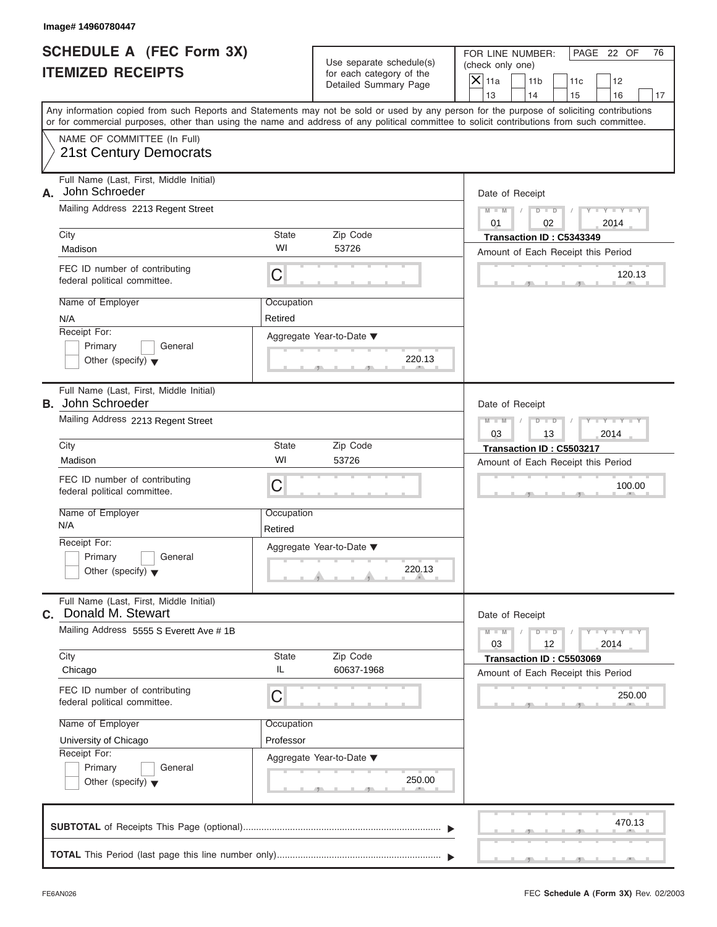Use separate schedule(s) | (check only one) for each category of the

FOR LINE NUMBER: | PAGE 22 OF

 $\frac{470.1}{2}$  $\frac{120.1}{2}$ Aggregate Year-to-Date ▼  $\frac{220.7}{1}$ C C S S S , , .  $\frac{250}{1}$  $\frac{230.8}{2}$ C **M + M M M / D D / Y Y Y Y M = M** / D S S S , , .  $\frac{250}{1}$ Any information copied from such Reports and Statements may not be sold or used by any person for the purpose of soliciting contributions or for commercial purposes, other than using the name and address of any political committee to solicit contributions from such committee. NAME OF COMMITTEE (In Full) **SUBTOTAL** of Receipts This Page (optional) ............................................................................  $\frac{1}{\sqrt{1-\frac{1}{2}}}$  Full Name (Last, First, Middle Initial) Mailing Address 2213 Regent Street City **State** Zip Code Receipt For: Primary **General**  $\vert$  Other (specify)  $\blacktriangledown$ Amount of Each Receipt this Period **A.** Date of Receipt Name of Employer <br>
Occupation FEC ID number of contributing federal political committee. Full Name (Last, First, Middle Initial) Mailing Address 2213 Regent Street City **State** Zip Code Receipt For: Primary **General Other (specify)** ▼ Amount of Each Receipt this Period **B.** John Schroeder Aggregate Year-to-Date ▼ Date of Receipt Name of Employer | Occupation FEC ID number of contributing federal political committee. Full Name (Last, First, Middle Initial) Mailing Address 5555 S Everett Ave #1B City **State** Zip Code Receipt For: Primary General  $\vert$  Other (specify)  $\blacktriangledown$ Amount of Each Receipt this Period **C.** Donald M. Stewart Aggregate Year-to-Date ▼ Date of Receipt Name of Employer | Occupation FEC ID number of contributing federal political committee. Detailed Summary Page  $\begin{array}{|c|c|c|c|c|}\n\hline\n\text{Detailed Summary Page} \\
\hline\n\end{array}\n\quad\n\begin{array}{|c|c|c|c|c|}\n\hline\n\text{11a} & \text{11b} & \text{11c} & \text{12} \\
\hline\n\text{13} & \text{14} & \text{15} & \text{16}\n\end{array}$ | 13 | | 14 | | 15 | | 16 | | 17 220.13<br>
Date of Receipt<br>  $\begin{array}{c|c} \n\hline\n\text{Date of} & \text{Receipt} \\
\hline\n03 & 12 & 2014\n\end{array}$ <br>
Transaction ID : C5503069<br>
Amount of Each Receipt this Period<br>
250.00 21 St. Century Democrats<br>
Mathematical Professor 2013 Regent Street<br>
Mathematical Century Address 2213 Regent Street<br>
Mathematical Drive Street 365<br>
Mathematical Drive Street 555 S Regent Street<br>
Mathematical Century Of C Madison<br>
Madison window of Each Receipt this<br>
Folio Darmary Companion<br>
NAMA<br>
NAMA<br>
NAMA<br>
NAMA (Receipt For:<br>
Primary Chicago Madison Schale Initial)<br>
John Schroeder Madison<br>
Madison Madison Schroeder State Zip Code<br>
Nama ( University of Chicago **Transaction ID : C5343249**<br>
Names of Employer<br>
Names of Employer<br>
Names (Last, Frank Model in the Model of Chicago<br>
Names (Last, Frank Model in Aggregate Vear-to-Date **Y**<br>
Transaction ID : C53726<br>
Un City<br>
Madison<br>
Madison<br>
Madison<br>
Madison<br>
Madison<br>
Nexta political committee.<br>
Nexta political committee.<br>
Nexta political committee.<br>
Nexta political committee.<br>
Nexta political committee.<br>
Nexta political committee.<br>
Nex **EXAMPLE THE CONFIDENTIAL CONFIDENT CONFIDENT CONFIDENT CONFIDENT CONFIDENT CONFIDENT CONFIDENT CONFIDENT CONFIDENT CONFIDENT CONFIDENT CONFIDENT CONFIDENT CONFIDENT CONFIDENT CONFIDENT CONFIDENT CONFIDENT CONFIDENT CONFI** 

**TOTAL** This Period (last page this line number only) ...............................................................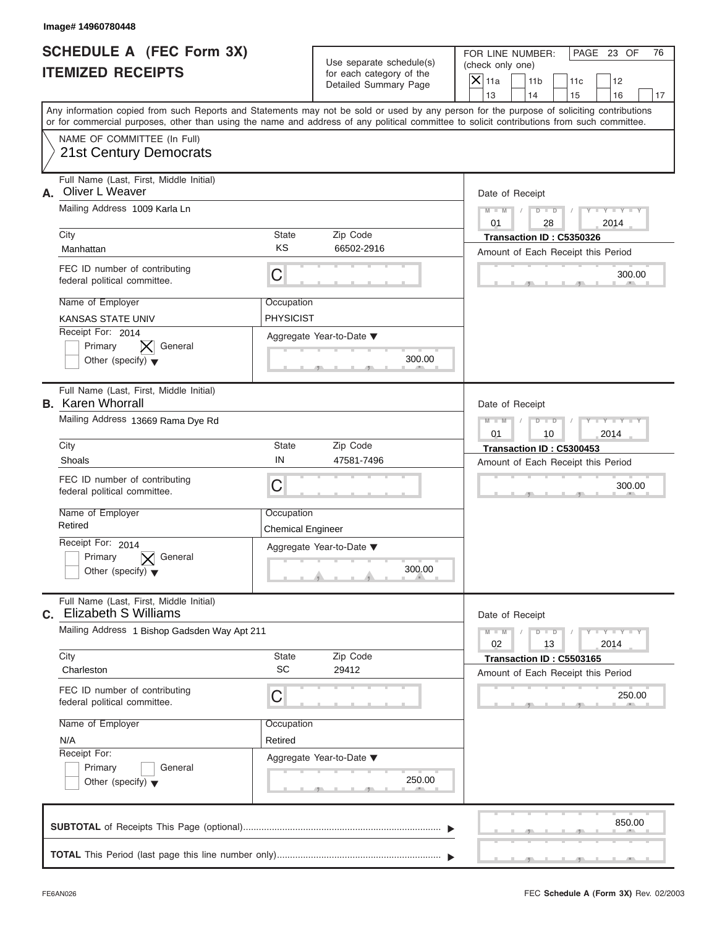| Image# 14960780448                                                              |                                        |                                                      |                                                                                                                                                                                                                                                                                         |    |
|---------------------------------------------------------------------------------|----------------------------------------|------------------------------------------------------|-----------------------------------------------------------------------------------------------------------------------------------------------------------------------------------------------------------------------------------------------------------------------------------------|----|
| <b>SCHEDULE A (FEC Form 3X)</b><br><b>ITEMIZED RECEIPTS</b>                     |                                        | Use separate schedule(s)<br>for each category of the | PAGE 23 OF<br>FOR LINE NUMBER:<br>(check only one)                                                                                                                                                                                                                                      | 76 |
|                                                                                 |                                        | Detailed Summary Page                                | $X$ 11a<br>11 <sub>b</sub><br>11c<br>12<br>13<br>14<br>15<br>16                                                                                                                                                                                                                         | 17 |
|                                                                                 |                                        |                                                      | Any information copied from such Reports and Statements may not be sold or used by any person for the purpose of soliciting contributions<br>or for commercial purposes, other than using the name and address of any political committee to solicit contributions from such committee. |    |
| NAME OF COMMITTEE (In Full)<br><b>21st Century Democrats</b>                    |                                        |                                                      |                                                                                                                                                                                                                                                                                         |    |
| Full Name (Last, First, Middle Initial)<br>Oliver L Weaver<br>А.                |                                        |                                                      | Date of Receipt                                                                                                                                                                                                                                                                         |    |
| Mailing Address 1009 Karla Ln                                                   |                                        |                                                      | $M = M$ /<br>$D$ $D$<br>$Y - Y - Y - Y - Y$<br>$\sqrt{ }$<br>01<br>28<br>2014                                                                                                                                                                                                           |    |
| City                                                                            | State                                  | Zip Code                                             | Transaction ID: C5350326                                                                                                                                                                                                                                                                |    |
| Manhattan                                                                       | <b>KS</b>                              | 66502-2916                                           | Amount of Each Receipt this Period                                                                                                                                                                                                                                                      |    |
| FEC ID number of contributing<br>federal political committee.                   | C                                      |                                                      | 300.00                                                                                                                                                                                                                                                                                  |    |
| Name of Employer                                                                | Occupation                             |                                                      |                                                                                                                                                                                                                                                                                         |    |
| <b>KANSAS STATE UNIV</b>                                                        | <b>PHYSICIST</b>                       |                                                      |                                                                                                                                                                                                                                                                                         |    |
| Receipt For: 2014<br>General<br>Primary<br>Other (specify) $\blacktriangledown$ |                                        | Aggregate Year-to-Date ▼<br>300.00                   |                                                                                                                                                                                                                                                                                         |    |
| Full Name (Last, First, Middle Initial)<br><b>B.</b> Karen Whorrall             |                                        |                                                      | Date of Receipt                                                                                                                                                                                                                                                                         |    |
| Mailing Address 13669 Rama Dye Rd                                               |                                        |                                                      | Y TY TY TY<br>$M - M$<br>$D - I - D$<br>01<br>10<br>2014                                                                                                                                                                                                                                |    |
| City                                                                            | State                                  | Zip Code                                             | Transaction ID: C5300453                                                                                                                                                                                                                                                                |    |
| Shoals                                                                          | IN                                     | 47581-7496                                           | Amount of Each Receipt this Period                                                                                                                                                                                                                                                      |    |
| FEC ID number of contributing<br>federal political committee.                   | C                                      |                                                      | 300.00                                                                                                                                                                                                                                                                                  |    |
| Name of Employer<br>Retired                                                     | Occupation<br><b>Chemical Engineer</b> |                                                      |                                                                                                                                                                                                                                                                                         |    |
| Receipt For: 2014                                                               |                                        | Aggregate Year-to-Date ▼                             |                                                                                                                                                                                                                                                                                         |    |
| Primary<br>General<br>Other (specify) $\blacktriangledown$                      |                                        | 300.00                                               |                                                                                                                                                                                                                                                                                         |    |
| Full Name (Last, First, Middle Initial)<br><b>c.</b> Elizabeth S Williams       |                                        |                                                      | Date of Receipt                                                                                                                                                                                                                                                                         |    |
| Mailing Address 1 Bishop Gadsden Way Apt 211                                    |                                        |                                                      | $M - M$<br>$D$ $\Box$ $D$<br>$Y - Y - Y - Y - Y$<br>02<br>2014<br>13                                                                                                                                                                                                                    |    |
| City<br>Charleston                                                              | State<br><b>SC</b>                     | Zip Code<br>29412                                    | Transaction ID: C5503165<br>Amount of Each Receipt this Period                                                                                                                                                                                                                          |    |
| FEC ID number of contributing<br>federal political committee.                   | С                                      |                                                      | 250.00                                                                                                                                                                                                                                                                                  |    |
| Name of Employer                                                                | Occupation                             |                                                      |                                                                                                                                                                                                                                                                                         |    |
| N/A                                                                             | Retired                                |                                                      |                                                                                                                                                                                                                                                                                         |    |
| Receipt For:                                                                    |                                        | Aggregate Year-to-Date ▼                             |                                                                                                                                                                                                                                                                                         |    |
| Primary<br>General<br>Other (specify) $\blacktriangledown$                      |                                        | 250.00                                               |                                                                                                                                                                                                                                                                                         |    |
|                                                                                 |                                        |                                                      | 850.00                                                                                                                                                                                                                                                                                  |    |
|                                                                                 |                                        |                                                      |                                                                                                                                                                                                                                                                                         |    |

 $S = 1 - 1 - 3$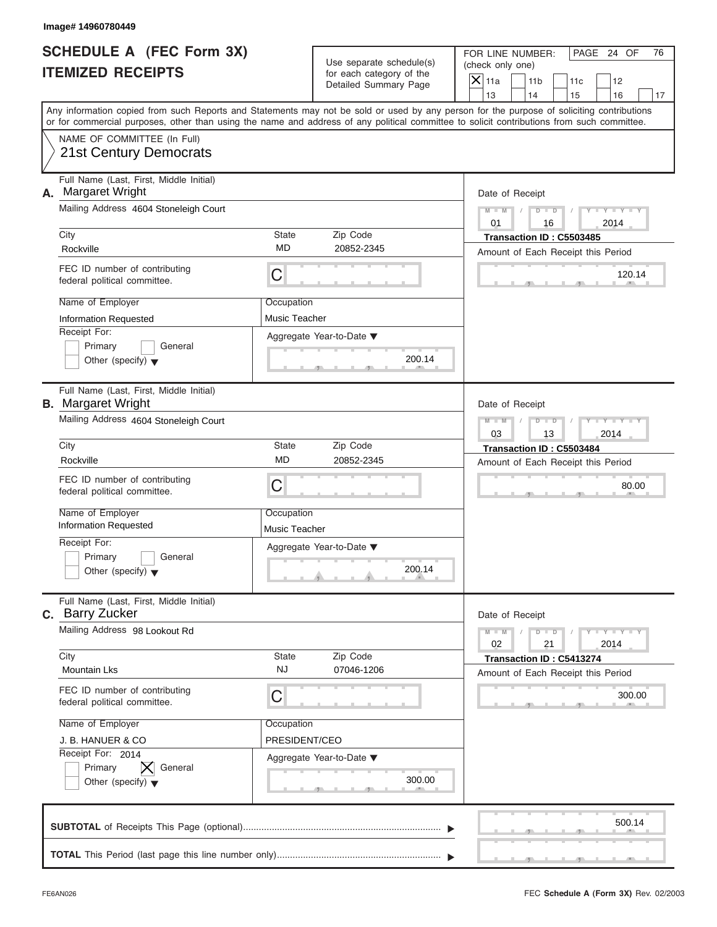| Image# 14960780449                                                                                                                         |                             |                                                                               |                                                                                                                                           |
|--------------------------------------------------------------------------------------------------------------------------------------------|-----------------------------|-------------------------------------------------------------------------------|-------------------------------------------------------------------------------------------------------------------------------------------|
| <b>SCHEDULE A (FEC Form 3X)</b><br><b>ITEMIZED RECEIPTS</b>                                                                                |                             | Use separate schedule(s)<br>for each category of the<br>Detailed Summary Page | PAGE 24 OF<br>FOR LINE NUMBER:<br>76<br>(check only one)<br>$\overline{X}$ 11a<br>11 <sub>b</sub><br>11c<br>12                            |
|                                                                                                                                            |                             |                                                                               | 13<br>14<br>16<br>15<br>17                                                                                                                |
| or for commercial purposes, other than using the name and address of any political committee to solicit contributions from such committee. |                             |                                                                               | Any information copied from such Reports and Statements may not be sold or used by any person for the purpose of soliciting contributions |
| NAME OF COMMITTEE (In Full)<br>21st Century Democrats                                                                                      |                             |                                                                               |                                                                                                                                           |
| Full Name (Last, First, Middle Initial)<br>Margaret Wright<br>А.                                                                           |                             |                                                                               | Date of Receipt                                                                                                                           |
| Mailing Address 4604 Stoneleigh Court                                                                                                      |                             |                                                                               | $M - M$<br>$D$ $D$<br>$Y - Y - Y - Y$<br>16<br>2014<br>01                                                                                 |
| City                                                                                                                                       | State                       | Zip Code                                                                      | Transaction ID: C5503485                                                                                                                  |
| Rockville                                                                                                                                  | <b>MD</b>                   | 20852-2345                                                                    | Amount of Each Receipt this Period                                                                                                        |
| FEC ID number of contributing<br>federal political committee.                                                                              | С                           |                                                                               | 120.14                                                                                                                                    |
| Name of Employer                                                                                                                           | Occupation                  |                                                                               |                                                                                                                                           |
| Information Requested                                                                                                                      | Music Teacher               |                                                                               |                                                                                                                                           |
| Receipt For:<br>Primary<br>General<br>Other (specify) $\blacktriangledown$                                                                 |                             | Aggregate Year-to-Date ▼<br>200.14                                            |                                                                                                                                           |
| Full Name (Last, First, Middle Initial)<br><b>B.</b> Margaret Wright                                                                       |                             |                                                                               | Date of Receipt                                                                                                                           |
| Mailing Address 4604 Stoneleigh Court                                                                                                      |                             |                                                                               | $D - I - D$<br>Y TYTTY<br>$M - M$                                                                                                         |
| City                                                                                                                                       | State                       | Zip Code                                                                      | 2014<br>03<br>13<br>Transaction ID: C5503484                                                                                              |
| Rockville                                                                                                                                  | <b>MD</b>                   | 20852-2345                                                                    | Amount of Each Receipt this Period                                                                                                        |
| FEC ID number of contributing<br>federal political committee.                                                                              | С                           |                                                                               | 80.00                                                                                                                                     |
| Name of Employer<br><b>Information Requested</b>                                                                                           | Occupation<br>Music Teacher |                                                                               |                                                                                                                                           |
| Receipt For:                                                                                                                               |                             | Aggregate Year-to-Date ▼                                                      |                                                                                                                                           |
| Primary<br>General<br>Other (specify) $\blacktriangledown$                                                                                 |                             | 200.14                                                                        |                                                                                                                                           |
| Full Name (Last, First, Middle Initial)<br>C. Barry Zucker                                                                                 |                             |                                                                               | Date of Receipt                                                                                                                           |
| Mailing Address 98 Lookout Rd                                                                                                              |                             |                                                                               | $M - M$<br>$Y + Y + Y + Y$<br>$D$ $D$<br>02<br>2014<br>21                                                                                 |
| City<br><b>Mountain Lks</b>                                                                                                                | State<br><b>NJ</b>          | Zip Code<br>07046-1206                                                        | Transaction ID: C5413274<br>Amount of Each Receipt this Period                                                                            |
| FEC ID number of contributing<br>federal political committee.                                                                              | С                           |                                                                               | 300.00                                                                                                                                    |
| Name of Employer                                                                                                                           | Occupation                  |                                                                               |                                                                                                                                           |
| J. B. HANUER & CO                                                                                                                          | PRESIDENT/CEO               |                                                                               |                                                                                                                                           |
| Receipt For: 2014<br>Primary<br>General                                                                                                    |                             | Aggregate Year-to-Date ▼                                                      |                                                                                                                                           |
| Other (specify) $\blacktriangledown$                                                                                                       |                             | 300.00                                                                        |                                                                                                                                           |
|                                                                                                                                            |                             |                                                                               | 500.14                                                                                                                                    |
|                                                                                                                                            |                             |                                                                               |                                                                                                                                           |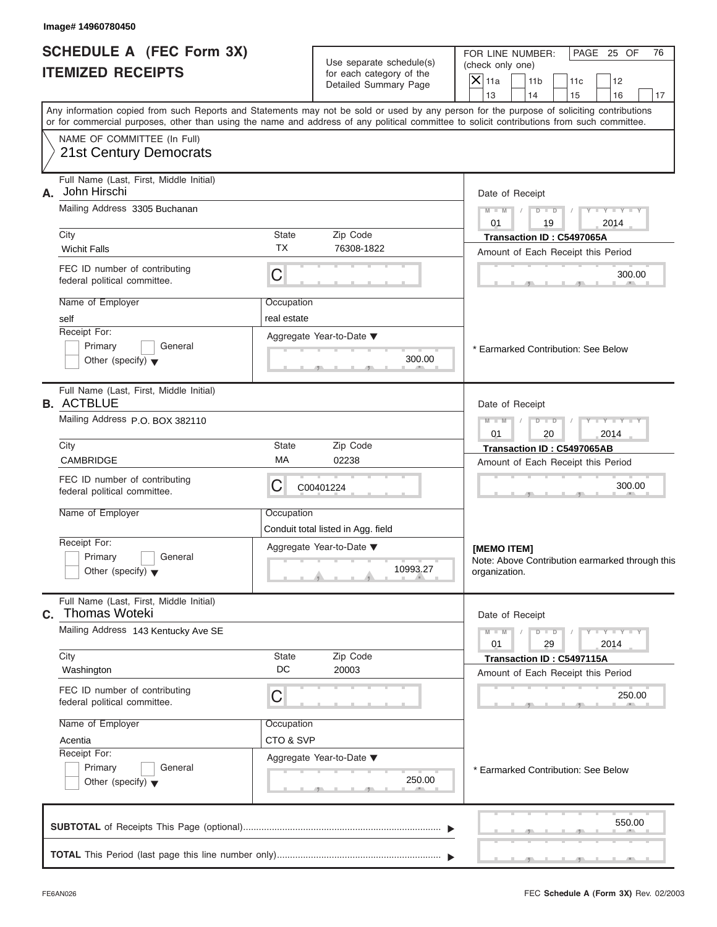Use separate schedule(s) | (check only one) for each category of the

FOR LINE NUMBER: | PAGE 25 OF

 S S S , , .  $\frac{550}{1}$  $\frac{300.1}{2}$ Aggregate Year-to-Date ▼  $\frac{300.0}{2}$ C C S S S , , .  $\frac{250}{1}$  $\frac{230.8}{9}$ C  $M = M - \frac{1}{2}$  **M M / D D / Y Y Y Y M M / D D / Y Y Y Y** 10993.27  $\frac{250}{1}$ Any information copied from such Reports and Statements may not be sold or used by any person for the purpose of soliciting contributions or for commercial purposes, other than using the name and address of any political committee to solicit contributions from such committee. NAME OF COMMITTEE (In Full) **SUBTOTAL** of Receipts This Page (optional) ............................................................................ **TOTAL** This Period (last page this line number only) ...............................................................  $\frac{1}{\sqrt{1-\frac{1}{2}}}$  Full Name (Last, First, Middle Initial) Mailing Address 3305 Buchanan City **State** Zip Code Receipt For: Primary **General**  $\vert$  Other (specify)  $\blacktriangledown$ Amount of Each Receipt this Period **A.** Date of Receipt Name of Employer <br>
Occupation FEC ID number of contributing federal political committee. Full Name (Last, First, Middle Initial) Mailing Address P.O. BOX 382110 City **State** Zip Code Receipt For: Primary **General Other (specify)** ▼ Amount of Each Receipt this Period **B.** Aggregate Year-to-Date ▼ Date of Receipt Name of Employer | Occupation FEC ID number of contributing federal political committee. Full Name (Last, First, Middle Initial) Mailing Address 143 Kentucky Ave SE City **State** Zip Code Receipt For: Primary General  $\vert$  Other (specify)  $\blacktriangledown$ Amount of Each Receipt this Period **C.** Aggregate Year-to-Date ▼ Date of Receipt Name of Employer | Occupation FEC ID number of contributing federal political committee. Detailed Summary Page  $\begin{array}{|c|c|c|c|c|}\n\hline\n\text{Detailed Summary Page} \\
\hline\n\end{array}\n\quad\n\begin{array}{|c|c|c|c|c|}\n\hline\n\text{11a} & \text{11b} & \text{11c} & \text{12} \\
\hline\n\text{13} & \text{14} & \text{15} & \text{16}\n\end{array}$ | 13 | | 14 | | 15 | | 16 | | 17 Note: Above Contribution earmarked through this<br>organization.<br>Date of Receipt<br> $\begin{array}{c|c} \mathbb{M} & \mathbb{M} & \mathbb{N} & \mathbb{N} & \mathbb{N} & \mathbb{N} \\ \hline \mathbb{N} & 29 & 2014 \end{array}$ <br>Transaction ID : C5497115A<br>Amount of Each Receipt this Period<br>250. organization. \* Earmarked Contribution: See Below 10993.27<br>
Organization.<br>
Date of Receipt<br>
Maritan (Capital Company)<br>
Transaction ID: C5497115A<br>
Amount of Each Receipt this Period<br>
250.00 21st Century Democrats<br>
Noth Historics 3000 Suchanan<br>
Which Historics 3000 Suchanan<br>
Which Historics 3000 Suchanan<br>
Which Historics 3000 Suchanan<br>
250.00<br>
260.00 MADC COMUNICOLOGY<br>
Simple of Comunication Broad Comunicatio Which Falls **Transaction ID : The Computer of Each Receipt this FEC Di number of conditional communities.**<br> **Receipt To:**<br> **Receipt Face of Receipt Party (Self-Based Schemated Communities of Computer of Computer of Compute** City<br>
Worker Face of Function Contributions<br>
Microsoft City (C) Transaction Contributions<br>
Maria of Encocycle Transaction Incident City (C)<br>
Microsoft City (C) Computer Contributions (C)<br>
Transaction City (C) Computer City **INSEE OF EXECUTION CONDUCT CONDUCT CONDUCT CONDUCT CONDUCT CONDUCT CONDUCT CONDUCT CONDUCT CONDUCT CONDUCT CONDUCT CONDUCT CONDUCT CONDUCT CONDUCT CONDUCT CONDUCT CONDUCT CONDUCT CONDUCT CONDUCT CONDUCT CONDUCT CONDUCT CO**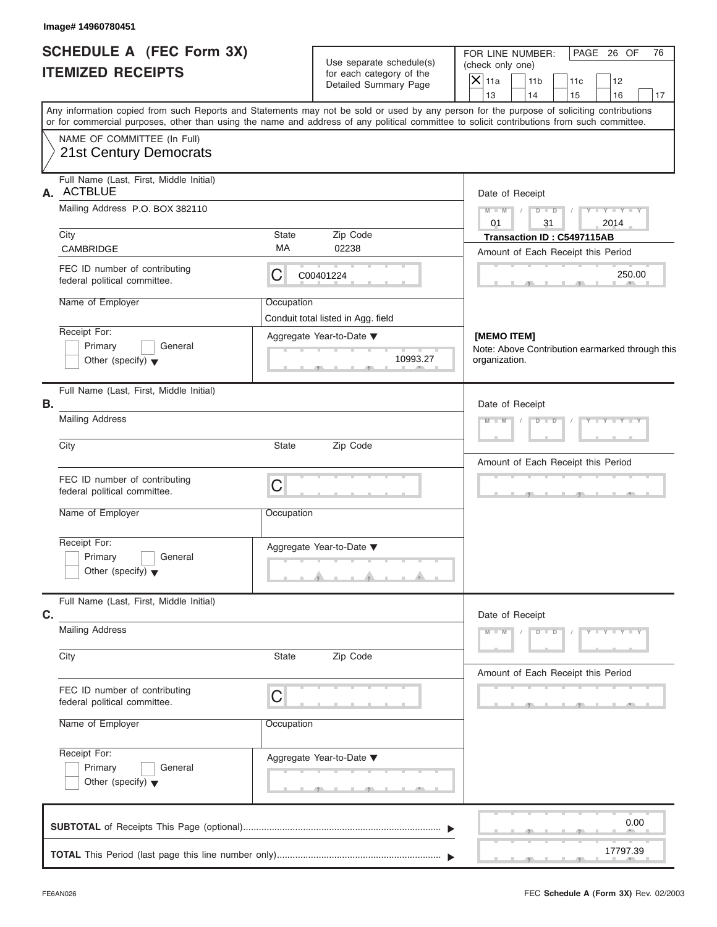|                          | <b>SCHEDULE A (FEC Form 3X)</b> |
|--------------------------|---------------------------------|
| <b>ITEMIZED RECEIPTS</b> |                                 |

| Image# 14960780451                                            |              |                                                      |                                                                                                                                                                                                                                                                                         |
|---------------------------------------------------------------|--------------|------------------------------------------------------|-----------------------------------------------------------------------------------------------------------------------------------------------------------------------------------------------------------------------------------------------------------------------------------------|
| <b>SCHEDULE A (FEC Form 3X)</b><br><b>ITEMIZED RECEIPTS</b>   |              | Use separate schedule(s)<br>for each category of the | PAGE 26 OF<br>FOR LINE NUMBER:<br>76<br>(check only one)                                                                                                                                                                                                                                |
|                                                               |              | Detailed Summary Page                                | $\mathsf{X} _{\mathsf{11a}}$<br>11 <sub>b</sub><br>11c<br>12<br>13<br>14<br>15<br>16<br>17                                                                                                                                                                                              |
|                                                               |              |                                                      | Any information copied from such Reports and Statements may not be sold or used by any person for the purpose of soliciting contributions<br>or for commercial purposes, other than using the name and address of any political committee to solicit contributions from such committee. |
| NAME OF COMMITTEE (In Full)<br>21st Century Democrats         |              |                                                      |                                                                                                                                                                                                                                                                                         |
| Full Name (Last, First, Middle Initial)<br>A. ACTBLUE         |              |                                                      | Date of Receipt                                                                                                                                                                                                                                                                         |
| Mailing Address P.O. BOX 382110                               |              |                                                      | $D$ $D$ $I$<br>$Y - Y - Y - Y - Y$<br>$M - M$ /<br>01<br>31<br>2014                                                                                                                                                                                                                     |
| City                                                          | State        | Zip Code                                             | Transaction ID: C5497115AB                                                                                                                                                                                                                                                              |
| CAMBRIDGE                                                     | MA           | 02238                                                | Amount of Each Receipt this Period                                                                                                                                                                                                                                                      |
| FEC ID number of contributing<br>federal political committee. | С            | C00401224                                            | 250.00                                                                                                                                                                                                                                                                                  |
| Name of Employer                                              | Occupation   |                                                      |                                                                                                                                                                                                                                                                                         |
|                                                               |              | Conduit total listed in Agg. field                   |                                                                                                                                                                                                                                                                                         |
| Receipt For:                                                  |              | Aggregate Year-to-Date ▼                             | [MEMO ITEM]                                                                                                                                                                                                                                                                             |
| Primary<br>General<br>Other (specify) $\blacktriangledown$    |              | 10993.27<br>49                                       | Note: Above Contribution earmarked through this<br>organization.                                                                                                                                                                                                                        |
| Full Name (Last, First, Middle Initial)<br>В.                 |              |                                                      | Date of Receipt                                                                                                                                                                                                                                                                         |
| <b>Mailing Address</b>                                        |              |                                                      | $Y = Y = Y - Y$<br>$M - M$<br>$D - D$<br>$\sqrt{2}$                                                                                                                                                                                                                                     |
| City                                                          | State        | Zip Code                                             | Amount of Each Receipt this Period                                                                                                                                                                                                                                                      |
| FEC ID number of contributing<br>federal political committee. | C            |                                                      |                                                                                                                                                                                                                                                                                         |
| Name of Employer                                              | Occupation   |                                                      |                                                                                                                                                                                                                                                                                         |
| Receipt For:<br>Primary                                       |              | Aggregate Year-to-Date ▼                             |                                                                                                                                                                                                                                                                                         |
| General<br>Other (specify) $\blacktriangledown$               |              |                                                      |                                                                                                                                                                                                                                                                                         |
| Full Name (Last, First, Middle Initial)<br>C.                 |              |                                                      | Date of Receipt                                                                                                                                                                                                                                                                         |
| <b>Mailing Address</b>                                        |              |                                                      | $M - M$<br>$D$ $D$<br>$Y - Y - Y - Y$                                                                                                                                                                                                                                                   |
| City                                                          | <b>State</b> | Zip Code                                             | Amount of Each Receipt this Period                                                                                                                                                                                                                                                      |
| FEC ID number of contributing<br>federal political committee. | C            |                                                      |                                                                                                                                                                                                                                                                                         |
| Name of Employer                                              | Occupation   |                                                      |                                                                                                                                                                                                                                                                                         |
| Receipt For:                                                  |              | Aggregate Year-to-Date ▼                             |                                                                                                                                                                                                                                                                                         |
| Primary<br>General<br>Other (specify) $\blacktriangledown$    |              |                                                      |                                                                                                                                                                                                                                                                                         |
|                                                               |              |                                                      | 0.00                                                                                                                                                                                                                                                                                    |
|                                                               |              |                                                      |                                                                                                                                                                                                                                                                                         |
|                                                               |              |                                                      | 17797.39                                                                                                                                                                                                                                                                                |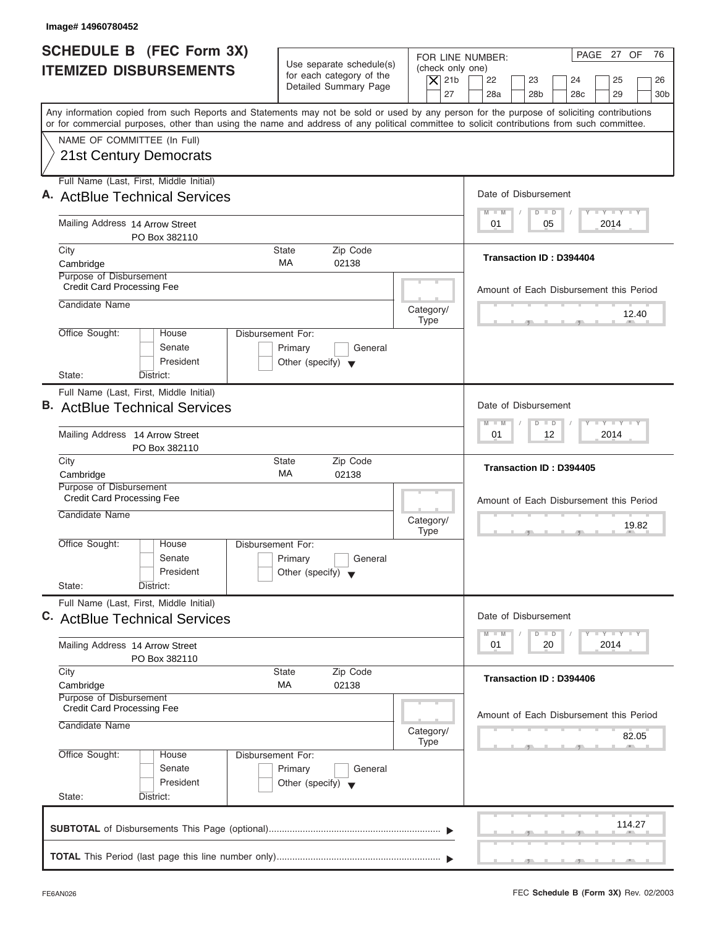| Image# 14960780452                                                                                                                                                                                                                                                                      |                                                                                                                               |                                                                                                                                              |
|-----------------------------------------------------------------------------------------------------------------------------------------------------------------------------------------------------------------------------------------------------------------------------------------|-------------------------------------------------------------------------------------------------------------------------------|----------------------------------------------------------------------------------------------------------------------------------------------|
| <b>SCHEDULE B (FEC Form 3X)</b><br><b>ITEMIZED DISBURSEMENTS</b>                                                                                                                                                                                                                        | Use separate schedule(s)<br>(check only one)<br>for each category of the<br>$\vert$ $\chi$ 21b<br>Detailed Summary Page<br>27 | PAGE 27 OF<br>76<br>FOR LINE NUMBER:<br>22<br>23<br>25<br>24<br>26<br>28a<br>28 <sub>b</sub><br>28 <sub>c</sub><br>29<br>30 <sub>b</sub>     |
| Any information copied from such Reports and Statements may not be sold or used by any person for the purpose of soliciting contributions<br>or for commercial purposes, other than using the name and address of any political committee to solicit contributions from such committee. |                                                                                                                               |                                                                                                                                              |
| NAME OF COMMITTEE (In Full)<br>21st Century Democrats                                                                                                                                                                                                                                   |                                                                                                                               |                                                                                                                                              |
| Full Name (Last, First, Middle Initial)<br>A. ActBlue Technical Services                                                                                                                                                                                                                |                                                                                                                               | Date of Disbursement                                                                                                                         |
| Mailing Address 14 Arrow Street<br>PO Box 382110                                                                                                                                                                                                                                        |                                                                                                                               | $\mathbf{I} \mathbf{Y} \mathbf{I} \mathbf{Y} \mathbf{I} \mathbf{Y}$<br>$D$ $D$<br>$M - M$<br>2014<br>01<br>05                                |
| City<br>Cambridge                                                                                                                                                                                                                                                                       | Zip Code<br><b>State</b><br>MA<br>02138                                                                                       | Transaction ID: D394404                                                                                                                      |
| Purpose of Disbursement<br><b>Credit Card Processing Fee</b><br>Candidate Name                                                                                                                                                                                                          | Category/<br><b>Type</b>                                                                                                      | Amount of Each Disbursement this Period<br>12.40                                                                                             |
| Office Sought:<br>House<br>Senate<br>President<br>State:<br>District:                                                                                                                                                                                                                   | Disbursement For:<br>Primary<br>General<br>Other (specify) $\blacktriangledown$                                               |                                                                                                                                              |
| Full Name (Last, First, Middle Initial)<br><b>B.</b> ActBlue Technical Services                                                                                                                                                                                                         |                                                                                                                               | Date of Disbursement<br>$-1 - Y - 1 - Y - 1 - Y$<br>$\Box$<br>$M - M$<br>$\overline{D}$                                                      |
| Mailing Address 14 Arrow Street<br>PO Box 382110                                                                                                                                                                                                                                        |                                                                                                                               | 12<br>2014<br>01                                                                                                                             |
| City<br>Cambridge                                                                                                                                                                                                                                                                       | Zip Code<br><b>State</b><br>МA<br>02138                                                                                       | Transaction ID: D394405                                                                                                                      |
| Purpose of Disbursement<br><b>Credit Card Processing Fee</b><br>Candidate Name                                                                                                                                                                                                          | Category/<br><b>Type</b>                                                                                                      | Amount of Each Disbursement this Period<br>19.82<br>- 51                                                                                     |
| Office Sought:<br>House<br>Senate<br>President<br>State:<br>District:                                                                                                                                                                                                                   | Disbursement For:<br>Primary<br>General<br>Other (specify) $\blacktriangledown$                                               |                                                                                                                                              |
| Full Name (Last, First, Middle Initial)<br>C. ActBlue Technical Services                                                                                                                                                                                                                |                                                                                                                               | Date of Disbursement<br>$\mathbf{I}$ $\mathbf{Y}$ $\mathbf{I}$ $\mathbf{Y}$ $\mathbf{I}$ $\mathbf{Y}$<br>$M - M$<br>$\overline{D}$<br>$\Box$ |
| Mailing Address 14 Arrow Street<br>PO Box 382110                                                                                                                                                                                                                                        |                                                                                                                               | 2014<br>01<br>20                                                                                                                             |
| City<br>Cambridge                                                                                                                                                                                                                                                                       | Zip Code<br><b>State</b><br>МA<br>02138                                                                                       | Transaction ID: D394406                                                                                                                      |
| Purpose of Disbursement<br><b>Credit Card Processing Fee</b><br>Candidate Name                                                                                                                                                                                                          | Category/                                                                                                                     | Amount of Each Disbursement this Period<br>82.05                                                                                             |
| Office Sought:<br>House<br>Senate<br>President<br>State:<br>District:                                                                                                                                                                                                                   | <b>Type</b><br>Disbursement For:<br>Primary<br>General<br>Other (specify) $\blacktriangledown$                                |                                                                                                                                              |
|                                                                                                                                                                                                                                                                                         |                                                                                                                               | 114.27                                                                                                                                       |
|                                                                                                                                                                                                                                                                                         |                                                                                                                               |                                                                                                                                              |

I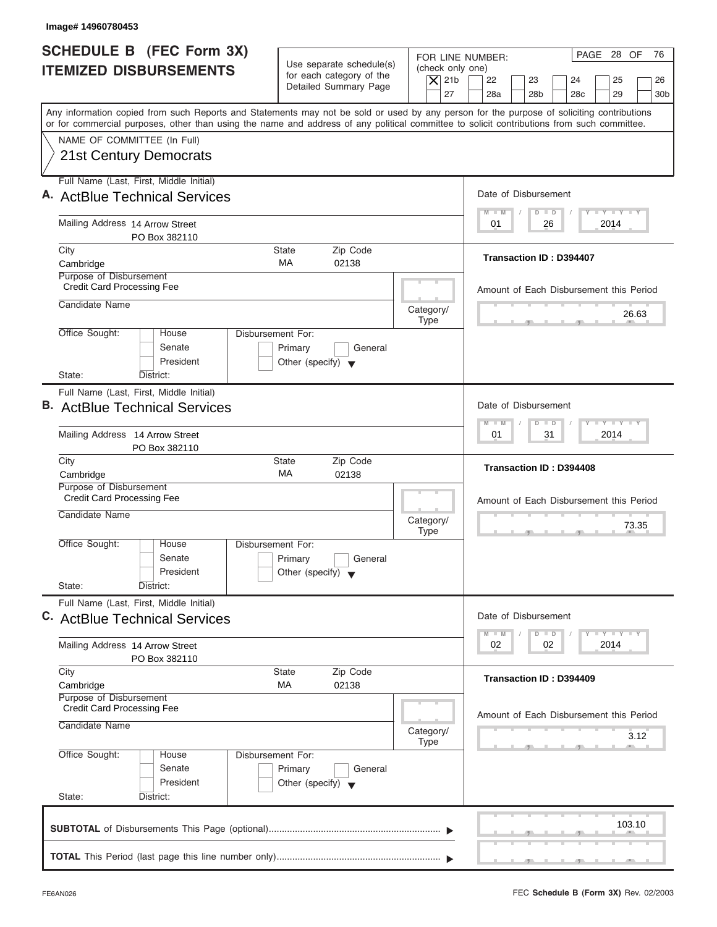| Image# 14960780453                                                                                                                                                                                                                                                                      |                                                                                                           |                                                                                                                                                              |
|-----------------------------------------------------------------------------------------------------------------------------------------------------------------------------------------------------------------------------------------------------------------------------------------|-----------------------------------------------------------------------------------------------------------|--------------------------------------------------------------------------------------------------------------------------------------------------------------|
| <b>SCHEDULE B (FEC Form 3X)</b><br><b>ITEMIZED DISBURSEMENTS</b>                                                                                                                                                                                                                        | Use separate schedule(s)<br>for each category of the<br>$\vert$ $\chi$ 21b<br>Detailed Summary Page<br>27 | PAGE 28 OF<br>76<br>FOR LINE NUMBER:<br>(check only one)<br>22<br>23<br>25<br>24<br>26<br>28a<br>28 <sub>b</sub><br>28 <sub>c</sub><br>29<br>30 <sub>b</sub> |
| Any information copied from such Reports and Statements may not be sold or used by any person for the purpose of soliciting contributions<br>or for commercial purposes, other than using the name and address of any political committee to solicit contributions from such committee. |                                                                                                           |                                                                                                                                                              |
| NAME OF COMMITTEE (In Full)<br>21st Century Democrats                                                                                                                                                                                                                                   |                                                                                                           |                                                                                                                                                              |
| Full Name (Last, First, Middle Initial)<br>A. ActBlue Technical Services                                                                                                                                                                                                                |                                                                                                           | Date of Disbursement                                                                                                                                         |
| Mailing Address 14 Arrow Street<br>PO Box 382110                                                                                                                                                                                                                                        |                                                                                                           | $\mathbf{I} \mathbf{Y} \mathbf{I} \mathbf{Y} \mathbf{I} \mathbf{Y}$<br>$D$ $D$<br>$M - M$<br>2014<br>01<br>26                                                |
| City<br>Cambridge                                                                                                                                                                                                                                                                       | Zip Code<br><b>State</b><br>MA<br>02138                                                                   | Transaction ID: D394407                                                                                                                                      |
| Purpose of Disbursement<br><b>Credit Card Processing Fee</b><br>Candidate Name                                                                                                                                                                                                          | Category/<br><b>Type</b>                                                                                  | Amount of Each Disbursement this Period<br>26.63                                                                                                             |
| Office Sought:<br>House<br>Senate<br>President<br>State:<br>District:                                                                                                                                                                                                                   | Disbursement For:<br>Primary<br>General<br>Other (specify) $\blacktriangledown$                           |                                                                                                                                                              |
| Full Name (Last, First, Middle Initial)<br><b>B.</b> ActBlue Technical Services                                                                                                                                                                                                         |                                                                                                           | Date of Disbursement<br>$-1 - Y - 1 - Y - 1 - Y$<br>$\Box$<br>$M - M$<br>$\overline{D}$                                                                      |
| Mailing Address 14 Arrow Street<br>PO Box 382110                                                                                                                                                                                                                                        |                                                                                                           | 31<br>2014<br>01                                                                                                                                             |
| City<br>Cambridge                                                                                                                                                                                                                                                                       | Zip Code<br><b>State</b><br>МA<br>02138                                                                   | Transaction ID: D394408                                                                                                                                      |
| Purpose of Disbursement<br><b>Credit Card Processing Fee</b><br>Candidate Name                                                                                                                                                                                                          | Category/<br><b>Type</b>                                                                                  | Amount of Each Disbursement this Period<br>73.35                                                                                                             |
| Office Sought:<br>House<br>Senate<br>President<br>State:<br>District:                                                                                                                                                                                                                   | Disbursement For:<br>Primary<br>General<br>Other (specify) $\blacktriangledown$                           |                                                                                                                                                              |
| Full Name (Last, First, Middle Initial)<br>C. ActBlue Technical Services                                                                                                                                                                                                                |                                                                                                           | Date of Disbursement<br>$\mathbf{I}$ $\mathbf{Y}$ $\mathbf{I}$ $\mathbf{Y}$ $\mathbf{I}$ $\mathbf{Y}$<br>$M - M$<br>$\overline{D}$<br>$\Box$                 |
| Mailing Address 14 Arrow Street<br>PO Box 382110                                                                                                                                                                                                                                        |                                                                                                           | 2014<br>02<br>02                                                                                                                                             |
| City<br>Cambridge                                                                                                                                                                                                                                                                       | Zip Code<br><b>State</b><br>МA<br>02138                                                                   | Transaction ID: D394409                                                                                                                                      |
| Purpose of Disbursement<br><b>Credit Card Processing Fee</b><br>Candidate Name                                                                                                                                                                                                          | Category/<br><b>Type</b>                                                                                  | Amount of Each Disbursement this Period<br>3.12                                                                                                              |
| Office Sought:<br>House<br>Senate<br>President<br>State:<br>District:                                                                                                                                                                                                                   | Disbursement For:<br>Primary<br>General<br>Other (specify) $\blacktriangledown$                           |                                                                                                                                                              |
|                                                                                                                                                                                                                                                                                         |                                                                                                           | 103.10                                                                                                                                                       |
|                                                                                                                                                                                                                                                                                         |                                                                                                           |                                                                                                                                                              |

I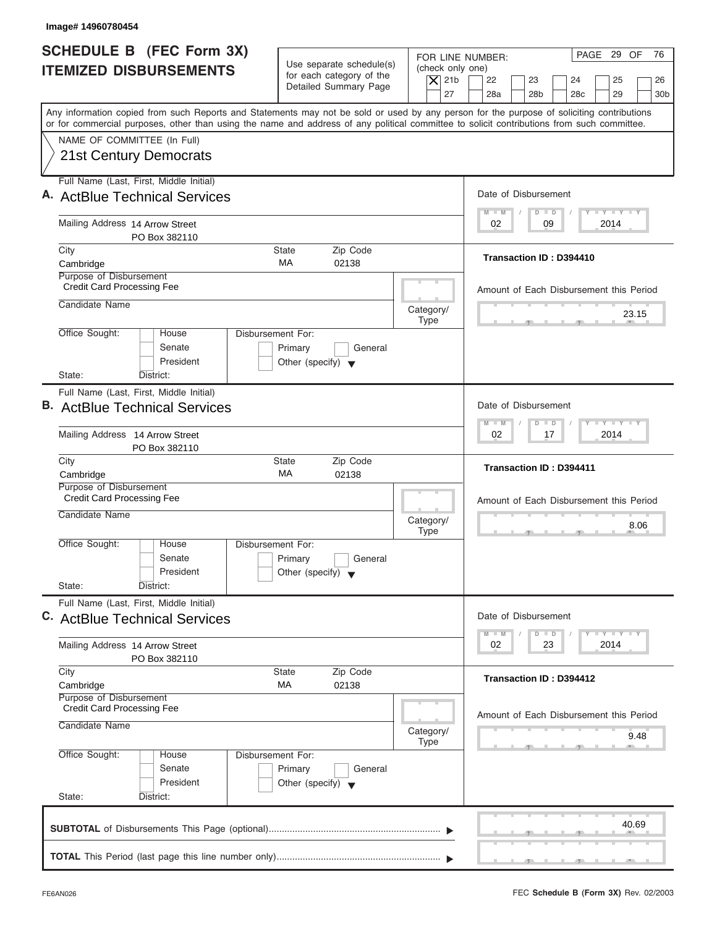| Image# 14960780454                                                                                                                                                                                                                                                                      |                                                                                 |                                      |                                                             |                                                                                       |
|-----------------------------------------------------------------------------------------------------------------------------------------------------------------------------------------------------------------------------------------------------------------------------------------|---------------------------------------------------------------------------------|--------------------------------------|-------------------------------------------------------------|---------------------------------------------------------------------------------------|
| <b>SCHEDULE B (FEC Form 3X)</b><br><b>ITEMIZED DISBURSEMENTS</b>                                                                                                                                                                                                                        | Use separate schedule(s)<br>for each category of the                            | FOR LINE NUMBER:<br>(check only one) |                                                             | PAGE 29 OF<br>76                                                                      |
|                                                                                                                                                                                                                                                                                         | Detailed Summary Page                                                           | $\vert$ $\chi$ 21b<br>27             | 22<br>23<br>28a<br>28 <sub>b</sub>                          | 24<br>25<br>26<br>28 <sub>c</sub><br>29<br>30 <sub>b</sub>                            |
| Any information copied from such Reports and Statements may not be sold or used by any person for the purpose of soliciting contributions<br>or for commercial purposes, other than using the name and address of any political committee to solicit contributions from such committee. |                                                                                 |                                      |                                                             |                                                                                       |
| NAME OF COMMITTEE (In Full)<br>21st Century Democrats                                                                                                                                                                                                                                   |                                                                                 |                                      |                                                             |                                                                                       |
| Full Name (Last, First, Middle Initial)<br>A. ActBlue Technical Services                                                                                                                                                                                                                |                                                                                 |                                      | Date of Disbursement                                        |                                                                                       |
| Mailing Address 14 Arrow Street<br>PO Box 382110                                                                                                                                                                                                                                        |                                                                                 |                                      | $D$ $D$<br>$M - M$<br>02<br>09                              | $L - Y = L - Y = L - Y$<br>2014                                                       |
| City<br>Cambridge<br>Purpose of Disbursement                                                                                                                                                                                                                                            | Zip Code<br><b>State</b><br>МA<br>02138                                         |                                      | Transaction ID: D394410                                     |                                                                                       |
| <b>Credit Card Processing Fee</b><br>Candidate Name                                                                                                                                                                                                                                     |                                                                                 |                                      |                                                             | Amount of Each Disbursement this Period                                               |
| Office Sought:<br>House                                                                                                                                                                                                                                                                 | Disbursement For:                                                               | Category/<br><b>Type</b>             |                                                             | 23.15                                                                                 |
| Senate<br>President<br>State:<br>District:                                                                                                                                                                                                                                              | Primary<br>General<br>Other (specify) $\blacktriangledown$                      |                                      |                                                             |                                                                                       |
| Full Name (Last, First, Middle Initial)                                                                                                                                                                                                                                                 |                                                                                 |                                      |                                                             |                                                                                       |
| <b>B.</b> ActBlue Technical Services                                                                                                                                                                                                                                                    |                                                                                 |                                      | Date of Disbursement<br>$M - M$<br>$\Box$<br>$\overline{D}$ | $-Y$ $+Y$ $-+Y$                                                                       |
| Mailing Address 14 Arrow Street<br>PO Box 382110                                                                                                                                                                                                                                        |                                                                                 |                                      | 02<br>17                                                    | 2014                                                                                  |
| City<br>Cambridge                                                                                                                                                                                                                                                                       | Zip Code<br><b>State</b><br>MA<br>02138                                         |                                      | <b>Transaction ID: D394411</b>                              |                                                                                       |
| Purpose of Disbursement<br><b>Credit Card Processing Fee</b><br>Candidate Name                                                                                                                                                                                                          |                                                                                 | Category/<br><b>Type</b>             |                                                             | Amount of Each Disbursement this Period<br>8.06<br>$-7$                               |
| Office Sought:<br>House<br>Senate<br>President                                                                                                                                                                                                                                          | Disbursement For:<br>Primary<br>General<br>Other (specify) $\blacktriangledown$ |                                      |                                                             |                                                                                       |
| State:<br>District:<br>Full Name (Last, First, Middle Initial)<br>C. ActBlue Technical Services                                                                                                                                                                                         |                                                                                 |                                      | Date of Disbursement                                        |                                                                                       |
| Mailing Address 14 Arrow Street<br>PO Box 382110                                                                                                                                                                                                                                        |                                                                                 |                                      | $M - M$<br>$\Box$<br>D<br>02<br>23                          | $\mathbf{I}$ $\mathbf{Y}$ $\mathbf{I}$ $\mathbf{Y}$ $\mathbf{I}$ $\mathbf{Y}$<br>2014 |
| City<br>Cambridge                                                                                                                                                                                                                                                                       | Zip Code<br><b>State</b><br>МA<br>02138                                         |                                      | Transaction ID: D394412                                     |                                                                                       |
| Purpose of Disbursement<br><b>Credit Card Processing Fee</b><br>Candidate Name                                                                                                                                                                                                          |                                                                                 | Category/<br><b>Type</b>             |                                                             | Amount of Each Disbursement this Period<br>9.48                                       |
| Office Sought:<br>House<br>Senate<br>President                                                                                                                                                                                                                                          | Disbursement For:<br>Primary<br>General<br>Other (specify) $\blacktriangledown$ |                                      |                                                             |                                                                                       |
| State:<br>District:                                                                                                                                                                                                                                                                     |                                                                                 |                                      |                                                             | 40.69                                                                                 |
|                                                                                                                                                                                                                                                                                         |                                                                                 |                                      |                                                             |                                                                                       |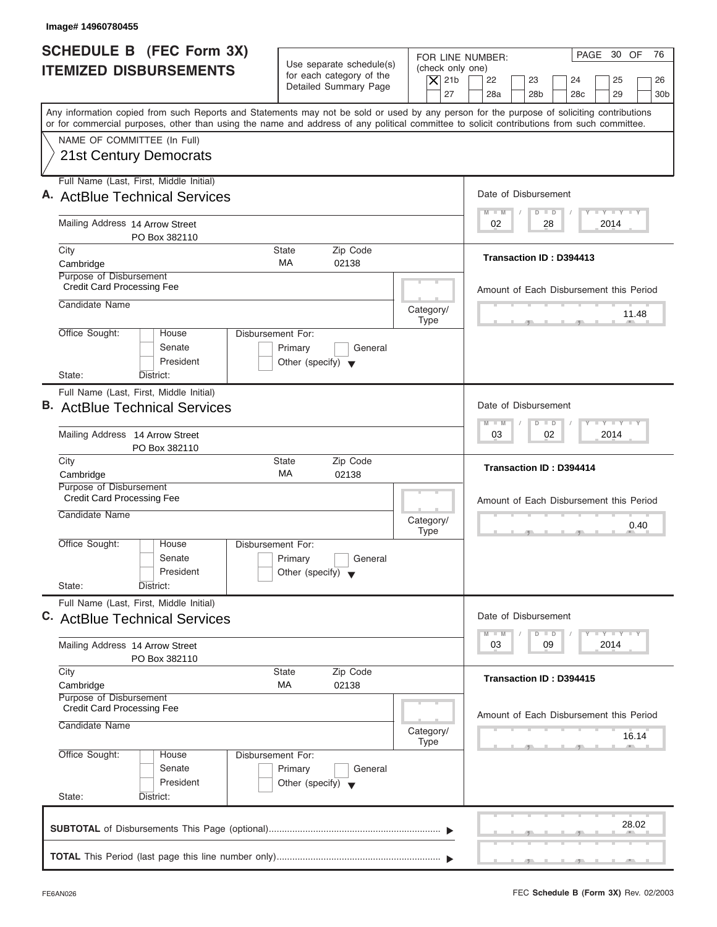| Image# 14960780455                                                                                                                                                                                                                                                                      |                                                                                 |                                      |                                                                                            |
|-----------------------------------------------------------------------------------------------------------------------------------------------------------------------------------------------------------------------------------------------------------------------------------------|---------------------------------------------------------------------------------|--------------------------------------|--------------------------------------------------------------------------------------------|
| <b>SCHEDULE B (FEC Form 3X)</b><br><b>ITEMIZED DISBURSEMENTS</b>                                                                                                                                                                                                                        | Use separate schedule(s)<br>for each category of the                            | FOR LINE NUMBER:<br>(check only one) | PAGE 30 OF<br>76<br>22                                                                     |
|                                                                                                                                                                                                                                                                                         | Detailed Summary Page                                                           | $\vert$ $\chi$ 21b<br>27             | 23<br>24<br>25<br>26<br>28a<br>28 <sub>b</sub><br>28 <sub>c</sub><br>29<br>30 <sub>b</sub> |
| Any information copied from such Reports and Statements may not be sold or used by any person for the purpose of soliciting contributions<br>or for commercial purposes, other than using the name and address of any political committee to solicit contributions from such committee. |                                                                                 |                                      |                                                                                            |
| NAME OF COMMITTEE (In Full)                                                                                                                                                                                                                                                             |                                                                                 |                                      |                                                                                            |
| 21st Century Democrats                                                                                                                                                                                                                                                                  |                                                                                 |                                      |                                                                                            |
| Full Name (Last, First, Middle Initial)<br>A. ActBlue Technical Services                                                                                                                                                                                                                |                                                                                 |                                      | Date of Disbursement                                                                       |
| Mailing Address 14 Arrow Street<br>PO Box 382110                                                                                                                                                                                                                                        |                                                                                 |                                      | $T - Y = T - Y = T - Y$<br>$D$ $D$<br>$M - M$<br>28<br>2014<br>02                          |
| City                                                                                                                                                                                                                                                                                    | Zip Code<br><b>State</b>                                                        |                                      |                                                                                            |
| Cambridge                                                                                                                                                                                                                                                                               | <b>MA</b><br>02138                                                              |                                      | Transaction ID: D394413                                                                    |
| Purpose of Disbursement<br><b>Credit Card Processing Fee</b>                                                                                                                                                                                                                            |                                                                                 |                                      | Amount of Each Disbursement this Period                                                    |
| Candidate Name                                                                                                                                                                                                                                                                          |                                                                                 | Category/<br><b>Type</b>             | 11.48                                                                                      |
| Office Sought:<br>House<br>Senate<br>President                                                                                                                                                                                                                                          | Disbursement For:<br>Primary<br>General<br>Other (specify) $\blacktriangledown$ |                                      |                                                                                            |
| State:<br>District:                                                                                                                                                                                                                                                                     |                                                                                 |                                      |                                                                                            |
| Full Name (Last, First, Middle Initial)<br><b>B.</b> ActBlue Technical Services                                                                                                                                                                                                         |                                                                                 |                                      | Date of Disbursement                                                                       |
| Mailing Address 14 Arrow Street<br>PO Box 382110                                                                                                                                                                                                                                        |                                                                                 |                                      | <b>LY LY LY</b><br>$M - M$<br>$D$ $D$<br>02<br>2014<br>03                                  |
| City<br>Cambridge                                                                                                                                                                                                                                                                       | Zip Code<br><b>State</b><br>МA<br>02138                                         |                                      | <b>Transaction ID: D394414</b>                                                             |
| Purpose of Disbursement<br><b>Credit Card Processing Fee</b>                                                                                                                                                                                                                            |                                                                                 |                                      | Amount of Each Disbursement this Period                                                    |
| Candidate Name                                                                                                                                                                                                                                                                          |                                                                                 | Category/<br><b>Type</b>             | 0.40<br>$7^{\circ}$                                                                        |
| Office Sought:<br>House<br>Senate<br>President                                                                                                                                                                                                                                          | Disbursement For:<br>Primary<br>General<br>Other (specify) $\blacktriangledown$ |                                      |                                                                                            |
| State:<br>District:                                                                                                                                                                                                                                                                     |                                                                                 |                                      |                                                                                            |
| Full Name (Last, First, Middle Initial)<br>C. ActBlue Technical Services                                                                                                                                                                                                                |                                                                                 |                                      | Date of Disbursement                                                                       |
| Mailing Address 14 Arrow Street                                                                                                                                                                                                                                                         |                                                                                 |                                      | $T - Y = Y - T Y$<br>$M - M$<br>$\overline{D}$<br>$\Box$<br>2014<br>03<br>09               |
| PO Box 382110<br>City                                                                                                                                                                                                                                                                   | Zip Code<br><b>State</b>                                                        |                                      |                                                                                            |
| Cambridge                                                                                                                                                                                                                                                                               | МA<br>02138                                                                     |                                      | <b>Transaction ID: D394415</b>                                                             |
| Purpose of Disbursement<br><b>Credit Card Processing Fee</b>                                                                                                                                                                                                                            |                                                                                 |                                      |                                                                                            |
| Candidate Name                                                                                                                                                                                                                                                                          |                                                                                 | Category/<br><b>Type</b>             | Amount of Each Disbursement this Period<br>16.14                                           |
| Office Sought:<br>House                                                                                                                                                                                                                                                                 | Disbursement For:                                                               |                                      |                                                                                            |
| Senate<br>President                                                                                                                                                                                                                                                                     | Primary<br>General<br>Other (specify) $\blacktriangledown$                      |                                      |                                                                                            |
| State:<br>District:                                                                                                                                                                                                                                                                     |                                                                                 |                                      |                                                                                            |
|                                                                                                                                                                                                                                                                                         |                                                                                 |                                      | 28.02                                                                                      |
|                                                                                                                                                                                                                                                                                         |                                                                                 |                                      |                                                                                            |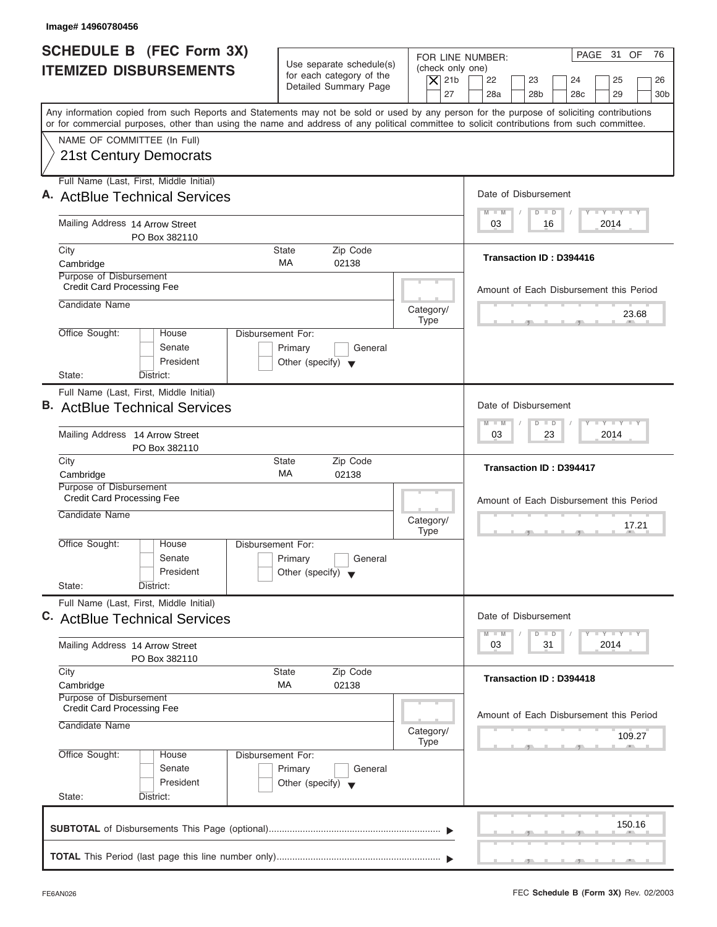| Image# 14960780456                                                              |                                                                                 |                                                                                                                                                                                                                       |
|---------------------------------------------------------------------------------|---------------------------------------------------------------------------------|-----------------------------------------------------------------------------------------------------------------------------------------------------------------------------------------------------------------------|
| <b>SCHEDULE B (FEC Form 3X)</b><br><b>ITEMIZED DISBURSEMENTS</b>                | Use separate schedule(s)<br>for each category of the<br>Detailed Summary Page   | PAGE 31 OF<br>76<br>FOR LINE NUMBER:<br>(check only one)<br>$\vert$ $\chi$ 21b<br>22<br>23<br>24<br>25<br>26                                                                                                          |
|                                                                                 |                                                                                 | 27<br>28a<br>28 <sub>b</sub><br>28 <sub>c</sub><br>29<br>30 <sub>b</sub><br>Any information copied from such Reports and Statements may not be sold or used by any person for the purpose of soliciting contributions |
|                                                                                 |                                                                                 | or for commercial purposes, other than using the name and address of any political committee to solicit contributions from such committee.                                                                            |
| NAME OF COMMITTEE (In Full)<br>21st Century Democrats                           |                                                                                 |                                                                                                                                                                                                                       |
| Full Name (Last, First, Middle Initial)<br>A. ActBlue Technical Services        |                                                                                 | Date of Disbursement                                                                                                                                                                                                  |
| Mailing Address 14 Arrow Street<br>PO Box 382110                                |                                                                                 | $L - Y = L - Y = L - Y$<br>$\Box$<br>$M - M$<br>$\Box$<br>03<br>2014<br>16                                                                                                                                            |
| City<br>Cambridge                                                               | Zip Code<br><b>State</b><br>МA<br>02138                                         | Transaction ID: D394416                                                                                                                                                                                               |
| Purpose of Disbursement<br><b>Credit Card Processing Fee</b>                    |                                                                                 | Amount of Each Disbursement this Period                                                                                                                                                                               |
| Candidate Name                                                                  |                                                                                 | Category/<br>23.68<br><b>Type</b>                                                                                                                                                                                     |
| Office Sought:<br>House<br>Senate<br>President                                  | Disbursement For:<br>Primary<br>General<br>Other (specify) $\blacktriangledown$ |                                                                                                                                                                                                                       |
| State:<br>District:                                                             |                                                                                 |                                                                                                                                                                                                                       |
| Full Name (Last, First, Middle Initial)<br><b>B.</b> ActBlue Technical Services |                                                                                 | Date of Disbursement<br>$-Y$ $+Y$ $-+Y$                                                                                                                                                                               |
| Mailing Address 14 Arrow Street<br>PO Box 382110                                |                                                                                 | $M - M$<br>$\Box$<br>$\overline{D}$<br>23<br>2014<br>03                                                                                                                                                               |
| City<br>Cambridge<br>Purpose of Disbursement                                    | Zip Code<br><b>State</b><br>MA<br>02138                                         | Transaction ID: D394417                                                                                                                                                                                               |
| <b>Credit Card Processing Fee</b><br>Candidate Name                             |                                                                                 | Amount of Each Disbursement this Period<br>Category/<br>17.21<br><b>Type</b><br>$-7$                                                                                                                                  |
| Office Sought:<br>House<br>Senate<br>President                                  | Disbursement For:<br>Primary<br>General<br>Other (specify) $\blacktriangledown$ |                                                                                                                                                                                                                       |
| State:<br>District:<br>Full Name (Last, First, Middle Initial)                  |                                                                                 | Date of Disbursement                                                                                                                                                                                                  |
| C. ActBlue Technical Services                                                   |                                                                                 | $\mathbf{I}$ $\mathbf{Y}$ $\mathbf{I}$ $\mathbf{Y}$ $\mathbf{I}$ $\mathbf{Y}$<br>$M - M$<br>D<br>$\Box$                                                                                                               |
| Mailing Address 14 Arrow Street<br>PO Box 382110                                |                                                                                 | 2014<br>03<br>31                                                                                                                                                                                                      |
| City<br>Cambridge<br>Purpose of Disbursement                                    | Zip Code<br><b>State</b><br>МA<br>02138                                         | Transaction ID: D394418                                                                                                                                                                                               |
| <b>Credit Card Processing Fee</b><br>Candidate Name                             |                                                                                 | Amount of Each Disbursement this Period<br>Category/<br>109.27<br><b>Type</b>                                                                                                                                         |
| Office Sought:<br>House<br>Senate<br>President<br>State:<br>District:           | Disbursement For:<br>Primary<br>General<br>Other (specify) $\blacktriangledown$ |                                                                                                                                                                                                                       |
|                                                                                 |                                                                                 | 150.16                                                                                                                                                                                                                |
|                                                                                 |                                                                                 |                                                                                                                                                                                                                       |
|                                                                                 |                                                                                 |                                                                                                                                                                                                                       |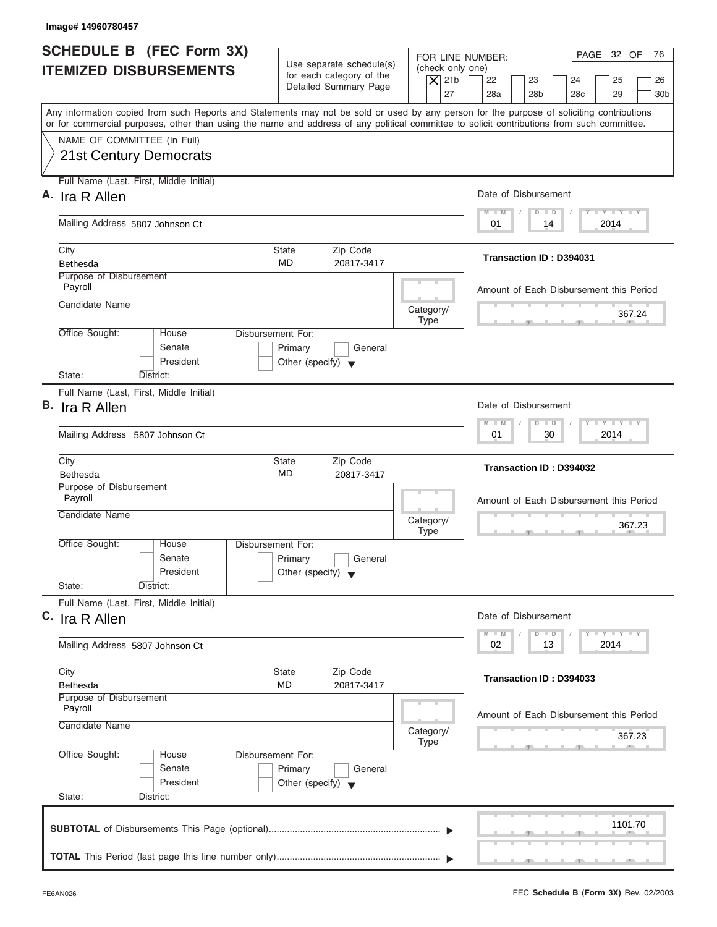| Image# 14960780457                                                                                                                                                                                                                                                                      |                                                                                                                         |                                                                            |
|-----------------------------------------------------------------------------------------------------------------------------------------------------------------------------------------------------------------------------------------------------------------------------------------|-------------------------------------------------------------------------------------------------------------------------|----------------------------------------------------------------------------|
| <b>SCHEDULE B (FEC Form 3X)</b><br><b>ITEMIZED DISBURSEMENTS</b>                                                                                                                                                                                                                        | Use separate schedule(s)<br>(check only one)<br>for each category of the<br>$\vert$ $\chi$ 21b<br>Detailed Summary Page | PAGE 32 OF<br>76<br>FOR LINE NUMBER:<br>22<br>23<br>24<br>25<br>26         |
| Any information copied from such Reports and Statements may not be sold or used by any person for the purpose of soliciting contributions<br>or for commercial purposes, other than using the name and address of any political committee to solicit contributions from such committee. | 27                                                                                                                      | 28a<br>28 <sub>b</sub><br>28 <sub>c</sub><br>29<br>30 <sub>b</sub>         |
| NAME OF COMMITTEE (In Full)<br><b>21st Century Democrats</b>                                                                                                                                                                                                                            |                                                                                                                         |                                                                            |
| Full Name (Last, First, Middle Initial)<br>A. Ira R Allen                                                                                                                                                                                                                               |                                                                                                                         | Date of Disbursement                                                       |
| Mailing Address 5807 Johnson Ct                                                                                                                                                                                                                                                         |                                                                                                                         | $T - Y = T - Y = T - Y$<br>$M - M$<br>$D$ $D$<br>2014<br>01<br>14          |
| City<br>Bethesda<br>Purpose of Disbursement                                                                                                                                                                                                                                             | <b>State</b><br>Zip Code<br><b>MD</b><br>20817-3417                                                                     | Transaction ID: D394031                                                    |
| Payroll<br>Candidate Name                                                                                                                                                                                                                                                               | Category/                                                                                                               | Amount of Each Disbursement this Period                                    |
| Office Sought:<br>House                                                                                                                                                                                                                                                                 | <b>Type</b><br>Disbursement For:                                                                                        | 367.24                                                                     |
| Senate<br>President<br>State:<br>District:                                                                                                                                                                                                                                              | Primary<br>General<br>Other (specify) $\blacktriangledown$                                                              |                                                                            |
| Full Name (Last, First, Middle Initial)<br>B. Ira R Allen                                                                                                                                                                                                                               |                                                                                                                         | Date of Disbursement                                                       |
| Mailing Address 5807 Johnson Ct                                                                                                                                                                                                                                                         |                                                                                                                         | $-1 - Y - 1 - Y - 1 - Y$<br>$M - M$<br>$D$ $D$<br>30<br>2014<br>01         |
| City<br><b>Bethesda</b><br>Purpose of Disbursement                                                                                                                                                                                                                                      | Zip Code<br><b>State</b><br>MD<br>20817-3417                                                                            | Transaction ID: D394032                                                    |
| Payroll<br>Candidate Name                                                                                                                                                                                                                                                               | Category/<br><b>Type</b>                                                                                                | Amount of Each Disbursement this Period<br>367.23<br>__                    |
| Office Sought:<br>House<br>Senate<br>President                                                                                                                                                                                                                                          | Disbursement For:<br>Primary<br>General<br>Other (specify) $\blacktriangledown$                                         |                                                                            |
| State:<br>District:<br>Full Name (Last, First, Middle Initial)<br>C. Ira R Allen                                                                                                                                                                                                        |                                                                                                                         | Date of Disbursement                                                       |
| Mailing Address 5807 Johnson Ct                                                                                                                                                                                                                                                         |                                                                                                                         | $T - Y$ $T - Y$<br>$M - M$<br>$\overline{D}$<br>$\Box$<br>2014<br>02<br>13 |
| City<br><b>Bethesda</b><br>Purpose of Disbursement<br>Payroll                                                                                                                                                                                                                           | Zip Code<br><b>State</b><br>MD<br>20817-3417                                                                            | Transaction ID: D394033                                                    |
| Candidate Name                                                                                                                                                                                                                                                                          | Category/<br><b>Type</b>                                                                                                | Amount of Each Disbursement this Period<br>367.23                          |
| Office Sought:<br>House<br>Senate<br>President<br>State:<br>District:                                                                                                                                                                                                                   | Disbursement For:<br>Primary<br>General<br>Other (specify) $\blacktriangledown$                                         |                                                                            |
|                                                                                                                                                                                                                                                                                         |                                                                                                                         | 1101.70                                                                    |
|                                                                                                                                                                                                                                                                                         |                                                                                                                         |                                                                            |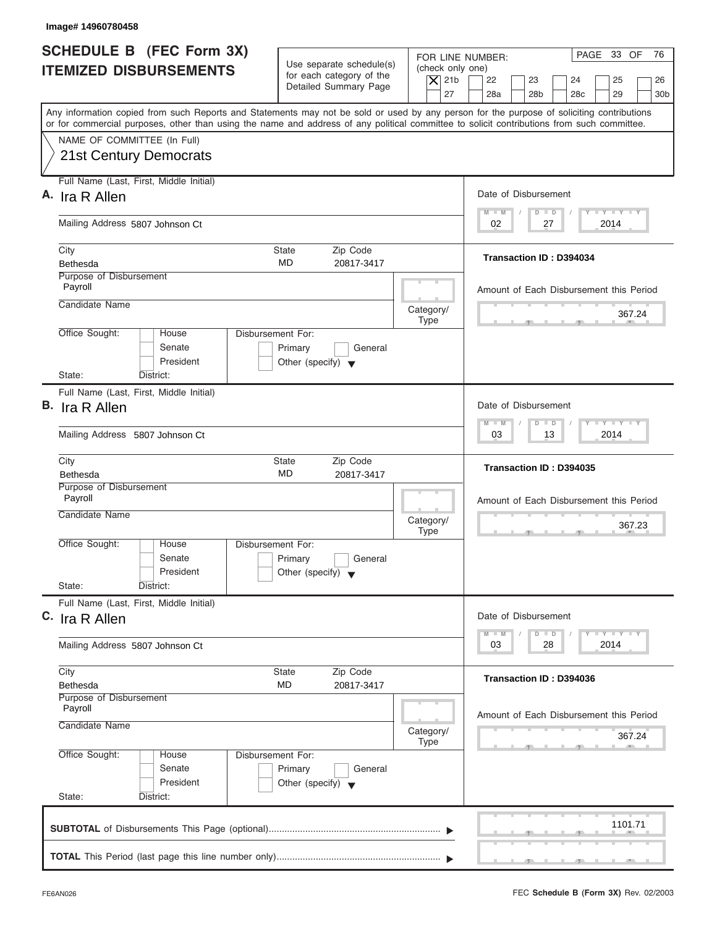|                                 | Image# 14960780458                                                                                                                                                                                                                                                                      |                                                                                 |                          |                                        |                        |                      |                                               |                                  |                 |
|---------------------------------|-----------------------------------------------------------------------------------------------------------------------------------------------------------------------------------------------------------------------------------------------------------------------------------------|---------------------------------------------------------------------------------|--------------------------|----------------------------------------|------------------------|----------------------|-----------------------------------------------|----------------------------------|-----------------|
|                                 | <b>SCHEDULE B (FEC Form 3X)</b><br><b>ITEMIZED DISBURSEMENTS</b>                                                                                                                                                                                                                        | Use separate schedule(s)<br>for each category of the<br>Detailed Summary Page   |                          | (check only one)<br>$\vert$ $\chi$ 21b | FOR LINE NUMBER:<br>22 | 23                   | 24                                            | PAGE 33 OF<br>25                 | 76<br>26        |
|                                 | Any information copied from such Reports and Statements may not be sold or used by any person for the purpose of soliciting contributions<br>or for commercial purposes, other than using the name and address of any political committee to solicit contributions from such committee. |                                                                                 |                          | 27                                     | 28a                    | 28 <sub>b</sub>      | 28 <sub>c</sub>                               | 29                               | 30 <sub>b</sub> |
|                                 | NAME OF COMMITTEE (In Full)<br><b>21st Century Democrats</b>                                                                                                                                                                                                                            |                                                                                 |                          |                                        |                        |                      |                                               |                                  |                 |
|                                 | Full Name (Last, First, Middle Initial)<br>A. Ira R Allen                                                                                                                                                                                                                               |                                                                                 |                          |                                        | Date of Disbursement   |                      |                                               |                                  |                 |
|                                 | Mailing Address 5807 Johnson Ct                                                                                                                                                                                                                                                         |                                                                                 |                          |                                        | $M - M$<br>02          | $D$ $D$<br>27        |                                               | $T - Y = T - Y = T - Y$<br>2014  |                 |
|                                 | City<br>Bethesda                                                                                                                                                                                                                                                                        | <b>State</b><br>Zip Code<br><b>MD</b><br>20817-3417                             |                          |                                        |                        |                      | Transaction ID: D394034                       |                                  |                 |
|                                 | Purpose of Disbursement<br>Payroll<br>Candidate Name                                                                                                                                                                                                                                    |                                                                                 |                          |                                        |                        |                      | Amount of Each Disbursement this Period       |                                  |                 |
|                                 | Office Sought:<br>House                                                                                                                                                                                                                                                                 | Disbursement For:                                                               | Category/<br><b>Type</b> |                                        |                        |                      |                                               | 367.24                           |                 |
|                                 | Senate<br>President<br>State:<br>District:                                                                                                                                                                                                                                              | Primary<br>General<br>Other (specify) $\blacktriangledown$                      |                          |                                        |                        |                      |                                               |                                  |                 |
|                                 | Full Name (Last, First, Middle Initial)<br>B. Ira R Allen                                                                                                                                                                                                                               |                                                                                 |                          |                                        | Date of Disbursement   |                      |                                               |                                  |                 |
|                                 | Mailing Address 5807 Johnson Ct                                                                                                                                                                                                                                                         |                                                                                 |                          |                                        | $M - M$<br>03          | $D$ $D$              | 13                                            | $-1 - Y - 1 - Y - 1 - Y$<br>2014 |                 |
|                                 | City                                                                                                                                                                                                                                                                                    | Zip Code<br><b>State</b>                                                        |                          |                                        |                        |                      | Transaction ID: D394035                       |                                  |                 |
|                                 | <b>Bethesda</b><br>Purpose of Disbursement                                                                                                                                                                                                                                              | MD<br>20817-3417                                                                |                          |                                        |                        |                      |                                               |                                  |                 |
|                                 | Payroll<br>Candidate Name                                                                                                                                                                                                                                                               |                                                                                 | Category/<br><b>Type</b> |                                        |                        |                      | Amount of Each Disbursement this Period<br>__ | 367.23                           |                 |
|                                 | Office Sought:<br>House<br>Senate<br>President<br>State:<br>District:                                                                                                                                                                                                                   | Disbursement For:<br>Primary<br>General<br>Other (specify) $\blacktriangledown$ |                          |                                        |                        |                      |                                               |                                  |                 |
|                                 | Full Name (Last, First, Middle Initial)<br>C. Ira R Allen                                                                                                                                                                                                                               |                                                                                 |                          |                                        | Date of Disbursement   |                      |                                               |                                  |                 |
| Mailing Address 5807 Johnson Ct |                                                                                                                                                                                                                                                                                         |                                                                                 |                          |                                        | $M - M$<br>03          | $\overline{D}$<br>28 | $\Box$                                        | $T - Y$ $T - Y$<br>2014          |                 |
|                                 | City<br><b>Bethesda</b>                                                                                                                                                                                                                                                                 | Zip Code<br><b>State</b><br>MD<br>20817-3417                                    |                          |                                        |                        |                      | Transaction ID: D394036                       |                                  |                 |
|                                 | Purpose of Disbursement<br>Payroll<br>Candidate Name                                                                                                                                                                                                                                    |                                                                                 | Category/<br><b>Type</b> |                                        |                        |                      | Amount of Each Disbursement this Period       | 367.24                           |                 |
|                                 | Office Sought:<br>House<br>Senate<br>President<br>State:                                                                                                                                                                                                                                | Disbursement For:<br>Primary<br>General<br>Other (specify) $\blacktriangledown$ |                          |                                        |                        |                      |                                               |                                  |                 |
|                                 | District:                                                                                                                                                                                                                                                                               |                                                                                 |                          |                                        |                        |                      |                                               | 1101.71                          |                 |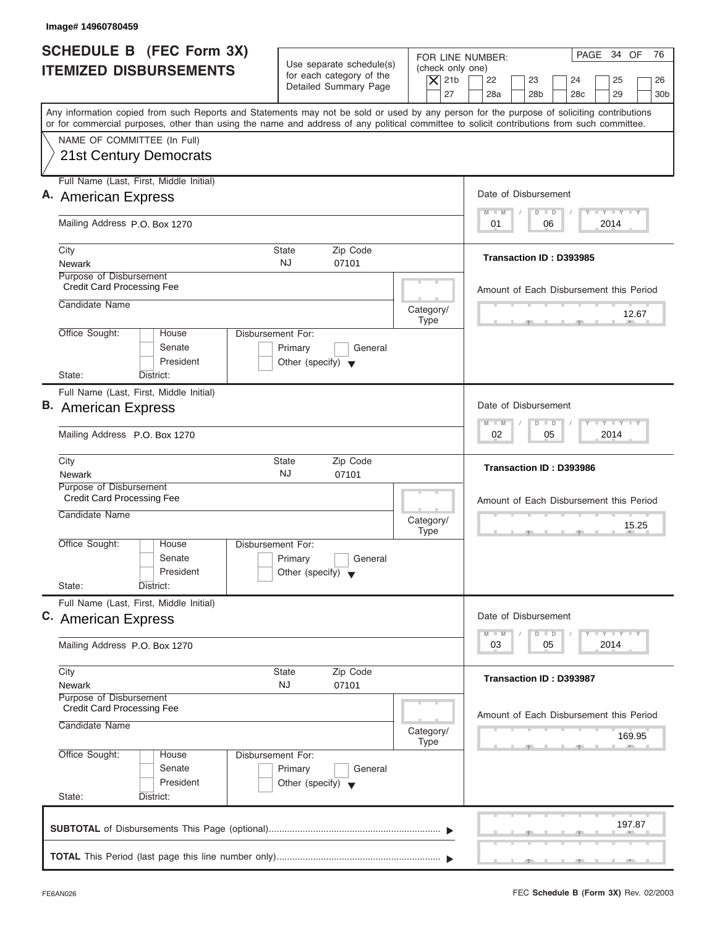| Image# 14960780459                                                                                                                                                                                                                                                                      |                                                                                 |                                                            |                                                         |                                                                               |  |
|-----------------------------------------------------------------------------------------------------------------------------------------------------------------------------------------------------------------------------------------------------------------------------------------|---------------------------------------------------------------------------------|------------------------------------------------------------|---------------------------------------------------------|-------------------------------------------------------------------------------|--|
| SCHEDULE B (FEC Form 3X)<br><b>ITEMIZED DISBURSEMENTS</b>                                                                                                                                                                                                                               | Use separate schedule(s)<br>for each category of the                            | FOR LINE NUMBER:<br>(check only one)<br>$ \mathsf{X} $ 21b | 22<br>23                                                | PAGE 34 OF<br>76<br>24<br>25<br>26                                            |  |
|                                                                                                                                                                                                                                                                                         | Detailed Summary Page                                                           | 27                                                         | 28a<br>28 <sub>b</sub>                                  | 28 <sub>c</sub><br>29<br>30 <sub>b</sub>                                      |  |
| Any information copied from such Reports and Statements may not be sold or used by any person for the purpose of soliciting contributions<br>or for commercial purposes, other than using the name and address of any political committee to solicit contributions from such committee. |                                                                                 |                                                            |                                                         |                                                                               |  |
| NAME OF COMMITTEE (In Full)                                                                                                                                                                                                                                                             |                                                                                 |                                                            |                                                         |                                                                               |  |
| <b>21st Century Democrats</b>                                                                                                                                                                                                                                                           |                                                                                 |                                                            |                                                         |                                                                               |  |
| Full Name (Last, First, Middle Initial)                                                                                                                                                                                                                                                 |                                                                                 |                                                            |                                                         |                                                                               |  |
| A. American Express                                                                                                                                                                                                                                                                     |                                                                                 |                                                            | Date of Disbursement<br>$D$ $D$<br>$M - M$              | $L - Y = L - Y = L - Y$                                                       |  |
| Mailing Address P.O. Box 1270                                                                                                                                                                                                                                                           |                                                                                 |                                                            | 01<br>06                                                | 2014                                                                          |  |
| City                                                                                                                                                                                                                                                                                    | Zip Code<br><b>State</b>                                                        |                                                            |                                                         |                                                                               |  |
| <b>Newark</b>                                                                                                                                                                                                                                                                           | <b>NJ</b><br>07101                                                              |                                                            | Transaction ID: D393985                                 |                                                                               |  |
| Purpose of Disbursement<br><b>Credit Card Processing Fee</b>                                                                                                                                                                                                                            |                                                                                 |                                                            | Amount of Each Disbursement this Period                 |                                                                               |  |
| Candidate Name                                                                                                                                                                                                                                                                          |                                                                                 | Category/<br><b>Type</b>                                   |                                                         | 12.67                                                                         |  |
| Office Sought:<br>House<br>Senate<br>President                                                                                                                                                                                                                                          | Disbursement For:<br>Primary<br>General<br>Other (specify) $\blacktriangledown$ |                                                            |                                                         |                                                                               |  |
| State:<br>District:                                                                                                                                                                                                                                                                     |                                                                                 |                                                            |                                                         |                                                                               |  |
| Full Name (Last, First, Middle Initial)                                                                                                                                                                                                                                                 |                                                                                 |                                                            |                                                         |                                                                               |  |
| <b>B.</b> American Express                                                                                                                                                                                                                                                              |                                                                                 |                                                            | Date of Disbursement                                    | $-1 - Y - 1 - Y - 1 - Y$                                                      |  |
| Mailing Address P.O. Box 1270                                                                                                                                                                                                                                                           |                                                                                 |                                                            | $\Box$<br>$M - M$<br>$\overline{D}$<br>02<br>05<br>2014 |                                                                               |  |
| City<br><b>Newark</b>                                                                                                                                                                                                                                                                   | Zip Code<br><b>State</b><br><b>NJ</b><br>07101                                  |                                                            | Transaction ID: D393986                                 |                                                                               |  |
| Purpose of Disbursement                                                                                                                                                                                                                                                                 |                                                                                 |                                                            |                                                         |                                                                               |  |
| <b>Credit Card Processing Fee</b>                                                                                                                                                                                                                                                       |                                                                                 |                                                            | Amount of Each Disbursement this Period                 |                                                                               |  |
| Candidate Name                                                                                                                                                                                                                                                                          |                                                                                 | Category/<br><b>Type</b>                                   |                                                         | 15.25<br>$-5$                                                                 |  |
| Office Sought:<br>House                                                                                                                                                                                                                                                                 | Disbursement For:                                                               |                                                            |                                                         |                                                                               |  |
| Senate<br>President                                                                                                                                                                                                                                                                     | Primary<br>General<br>Other (specify) $\blacktriangledown$                      |                                                            |                                                         |                                                                               |  |
| State:<br>District:                                                                                                                                                                                                                                                                     |                                                                                 |                                                            |                                                         |                                                                               |  |
| Full Name (Last, First, Middle Initial)                                                                                                                                                                                                                                                 |                                                                                 |                                                            | Date of Disbursement                                    |                                                                               |  |
| C. American Express                                                                                                                                                                                                                                                                     |                                                                                 |                                                            |                                                         | $\mathbf{I}$ $\mathbf{Y}$ $\mathbf{I}$ $\mathbf{Y}$ $\mathbf{I}$ $\mathbf{Y}$ |  |
| Mailing Address P.O. Box 1270                                                                                                                                                                                                                                                           |                                                                                 |                                                            | $M - M$<br>$\overline{D}$<br>$\Box$<br>03<br>05         | 2014                                                                          |  |
| City                                                                                                                                                                                                                                                                                    | Zip Code<br><b>State</b>                                                        |                                                            | Transaction ID: D393987                                 |                                                                               |  |
| Newark<br>Purpose of Disbursement                                                                                                                                                                                                                                                       | <b>NJ</b><br>07101                                                              |                                                            |                                                         |                                                                               |  |
| <b>Credit Card Processing Fee</b>                                                                                                                                                                                                                                                       |                                                                                 |                                                            | Amount of Each Disbursement this Period                 |                                                                               |  |
| Candidate Name                                                                                                                                                                                                                                                                          |                                                                                 | Category/<br><b>Type</b>                                   |                                                         | 169.95                                                                        |  |
| Office Sought:<br>House                                                                                                                                                                                                                                                                 | Disbursement For:                                                               |                                                            |                                                         |                                                                               |  |
| Senate                                                                                                                                                                                                                                                                                  | Primary<br>General                                                              |                                                            |                                                         |                                                                               |  |
| President<br>State:<br>District:                                                                                                                                                                                                                                                        | Other (specify) $\blacktriangledown$                                            |                                                            |                                                         |                                                                               |  |
|                                                                                                                                                                                                                                                                                         |                                                                                 |                                                            |                                                         |                                                                               |  |
|                                                                                                                                                                                                                                                                                         |                                                                                 |                                                            |                                                         | 197.87                                                                        |  |
|                                                                                                                                                                                                                                                                                         |                                                                                 |                                                            |                                                         |                                                                               |  |
|                                                                                                                                                                                                                                                                                         |                                                                                 |                                                            |                                                         |                                                                               |  |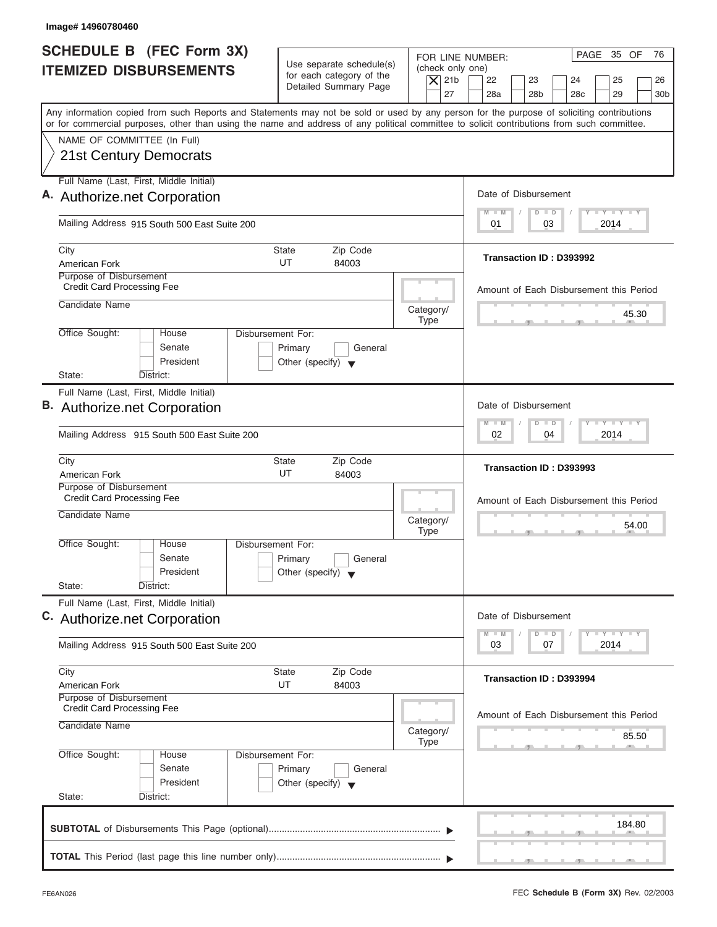| Image# 14960780460                                                             |                                                                                 |                                                                                                                                                                                                                                                                                         |
|--------------------------------------------------------------------------------|---------------------------------------------------------------------------------|-----------------------------------------------------------------------------------------------------------------------------------------------------------------------------------------------------------------------------------------------------------------------------------------|
| <b>SCHEDULE B</b> (FEC Form 3X)<br><b>ITEMIZED DISBURSEMENTS</b>               | Use separate schedule(s)<br>for each category of the<br>Detailed Summary Page   | PAGE 35 OF<br>76<br>FOR LINE NUMBER:<br>(check only one)<br>$\overline{X}$ 21b<br>22<br>23<br>24<br>25<br>26<br>27<br>28a<br>28 <sub>b</sub><br>28 <sub>c</sub><br>29<br>30 <sub>b</sub>                                                                                                |
|                                                                                |                                                                                 | Any information copied from such Reports and Statements may not be sold or used by any person for the purpose of soliciting contributions<br>or for commercial purposes, other than using the name and address of any political committee to solicit contributions from such committee. |
| NAME OF COMMITTEE (In Full)<br><b>21st Century Democrats</b>                   |                                                                                 |                                                                                                                                                                                                                                                                                         |
| Full Name (Last, First, Middle Initial)                                        |                                                                                 |                                                                                                                                                                                                                                                                                         |
| A. Authorize.net Corporation                                                   |                                                                                 | Date of Disbursement                                                                                                                                                                                                                                                                    |
| Mailing Address 915 South 500 East Suite 200                                   |                                                                                 | $I - Y - I - Y - I - Y$<br>$M - M$<br>$D$ $D$<br>2014<br>01<br>03                                                                                                                                                                                                                       |
| City<br>American Fork                                                          | Zip Code<br>State<br>UT<br>84003                                                | Transaction ID: D393992                                                                                                                                                                                                                                                                 |
| Purpose of Disbursement<br><b>Credit Card Processing Fee</b>                   |                                                                                 | Amount of Each Disbursement this Period                                                                                                                                                                                                                                                 |
| Candidate Name                                                                 | Category/                                                                       | 45.30<br><b>Type</b>                                                                                                                                                                                                                                                                    |
| Office Sought:<br>House<br>Senate<br>President<br>State:<br>District:          | Disbursement For:<br>Primary<br>General<br>Other (specify) $\blacktriangledown$ |                                                                                                                                                                                                                                                                                         |
| Full Name (Last, First, Middle Initial)                                        |                                                                                 |                                                                                                                                                                                                                                                                                         |
| B. Authorize.net Corporation                                                   |                                                                                 | Date of Disbursement                                                                                                                                                                                                                                                                    |
| Mailing Address 915 South 500 East Suite 200                                   |                                                                                 | $-1$ $-1$ $-1$ $-1$ $-1$<br>$M - M$<br>$\Box$<br>D<br>2014<br>02<br>04                                                                                                                                                                                                                  |
| City<br>American Fork                                                          | Zip Code<br>State<br>UT<br>84003                                                | Transaction ID: D393993                                                                                                                                                                                                                                                                 |
| Purpose of Disbursement<br><b>Credit Card Processing Fee</b><br>Candidate Name | Category/                                                                       | Amount of Each Disbursement this Period<br>54.00<br><b>Type</b>                                                                                                                                                                                                                         |
| Office Sought:<br>House<br>Senate<br>President<br>State:<br>District:          | Disbursement For:<br>Primary<br>General<br>Other (specify) $\blacktriangledown$ |                                                                                                                                                                                                                                                                                         |
| Full Name (Last, First, Middle Initial)<br>C. Authorize.net Corporation        |                                                                                 | Date of Disbursement                                                                                                                                                                                                                                                                    |
| Mailing Address 915 South 500 East Suite 200                                   |                                                                                 | $\mathbf{I} \mathbf{Y}$ $\mathbf{I} \mathbf{Y}$ $\mathbf{I} \mathbf{Y}$<br>$M - M$<br>D<br>$\Box$<br>2014<br>03<br>07                                                                                                                                                                   |
| City<br>American Fork                                                          | Zip Code<br>State<br>UT<br>84003                                                | Transaction ID: D393994                                                                                                                                                                                                                                                                 |
| Purpose of Disbursement<br><b>Credit Card Processing Fee</b><br>Candidate Name |                                                                                 | Amount of Each Disbursement this Period                                                                                                                                                                                                                                                 |
|                                                                                | Category/<br>Type                                                               | 85.50                                                                                                                                                                                                                                                                                   |
| Office Sought:<br>House<br>Senate<br>President<br>State:<br>District:          | Disbursement For:<br>Primary<br>General<br>Other (specify) $\blacktriangledown$ |                                                                                                                                                                                                                                                                                         |
|                                                                                |                                                                                 | 184.80                                                                                                                                                                                                                                                                                  |

I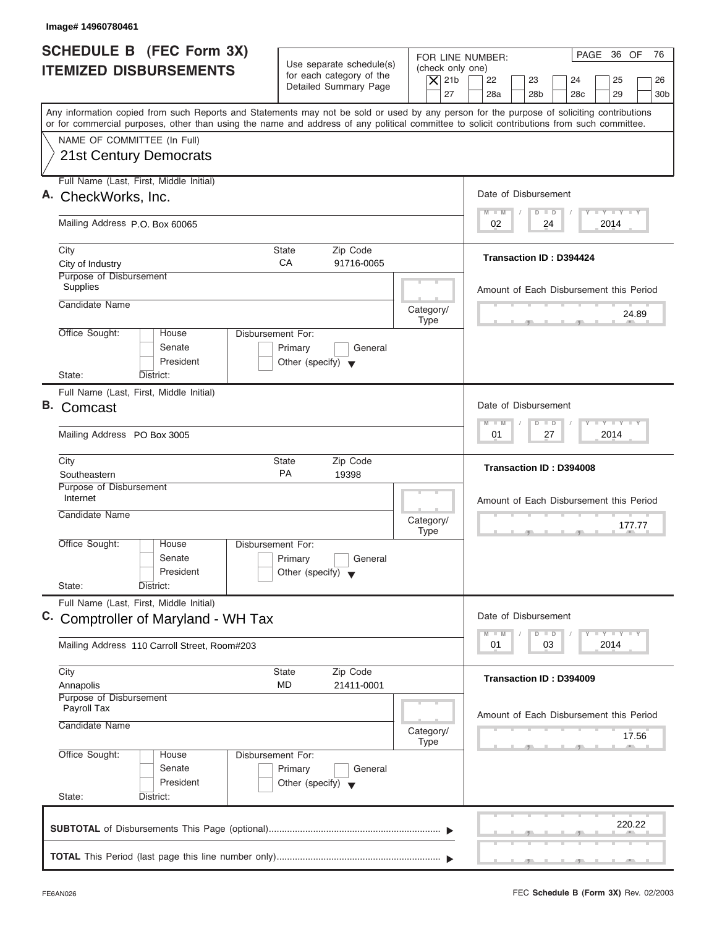| Image# 14960780461                                                                                                                                                                                                                                                                      |                                                                                                       |                                                                                                                                                                                                                                                   |
|-----------------------------------------------------------------------------------------------------------------------------------------------------------------------------------------------------------------------------------------------------------------------------------------|-------------------------------------------------------------------------------------------------------|---------------------------------------------------------------------------------------------------------------------------------------------------------------------------------------------------------------------------------------------------|
| <b>SCHEDULE B (FEC Form 3X)</b><br><b>ITEMIZED DISBURSEMENTS</b>                                                                                                                                                                                                                        | Use separate schedule(s)<br>for each category of the<br>Detailed Summary Page                         | PAGE 36 OF<br>76<br>FOR LINE NUMBER:<br>(check only one)<br>$\vert$ $\chi$ 21b<br>22<br>23<br>24<br>25<br>26<br>27<br>28a<br>28 <sub>b</sub><br>28 <sub>c</sub><br>29<br>30 <sub>b</sub>                                                          |
| Any information copied from such Reports and Statements may not be sold or used by any person for the purpose of soliciting contributions<br>or for commercial purposes, other than using the name and address of any political committee to solicit contributions from such committee. |                                                                                                       |                                                                                                                                                                                                                                                   |
| NAME OF COMMITTEE (In Full)<br><b>21st Century Democrats</b>                                                                                                                                                                                                                            |                                                                                                       |                                                                                                                                                                                                                                                   |
| Full Name (Last, First, Middle Initial)<br>A. CheckWorks, Inc.                                                                                                                                                                                                                          |                                                                                                       | Date of Disbursement                                                                                                                                                                                                                              |
| Mailing Address P.O. Box 60065                                                                                                                                                                                                                                                          |                                                                                                       | $T - Y = T - Y = T - Y$<br>$M - M$<br>$D$ $D$<br>02<br>2014<br>24                                                                                                                                                                                 |
| City<br>City of Industry<br>Purpose of Disbursement                                                                                                                                                                                                                                     | Zip Code<br>State<br>CA<br>91716-0065                                                                 | <b>Transaction ID: D394424</b>                                                                                                                                                                                                                    |
| Supplies<br>Candidate Name                                                                                                                                                                                                                                                              | Category/                                                                                             | Amount of Each Disbursement this Period<br>24.89                                                                                                                                                                                                  |
| Office Sought:<br>House<br>Senate<br>President<br>State:<br>District:                                                                                                                                                                                                                   | <b>Type</b><br><b>Disbursement For:</b><br>Primary<br>General<br>Other (specify) $\blacktriangledown$ |                                                                                                                                                                                                                                                   |
| Full Name (Last, First, Middle Initial)<br>В.<br>Comcast                                                                                                                                                                                                                                |                                                                                                       | Date of Disbursement<br>$\frac{1}{2} \left[ \frac{1}{2} \left( \frac{1}{2} \right) - \frac{1}{2} \left( \frac{1}{2} \right) \right] = \frac{1}{2} \left[ \frac{1}{2} \left( \frac{1}{2} \right) - \frac{1}{2} \left( \frac{1}{2} \right) \right]$ |
| Mailing Address PO Box 3005                                                                                                                                                                                                                                                             |                                                                                                       | $\Box$<br>$M - M$<br>$\overline{D}$<br>27<br>2014<br>01                                                                                                                                                                                           |
| City<br>Southeastern                                                                                                                                                                                                                                                                    | Zip Code<br>State<br><b>PA</b><br>19398                                                               | Transaction ID: D394008                                                                                                                                                                                                                           |
| Purpose of Disbursement<br>Internet<br>Candidate Name                                                                                                                                                                                                                                   | Category/<br><b>Type</b>                                                                              | Amount of Each Disbursement this Period<br>177.77<br>$-7$                                                                                                                                                                                         |
| Office Sought:<br>House<br>Senate<br>President<br>State:<br>District:                                                                                                                                                                                                                   | Disbursement For:<br>Primary<br>General<br>Other (specify) $\blacktriangledown$                       |                                                                                                                                                                                                                                                   |
| Full Name (Last, First, Middle Initial)<br>C.<br><b>Comptroller of Maryland - WH Tax</b>                                                                                                                                                                                                |                                                                                                       | Date of Disbursement<br>$\mathbf{I}$ $\mathbf{Y}$ $\mathbf{I}$ $\mathbf{Y}$ $\mathbf{I}$ $\mathbf{Y}$<br>$M - M$<br>$\overline{D}$<br>$\Box$                                                                                                      |
| Mailing Address 110 Carroll Street, Room#203                                                                                                                                                                                                                                            |                                                                                                       | 2014<br>01<br>03                                                                                                                                                                                                                                  |
| City<br>Annapolis<br>Purpose of Disbursement<br>Payroll Tax                                                                                                                                                                                                                             | State<br>Zip Code<br>MD<br>21411-0001                                                                 | Transaction ID: D394009                                                                                                                                                                                                                           |
| Candidate Name                                                                                                                                                                                                                                                                          | Category/<br><b>Type</b>                                                                              | Amount of Each Disbursement this Period<br>17.56                                                                                                                                                                                                  |
| Office Sought:<br>House<br>Senate<br>President<br>State:<br>District:                                                                                                                                                                                                                   | Disbursement For:<br>Primary<br>General<br>Other (specify) $\blacktriangledown$                       |                                                                                                                                                                                                                                                   |
|                                                                                                                                                                                                                                                                                         |                                                                                                       | 220.22                                                                                                                                                                                                                                            |
|                                                                                                                                                                                                                                                                                         |                                                                                                       |                                                                                                                                                                                                                                                   |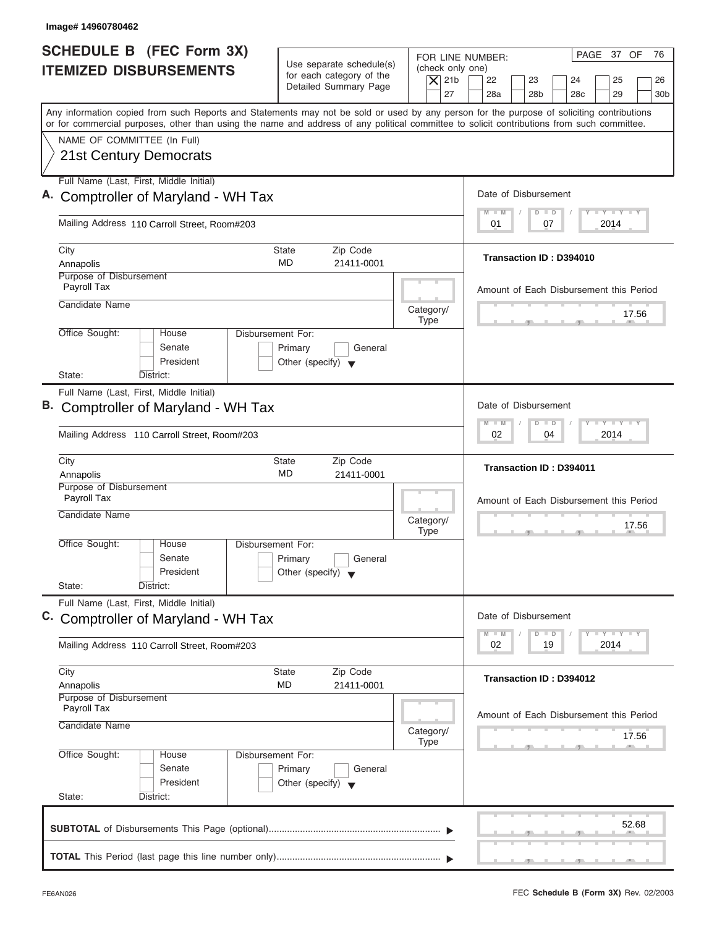| Image# 14960780462                                                                                                                                                                                                                                                                      |                                                                               |                                                                  |                                                                                                                                 |
|-----------------------------------------------------------------------------------------------------------------------------------------------------------------------------------------------------------------------------------------------------------------------------------------|-------------------------------------------------------------------------------|------------------------------------------------------------------|---------------------------------------------------------------------------------------------------------------------------------|
| <b>SCHEDULE B</b> (FEC Form 3X)<br><b>ITEMIZED DISBURSEMENTS</b>                                                                                                                                                                                                                        | Use separate schedule(s)<br>for each category of the<br>Detailed Summary Page | FOR LINE NUMBER:<br>(check only one)<br>$\overline{X}$ 21b<br>27 | PAGE 37 OF<br>76<br>22<br>23<br>24<br>25<br>26<br>28a<br>28 <sub>b</sub><br>28 <sub>c</sub><br>29<br>30 <sub>b</sub>            |
| Any information copied from such Reports and Statements may not be sold or used by any person for the purpose of soliciting contributions<br>or for commercial purposes, other than using the name and address of any political committee to solicit contributions from such committee. |                                                                               |                                                                  |                                                                                                                                 |
| NAME OF COMMITTEE (In Full)<br><b>21st Century Democrats</b>                                                                                                                                                                                                                            |                                                                               |                                                                  |                                                                                                                                 |
| Full Name (Last, First, Middle Initial)                                                                                                                                                                                                                                                 |                                                                               |                                                                  |                                                                                                                                 |
| A. Comptroller of Maryland - WH Tax                                                                                                                                                                                                                                                     |                                                                               |                                                                  | Date of Disbursement<br>$I - Y - I - Y - I - Y$<br>$M - M$<br>$\Box$<br>D                                                       |
| Mailing Address 110 Carroll Street, Room#203                                                                                                                                                                                                                                            |                                                                               |                                                                  | 2014<br>01<br>07                                                                                                                |
| City                                                                                                                                                                                                                                                                                    | Zip Code<br>State                                                             |                                                                  | Transaction ID: D394010                                                                                                         |
| Annapolis<br>Purpose of Disbursement                                                                                                                                                                                                                                                    | MD.<br>21411-0001                                                             |                                                                  |                                                                                                                                 |
| Payroll Tax                                                                                                                                                                                                                                                                             |                                                                               |                                                                  | Amount of Each Disbursement this Period                                                                                         |
| Candidate Name                                                                                                                                                                                                                                                                          |                                                                               | Category/                                                        | 17.56                                                                                                                           |
|                                                                                                                                                                                                                                                                                         |                                                                               | <b>Type</b>                                                      |                                                                                                                                 |
| Office Sought:<br>Disbursement For:<br>House<br>Senate<br>President<br>State:<br>District:                                                                                                                                                                                              | Primary<br>General<br>Other (specify) $\blacktriangledown$                    |                                                                  |                                                                                                                                 |
| Full Name (Last, First, Middle Initial)                                                                                                                                                                                                                                                 |                                                                               |                                                                  |                                                                                                                                 |
| B. Comptroller of Maryland - WH Tax                                                                                                                                                                                                                                                     |                                                                               |                                                                  | Date of Disbursement                                                                                                            |
| Mailing Address 110 Carroll Street, Room#203                                                                                                                                                                                                                                            |                                                                               |                                                                  | $-1$ $-1$ $-1$ $-1$ $-1$<br>$M - M$<br>$\blacksquare$<br>D<br>2014<br>02<br>04                                                  |
| City<br>Annapolis                                                                                                                                                                                                                                                                       | Zip Code<br>State<br>MD<br>21411-0001                                         |                                                                  | Transaction ID: D394011                                                                                                         |
| Purpose of Disbursement<br>Payroll Tax                                                                                                                                                                                                                                                  |                                                                               |                                                                  | Amount of Each Disbursement this Period                                                                                         |
| Candidate Name                                                                                                                                                                                                                                                                          |                                                                               | Category/<br><b>Type</b>                                         | 17.56                                                                                                                           |
| Office Sought:<br>House<br>Disbursement For:<br>Senate<br>President<br>State:<br>District:                                                                                                                                                                                              | Primary<br>General<br>Other (specify)                                         |                                                                  |                                                                                                                                 |
| Full Name (Last, First, Middle Initial)                                                                                                                                                                                                                                                 |                                                                               |                                                                  |                                                                                                                                 |
| Comptroller of Maryland - WH Tax                                                                                                                                                                                                                                                        |                                                                               |                                                                  | Date of Disbursement<br>$\mathbf{I}$ $\mathbf{Y}$ $\mathbf{I}$ $\mathbf{Y}$ $\mathbf{I}$ $\mathbf{Y}$<br>$M - M$<br>D<br>$\Box$ |
| Mailing Address 110 Carroll Street, Room#203                                                                                                                                                                                                                                            |                                                                               |                                                                  | 2014<br>02<br>19                                                                                                                |
| City                                                                                                                                                                                                                                                                                    | Zip Code<br>State                                                             |                                                                  | Transaction ID: D394012                                                                                                         |
| Annapolis<br>Purpose of Disbursement                                                                                                                                                                                                                                                    | MD<br>21411-0001                                                              |                                                                  |                                                                                                                                 |
| Payroll Tax                                                                                                                                                                                                                                                                             |                                                                               |                                                                  | Amount of Each Disbursement this Period                                                                                         |
| Candidate Name                                                                                                                                                                                                                                                                          |                                                                               | Category/<br><b>Type</b>                                         | 17.56                                                                                                                           |
| Office Sought:<br>Disbursement For:<br>House<br>Senate<br>President<br>State:<br>District:                                                                                                                                                                                              | Primary<br>General<br>Other (specify) $\blacktriangledown$                    |                                                                  |                                                                                                                                 |
|                                                                                                                                                                                                                                                                                         |                                                                               |                                                                  |                                                                                                                                 |
|                                                                                                                                                                                                                                                                                         |                                                                               |                                                                  | 52.68                                                                                                                           |
|                                                                                                                                                                                                                                                                                         |                                                                               |                                                                  |                                                                                                                                 |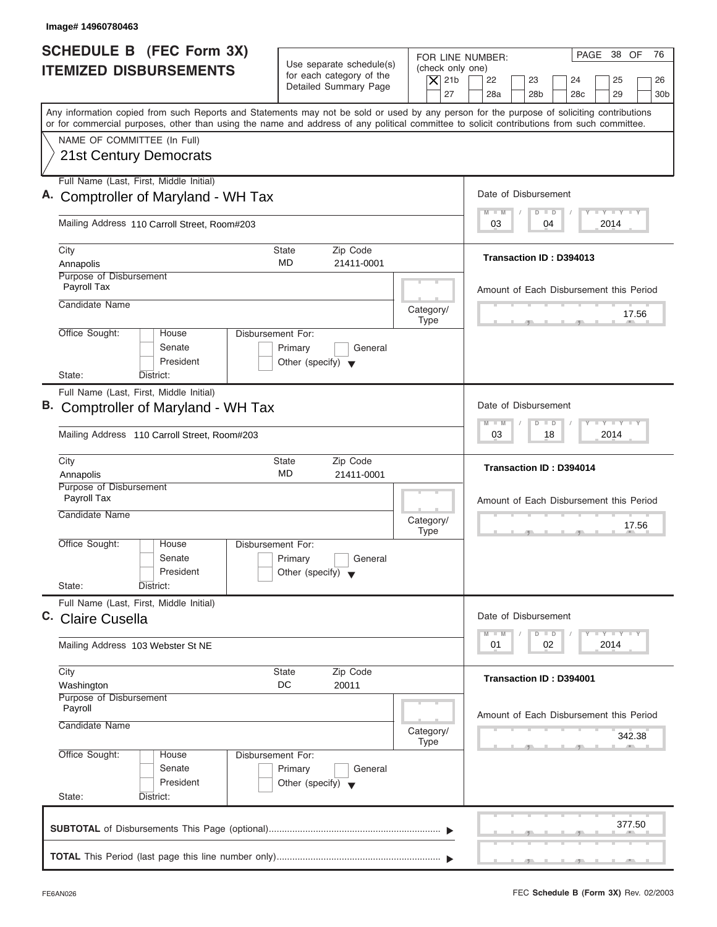| Image# 14960780463                                                                                                                                                                                                                                                                      |                                                                                                |                                                                                                                                                                                          |
|-----------------------------------------------------------------------------------------------------------------------------------------------------------------------------------------------------------------------------------------------------------------------------------------|------------------------------------------------------------------------------------------------|------------------------------------------------------------------------------------------------------------------------------------------------------------------------------------------|
| <b>SCHEDULE B</b> (FEC Form 3X)<br><b>ITEMIZED DISBURSEMENTS</b>                                                                                                                                                                                                                        | Use separate schedule(s)<br>for each category of the<br>Detailed Summary Page                  | PAGE 38 OF<br>76<br>FOR LINE NUMBER:<br>(check only one)<br>$\overline{X}$ 21b<br>22<br>23<br>24<br>25<br>26<br>27<br>28a<br>28 <sub>b</sub><br>28 <sub>c</sub><br>29<br>30 <sub>b</sub> |
| Any information copied from such Reports and Statements may not be sold or used by any person for the purpose of soliciting contributions<br>or for commercial purposes, other than using the name and address of any political committee to solicit contributions from such committee. |                                                                                                |                                                                                                                                                                                          |
| NAME OF COMMITTEE (In Full)<br><b>21st Century Democrats</b>                                                                                                                                                                                                                            |                                                                                                |                                                                                                                                                                                          |
| Full Name (Last, First, Middle Initial)<br>A. Comptroller of Maryland - WH Tax                                                                                                                                                                                                          |                                                                                                | Date of Disbursement                                                                                                                                                                     |
| Mailing Address 110 Carroll Street, Room#203                                                                                                                                                                                                                                            |                                                                                                | $\mathbf{I} \mathbf{Y} \mathbf{I} \mathbf{Y} \mathbf{I} \mathbf{Y}$<br>$M - M$<br>$\Box$<br>D<br>03<br>2014<br>04                                                                        |
| City<br>Annapolis                                                                                                                                                                                                                                                                       | Zip Code<br>State<br>MD<br>21411-0001                                                          | Transaction ID: D394013                                                                                                                                                                  |
| Purpose of Disbursement<br>Payroll Tax<br>Candidate Name                                                                                                                                                                                                                                |                                                                                                | Amount of Each Disbursement this Period                                                                                                                                                  |
|                                                                                                                                                                                                                                                                                         | Category/<br><b>Type</b>                                                                       | 17.56                                                                                                                                                                                    |
| Office Sought:<br>House<br>Senate<br>President<br>State:<br>District:                                                                                                                                                                                                                   | <b>Disbursement For:</b><br>Primary<br>General<br>Other (specify) $\blacktriangledown$         |                                                                                                                                                                                          |
| Full Name (Last, First, Middle Initial)<br>B. Comptroller of Maryland - WH Tax                                                                                                                                                                                                          |                                                                                                | Date of Disbursement                                                                                                                                                                     |
| Mailing Address 110 Carroll Street, Room#203                                                                                                                                                                                                                                            |                                                                                                | <b>LY LY LY</b><br>$M - M$<br>$\Box$<br>D<br>2014<br>03<br>18                                                                                                                            |
| City<br>Annapolis                                                                                                                                                                                                                                                                       | <b>State</b><br>Zip Code<br>MD<br>21411-0001                                                   | <b>Transaction ID: D394014</b>                                                                                                                                                           |
| Purpose of Disbursement<br>Payroll Tax<br>Candidate Name                                                                                                                                                                                                                                | Category/                                                                                      | Amount of Each Disbursement this Period                                                                                                                                                  |
| Office Sought:<br>House<br>Senate<br>President<br>State:<br>District:                                                                                                                                                                                                                   | <b>Type</b><br>Disbursement For:<br>Primary<br>General<br>Other (specify) $\blacktriangledown$ | 17.56                                                                                                                                                                                    |
| Full Name (Last, First, Middle Initial)<br>C. Claire Cusella                                                                                                                                                                                                                            |                                                                                                | Date of Disbursement                                                                                                                                                                     |
| Mailing Address 103 Webster St NE                                                                                                                                                                                                                                                       |                                                                                                | $\mathbf{I}$ $\mathbf{Y}$ $\mathbf{I}$ $\mathbf{Y}$ $\mathbf{I}$ $\mathbf{Y}$<br>$M - M$<br>$\Box$<br>D<br>2014<br>01<br>02                                                              |
| City<br>Washington                                                                                                                                                                                                                                                                      | Zip Code<br>State<br>DC<br>20011                                                               | <b>Transaction ID: D394001</b>                                                                                                                                                           |
| Purpose of Disbursement<br>Payroll<br>Candidate Name                                                                                                                                                                                                                                    | Category/<br><b>Type</b>                                                                       | Amount of Each Disbursement this Period<br>342.38                                                                                                                                        |
| Office Sought:<br>House<br>Senate<br>President<br>State:<br>District:                                                                                                                                                                                                                   | Disbursement For:<br>Primary<br>General<br>Other (specify) $\blacktriangledown$                |                                                                                                                                                                                          |
|                                                                                                                                                                                                                                                                                         |                                                                                                | 377.50                                                                                                                                                                                   |
|                                                                                                                                                                                                                                                                                         |                                                                                                |                                                                                                                                                                                          |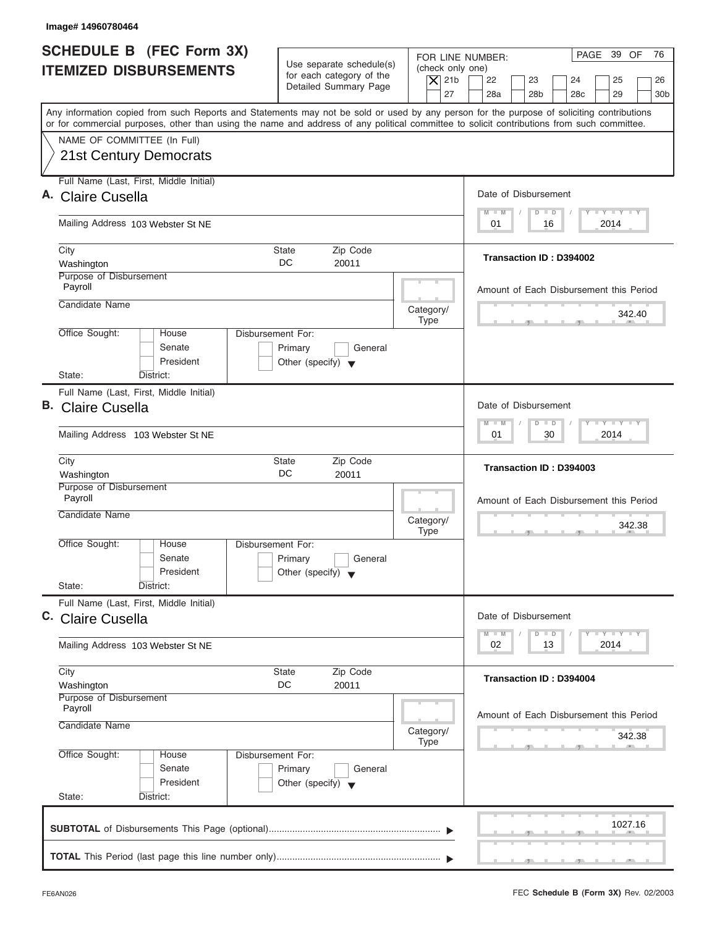| Image# 14960780464                                                                                                                         |                                                                                 |                                                                                                                                                                                          |
|--------------------------------------------------------------------------------------------------------------------------------------------|---------------------------------------------------------------------------------|------------------------------------------------------------------------------------------------------------------------------------------------------------------------------------------|
| <b>SCHEDULE B</b> (FEC Form 3X)<br><b>ITEMIZED DISBURSEMENTS</b>                                                                           | Use separate schedule(s)<br>for each category of the<br>Detailed Summary Page   | PAGE 39 OF<br>76<br>FOR LINE NUMBER:<br>(check only one)<br>$\overline{X}$ 21b<br>22<br>23<br>24<br>25<br>26<br>27<br>28a<br>28 <sub>b</sub><br>29<br>30 <sub>b</sub><br>28 <sub>c</sub> |
| or for commercial purposes, other than using the name and address of any political committee to solicit contributions from such committee. |                                                                                 | Any information copied from such Reports and Statements may not be sold or used by any person for the purpose of soliciting contributions                                                |
| NAME OF COMMITTEE (In Full)<br>21st Century Democrats                                                                                      |                                                                                 |                                                                                                                                                                                          |
| Full Name (Last, First, Middle Initial)<br>A. Claire Cusella                                                                               |                                                                                 | Date of Disbursement                                                                                                                                                                     |
| Mailing Address 103 Webster St NE                                                                                                          |                                                                                 | $T - Y = T - Y = T - Y$<br>$D$ $D$<br>$M - M$<br>2014<br>01<br>16                                                                                                                        |
| City<br>Washington                                                                                                                         | Zip Code<br>State<br>DC<br>20011                                                | Transaction ID: D394002                                                                                                                                                                  |
| Purpose of Disbursement<br>Payroll<br>Candidate Name                                                                                       |                                                                                 | Amount of Each Disbursement this Period                                                                                                                                                  |
| Office Sought:<br>House                                                                                                                    | Disbursement For:                                                               | Category/<br>342.40<br><b>Type</b>                                                                                                                                                       |
| Senate<br>President<br>State:<br>District:                                                                                                 | Primary<br>General<br>Other (specify) $\blacktriangledown$                      |                                                                                                                                                                                          |
| Full Name (Last, First, Middle Initial)<br>B. Claire Cusella                                                                               |                                                                                 | Date of Disbursement                                                                                                                                                                     |
| Mailing Address 103 Webster St NE                                                                                                          |                                                                                 | $-$ Y $-$ Y $-$ Y<br>$M - M$<br>$D$ $D$<br>30<br>2014<br>01                                                                                                                              |
| City<br>Washington                                                                                                                         | Zip Code<br>State<br>DC<br>20011                                                | Transaction ID: D394003                                                                                                                                                                  |
| Purpose of Disbursement<br>Payroll<br>Candidate Name                                                                                       |                                                                                 | Amount of Each Disbursement this Period<br>Category/<br>342.38<br><b>Type</b>                                                                                                            |
| Office Sought:<br>House<br>Senate<br>President<br>State:<br>District:                                                                      | Disbursement For:<br>Primary<br>General<br>Other (specify) $\blacktriangledown$ |                                                                                                                                                                                          |
| Full Name (Last, First, Middle Initial)<br>C. Claire Cusella                                                                               |                                                                                 | Date of Disbursement<br>$T - Y$ $T - Y$<br>$M - M$<br>$\overline{D}$<br>$\Box$                                                                                                           |
| Mailing Address 103 Webster St NE                                                                                                          |                                                                                 | 2014<br>02<br>13                                                                                                                                                                         |
| City<br>Washington                                                                                                                         | Zip Code<br>State<br>DC<br>20011                                                | Transaction ID: D394004                                                                                                                                                                  |
| Purpose of Disbursement<br>Payroll<br>Candidate Name                                                                                       |                                                                                 | Amount of Each Disbursement this Period<br>Category/<br>342.38<br>Type                                                                                                                   |
| Office Sought:<br>House<br>Senate<br>President<br>State:<br>District:                                                                      | Disbursement For:<br>Primary<br>General<br>Other (specify) $\blacktriangledown$ |                                                                                                                                                                                          |
|                                                                                                                                            |                                                                                 | 1027.16                                                                                                                                                                                  |
|                                                                                                                                            |                                                                                 |                                                                                                                                                                                          |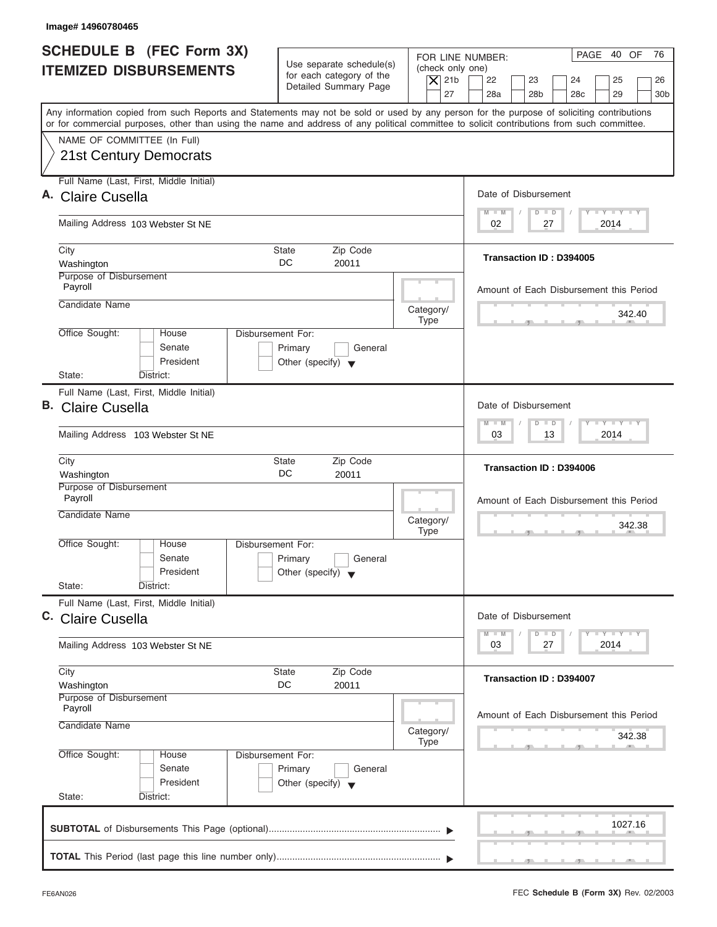| Image# 14960780465                                                                                                                                                                                                                                                                      |                                                                                 |                                                            |                                                                                                                                 |                 |
|-----------------------------------------------------------------------------------------------------------------------------------------------------------------------------------------------------------------------------------------------------------------------------------------|---------------------------------------------------------------------------------|------------------------------------------------------------|---------------------------------------------------------------------------------------------------------------------------------|-----------------|
| <b>SCHEDULE B</b> (FEC Form 3X)<br><b>ITEMIZED DISBURSEMENTS</b>                                                                                                                                                                                                                        | Use separate schedule(s)<br>for each category of the<br>Detailed Summary Page   | FOR LINE NUMBER:<br>(check only one)<br>$ \mathsf{X} $ 21b | PAGE 40 OF<br>22<br>23<br>24<br>25                                                                                              | 76<br>26        |
| Any information copied from such Reports and Statements may not be sold or used by any person for the purpose of soliciting contributions<br>or for commercial purposes, other than using the name and address of any political committee to solicit contributions from such committee. |                                                                                 | 27                                                         | 28a<br>28 <sub>b</sub><br>28 <sub>c</sub><br>29                                                                                 | 30 <sub>b</sub> |
| NAME OF COMMITTEE (In Full)<br><b>21st Century Democrats</b>                                                                                                                                                                                                                            |                                                                                 |                                                            |                                                                                                                                 |                 |
| Full Name (Last, First, Middle Initial)<br>A. Claire Cusella                                                                                                                                                                                                                            |                                                                                 |                                                            | Date of Disbursement                                                                                                            |                 |
| Mailing Address 103 Webster St NE                                                                                                                                                                                                                                                       |                                                                                 |                                                            | $\mathbf{I} = \mathbf{Y} - \mathbf{I} - \mathbf{Y} - \mathbf{I} - \mathbf{Y}$<br>$M - M$<br>$D$ $D$<br>02<br>2014<br>27         |                 |
| City<br>Washington<br>Purpose of Disbursement                                                                                                                                                                                                                                           | Zip Code<br><b>State</b><br>DC<br>20011                                         |                                                            | Transaction ID: D394005                                                                                                         |                 |
| Payroll<br>Candidate Name                                                                                                                                                                                                                                                               |                                                                                 | Category/                                                  | Amount of Each Disbursement this Period<br>342.40                                                                               |                 |
| Office Sought:<br>House<br>Senate<br>President                                                                                                                                                                                                                                          | Disbursement For:<br>Primary<br>General<br>Other (specify) $\blacktriangledown$ | <b>Type</b>                                                |                                                                                                                                 |                 |
| State:<br>District:<br>Full Name (Last, First, Middle Initial)<br><b>B.</b> Claire Cusella                                                                                                                                                                                              |                                                                                 |                                                            | Date of Disbursement<br>$-1 - Y - 1 - Y - 1 - Y$<br>$M - M$<br>$\Box$<br>D                                                      |                 |
| Mailing Address 103 Webster St NE<br>City                                                                                                                                                                                                                                               | Zip Code<br><b>State</b>                                                        |                                                            | 13<br>2014<br>03<br>Transaction ID: D394006                                                                                     |                 |
| Washington<br>Purpose of Disbursement<br>Payroll<br>Candidate Name                                                                                                                                                                                                                      | DC<br>20011                                                                     | Category/<br><b>Type</b>                                   | Amount of Each Disbursement this Period<br>342.38<br>$-7$                                                                       |                 |
| Office Sought:<br>House<br>Senate<br>President<br>State:<br>District:                                                                                                                                                                                                                   | Disbursement For:<br>Primary<br>General<br>Other (specify) $\blacktriangledown$ |                                                            |                                                                                                                                 |                 |
| Full Name (Last, First, Middle Initial)<br>C. Claire Cusella                                                                                                                                                                                                                            |                                                                                 |                                                            | Date of Disbursement<br>$\mathbf{I}$ $\mathbf{Y}$ $\mathbf{I}$ $\mathbf{Y}$ $\mathbf{I}$ $\mathbf{Y}$<br>$M - M$<br>$\Box$<br>D |                 |
| Mailing Address 103 Webster St NE                                                                                                                                                                                                                                                       |                                                                                 |                                                            | 2014<br>03<br>27                                                                                                                |                 |
| City<br>Washington<br>Purpose of Disbursement<br>Payroll                                                                                                                                                                                                                                | Zip Code<br>State<br>DC<br>20011                                                |                                                            | <b>Transaction ID: D394007</b>                                                                                                  |                 |
| Candidate Name                                                                                                                                                                                                                                                                          |                                                                                 | Category/<br><b>Type</b>                                   | Amount of Each Disbursement this Period<br>342.38                                                                               |                 |
| Office Sought:<br>House<br>Senate<br>President<br>State:<br>District:                                                                                                                                                                                                                   | Disbursement For:<br>Primary<br>General<br>Other (specify) $\blacktriangledown$ |                                                            |                                                                                                                                 |                 |
|                                                                                                                                                                                                                                                                                         |                                                                                 |                                                            | 1027.16                                                                                                                         |                 |
|                                                                                                                                                                                                                                                                                         |                                                                                 |                                                            |                                                                                                                                 |                 |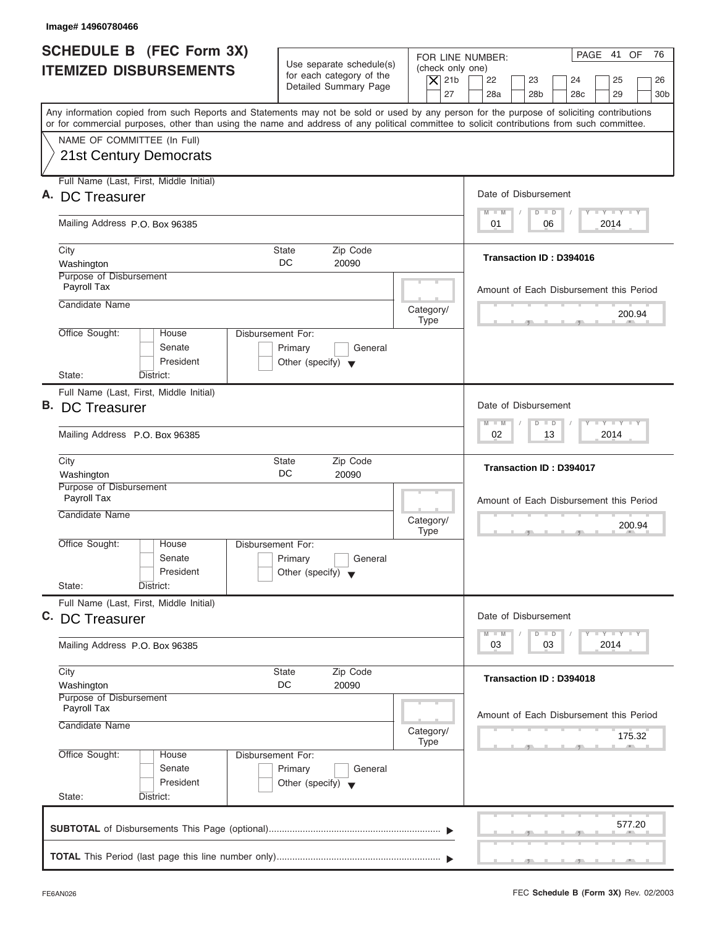|                          | Image# 14960780466                                        |                                                                                 |                                                                  |                                                                                                                                                                                                                                                                                         |
|--------------------------|-----------------------------------------------------------|---------------------------------------------------------------------------------|------------------------------------------------------------------|-----------------------------------------------------------------------------------------------------------------------------------------------------------------------------------------------------------------------------------------------------------------------------------------|
|                          | SCHEDULE B (FEC Form 3X)<br><b>ITEMIZED DISBURSEMENTS</b> | Use separate schedule(s)<br>for each category of the<br>Detailed Summary Page   | FOR LINE NUMBER:<br>(check only one)<br>$\overline{X}$ 21b<br>27 | PAGE 41 OF<br>76<br>22<br>23<br>24<br>25<br>26<br>28a<br>28 <sub>b</sub><br>28 <sub>c</sub><br>29<br>30 <sub>b</sub>                                                                                                                                                                    |
|                          |                                                           |                                                                                 |                                                                  | Any information copied from such Reports and Statements may not be sold or used by any person for the purpose of soliciting contributions<br>or for commercial purposes, other than using the name and address of any political committee to solicit contributions from such committee. |
|                          | NAME OF COMMITTEE (In Full)<br>21st Century Democrats     |                                                                                 |                                                                  |                                                                                                                                                                                                                                                                                         |
|                          | Full Name (Last, First, Middle Initial)                   |                                                                                 |                                                                  |                                                                                                                                                                                                                                                                                         |
|                          | A. DC Treasurer                                           |                                                                                 |                                                                  | Date of Disbursement                                                                                                                                                                                                                                                                    |
|                          | Mailing Address P.O. Box 96385                            |                                                                                 |                                                                  | $T - Y = T - Y = T - Y$<br>$D$ $D$<br>$M - M$<br>06<br>2014<br>01                                                                                                                                                                                                                       |
| City<br>Washington       |                                                           | Zip Code<br><b>State</b><br>DC<br>20090                                         |                                                                  | Transaction ID: D394016                                                                                                                                                                                                                                                                 |
| Payroll Tax              | Purpose of Disbursement                                   |                                                                                 |                                                                  | Amount of Each Disbursement this Period                                                                                                                                                                                                                                                 |
|                          | Candidate Name                                            |                                                                                 | Category/<br><b>Type</b>                                         | 200.94                                                                                                                                                                                                                                                                                  |
| Office Sought:           | House<br>Senate<br>President                              | Disbursement For:<br>Primary<br>General<br>Other (specify) $\blacktriangledown$ |                                                                  |                                                                                                                                                                                                                                                                                         |
| State:                   | District:<br>Full Name (Last, First, Middle Initial)      |                                                                                 |                                                                  |                                                                                                                                                                                                                                                                                         |
|                          | <b>B.</b> DC Treasurer                                    |                                                                                 |                                                                  | Date of Disbursement<br><b>LEYTEY LEY</b>                                                                                                                                                                                                                                               |
|                          | Mailing Address P.O. Box 96385                            |                                                                                 |                                                                  | $M - M$<br>$\overline{D}$<br>$\Box$<br>02<br>13<br>2014                                                                                                                                                                                                                                 |
| City<br>Washington       |                                                           | Zip Code<br><b>State</b><br>DC<br>20090                                         |                                                                  | Transaction ID: D394017                                                                                                                                                                                                                                                                 |
| Payroll Tax              | Purpose of Disbursement<br>Candidate Name                 |                                                                                 | Category/                                                        | Amount of Each Disbursement this Period<br>200.94                                                                                                                                                                                                                                       |
| Office Sought:<br>State: | House<br>Senate<br>President<br>District:                 | Disbursement For:<br>Primary<br>General<br>Other (specify) $\blacktriangledown$ | <b>Type</b>                                                      | $-7$                                                                                                                                                                                                                                                                                    |
|                          | Full Name (Last, First, Middle Initial)                   |                                                                                 |                                                                  |                                                                                                                                                                                                                                                                                         |
|                          | C. DC Treasurer                                           |                                                                                 |                                                                  | Date of Disbursement<br><b>LY LY LY</b><br>$M - M$<br>$\overline{D}$<br>$\Box$                                                                                                                                                                                                          |
|                          | Mailing Address P.O. Box 96385                            |                                                                                 |                                                                  | 2014<br>03<br>03                                                                                                                                                                                                                                                                        |
| City<br>Washington       |                                                           | Zip Code<br><b>State</b><br>DC<br>20090                                         |                                                                  | Transaction ID: D394018                                                                                                                                                                                                                                                                 |
| Payroll Tax              | Purpose of Disbursement<br>Candidate Name                 |                                                                                 |                                                                  | Amount of Each Disbursement this Period                                                                                                                                                                                                                                                 |
|                          |                                                           |                                                                                 | Category/<br><b>Type</b>                                         | 175.32                                                                                                                                                                                                                                                                                  |
| Office Sought:           | House<br>Senate<br>President                              | Disbursement For:<br>Primary<br>General<br>Other (specify) $\blacktriangledown$ |                                                                  |                                                                                                                                                                                                                                                                                         |
| State:                   | District:                                                 |                                                                                 |                                                                  |                                                                                                                                                                                                                                                                                         |
|                          |                                                           |                                                                                 |                                                                  | 577.20                                                                                                                                                                                                                                                                                  |
|                          |                                                           |                                                                                 |                                                                  |                                                                                                                                                                                                                                                                                         |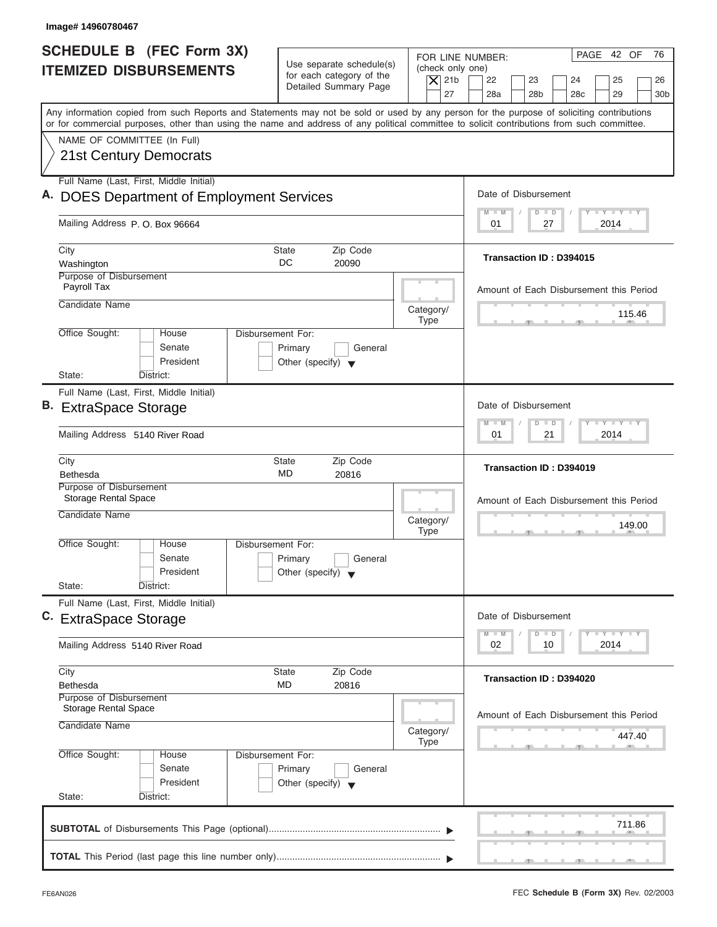| Image# 14960780467                                                                                                                                                                                                                                                                      |                                                                               |                                        |                                                                            |
|-----------------------------------------------------------------------------------------------------------------------------------------------------------------------------------------------------------------------------------------------------------------------------------------|-------------------------------------------------------------------------------|----------------------------------------|----------------------------------------------------------------------------|
| <b>SCHEDULE B (FEC Form 3X)</b>                                                                                                                                                                                                                                                         |                                                                               |                                        | PAGE 42 OF<br>76<br>FOR LINE NUMBER:                                       |
| <b>ITEMIZED DISBURSEMENTS</b>                                                                                                                                                                                                                                                           | Use separate schedule(s)<br>for each category of the<br>Detailed Summary Page | (check only one)<br>$\overline{X}$ 21b | 22<br>23<br>24<br>25<br>26                                                 |
|                                                                                                                                                                                                                                                                                         |                                                                               | 27                                     | 28a<br>28 <sub>b</sub><br>28 <sub>c</sub><br>29<br>30 <sub>b</sub>         |
| Any information copied from such Reports and Statements may not be sold or used by any person for the purpose of soliciting contributions<br>or for commercial purposes, other than using the name and address of any political committee to solicit contributions from such committee. |                                                                               |                                        |                                                                            |
| NAME OF COMMITTEE (In Full)                                                                                                                                                                                                                                                             |                                                                               |                                        |                                                                            |
| 21st Century Democrats                                                                                                                                                                                                                                                                  |                                                                               |                                        |                                                                            |
| Full Name (Last, First, Middle Initial)                                                                                                                                                                                                                                                 |                                                                               |                                        |                                                                            |
| A. DOES Department of Employment Services                                                                                                                                                                                                                                               |                                                                               |                                        | Date of Disbursement                                                       |
| Mailing Address P.O. Box 96664                                                                                                                                                                                                                                                          |                                                                               |                                        | $T - Y = T - Y = T - Y$<br>$M - M$<br>$D$ $D$<br>2014<br>01<br>27          |
| City                                                                                                                                                                                                                                                                                    | <b>State</b><br>Zip Code                                                      |                                        |                                                                            |
| Washington                                                                                                                                                                                                                                                                              | DC<br>20090                                                                   |                                        | Transaction ID: D394015                                                    |
| Purpose of Disbursement<br>Payroll Tax                                                                                                                                                                                                                                                  |                                                                               |                                        | Amount of Each Disbursement this Period                                    |
| Candidate Name                                                                                                                                                                                                                                                                          |                                                                               | Category/                              |                                                                            |
|                                                                                                                                                                                                                                                                                         |                                                                               | <b>Type</b>                            | 115.46                                                                     |
| Office Sought:<br>House<br>Senate                                                                                                                                                                                                                                                       | Disbursement For:<br>Primary<br>General                                       |                                        |                                                                            |
| President                                                                                                                                                                                                                                                                               | Other (specify) $\blacktriangledown$                                          |                                        |                                                                            |
| State:<br>District:                                                                                                                                                                                                                                                                     |                                                                               |                                        |                                                                            |
| Full Name (Last, First, Middle Initial)                                                                                                                                                                                                                                                 |                                                                               |                                        |                                                                            |
| B. ExtraSpace Storage                                                                                                                                                                                                                                                                   |                                                                               |                                        | Date of Disbursement                                                       |
| Mailing Address 5140 River Road                                                                                                                                                                                                                                                         |                                                                               |                                        | <b>LY LY LY</b><br>$M - M$<br>$\overline{D}$<br>$\Box$<br>2014<br>01<br>21 |
| City                                                                                                                                                                                                                                                                                    | Zip Code<br><b>State</b>                                                      |                                        |                                                                            |
| <b>Bethesda</b>                                                                                                                                                                                                                                                                         | MD<br>20816                                                                   |                                        | Transaction ID: D394019                                                    |
| Purpose of Disbursement<br><b>Storage Rental Space</b>                                                                                                                                                                                                                                  |                                                                               |                                        | Amount of Each Disbursement this Period                                    |
| Candidate Name                                                                                                                                                                                                                                                                          |                                                                               | Category/                              |                                                                            |
|                                                                                                                                                                                                                                                                                         |                                                                               | <b>Type</b>                            | 149.00<br>__                                                               |
| Office Sought:<br>House<br>Senate                                                                                                                                                                                                                                                       | Disbursement For:<br>Primary                                                  |                                        |                                                                            |
| President                                                                                                                                                                                                                                                                               | General<br>Other (specify) $\blacktriangledown$                               |                                        |                                                                            |
| State:<br>District:                                                                                                                                                                                                                                                                     |                                                                               |                                        |                                                                            |
| Full Name (Last, First, Middle Initial)                                                                                                                                                                                                                                                 |                                                                               |                                        |                                                                            |
| C. ExtraSpace Storage                                                                                                                                                                                                                                                                   |                                                                               |                                        | Date of Disbursement                                                       |
| Mailing Address 5140 River Road                                                                                                                                                                                                                                                         |                                                                               |                                        | $T - Y = Y - T Y$<br>$M - M$<br>D<br>$\Box$<br>2014<br>02<br>10            |
| City                                                                                                                                                                                                                                                                                    | <b>State</b><br>Zip Code                                                      |                                        |                                                                            |
| Bethesda                                                                                                                                                                                                                                                                                | MD<br>20816                                                                   |                                        | Transaction ID: D394020                                                    |
| Purpose of Disbursement<br><b>Storage Rental Space</b>                                                                                                                                                                                                                                  |                                                                               |                                        |                                                                            |
| Candidate Name                                                                                                                                                                                                                                                                          |                                                                               |                                        | Amount of Each Disbursement this Period                                    |
|                                                                                                                                                                                                                                                                                         |                                                                               | Category/<br><b>Type</b>               | 447.40                                                                     |
| Office Sought:<br>House                                                                                                                                                                                                                                                                 | Disbursement For:                                                             |                                        |                                                                            |
| Senate<br>President                                                                                                                                                                                                                                                                     | Primary<br>General<br>Other (specify) $\blacktriangledown$                    |                                        |                                                                            |
| State:<br>District:                                                                                                                                                                                                                                                                     |                                                                               |                                        |                                                                            |
|                                                                                                                                                                                                                                                                                         |                                                                               |                                        |                                                                            |
|                                                                                                                                                                                                                                                                                         |                                                                               |                                        | 711.86                                                                     |
|                                                                                                                                                                                                                                                                                         |                                                                               |                                        |                                                                            |
|                                                                                                                                                                                                                                                                                         |                                                                               |                                        |                                                                            |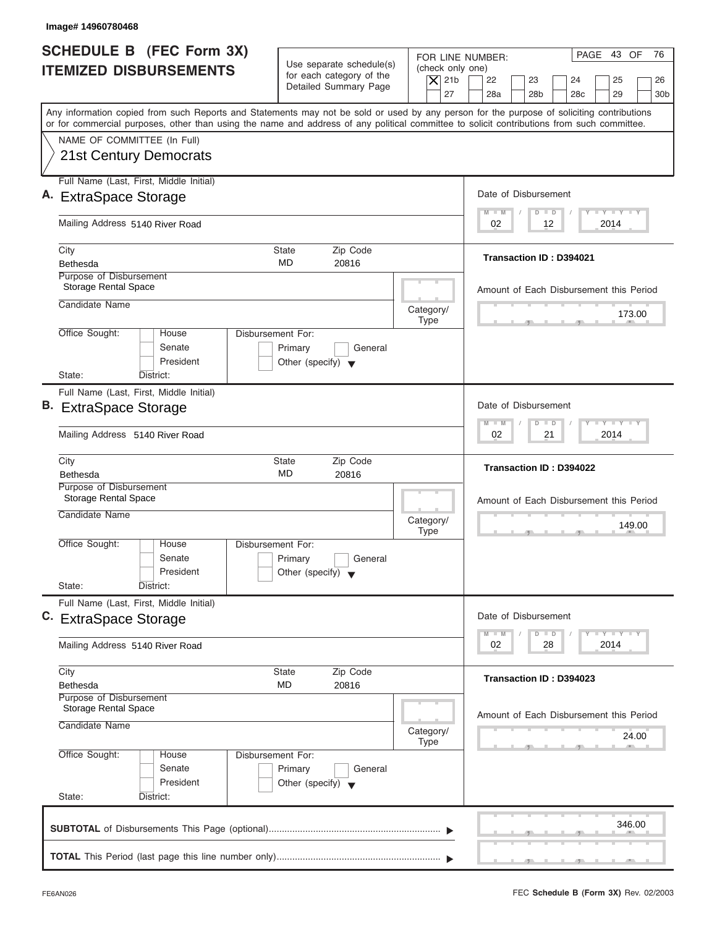| Image# 14960780468                                                                                                                                                                                                                                                                      |                                                                                        |                                                            |                                                                            |                 |
|-----------------------------------------------------------------------------------------------------------------------------------------------------------------------------------------------------------------------------------------------------------------------------------------|----------------------------------------------------------------------------------------|------------------------------------------------------------|----------------------------------------------------------------------------|-----------------|
| SCHEDULE B (FEC Form 3X)<br><b>ITEMIZED DISBURSEMENTS</b>                                                                                                                                                                                                                               | Use separate schedule(s)<br>for each category of the                                   | FOR LINE NUMBER:<br>(check only one)<br>$\overline{X}$ 21b | PAGE 43 OF<br>22<br>23<br>24<br>25                                         | 76<br>26        |
|                                                                                                                                                                                                                                                                                         | Detailed Summary Page                                                                  | 27                                                         | 28a<br>28 <sub>b</sub><br>28 <sub>c</sub><br>29                            | 30 <sub>b</sub> |
| Any information copied from such Reports and Statements may not be sold or used by any person for the purpose of soliciting contributions<br>or for commercial purposes, other than using the name and address of any political committee to solicit contributions from such committee. |                                                                                        |                                                            |                                                                            |                 |
| NAME OF COMMITTEE (In Full)<br><b>21st Century Democrats</b>                                                                                                                                                                                                                            |                                                                                        |                                                            |                                                                            |                 |
| Full Name (Last, First, Middle Initial)<br>A. ExtraSpace Storage                                                                                                                                                                                                                        |                                                                                        |                                                            | Date of Disbursement                                                       |                 |
| Mailing Address 5140 River Road                                                                                                                                                                                                                                                         |                                                                                        |                                                            | $L - Y = L - Y = L - Y$<br>$D$ $D$<br>$M - M$<br>2014<br>02<br>12          |                 |
| City<br>Bethesda                                                                                                                                                                                                                                                                        | Zip Code<br><b>State</b><br>MD<br>20816                                                |                                                            | <b>Transaction ID: D394021</b>                                             |                 |
| Purpose of Disbursement<br><b>Storage Rental Space</b>                                                                                                                                                                                                                                  |                                                                                        |                                                            | Amount of Each Disbursement this Period                                    |                 |
| Candidate Name                                                                                                                                                                                                                                                                          |                                                                                        | Category/<br><b>Type</b>                                   |                                                                            | 173.00          |
| Office Sought:<br>House<br>Senate<br>President                                                                                                                                                                                                                                          | <b>Disbursement For:</b><br>Primary<br>General<br>Other (specify) $\blacktriangledown$ |                                                            |                                                                            |                 |
| State:<br>District:<br>Full Name (Last, First, Middle Initial)                                                                                                                                                                                                                          |                                                                                        |                                                            |                                                                            |                 |
| B. ExtraSpace Storage                                                                                                                                                                                                                                                                   |                                                                                        |                                                            | Date of Disbursement<br>$-1$ $-1$ $-1$ $-1$ $-1$<br>$M - M$<br>$\Box$<br>D |                 |
| Mailing Address 5140 River Road                                                                                                                                                                                                                                                         |                                                                                        |                                                            | 02<br>2014<br>21                                                           |                 |
| City<br><b>Bethesda</b>                                                                                                                                                                                                                                                                 | Zip Code<br><b>State</b><br>MD<br>20816                                                |                                                            | Transaction ID: D394022                                                    |                 |
| Purpose of Disbursement<br><b>Storage Rental Space</b><br>Candidate Name                                                                                                                                                                                                                |                                                                                        | Category/<br><b>Type</b>                                   | Amount of Each Disbursement this Period<br>__                              | 149.00          |
| Office Sought:<br>House<br>Senate<br>President<br>State:<br>District:                                                                                                                                                                                                                   | Disbursement For:<br>Primary<br>General<br>Other (specify) $\blacktriangledown$        |                                                            |                                                                            |                 |
| Full Name (Last, First, Middle Initial)<br>C. ExtraSpace Storage                                                                                                                                                                                                                        |                                                                                        |                                                            | Date of Disbursement                                                       |                 |
| Mailing Address 5140 River Road                                                                                                                                                                                                                                                         |                                                                                        |                                                            | <b>LYLYLY</b><br>$M - M$<br>D<br>$\Box$<br>2014<br>02<br>28                |                 |
| City<br><b>Bethesda</b>                                                                                                                                                                                                                                                                 | Zip Code<br><b>State</b><br>MD<br>20816                                                |                                                            | Transaction ID: D394023                                                    |                 |
| Purpose of Disbursement<br>Storage Rental Space<br>Candidate Name                                                                                                                                                                                                                       |                                                                                        | Category/<br><b>Type</b>                                   | Amount of Each Disbursement this Period                                    | 24.00           |
| Office Sought:<br>House<br>Senate<br>President                                                                                                                                                                                                                                          | Disbursement For:<br>Primary<br>General<br>Other (specify) $\blacktriangledown$        |                                                            |                                                                            |                 |
| State:<br>District:                                                                                                                                                                                                                                                                     |                                                                                        |                                                            | 346.00                                                                     |                 |
|                                                                                                                                                                                                                                                                                         |                                                                                        |                                                            |                                                                            |                 |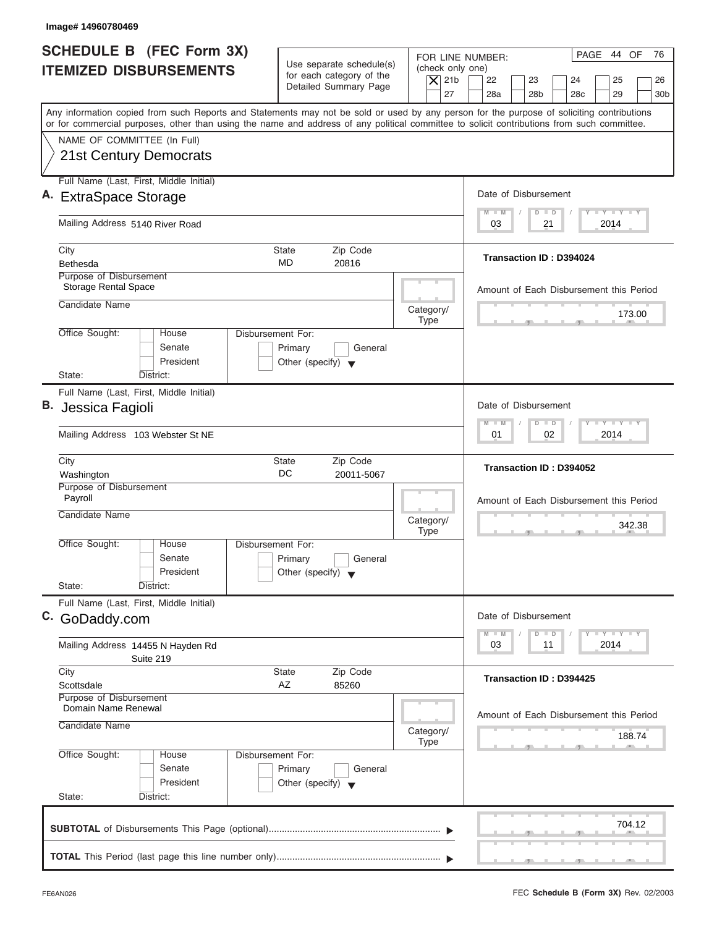| Image# 14960780469                                                                                                                                                                                                                                                                      |                                                                                 |                                                            |                                                 |                                                                                       |
|-----------------------------------------------------------------------------------------------------------------------------------------------------------------------------------------------------------------------------------------------------------------------------------------|---------------------------------------------------------------------------------|------------------------------------------------------------|-------------------------------------------------|---------------------------------------------------------------------------------------|
| <b>SCHEDULE B (FEC Form 3X)</b><br><b>ITEMIZED DISBURSEMENTS</b>                                                                                                                                                                                                                        | Use separate schedule(s)<br>for each category of the                            | FOR LINE NUMBER:<br>(check only one)<br>$\vert$ $\chi$ 21b | 22<br>23                                        | PAGE 44 OF<br>76<br>24<br>25<br>26                                                    |
|                                                                                                                                                                                                                                                                                         | Detailed Summary Page                                                           | 27                                                         | 28a<br>28 <sub>b</sub>                          | 28 <sub>c</sub><br>29<br>30 <sub>b</sub>                                              |
| Any information copied from such Reports and Statements may not be sold or used by any person for the purpose of soliciting contributions<br>or for commercial purposes, other than using the name and address of any political committee to solicit contributions from such committee. |                                                                                 |                                                            |                                                 |                                                                                       |
| NAME OF COMMITTEE (In Full)                                                                                                                                                                                                                                                             |                                                                                 |                                                            |                                                 |                                                                                       |
| 21st Century Democrats                                                                                                                                                                                                                                                                  |                                                                                 |                                                            |                                                 |                                                                                       |
| Full Name (Last, First, Middle Initial)                                                                                                                                                                                                                                                 |                                                                                 |                                                            |                                                 |                                                                                       |
| A. ExtraSpace Storage                                                                                                                                                                                                                                                                   |                                                                                 |                                                            | Date of Disbursement                            | $L - Y = L - Y = L - Y$                                                               |
| Mailing Address 5140 River Road                                                                                                                                                                                                                                                         |                                                                                 |                                                            | $M - M$<br>$\Box$<br>$\Box$<br>03<br>21         | 2014                                                                                  |
| City                                                                                                                                                                                                                                                                                    | Zip Code<br><b>State</b>                                                        |                                                            |                                                 |                                                                                       |
| Bethesda                                                                                                                                                                                                                                                                                | <b>MD</b><br>20816                                                              |                                                            | <b>Transaction ID: D394024</b>                  |                                                                                       |
| Purpose of Disbursement<br><b>Storage Rental Space</b>                                                                                                                                                                                                                                  |                                                                                 |                                                            |                                                 | Amount of Each Disbursement this Period                                               |
| Candidate Name                                                                                                                                                                                                                                                                          |                                                                                 | Category/                                                  |                                                 |                                                                                       |
|                                                                                                                                                                                                                                                                                         |                                                                                 | <b>Type</b>                                                |                                                 | 173.00                                                                                |
| Office Sought:<br>House<br>Senate<br>President                                                                                                                                                                                                                                          | Disbursement For:<br>Primary<br>General<br>Other (specify) $\blacktriangledown$ |                                                            |                                                 |                                                                                       |
| State:<br>District:                                                                                                                                                                                                                                                                     |                                                                                 |                                                            |                                                 |                                                                                       |
| Full Name (Last, First, Middle Initial)<br><b>B.</b> Jessica Fagioli                                                                                                                                                                                                                    |                                                                                 |                                                            | Date of Disbursement                            |                                                                                       |
| Mailing Address 103 Webster St NE                                                                                                                                                                                                                                                       |                                                                                 |                                                            | $\Box$<br>$M - M$<br>$\overline{D}$<br>02<br>01 | $-Y$ $+Y$ $-+Y$<br>2014                                                               |
|                                                                                                                                                                                                                                                                                         |                                                                                 |                                                            |                                                 |                                                                                       |
| City<br>Washington                                                                                                                                                                                                                                                                      | Zip Code<br>State<br>DC<br>20011-5067                                           |                                                            | Transaction ID: D394052                         |                                                                                       |
| Purpose of Disbursement<br>Payroll                                                                                                                                                                                                                                                      |                                                                                 |                                                            |                                                 | Amount of Each Disbursement this Period                                               |
| Candidate Name                                                                                                                                                                                                                                                                          |                                                                                 | Category/<br><b>Type</b>                                   |                                                 | 342.38<br>. .                                                                         |
| Office Sought:<br>House                                                                                                                                                                                                                                                                 | Disbursement For:                                                               |                                                            |                                                 |                                                                                       |
| Senate                                                                                                                                                                                                                                                                                  | Primary<br>General                                                              |                                                            |                                                 |                                                                                       |
| President<br>State:<br>District:                                                                                                                                                                                                                                                        | Other (specify) $\blacktriangledown$                                            |                                                            |                                                 |                                                                                       |
| Full Name (Last, First, Middle Initial)                                                                                                                                                                                                                                                 |                                                                                 |                                                            |                                                 |                                                                                       |
| C. GoDaddy.com                                                                                                                                                                                                                                                                          |                                                                                 |                                                            | Date of Disbursement                            |                                                                                       |
|                                                                                                                                                                                                                                                                                         |                                                                                 |                                                            | $M - M$<br>$\Box$<br>D<br>03<br>11              | $\mathbf{I}$ $\mathbf{Y}$ $\mathbf{I}$ $\mathbf{Y}$ $\mathbf{I}$ $\mathbf{Y}$<br>2014 |
| Mailing Address 14455 N Hayden Rd<br>Suite 219                                                                                                                                                                                                                                          |                                                                                 |                                                            |                                                 |                                                                                       |
| City                                                                                                                                                                                                                                                                                    | Zip Code<br>State                                                               |                                                            | Transaction ID: D394425                         |                                                                                       |
| Scottsdale<br>Purpose of Disbursement                                                                                                                                                                                                                                                   | AZ<br>85260                                                                     |                                                            |                                                 |                                                                                       |
| Domain Name Renewal                                                                                                                                                                                                                                                                     |                                                                                 |                                                            |                                                 | Amount of Each Disbursement this Period                                               |
| Candidate Name                                                                                                                                                                                                                                                                          |                                                                                 | Category/<br><b>Type</b>                                   |                                                 | 188.74                                                                                |
| Office Sought:<br>House                                                                                                                                                                                                                                                                 | Disbursement For:                                                               |                                                            |                                                 |                                                                                       |
| Senate                                                                                                                                                                                                                                                                                  | Primary<br>General                                                              |                                                            |                                                 |                                                                                       |
| President<br>State:<br>District:                                                                                                                                                                                                                                                        | Other (specify) $\blacktriangledown$                                            |                                                            |                                                 |                                                                                       |
|                                                                                                                                                                                                                                                                                         |                                                                                 |                                                            |                                                 |                                                                                       |
|                                                                                                                                                                                                                                                                                         |                                                                                 |                                                            |                                                 | 704.12                                                                                |
|                                                                                                                                                                                                                                                                                         |                                                                                 |                                                            |                                                 |                                                                                       |
|                                                                                                                                                                                                                                                                                         |                                                                                 |                                                            |                                                 |                                                                                       |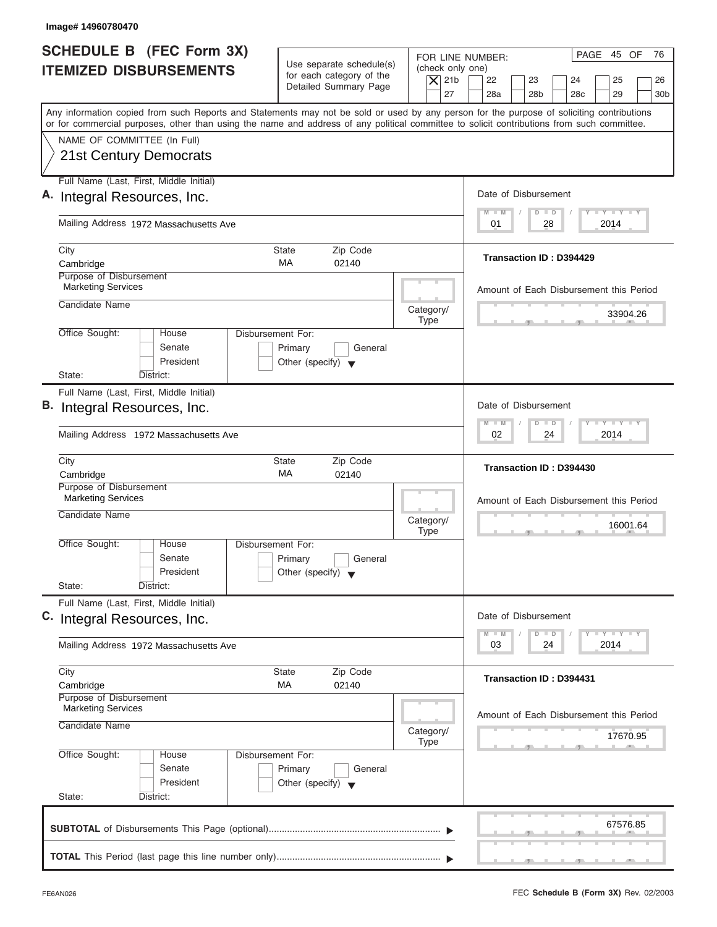| SCHEDULE B (FEC Form 3X)<br><b>ITEMIZED DISBURSEMENTS</b><br>Any information copied from such Reports and Statements may not be sold or used by any person for the purpose of soliciting contributions<br>or for commercial purposes, other than using the name and address of any political committee to solicit contributions from such committee.<br>NAME OF COMMITTEE (In Full)<br>21st Century Democrats<br>Full Name (Last, First, Middle Initial)<br>A. Integral Resources, Inc.<br>Mailing Address 1972 Massachusetts Ave | Use separate schedule(s)<br>for each category of the<br>Detailed Summary Page | (check only one)<br>$\overline{X}$ 21b<br>27 | PAGE 45 OF<br>76<br>FOR LINE NUMBER:<br>22<br>23<br>24<br>25<br>26<br>28a<br>28 <sub>b</sub><br>28 <sub>c</sub><br>29<br>30 <sub>b</sub> |
|-----------------------------------------------------------------------------------------------------------------------------------------------------------------------------------------------------------------------------------------------------------------------------------------------------------------------------------------------------------------------------------------------------------------------------------------------------------------------------------------------------------------------------------|-------------------------------------------------------------------------------|----------------------------------------------|------------------------------------------------------------------------------------------------------------------------------------------|
|                                                                                                                                                                                                                                                                                                                                                                                                                                                                                                                                   |                                                                               |                                              |                                                                                                                                          |
|                                                                                                                                                                                                                                                                                                                                                                                                                                                                                                                                   |                                                                               |                                              |                                                                                                                                          |
|                                                                                                                                                                                                                                                                                                                                                                                                                                                                                                                                   |                                                                               |                                              |                                                                                                                                          |
|                                                                                                                                                                                                                                                                                                                                                                                                                                                                                                                                   |                                                                               |                                              |                                                                                                                                          |
|                                                                                                                                                                                                                                                                                                                                                                                                                                                                                                                                   |                                                                               |                                              |                                                                                                                                          |
|                                                                                                                                                                                                                                                                                                                                                                                                                                                                                                                                   |                                                                               |                                              |                                                                                                                                          |
|                                                                                                                                                                                                                                                                                                                                                                                                                                                                                                                                   |                                                                               |                                              | Date of Disbursement                                                                                                                     |
|                                                                                                                                                                                                                                                                                                                                                                                                                                                                                                                                   |                                                                               |                                              | $T - Y = T - Y = T - Y$<br>$M - M$<br>$D$ $D$<br>28<br>2014<br>01                                                                        |
| City                                                                                                                                                                                                                                                                                                                                                                                                                                                                                                                              | <b>State</b><br>Zip Code                                                      |                                              |                                                                                                                                          |
| Cambridge                                                                                                                                                                                                                                                                                                                                                                                                                                                                                                                         | MA<br>02140                                                                   |                                              | Transaction ID: D394429                                                                                                                  |
| Purpose of Disbursement<br><b>Marketing Services</b>                                                                                                                                                                                                                                                                                                                                                                                                                                                                              |                                                                               |                                              | Amount of Each Disbursement this Period                                                                                                  |
| Candidate Name                                                                                                                                                                                                                                                                                                                                                                                                                                                                                                                    |                                                                               | Category/                                    | 33904.26                                                                                                                                 |
| Office Sought:<br>House                                                                                                                                                                                                                                                                                                                                                                                                                                                                                                           | Disbursement For:                                                             | <b>Type</b>                                  |                                                                                                                                          |
| Senate                                                                                                                                                                                                                                                                                                                                                                                                                                                                                                                            | Primary<br>General                                                            |                                              |                                                                                                                                          |
| President                                                                                                                                                                                                                                                                                                                                                                                                                                                                                                                         | Other (specify) $\blacktriangledown$                                          |                                              |                                                                                                                                          |
| State:<br>District:                                                                                                                                                                                                                                                                                                                                                                                                                                                                                                               |                                                                               |                                              |                                                                                                                                          |
| Full Name (Last, First, Middle Initial)<br>B. Integral Resources, Inc.                                                                                                                                                                                                                                                                                                                                                                                                                                                            |                                                                               |                                              | Date of Disbursement                                                                                                                     |
|                                                                                                                                                                                                                                                                                                                                                                                                                                                                                                                                   |                                                                               |                                              | <b>LEYELEYELE</b><br>$M - M$<br>$\overline{D}$<br>$\Box$                                                                                 |
| Mailing Address 1972 Massachusetts Ave                                                                                                                                                                                                                                                                                                                                                                                                                                                                                            |                                                                               |                                              | 2014<br>02<br>24                                                                                                                         |
| City<br>Cambridge                                                                                                                                                                                                                                                                                                                                                                                                                                                                                                                 | Zip Code<br><b>State</b><br>МA<br>02140                                       |                                              | Transaction ID: D394430                                                                                                                  |
| Purpose of Disbursement                                                                                                                                                                                                                                                                                                                                                                                                                                                                                                           |                                                                               |                                              |                                                                                                                                          |
| <b>Marketing Services</b>                                                                                                                                                                                                                                                                                                                                                                                                                                                                                                         |                                                                               |                                              | Amount of Each Disbursement this Period                                                                                                  |
| Candidate Name                                                                                                                                                                                                                                                                                                                                                                                                                                                                                                                    |                                                                               | Category/<br><b>Type</b>                     | 16001.64                                                                                                                                 |
| Office Sought:<br>House                                                                                                                                                                                                                                                                                                                                                                                                                                                                                                           | Disbursement For:                                                             |                                              | $\overline{2}$                                                                                                                           |
| Senate                                                                                                                                                                                                                                                                                                                                                                                                                                                                                                                            | Primary<br>General                                                            |                                              |                                                                                                                                          |
| President<br>State:<br>District:                                                                                                                                                                                                                                                                                                                                                                                                                                                                                                  | Other (specify) $\blacktriangledown$                                          |                                              |                                                                                                                                          |
| Full Name (Last, First, Middle Initial)                                                                                                                                                                                                                                                                                                                                                                                                                                                                                           |                                                                               |                                              |                                                                                                                                          |
| C. Integral Resources, Inc.                                                                                                                                                                                                                                                                                                                                                                                                                                                                                                       |                                                                               |                                              | Date of Disbursement                                                                                                                     |
| Mailing Address 1972 Massachusetts Ave                                                                                                                                                                                                                                                                                                                                                                                                                                                                                            |                                                                               |                                              | $T - Y = Y - T Y$<br>$M - M$<br>D<br>$\Box$<br>2014<br>03<br>24                                                                          |
| City                                                                                                                                                                                                                                                                                                                                                                                                                                                                                                                              | Zip Code<br><b>State</b>                                                      |                                              |                                                                                                                                          |
| Cambridge                                                                                                                                                                                                                                                                                                                                                                                                                                                                                                                         | МA<br>02140                                                                   |                                              | Transaction ID: D394431                                                                                                                  |
| Purpose of Disbursement<br><b>Marketing Services</b>                                                                                                                                                                                                                                                                                                                                                                                                                                                                              |                                                                               |                                              | Amount of Each Disbursement this Period                                                                                                  |
| Candidate Name                                                                                                                                                                                                                                                                                                                                                                                                                                                                                                                    |                                                                               | Category/                                    | 17670.95                                                                                                                                 |
| Office Sought:<br>House                                                                                                                                                                                                                                                                                                                                                                                                                                                                                                           | Disbursement For:                                                             | <b>Type</b>                                  |                                                                                                                                          |
| Senate                                                                                                                                                                                                                                                                                                                                                                                                                                                                                                                            | Primary<br>General                                                            |                                              |                                                                                                                                          |
| President                                                                                                                                                                                                                                                                                                                                                                                                                                                                                                                         | Other (specify) $\blacktriangledown$                                          |                                              |                                                                                                                                          |
| State:<br>District:                                                                                                                                                                                                                                                                                                                                                                                                                                                                                                               |                                                                               |                                              |                                                                                                                                          |
|                                                                                                                                                                                                                                                                                                                                                                                                                                                                                                                                   |                                                                               |                                              | 67576.85                                                                                                                                 |
|                                                                                                                                                                                                                                                                                                                                                                                                                                                                                                                                   |                                                                               |                                              |                                                                                                                                          |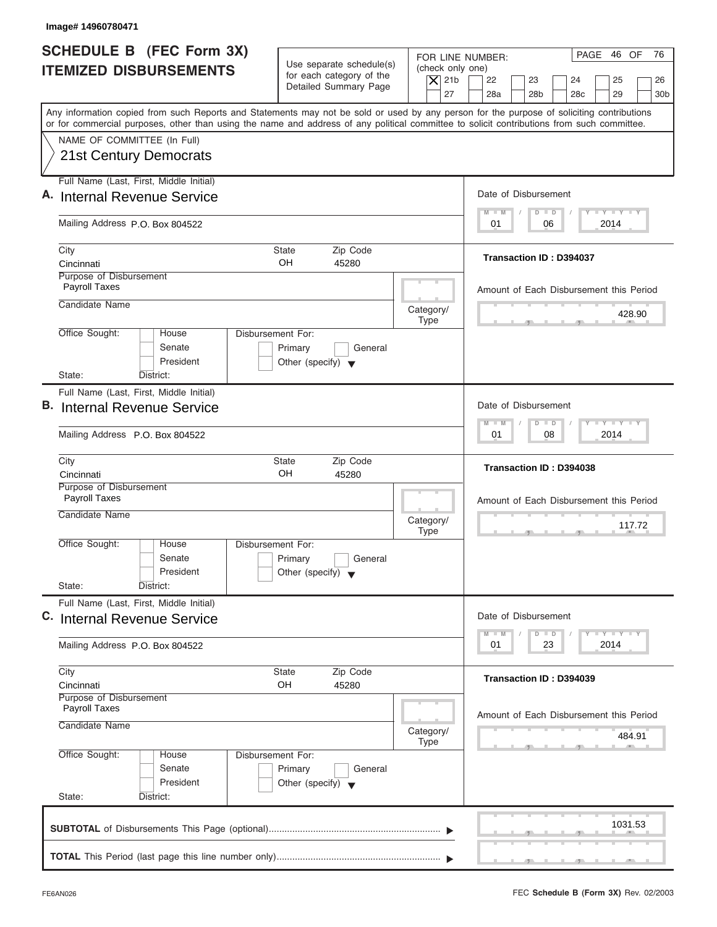| Image# 14960780471                                                                                                                                                                                                                                                                      |                                                                                                |                                                                                                                                                                                          |
|-----------------------------------------------------------------------------------------------------------------------------------------------------------------------------------------------------------------------------------------------------------------------------------------|------------------------------------------------------------------------------------------------|------------------------------------------------------------------------------------------------------------------------------------------------------------------------------------------|
| <b>SCHEDULE B (FEC Form 3X)</b><br><b>ITEMIZED DISBURSEMENTS</b>                                                                                                                                                                                                                        | Use separate schedule(s)<br>for each category of the<br>Detailed Summary Page                  | PAGE 46 OF<br>76<br>FOR LINE NUMBER:<br>(check only one)<br>$\vert$ $\chi$ 21b<br>22<br>23<br>24<br>25<br>26<br>27<br>28a<br>28 <sub>b</sub><br>28 <sub>c</sub><br>29<br>30 <sub>b</sub> |
| Any information copied from such Reports and Statements may not be sold or used by any person for the purpose of soliciting contributions<br>or for commercial purposes, other than using the name and address of any political committee to solicit contributions from such committee. |                                                                                                |                                                                                                                                                                                          |
| NAME OF COMMITTEE (In Full)<br><b>21st Century Democrats</b>                                                                                                                                                                                                                            |                                                                                                |                                                                                                                                                                                          |
| Full Name (Last, First, Middle Initial)<br>A. Internal Revenue Service                                                                                                                                                                                                                  |                                                                                                | Date of Disbursement                                                                                                                                                                     |
| Mailing Address P.O. Box 804522                                                                                                                                                                                                                                                         |                                                                                                | $L - Y = L - Y = L - Y$<br>$D$ $D$<br>$M - M$<br>2014<br>01<br>06                                                                                                                        |
| City<br>Cincinnati                                                                                                                                                                                                                                                                      | Zip Code<br><b>State</b><br>OH<br>45280                                                        | <b>Transaction ID: D394037</b>                                                                                                                                                           |
| Purpose of Disbursement<br>Payroll Taxes<br>Candidate Name                                                                                                                                                                                                                              | Category/                                                                                      | Amount of Each Disbursement this Period                                                                                                                                                  |
| Office Sought:<br>House<br>Senate<br>President<br>State:<br>District:                                                                                                                                                                                                                   | <b>Type</b><br>Disbursement For:<br>Primary<br>General<br>Other (specify) $\blacktriangledown$ | 428.90                                                                                                                                                                                   |
| Full Name (Last, First, Middle Initial)<br><b>B.</b> Internal Revenue Service                                                                                                                                                                                                           |                                                                                                | Date of Disbursement<br>$-Y$ $Y$ $Y$ $Y$<br>$\Box$<br>$M - M$<br>$\overline{D}$                                                                                                          |
| Mailing Address P.O. Box 804522                                                                                                                                                                                                                                                         |                                                                                                | 08<br>2014<br>01                                                                                                                                                                         |
| City<br>Cincinnati                                                                                                                                                                                                                                                                      | Zip Code<br>State<br>OH<br>45280                                                               | Transaction ID: D394038                                                                                                                                                                  |
| Purpose of Disbursement<br>Payroll Taxes<br>Candidate Name                                                                                                                                                                                                                              | Category/<br><b>Type</b>                                                                       | Amount of Each Disbursement this Period<br>117.72<br>$-7$                                                                                                                                |
| Office Sought:<br>House<br>Senate<br>President<br>State:<br>District:                                                                                                                                                                                                                   | Disbursement For:<br>Primary<br>General<br>Other (specify) $\blacktriangledown$                |                                                                                                                                                                                          |
| Full Name (Last, First, Middle Initial)<br>C. Internal Revenue Service                                                                                                                                                                                                                  |                                                                                                | Date of Disbursement<br>$\mathbf{I}$ $\mathbf{Y}$ $\mathbf{I}$ $\mathbf{Y}$ $\mathbf{I}$ $\mathbf{Y}$<br>$M - M$<br>$\Box$<br>D                                                          |
| Mailing Address P.O. Box 804522                                                                                                                                                                                                                                                         |                                                                                                | 2014<br>01<br>23                                                                                                                                                                         |
| City<br>Cincinnati                                                                                                                                                                                                                                                                      | Zip Code<br>State<br>OH<br>45280                                                               | Transaction ID: D394039                                                                                                                                                                  |
| Purpose of Disbursement<br>Payroll Taxes<br>Candidate Name                                                                                                                                                                                                                              | Category/<br><b>Type</b>                                                                       | Amount of Each Disbursement this Period<br>484.91                                                                                                                                        |
| Office Sought:<br>House<br>Senate<br>President<br>State:<br>District:                                                                                                                                                                                                                   | Disbursement For:<br>Primary<br>General<br>Other (specify) $\blacktriangledown$                |                                                                                                                                                                                          |
|                                                                                                                                                                                                                                                                                         |                                                                                                | 1031.53                                                                                                                                                                                  |
|                                                                                                                                                                                                                                                                                         |                                                                                                |                                                                                                                                                                                          |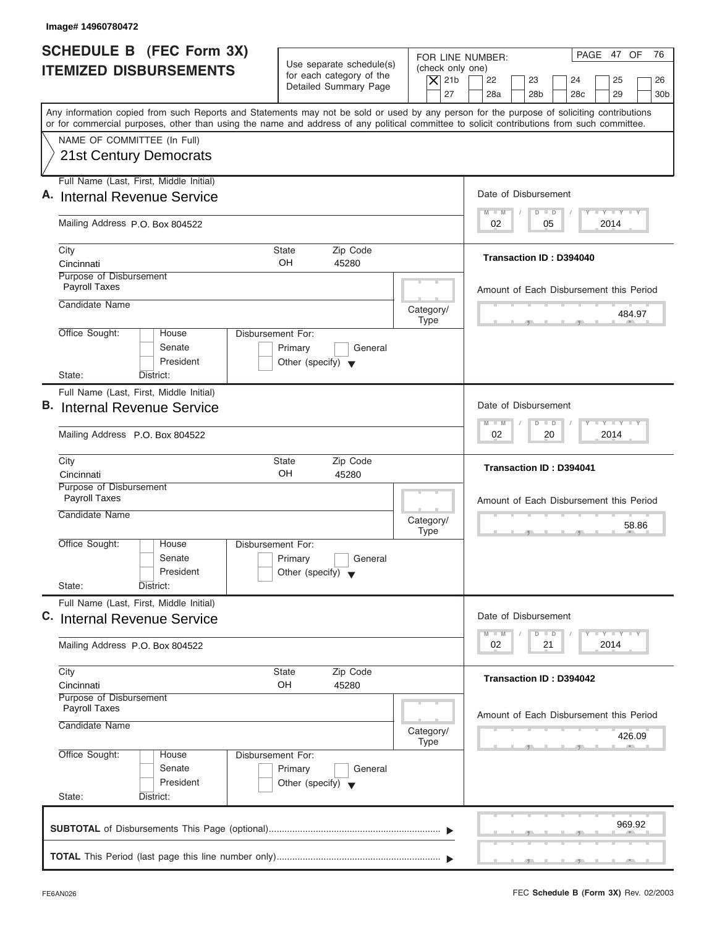| PAGE 47 OF<br>FOR LINE NUMBER:<br>Use separate schedule(s)<br>(check only one)<br>for each category of the<br>$\overline{X}$ 21b<br>22<br>23<br>24<br>25<br>Detailed Summary Page<br>27<br>28a<br>28 <sub>b</sub><br>28 <sub>c</sub><br>29<br>Any information copied from such Reports and Statements may not be sold or used by any person for the purpose of soliciting contributions<br>or for commercial purposes, other than using the name and address of any political committee to solicit contributions from such committee.<br>NAME OF COMMITTEE (In Full)<br>21st Century Democrats<br>Full Name (Last, First, Middle Initial)<br>Date of Disbursement<br>$T - Y = T - Y = T - Y$<br>$D$ $D$<br>$M - M$<br>Mailing Address P.O. Box 804522<br>2014<br>02<br>05<br>City<br><b>State</b><br>Zip Code<br>Transaction ID: D394040<br>OH<br>Cincinnati<br>45280<br>Purpose of Disbursement<br>Payroll Taxes<br>Candidate Name<br>Category/<br><b>Type</b><br>Office Sought:<br>Disbursement For:<br>House<br>Senate<br>Primary<br>General<br>President<br>Other (specify) $\blacktriangledown$<br>State:<br>District:<br>Full Name (Last, First, Middle Initial)<br>Date of Disbursement<br><b>LY LY LY</b><br>$M - M$<br>$\Box$<br>$\overline{D}$<br>02<br>20<br>2014<br>Mailing Address P.O. Box 804522<br>Zip Code<br>City<br><b>State</b><br><b>Transaction ID: D394041</b><br>OH<br>Cincinnati<br>45280<br>Purpose of Disbursement<br>Payroll Taxes<br>Candidate Name<br>Category/<br><b>Type</b><br>$-5$<br>Office Sought:<br>House<br>Disbursement For:<br>Senate<br>Primary<br>General<br>President<br>Other (specify) $\blacktriangledown$<br>State:<br>District:<br>Full Name (Last, First, Middle Initial)<br>Date of Disbursement<br><b>LY LY LY</b><br>$M - M$<br>$\overline{D}$<br>$\Box$<br>2014<br>02<br>21<br>Mailing Address P.O. Box 804522<br>Zip Code<br>City<br><b>State</b><br>Transaction ID: D394042<br>OH<br>45280<br>Cincinnati<br>Purpose of Disbursement<br><b>Payroll Taxes</b><br>Candidate Name<br>Category/<br><b>Type</b><br>Office Sought:<br>Disbursement For:<br>House<br>Senate<br>Primary<br>General<br>President<br>Other (specify) $\blacktriangledown$<br>State:<br>District: | Image# 14960780472                                        |                                                   |
|-------------------------------------------------------------------------------------------------------------------------------------------------------------------------------------------------------------------------------------------------------------------------------------------------------------------------------------------------------------------------------------------------------------------------------------------------------------------------------------------------------------------------------------------------------------------------------------------------------------------------------------------------------------------------------------------------------------------------------------------------------------------------------------------------------------------------------------------------------------------------------------------------------------------------------------------------------------------------------------------------------------------------------------------------------------------------------------------------------------------------------------------------------------------------------------------------------------------------------------------------------------------------------------------------------------------------------------------------------------------------------------------------------------------------------------------------------------------------------------------------------------------------------------------------------------------------------------------------------------------------------------------------------------------------------------------------------------------------------------------------------------------------------------------------------------------------------------------------------------------------------------------------------------------------------------------------------------------------------------------------------------------------------------------------------------------------------------------------------------------------------------------------------------------------------------------------------------------------------|-----------------------------------------------------------|---------------------------------------------------|
|                                                                                                                                                                                                                                                                                                                                                                                                                                                                                                                                                                                                                                                                                                                                                                                                                                                                                                                                                                                                                                                                                                                                                                                                                                                                                                                                                                                                                                                                                                                                                                                                                                                                                                                                                                                                                                                                                                                                                                                                                                                                                                                                                                                                                               | SCHEDULE B (FEC Form 3X)<br><b>ITEMIZED DISBURSEMENTS</b> | 76<br>26<br>30 <sub>b</sub>                       |
| A. Internal Revenue Service<br><b>B.</b> Internal Revenue Service<br>C. Internal Revenue Service                                                                                                                                                                                                                                                                                                                                                                                                                                                                                                                                                                                                                                                                                                                                                                                                                                                                                                                                                                                                                                                                                                                                                                                                                                                                                                                                                                                                                                                                                                                                                                                                                                                                                                                                                                                                                                                                                                                                                                                                                                                                                                                              |                                                           |                                                   |
|                                                                                                                                                                                                                                                                                                                                                                                                                                                                                                                                                                                                                                                                                                                                                                                                                                                                                                                                                                                                                                                                                                                                                                                                                                                                                                                                                                                                                                                                                                                                                                                                                                                                                                                                                                                                                                                                                                                                                                                                                                                                                                                                                                                                                               |                                                           |                                                   |
|                                                                                                                                                                                                                                                                                                                                                                                                                                                                                                                                                                                                                                                                                                                                                                                                                                                                                                                                                                                                                                                                                                                                                                                                                                                                                                                                                                                                                                                                                                                                                                                                                                                                                                                                                                                                                                                                                                                                                                                                                                                                                                                                                                                                                               |                                                           |                                                   |
|                                                                                                                                                                                                                                                                                                                                                                                                                                                                                                                                                                                                                                                                                                                                                                                                                                                                                                                                                                                                                                                                                                                                                                                                                                                                                                                                                                                                                                                                                                                                                                                                                                                                                                                                                                                                                                                                                                                                                                                                                                                                                                                                                                                                                               |                                                           |                                                   |
|                                                                                                                                                                                                                                                                                                                                                                                                                                                                                                                                                                                                                                                                                                                                                                                                                                                                                                                                                                                                                                                                                                                                                                                                                                                                                                                                                                                                                                                                                                                                                                                                                                                                                                                                                                                                                                                                                                                                                                                                                                                                                                                                                                                                                               |                                                           |                                                   |
|                                                                                                                                                                                                                                                                                                                                                                                                                                                                                                                                                                                                                                                                                                                                                                                                                                                                                                                                                                                                                                                                                                                                                                                                                                                                                                                                                                                                                                                                                                                                                                                                                                                                                                                                                                                                                                                                                                                                                                                                                                                                                                                                                                                                                               |                                                           | Amount of Each Disbursement this Period           |
|                                                                                                                                                                                                                                                                                                                                                                                                                                                                                                                                                                                                                                                                                                                                                                                                                                                                                                                                                                                                                                                                                                                                                                                                                                                                                                                                                                                                                                                                                                                                                                                                                                                                                                                                                                                                                                                                                                                                                                                                                                                                                                                                                                                                                               |                                                           | 484.97                                            |
|                                                                                                                                                                                                                                                                                                                                                                                                                                                                                                                                                                                                                                                                                                                                                                                                                                                                                                                                                                                                                                                                                                                                                                                                                                                                                                                                                                                                                                                                                                                                                                                                                                                                                                                                                                                                                                                                                                                                                                                                                                                                                                                                                                                                                               |                                                           |                                                   |
|                                                                                                                                                                                                                                                                                                                                                                                                                                                                                                                                                                                                                                                                                                                                                                                                                                                                                                                                                                                                                                                                                                                                                                                                                                                                                                                                                                                                                                                                                                                                                                                                                                                                                                                                                                                                                                                                                                                                                                                                                                                                                                                                                                                                                               |                                                           |                                                   |
|                                                                                                                                                                                                                                                                                                                                                                                                                                                                                                                                                                                                                                                                                                                                                                                                                                                                                                                                                                                                                                                                                                                                                                                                                                                                                                                                                                                                                                                                                                                                                                                                                                                                                                                                                                                                                                                                                                                                                                                                                                                                                                                                                                                                                               |                                                           |                                                   |
|                                                                                                                                                                                                                                                                                                                                                                                                                                                                                                                                                                                                                                                                                                                                                                                                                                                                                                                                                                                                                                                                                                                                                                                                                                                                                                                                                                                                                                                                                                                                                                                                                                                                                                                                                                                                                                                                                                                                                                                                                                                                                                                                                                                                                               |                                                           | Amount of Each Disbursement this Period<br>58.86  |
|                                                                                                                                                                                                                                                                                                                                                                                                                                                                                                                                                                                                                                                                                                                                                                                                                                                                                                                                                                                                                                                                                                                                                                                                                                                                                                                                                                                                                                                                                                                                                                                                                                                                                                                                                                                                                                                                                                                                                                                                                                                                                                                                                                                                                               |                                                           |                                                   |
|                                                                                                                                                                                                                                                                                                                                                                                                                                                                                                                                                                                                                                                                                                                                                                                                                                                                                                                                                                                                                                                                                                                                                                                                                                                                                                                                                                                                                                                                                                                                                                                                                                                                                                                                                                                                                                                                                                                                                                                                                                                                                                                                                                                                                               |                                                           |                                                   |
|                                                                                                                                                                                                                                                                                                                                                                                                                                                                                                                                                                                                                                                                                                                                                                                                                                                                                                                                                                                                                                                                                                                                                                                                                                                                                                                                                                                                                                                                                                                                                                                                                                                                                                                                                                                                                                                                                                                                                                                                                                                                                                                                                                                                                               |                                                           |                                                   |
|                                                                                                                                                                                                                                                                                                                                                                                                                                                                                                                                                                                                                                                                                                                                                                                                                                                                                                                                                                                                                                                                                                                                                                                                                                                                                                                                                                                                                                                                                                                                                                                                                                                                                                                                                                                                                                                                                                                                                                                                                                                                                                                                                                                                                               |                                                           |                                                   |
|                                                                                                                                                                                                                                                                                                                                                                                                                                                                                                                                                                                                                                                                                                                                                                                                                                                                                                                                                                                                                                                                                                                                                                                                                                                                                                                                                                                                                                                                                                                                                                                                                                                                                                                                                                                                                                                                                                                                                                                                                                                                                                                                                                                                                               |                                                           | Amount of Each Disbursement this Period<br>426.09 |
|                                                                                                                                                                                                                                                                                                                                                                                                                                                                                                                                                                                                                                                                                                                                                                                                                                                                                                                                                                                                                                                                                                                                                                                                                                                                                                                                                                                                                                                                                                                                                                                                                                                                                                                                                                                                                                                                                                                                                                                                                                                                                                                                                                                                                               |                                                           |                                                   |
|                                                                                                                                                                                                                                                                                                                                                                                                                                                                                                                                                                                                                                                                                                                                                                                                                                                                                                                                                                                                                                                                                                                                                                                                                                                                                                                                                                                                                                                                                                                                                                                                                                                                                                                                                                                                                                                                                                                                                                                                                                                                                                                                                                                                                               |                                                           | 969.92                                            |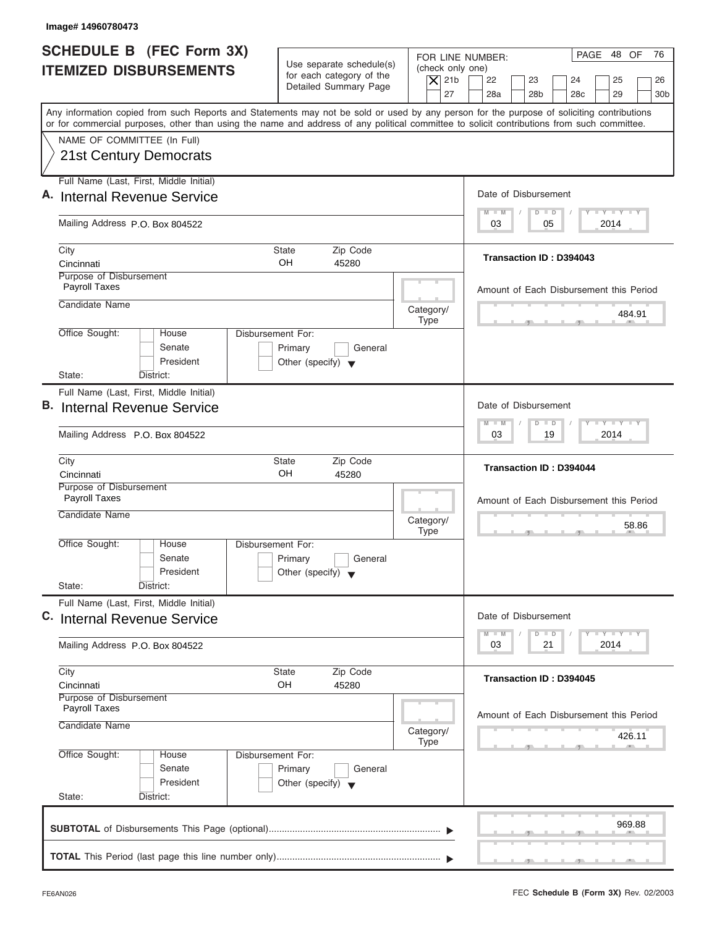| Image# 14960780473                                                                                                                                                                                                                                                                      |                                                                                                                               |                                                                                                                                          |
|-----------------------------------------------------------------------------------------------------------------------------------------------------------------------------------------------------------------------------------------------------------------------------------------|-------------------------------------------------------------------------------------------------------------------------------|------------------------------------------------------------------------------------------------------------------------------------------|
| SCHEDULE B (FEC Form 3X)<br><b>ITEMIZED DISBURSEMENTS</b>                                                                                                                                                                                                                               | Use separate schedule(s)<br>(check only one)<br>for each category of the<br>$\overline{X}$ 21b<br>Detailed Summary Page<br>27 | PAGE 48 OF<br>76<br>FOR LINE NUMBER:<br>22<br>23<br>24<br>25<br>26<br>28a<br>28 <sub>b</sub><br>28 <sub>c</sub><br>29<br>30 <sub>b</sub> |
| Any information copied from such Reports and Statements may not be sold or used by any person for the purpose of soliciting contributions<br>or for commercial purposes, other than using the name and address of any political committee to solicit contributions from such committee. |                                                                                                                               |                                                                                                                                          |
| NAME OF COMMITTEE (In Full)<br>21st Century Democrats                                                                                                                                                                                                                                   |                                                                                                                               |                                                                                                                                          |
| Full Name (Last, First, Middle Initial)<br>A. Internal Revenue Service                                                                                                                                                                                                                  |                                                                                                                               | Date of Disbursement                                                                                                                     |
| Mailing Address P.O. Box 804522                                                                                                                                                                                                                                                         |                                                                                                                               | $T - Y = T - Y = T - Y$<br>$D$ $D$<br>$M - M$<br>2014<br>03<br>05                                                                        |
| City<br>Cincinnati                                                                                                                                                                                                                                                                      | <b>State</b><br>Zip Code<br>OH<br>45280                                                                                       | Transaction ID: D394043                                                                                                                  |
| Purpose of Disbursement<br>Payroll Taxes<br>Candidate Name                                                                                                                                                                                                                              |                                                                                                                               | Amount of Each Disbursement this Period                                                                                                  |
| Office Sought:<br>House                                                                                                                                                                                                                                                                 | Category/<br><b>Type</b><br>Disbursement For:                                                                                 | 484.91                                                                                                                                   |
| Senate<br>President<br>State:<br>District:                                                                                                                                                                                                                                              | Primary<br>General<br>Other (specify) $\blacktriangledown$                                                                    |                                                                                                                                          |
| Full Name (Last, First, Middle Initial)                                                                                                                                                                                                                                                 |                                                                                                                               |                                                                                                                                          |
| <b>B.</b> Internal Revenue Service                                                                                                                                                                                                                                                      |                                                                                                                               | Date of Disbursement<br><b>LY LY LY</b><br>$M - M$<br>$\overline{D}$<br>$\Box$                                                           |
| Mailing Address P.O. Box 804522                                                                                                                                                                                                                                                         |                                                                                                                               | 19<br>2014<br>03                                                                                                                         |
| City<br>Cincinnati                                                                                                                                                                                                                                                                      | Zip Code<br><b>State</b><br>OH<br>45280                                                                                       | <b>Transaction ID: D394044</b>                                                                                                           |
| Purpose of Disbursement<br>Payroll Taxes<br>Candidate Name                                                                                                                                                                                                                              |                                                                                                                               | Amount of Each Disbursement this Period                                                                                                  |
|                                                                                                                                                                                                                                                                                         | Category/<br><b>Type</b>                                                                                                      | 58.86<br>$-5$                                                                                                                            |
| Office Sought:<br>House<br>Senate<br>President                                                                                                                                                                                                                                          | Disbursement For:<br>Primary<br>General<br>Other (specify) $\blacktriangledown$                                               |                                                                                                                                          |
| State:<br>District:                                                                                                                                                                                                                                                                     |                                                                                                                               |                                                                                                                                          |
| Full Name (Last, First, Middle Initial)<br>C. Internal Revenue Service                                                                                                                                                                                                                  |                                                                                                                               | Date of Disbursement                                                                                                                     |
| Mailing Address P.O. Box 804522                                                                                                                                                                                                                                                         |                                                                                                                               | <b>LY LY LY</b><br>$M - M$<br>$\overline{D}$<br>$\Box$<br>2014<br>03<br>21                                                               |
| City<br>Cincinnati                                                                                                                                                                                                                                                                      | Zip Code<br><b>State</b><br>OH<br>45280                                                                                       | Transaction ID: D394045                                                                                                                  |
| Purpose of Disbursement<br><b>Payroll Taxes</b><br>Candidate Name                                                                                                                                                                                                                       | Category/                                                                                                                     | Amount of Each Disbursement this Period<br>426.11                                                                                        |
| Office Sought:<br>House<br>Senate<br>President<br>State:<br>District:                                                                                                                                                                                                                   | <b>Type</b><br>Disbursement For:<br>Primary<br>General<br>Other (specify) $\blacktriangledown$                                |                                                                                                                                          |
|                                                                                                                                                                                                                                                                                         |                                                                                                                               | 969.88                                                                                                                                   |
|                                                                                                                                                                                                                                                                                         |                                                                                                                               |                                                                                                                                          |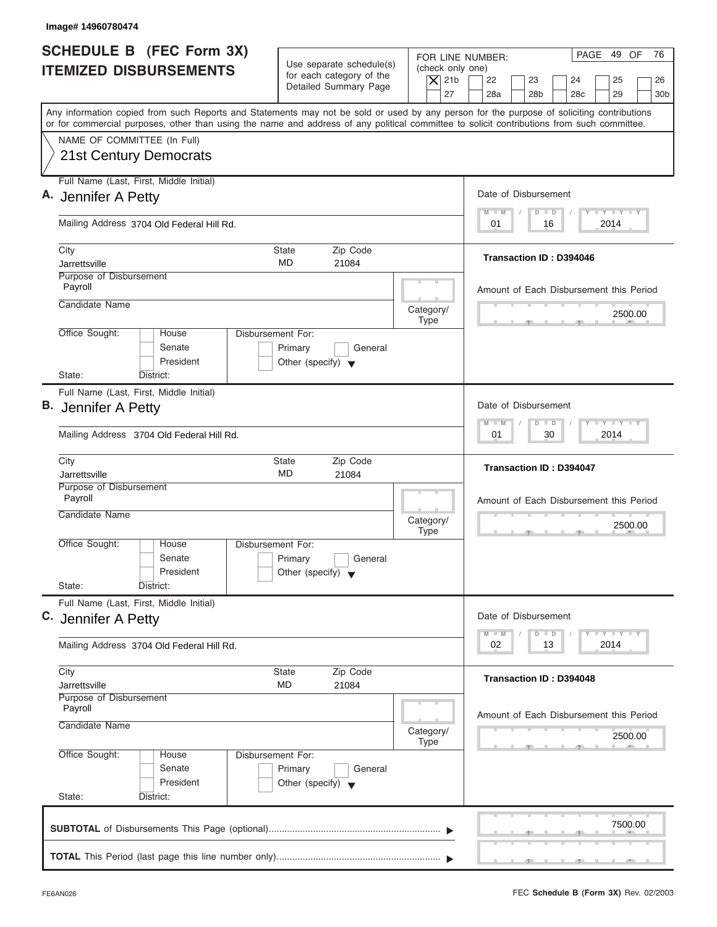| <b>SCHEDULE B (FEC Form 3X)</b><br><b>ITEMIZED DISBURSEMENTS</b><br>Any information copied from such Reports and Statements may not be sold or used by any person for the purpose of soliciting contributions<br>or for commercial purposes, other than using the name and address of any political committee to solicit contributions from such committee.<br>NAME OF COMMITTEE (In Full)<br>21st Century Democrats<br>Full Name (Last, First, Middle Initial)<br>A. Jennifer A Petty<br>Mailing Address 3704 Old Federal Hill Rd.<br>City<br>Jarrettsville<br>Purpose of Disbursement<br>Payroll<br>Candidate Name<br>Office Sought:<br>Disbursement For:<br>House<br>Senate<br>President<br>State:<br>District:<br>Full Name (Last, First, Middle Initial)<br>B. Jennifer A Petty | Use separate schedule(s)<br>for each category of the<br>Detailed Summary Page<br><b>State</b><br>Zip Code<br>MD<br>21084 | FOR LINE NUMBER:<br>(check only one)<br>$\overline{X}$ 21b<br>27 | PAGE 49 OF<br>76<br>22<br>23<br>24<br>25<br>26<br>28a<br>28 <sub>b</sub><br>29<br>28 <sub>c</sub><br>30 <sub>b</sub><br>Date of Disbursement<br>$T - Y = T - Y = T - Y$<br>$M - M$<br>$D$ $D$<br>2014<br>01<br>16 |
|--------------------------------------------------------------------------------------------------------------------------------------------------------------------------------------------------------------------------------------------------------------------------------------------------------------------------------------------------------------------------------------------------------------------------------------------------------------------------------------------------------------------------------------------------------------------------------------------------------------------------------------------------------------------------------------------------------------------------------------------------------------------------------------|--------------------------------------------------------------------------------------------------------------------------|------------------------------------------------------------------|-------------------------------------------------------------------------------------------------------------------------------------------------------------------------------------------------------------------|
|                                                                                                                                                                                                                                                                                                                                                                                                                                                                                                                                                                                                                                                                                                                                                                                      |                                                                                                                          |                                                                  |                                                                                                                                                                                                                   |
|                                                                                                                                                                                                                                                                                                                                                                                                                                                                                                                                                                                                                                                                                                                                                                                      |                                                                                                                          |                                                                  |                                                                                                                                                                                                                   |
|                                                                                                                                                                                                                                                                                                                                                                                                                                                                                                                                                                                                                                                                                                                                                                                      |                                                                                                                          |                                                                  |                                                                                                                                                                                                                   |
|                                                                                                                                                                                                                                                                                                                                                                                                                                                                                                                                                                                                                                                                                                                                                                                      |                                                                                                                          |                                                                  |                                                                                                                                                                                                                   |
|                                                                                                                                                                                                                                                                                                                                                                                                                                                                                                                                                                                                                                                                                                                                                                                      |                                                                                                                          |                                                                  |                                                                                                                                                                                                                   |
|                                                                                                                                                                                                                                                                                                                                                                                                                                                                                                                                                                                                                                                                                                                                                                                      |                                                                                                                          |                                                                  | Transaction ID: D394046                                                                                                                                                                                           |
|                                                                                                                                                                                                                                                                                                                                                                                                                                                                                                                                                                                                                                                                                                                                                                                      |                                                                                                                          |                                                                  | Amount of Each Disbursement this Period                                                                                                                                                                           |
|                                                                                                                                                                                                                                                                                                                                                                                                                                                                                                                                                                                                                                                                                                                                                                                      |                                                                                                                          | Category/<br><b>Type</b>                                         | 2500.00                                                                                                                                                                                                           |
|                                                                                                                                                                                                                                                                                                                                                                                                                                                                                                                                                                                                                                                                                                                                                                                      | Primary<br>General<br>Other (specify) $\blacktriangledown$                                                               |                                                                  |                                                                                                                                                                                                                   |
|                                                                                                                                                                                                                                                                                                                                                                                                                                                                                                                                                                                                                                                                                                                                                                                      |                                                                                                                          |                                                                  | Date of Disbursement                                                                                                                                                                                              |
| Mailing Address 3704 Old Federal Hill Rd.                                                                                                                                                                                                                                                                                                                                                                                                                                                                                                                                                                                                                                                                                                                                            |                                                                                                                          | $-$ Y $-$ Y $-$ Y<br>$D$ $D$<br>$M - M$<br>2014<br>01<br>30      |                                                                                                                                                                                                                   |
| City<br>Jarrettsville                                                                                                                                                                                                                                                                                                                                                                                                                                                                                                                                                                                                                                                                                                                                                                | <b>State</b><br>Zip Code<br>MD<br>21084                                                                                  |                                                                  | <b>Transaction ID: D394047</b>                                                                                                                                                                                    |
| Purpose of Disbursement<br>Payroll<br>Candidate Name                                                                                                                                                                                                                                                                                                                                                                                                                                                                                                                                                                                                                                                                                                                                 |                                                                                                                          | Category/<br><b>Type</b>                                         | Amount of Each Disbursement this Period<br>2500.00<br>__                                                                                                                                                          |
| Office Sought:<br>House<br>Disbursement For:<br>Senate<br>President<br>State:                                                                                                                                                                                                                                                                                                                                                                                                                                                                                                                                                                                                                                                                                                        | Primary<br>General<br>Other (specify) $\blacktriangledown$                                                               |                                                                  |                                                                                                                                                                                                                   |
| District:<br>Full Name (Last, First, Middle Initial)<br>C. Jennifer A Petty                                                                                                                                                                                                                                                                                                                                                                                                                                                                                                                                                                                                                                                                                                          |                                                                                                                          |                                                                  | Date of Disbursement                                                                                                                                                                                              |
| Mailing Address 3704 Old Federal Hill Rd.                                                                                                                                                                                                                                                                                                                                                                                                                                                                                                                                                                                                                                                                                                                                            |                                                                                                                          |                                                                  | $T - Y$ $T - Y$<br>$M - M$<br>$\Box$<br>D<br>2014<br>02<br>13                                                                                                                                                     |
| City<br>Jarrettsville                                                                                                                                                                                                                                                                                                                                                                                                                                                                                                                                                                                                                                                                                                                                                                | Zip Code<br>State<br>MD<br>21084                                                                                         |                                                                  | Transaction ID: D394048                                                                                                                                                                                           |
| Purpose of Disbursement<br>Payroll<br>Candidate Name                                                                                                                                                                                                                                                                                                                                                                                                                                                                                                                                                                                                                                                                                                                                 |                                                                                                                          | Category/                                                        | Amount of Each Disbursement this Period<br>2500.00                                                                                                                                                                |
| Office Sought:<br>Disbursement For:<br>House<br>Senate<br>President<br>State:<br>District:                                                                                                                                                                                                                                                                                                                                                                                                                                                                                                                                                                                                                                                                                           | Primary<br>General<br>Other (specify) $\blacktriangledown$                                                               | Type                                                             |                                                                                                                                                                                                                   |
|                                                                                                                                                                                                                                                                                                                                                                                                                                                                                                                                                                                                                                                                                                                                                                                      |                                                                                                                          |                                                                  |                                                                                                                                                                                                                   |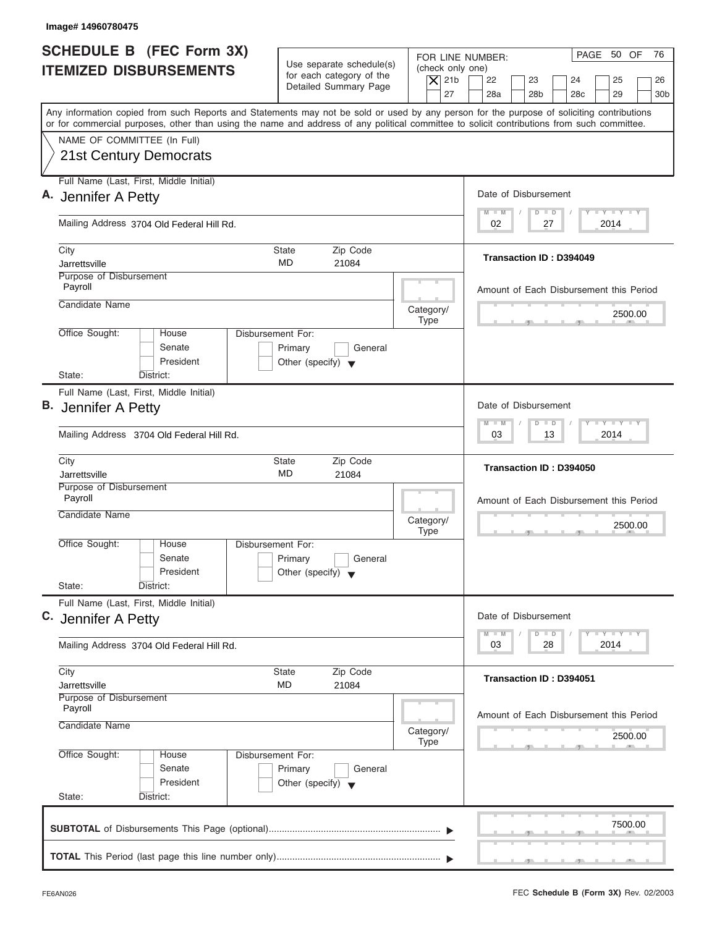| <b>SCHEDULE B (FEC Form 3X)</b><br><b>ITEMIZED DISBURSEMENTS</b><br>NAME OF COMMITTEE (In Full)             | Use separate schedule(s)<br>for each category of the<br>Detailed Summary Page                                                                                                                                                                                                           | FOR LINE NUMBER:<br>(check only one)<br>$\overline{X}$ 21b | PAGE 50 OF<br>76                                                                                     |  |
|-------------------------------------------------------------------------------------------------------------|-----------------------------------------------------------------------------------------------------------------------------------------------------------------------------------------------------------------------------------------------------------------------------------------|------------------------------------------------------------|------------------------------------------------------------------------------------------------------|--|
|                                                                                                             |                                                                                                                                                                                                                                                                                         | 27                                                         | 22<br>23<br>24<br>25<br>26<br>28a<br>28 <sub>b</sub><br>29<br>28 <sub>c</sub><br>30 <sub>b</sub>     |  |
|                                                                                                             | Any information copied from such Reports and Statements may not be sold or used by any person for the purpose of soliciting contributions<br>or for commercial purposes, other than using the name and address of any political committee to solicit contributions from such committee. |                                                            |                                                                                                      |  |
| 21st Century Democrats                                                                                      |                                                                                                                                                                                                                                                                                         |                                                            |                                                                                                      |  |
| Full Name (Last, First, Middle Initial)<br>A. Jennifer A Petty                                              |                                                                                                                                                                                                                                                                                         |                                                            | Date of Disbursement                                                                                 |  |
| Mailing Address 3704 Old Federal Hill Rd.                                                                   |                                                                                                                                                                                                                                                                                         |                                                            | $T - Y = T - Y = T - Y$<br>$M - M$<br>$D$ $D$<br>2014<br>02<br>27                                    |  |
| City<br>Jarrettsville                                                                                       | <b>State</b><br>Zip Code<br>MD<br>21084                                                                                                                                                                                                                                                 |                                                            | Transaction ID: D394049                                                                              |  |
| Purpose of Disbursement<br>Payroll                                                                          |                                                                                                                                                                                                                                                                                         |                                                            | Amount of Each Disbursement this Period                                                              |  |
| Candidate Name                                                                                              |                                                                                                                                                                                                                                                                                         | Category/<br><b>Type</b>                                   | 2500.00                                                                                              |  |
| Office Sought:<br>House<br>Senate<br>President<br>State:<br>District:                                       | Disbursement For:<br>Primary<br>General<br>Other (specify) $\blacktriangledown$                                                                                                                                                                                                         |                                                            |                                                                                                      |  |
| Full Name (Last, First, Middle Initial)<br>B. Jennifer A Petty<br>Mailing Address 3704 Old Federal Hill Rd. |                                                                                                                                                                                                                                                                                         |                                                            | Date of Disbursement<br>$-$ Y $-$ Y $-$ Y<br>$M - M$<br>$\Box$<br>$\overline{D}$<br>2014<br>03<br>13 |  |
| City<br>Jarrettsville                                                                                       | <b>State</b><br>Zip Code<br>MD<br>21084                                                                                                                                                                                                                                                 |                                                            | Transaction ID: D394050                                                                              |  |
| Purpose of Disbursement<br>Payroll<br>Candidate Name                                                        |                                                                                                                                                                                                                                                                                         | Category/<br><b>Type</b>                                   | Amount of Each Disbursement this Period<br>2500.00<br>__                                             |  |
| Office Sought:<br>House<br>Senate<br>President<br>State:<br>District:                                       | Disbursement For:<br>Primary<br>General<br>Other (specify) $\blacktriangledown$                                                                                                                                                                                                         |                                                            |                                                                                                      |  |
| Full Name (Last, First, Middle Initial)<br>C. Jennifer A Petty                                              |                                                                                                                                                                                                                                                                                         |                                                            | Date of Disbursement                                                                                 |  |
| Mailing Address 3704 Old Federal Hill Rd.                                                                   |                                                                                                                                                                                                                                                                                         |                                                            | $T - Y$ $T - Y$<br>$M - M$<br>D<br>$\Box$<br>2014<br>03<br>28                                        |  |
| City<br>Jarrettsville                                                                                       | Zip Code<br>State<br>MD<br>21084                                                                                                                                                                                                                                                        |                                                            | Transaction ID: D394051                                                                              |  |
| Purpose of Disbursement<br>Payroll<br>Candidate Name                                                        |                                                                                                                                                                                                                                                                                         | Category/<br>Type                                          | Amount of Each Disbursement this Period<br>2500.00                                                   |  |
| Office Sought:<br>House<br>Senate<br>President<br>State:<br>District:                                       | Disbursement For:<br>Primary<br>General<br>Other (specify) $\blacktriangledown$                                                                                                                                                                                                         |                                                            |                                                                                                      |  |
|                                                                                                             |                                                                                                                                                                                                                                                                                         |                                                            | 7500.00                                                                                              |  |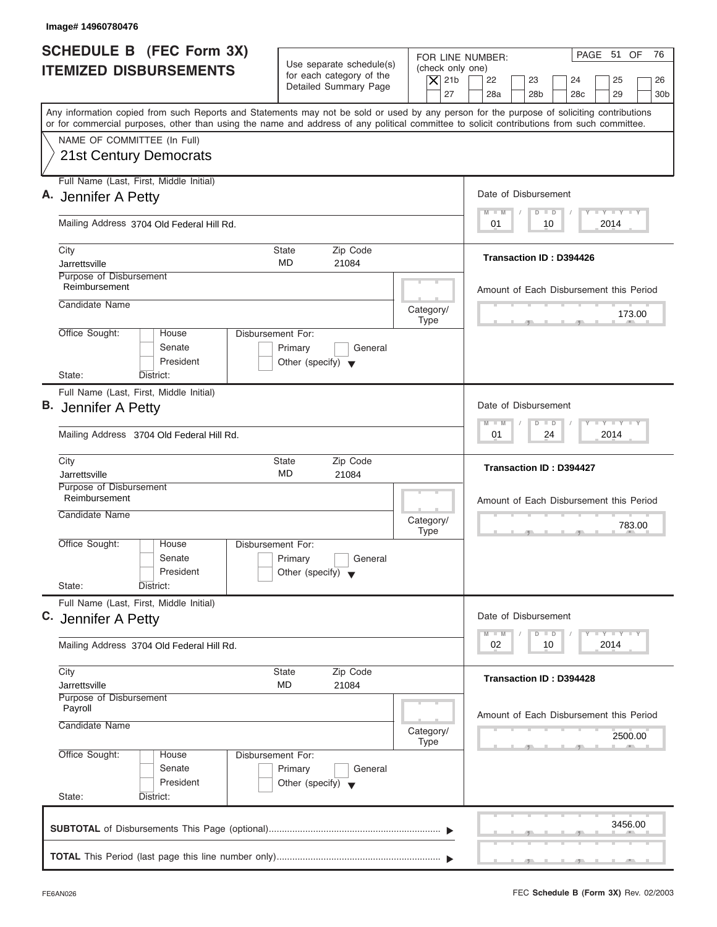| Image# 14960780476                                                                                                                                                                                                                                                                      |                                                                                        |                                                                                                                                                                                          |
|-----------------------------------------------------------------------------------------------------------------------------------------------------------------------------------------------------------------------------------------------------------------------------------------|----------------------------------------------------------------------------------------|------------------------------------------------------------------------------------------------------------------------------------------------------------------------------------------|
| <b>SCHEDULE B</b> (FEC Form 3X)<br><b>ITEMIZED DISBURSEMENTS</b>                                                                                                                                                                                                                        | Use separate schedule(s)<br>for each category of the<br>Detailed Summary Page          | PAGE 51 OF<br>76<br>FOR LINE NUMBER:<br>(check only one)<br>$\overline{X}$ 21b<br>22<br>23<br>24<br>25<br>26<br>27<br>28a<br>28 <sub>b</sub><br>29<br>28 <sub>c</sub><br>30 <sub>b</sub> |
| Any information copied from such Reports and Statements may not be sold or used by any person for the purpose of soliciting contributions<br>or for commercial purposes, other than using the name and address of any political committee to solicit contributions from such committee. |                                                                                        |                                                                                                                                                                                          |
| NAME OF COMMITTEE (In Full)<br>21st Century Democrats                                                                                                                                                                                                                                   |                                                                                        |                                                                                                                                                                                          |
| Full Name (Last, First, Middle Initial)<br>A. Jennifer A Petty                                                                                                                                                                                                                          |                                                                                        | Date of Disbursement                                                                                                                                                                     |
| Mailing Address 3704 Old Federal Hill Rd.                                                                                                                                                                                                                                               |                                                                                        | $T - Y = T - Y = T - Y$<br>$M - M$<br>$D$ $D$<br>2014<br>01<br>10                                                                                                                        |
| City<br>Jarrettsville                                                                                                                                                                                                                                                                   | <b>State</b><br>Zip Code<br>MD<br>21084                                                | Transaction ID: D394426                                                                                                                                                                  |
| Purpose of Disbursement<br>Reimbursement                                                                                                                                                                                                                                                |                                                                                        | Amount of Each Disbursement this Period                                                                                                                                                  |
| Candidate Name                                                                                                                                                                                                                                                                          | Category/<br><b>Type</b>                                                               | 173.00                                                                                                                                                                                   |
| Office Sought:<br>House<br>Senate<br>President<br>State:<br>District:                                                                                                                                                                                                                   | <b>Disbursement For:</b><br>Primary<br>General<br>Other (specify) $\blacktriangledown$ |                                                                                                                                                                                          |
| Full Name (Last, First, Middle Initial)<br>B. Jennifer A Petty<br>Mailing Address 3704 Old Federal Hill Rd.                                                                                                                                                                             |                                                                                        | Date of Disbursement<br>$-$ Y $-$ Y $-$ Y<br>$M - M$<br>$\overline{D}$<br>$\Box$<br>2014<br>01<br>24                                                                                     |
| City<br>Jarrettsville                                                                                                                                                                                                                                                                   | <b>State</b><br>Zip Code<br>MD<br>21084                                                | <b>Transaction ID: D394427</b>                                                                                                                                                           |
| Purpose of Disbursement<br>Reimbursement<br>Candidate Name                                                                                                                                                                                                                              | Category/<br><b>Type</b>                                                               | Amount of Each Disbursement this Period<br>783.00<br>- 51                                                                                                                                |
| Office Sought:<br>House<br>Senate<br>President<br>State:<br>District:                                                                                                                                                                                                                   | Disbursement For:<br>Primary<br>General<br>Other (specify) $\blacktriangledown$        |                                                                                                                                                                                          |
| Full Name (Last, First, Middle Initial)<br>C. Jennifer A Petty                                                                                                                                                                                                                          |                                                                                        | Date of Disbursement                                                                                                                                                                     |
| Mailing Address 3704 Old Federal Hill Rd.                                                                                                                                                                                                                                               |                                                                                        | $T - Y$ $T - Y$<br>$M - M$<br>$\Box$<br>D<br>2014<br>02<br>10                                                                                                                            |
| City<br>Jarrettsville                                                                                                                                                                                                                                                                   | Zip Code<br>State<br>MD<br>21084                                                       | Transaction ID: D394428                                                                                                                                                                  |
| Purpose of Disbursement<br>Payroll<br>Candidate Name                                                                                                                                                                                                                                    | Category/<br>Type                                                                      | Amount of Each Disbursement this Period<br>2500.00                                                                                                                                       |
| Office Sought:<br>House<br>Senate<br>President<br>State:<br>District:                                                                                                                                                                                                                   | Disbursement For:<br>Primary<br>General<br>Other (specify) $\blacktriangledown$        |                                                                                                                                                                                          |
|                                                                                                                                                                                                                                                                                         |                                                                                        | 3456.00                                                                                                                                                                                  |
|                                                                                                                                                                                                                                                                                         |                                                                                        |                                                                                                                                                                                          |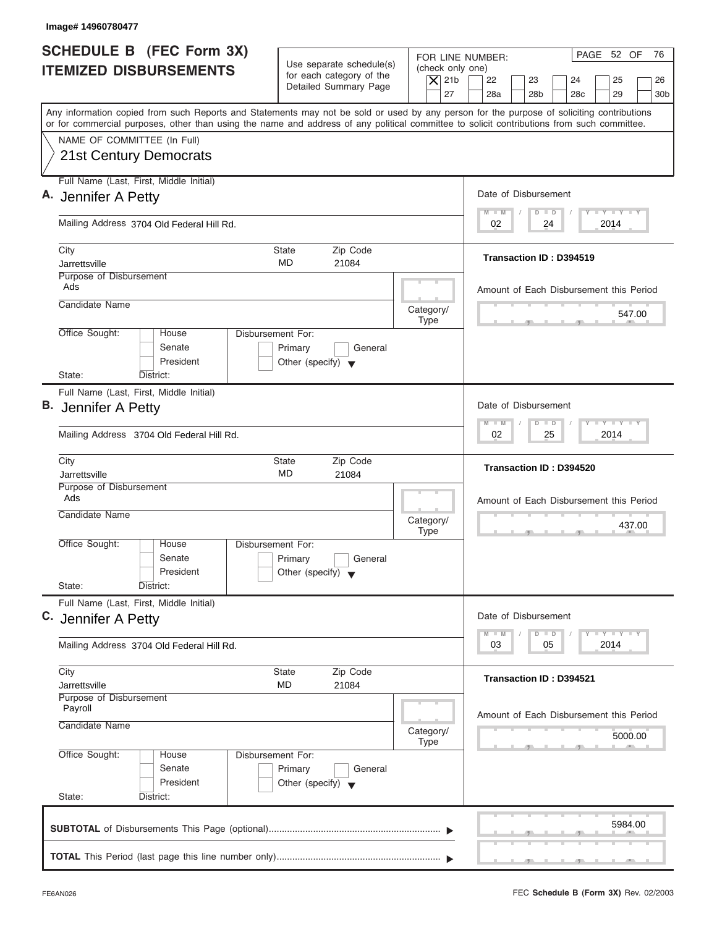| FOR LINE NUMBER:<br>Use separate schedule(s)<br>(check only one)<br>for each category of the<br>$\overline{X}$ 21b<br>22<br>23<br>24<br>25<br>Detailed Summary Page<br>27<br>28a<br>28 <sub>b</sub><br>29<br>28 <sub>c</sub><br>Any information copied from such Reports and Statements may not be sold or used by any person for the purpose of soliciting contributions<br>or for commercial purposes, other than using the name and address of any political committee to solicit contributions from such committee.<br>NAME OF COMMITTEE (In Full)<br>21st Century Democrats<br>Full Name (Last, First, Middle Initial)<br>Date of Disbursement<br>$T - Y = T - Y = T - Y$<br>$M - M$<br>$D$ $D$<br>Mailing Address 3704 Old Federal Hill Rd.<br>2014<br>02<br>24<br>City<br><b>State</b><br>Zip Code<br>Transaction ID: D394519<br>MD<br>Jarrettsville<br>21084<br>Purpose of Disbursement<br>Ads<br>Candidate Name<br>Category/<br><b>Type</b><br>Office Sought:<br>Disbursement For:<br>House<br>Senate<br>Primary<br>General<br>President<br>Other (specify) $\blacktriangledown$<br>State:<br>District:<br>Full Name (Last, First, Middle Initial)<br>Date of Disbursement<br><b>LEYTEY LEY</b><br>$M - M$<br>$D$ $D$<br>25<br>2014<br>Mailing Address 3704 Old Federal Hill Rd.<br>02<br>City<br><b>State</b><br>Zip Code<br>Transaction ID: D394520<br>MD<br>Jarrettsville<br>21084<br>Purpose of Disbursement<br>Ads<br>Candidate Name<br>Category/<br><b>Type</b><br>$-5$<br>Office Sought:<br>House<br>Disbursement For:<br>Senate<br>Primary<br>General<br>President<br>Other (specify) $\blacktriangledown$<br>State:<br>District:<br>Full Name (Last, First, Middle Initial)<br>Date of Disbursement<br>$T - Y$ $T - Y$<br>$M - M$<br>D<br>$\Box$<br>2014<br>03<br>05<br>Mailing Address 3704 Old Federal Hill Rd.<br>City<br>Zip Code<br>State<br><b>Transaction ID: D394521</b><br>MD<br>21084<br>Jarrettsville<br>Purpose of Disbursement<br>Payroll<br>Candidate Name<br>Category/<br>Type<br>Office Sought:<br>Disbursement For:<br>House<br>Senate<br>Primary<br>General<br>President<br>Other (specify) $\blacktriangledown$<br>State:<br>District: | Image# 14960780477                                               |  |                                                    |
|-----------------------------------------------------------------------------------------------------------------------------------------------------------------------------------------------------------------------------------------------------------------------------------------------------------------------------------------------------------------------------------------------------------------------------------------------------------------------------------------------------------------------------------------------------------------------------------------------------------------------------------------------------------------------------------------------------------------------------------------------------------------------------------------------------------------------------------------------------------------------------------------------------------------------------------------------------------------------------------------------------------------------------------------------------------------------------------------------------------------------------------------------------------------------------------------------------------------------------------------------------------------------------------------------------------------------------------------------------------------------------------------------------------------------------------------------------------------------------------------------------------------------------------------------------------------------------------------------------------------------------------------------------------------------------------------------------------------------------------------------------------------------------------------------------------------------------------------------------------------------------------------------------------------------------------------------------------------------------------------------------------------------------------------------------------------------------------------------------------------------------------------------------------------------------|------------------------------------------------------------------|--|----------------------------------------------------|
| A. Jennifer A Petty<br>B. Jennifer A Petty<br>C. Jennifer A Petty                                                                                                                                                                                                                                                                                                                                                                                                                                                                                                                                                                                                                                                                                                                                                                                                                                                                                                                                                                                                                                                                                                                                                                                                                                                                                                                                                                                                                                                                                                                                                                                                                                                                                                                                                                                                                                                                                                                                                                                                                                                                                                           | <b>SCHEDULE B</b> (FEC Form 3X)<br><b>ITEMIZED DISBURSEMENTS</b> |  | PAGE 52 OF<br>76<br>26<br>30 <sub>b</sub>          |
|                                                                                                                                                                                                                                                                                                                                                                                                                                                                                                                                                                                                                                                                                                                                                                                                                                                                                                                                                                                                                                                                                                                                                                                                                                                                                                                                                                                                                                                                                                                                                                                                                                                                                                                                                                                                                                                                                                                                                                                                                                                                                                                                                                             |                                                                  |  |                                                    |
|                                                                                                                                                                                                                                                                                                                                                                                                                                                                                                                                                                                                                                                                                                                                                                                                                                                                                                                                                                                                                                                                                                                                                                                                                                                                                                                                                                                                                                                                                                                                                                                                                                                                                                                                                                                                                                                                                                                                                                                                                                                                                                                                                                             |                                                                  |  |                                                    |
|                                                                                                                                                                                                                                                                                                                                                                                                                                                                                                                                                                                                                                                                                                                                                                                                                                                                                                                                                                                                                                                                                                                                                                                                                                                                                                                                                                                                                                                                                                                                                                                                                                                                                                                                                                                                                                                                                                                                                                                                                                                                                                                                                                             |                                                                  |  |                                                    |
|                                                                                                                                                                                                                                                                                                                                                                                                                                                                                                                                                                                                                                                                                                                                                                                                                                                                                                                                                                                                                                                                                                                                                                                                                                                                                                                                                                                                                                                                                                                                                                                                                                                                                                                                                                                                                                                                                                                                                                                                                                                                                                                                                                             |                                                                  |  |                                                    |
|                                                                                                                                                                                                                                                                                                                                                                                                                                                                                                                                                                                                                                                                                                                                                                                                                                                                                                                                                                                                                                                                                                                                                                                                                                                                                                                                                                                                                                                                                                                                                                                                                                                                                                                                                                                                                                                                                                                                                                                                                                                                                                                                                                             |                                                                  |  |                                                    |
|                                                                                                                                                                                                                                                                                                                                                                                                                                                                                                                                                                                                                                                                                                                                                                                                                                                                                                                                                                                                                                                                                                                                                                                                                                                                                                                                                                                                                                                                                                                                                                                                                                                                                                                                                                                                                                                                                                                                                                                                                                                                                                                                                                             |                                                                  |  | Amount of Each Disbursement this Period            |
|                                                                                                                                                                                                                                                                                                                                                                                                                                                                                                                                                                                                                                                                                                                                                                                                                                                                                                                                                                                                                                                                                                                                                                                                                                                                                                                                                                                                                                                                                                                                                                                                                                                                                                                                                                                                                                                                                                                                                                                                                                                                                                                                                                             |                                                                  |  | 547.00                                             |
|                                                                                                                                                                                                                                                                                                                                                                                                                                                                                                                                                                                                                                                                                                                                                                                                                                                                                                                                                                                                                                                                                                                                                                                                                                                                                                                                                                                                                                                                                                                                                                                                                                                                                                                                                                                                                                                                                                                                                                                                                                                                                                                                                                             |                                                                  |  |                                                    |
|                                                                                                                                                                                                                                                                                                                                                                                                                                                                                                                                                                                                                                                                                                                                                                                                                                                                                                                                                                                                                                                                                                                                                                                                                                                                                                                                                                                                                                                                                                                                                                                                                                                                                                                                                                                                                                                                                                                                                                                                                                                                                                                                                                             |                                                                  |  |                                                    |
|                                                                                                                                                                                                                                                                                                                                                                                                                                                                                                                                                                                                                                                                                                                                                                                                                                                                                                                                                                                                                                                                                                                                                                                                                                                                                                                                                                                                                                                                                                                                                                                                                                                                                                                                                                                                                                                                                                                                                                                                                                                                                                                                                                             |                                                                  |  |                                                    |
|                                                                                                                                                                                                                                                                                                                                                                                                                                                                                                                                                                                                                                                                                                                                                                                                                                                                                                                                                                                                                                                                                                                                                                                                                                                                                                                                                                                                                                                                                                                                                                                                                                                                                                                                                                                                                                                                                                                                                                                                                                                                                                                                                                             |                                                                  |  | Amount of Each Disbursement this Period<br>437.00  |
|                                                                                                                                                                                                                                                                                                                                                                                                                                                                                                                                                                                                                                                                                                                                                                                                                                                                                                                                                                                                                                                                                                                                                                                                                                                                                                                                                                                                                                                                                                                                                                                                                                                                                                                                                                                                                                                                                                                                                                                                                                                                                                                                                                             |                                                                  |  |                                                    |
|                                                                                                                                                                                                                                                                                                                                                                                                                                                                                                                                                                                                                                                                                                                                                                                                                                                                                                                                                                                                                                                                                                                                                                                                                                                                                                                                                                                                                                                                                                                                                                                                                                                                                                                                                                                                                                                                                                                                                                                                                                                                                                                                                                             |                                                                  |  |                                                    |
|                                                                                                                                                                                                                                                                                                                                                                                                                                                                                                                                                                                                                                                                                                                                                                                                                                                                                                                                                                                                                                                                                                                                                                                                                                                                                                                                                                                                                                                                                                                                                                                                                                                                                                                                                                                                                                                                                                                                                                                                                                                                                                                                                                             |                                                                  |  |                                                    |
|                                                                                                                                                                                                                                                                                                                                                                                                                                                                                                                                                                                                                                                                                                                                                                                                                                                                                                                                                                                                                                                                                                                                                                                                                                                                                                                                                                                                                                                                                                                                                                                                                                                                                                                                                                                                                                                                                                                                                                                                                                                                                                                                                                             |                                                                  |  |                                                    |
|                                                                                                                                                                                                                                                                                                                                                                                                                                                                                                                                                                                                                                                                                                                                                                                                                                                                                                                                                                                                                                                                                                                                                                                                                                                                                                                                                                                                                                                                                                                                                                                                                                                                                                                                                                                                                                                                                                                                                                                                                                                                                                                                                                             |                                                                  |  | Amount of Each Disbursement this Period<br>5000.00 |
|                                                                                                                                                                                                                                                                                                                                                                                                                                                                                                                                                                                                                                                                                                                                                                                                                                                                                                                                                                                                                                                                                                                                                                                                                                                                                                                                                                                                                                                                                                                                                                                                                                                                                                                                                                                                                                                                                                                                                                                                                                                                                                                                                                             |                                                                  |  |                                                    |
|                                                                                                                                                                                                                                                                                                                                                                                                                                                                                                                                                                                                                                                                                                                                                                                                                                                                                                                                                                                                                                                                                                                                                                                                                                                                                                                                                                                                                                                                                                                                                                                                                                                                                                                                                                                                                                                                                                                                                                                                                                                                                                                                                                             |                                                                  |  | 5984.00                                            |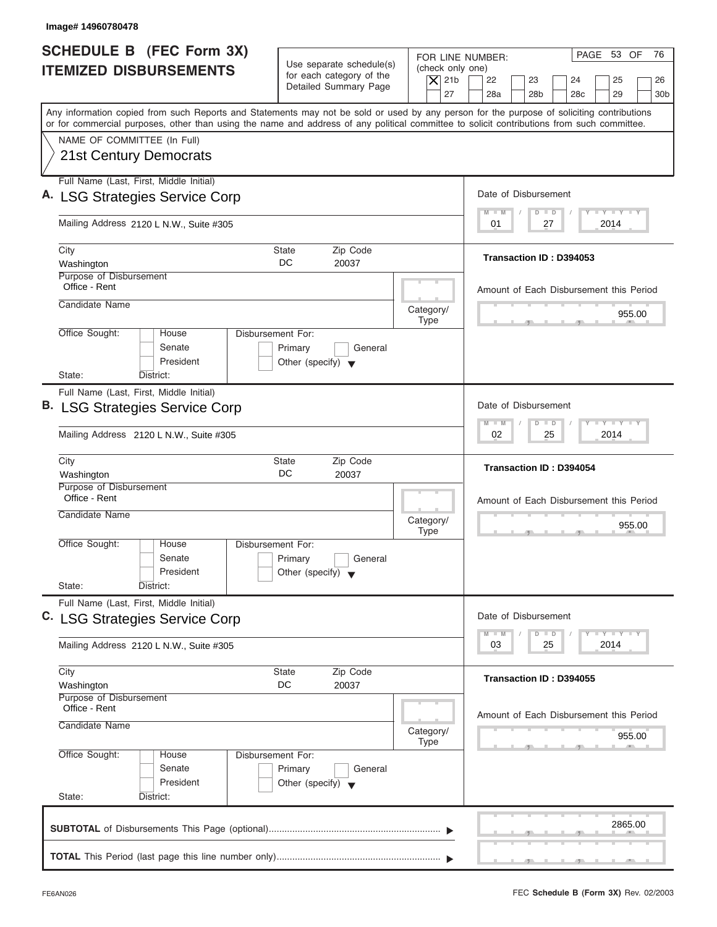| <b>SCHEDULE B</b> (FEC Form 3X)<br><b>ITEMIZED DISBURSEMENTS</b>      | Use separate schedule(s)<br>for each category of the<br>Detailed Summary Page                                                                                                                                                                                                           | PAGE 53 OF<br>76<br>FOR LINE NUMBER:<br>(check only one)<br>$\overline{X}$ 21b<br>22<br>23<br>25<br>24<br>26<br>27<br>28a<br>28 <sub>b</sub><br>28 <sub>c</sub><br>29<br>30 <sub>b</sub> |
|-----------------------------------------------------------------------|-----------------------------------------------------------------------------------------------------------------------------------------------------------------------------------------------------------------------------------------------------------------------------------------|------------------------------------------------------------------------------------------------------------------------------------------------------------------------------------------|
|                                                                       | Any information copied from such Reports and Statements may not be sold or used by any person for the purpose of soliciting contributions<br>or for commercial purposes, other than using the name and address of any political committee to solicit contributions from such committee. |                                                                                                                                                                                          |
| NAME OF COMMITTEE (In Full)<br><b>21st Century Democrats</b>          |                                                                                                                                                                                                                                                                                         |                                                                                                                                                                                          |
| Full Name (Last, First, Middle Initial)                               |                                                                                                                                                                                                                                                                                         |                                                                                                                                                                                          |
| A. LSG Strategies Service Corp                                        |                                                                                                                                                                                                                                                                                         | Date of Disbursement<br>$L - Y = L - Y = L - Y$<br>$M - M$<br>$\Box$<br>$\Box$                                                                                                           |
| Mailing Address 2120 L N.W., Suite #305                               |                                                                                                                                                                                                                                                                                         | 2014<br>01<br>27                                                                                                                                                                         |
| City<br>Washington                                                    | Zip Code<br><b>State</b><br>DC<br>20037                                                                                                                                                                                                                                                 | Transaction ID: D394053                                                                                                                                                                  |
| Purpose of Disbursement<br>Office - Rent                              |                                                                                                                                                                                                                                                                                         | Amount of Each Disbursement this Period                                                                                                                                                  |
| Candidate Name                                                        |                                                                                                                                                                                                                                                                                         | Category/<br>955.00<br><b>Type</b>                                                                                                                                                       |
| Office Sought:<br>House<br>Senate<br>President<br>State:<br>District: | Disbursement For:<br>Primary<br>General<br>Other (specify) $\blacktriangledown$                                                                                                                                                                                                         |                                                                                                                                                                                          |
| Full Name (Last, First, Middle Initial)                               |                                                                                                                                                                                                                                                                                         |                                                                                                                                                                                          |
| <b>B. LSG Strategies Service Corp</b>                                 |                                                                                                                                                                                                                                                                                         | Date of Disbursement                                                                                                                                                                     |
| Mailing Address 2120 L N.W., Suite #305                               |                                                                                                                                                                                                                                                                                         | $-1$ $-1$ $-1$ $-1$ $-1$<br>$\Box$<br>$M - M$<br>$\overline{D}$<br>02<br>2014<br>25                                                                                                      |
| City<br>Washington                                                    | Zip Code<br><b>State</b><br>DC<br>20037                                                                                                                                                                                                                                                 | Transaction ID: D394054                                                                                                                                                                  |
| Purpose of Disbursement<br>Office - Rent                              |                                                                                                                                                                                                                                                                                         | Amount of Each Disbursement this Period                                                                                                                                                  |
| Candidate Name                                                        |                                                                                                                                                                                                                                                                                         | Category/<br>955.00<br><b>Type</b><br>__                                                                                                                                                 |
| Office Sought:<br>House<br>Senate<br>President<br>State:<br>District: | Disbursement For:<br>Primary<br>General<br>Other (specify) $\blacktriangledown$                                                                                                                                                                                                         |                                                                                                                                                                                          |
| Full Name (Last, First, Middle Initial)                               |                                                                                                                                                                                                                                                                                         |                                                                                                                                                                                          |
| C. LSG Strategies Service Corp                                        |                                                                                                                                                                                                                                                                                         | Date of Disbursement                                                                                                                                                                     |
| Mailing Address 2120 L N.W., Suite #305                               |                                                                                                                                                                                                                                                                                         | $\mathbf{I}$ $\mathbf{Y}$ $\mathbf{I}$ $\mathbf{Y}$ $\mathbf{I}$ $\mathbf{Y}$<br>$M - M$<br>D<br>$\Box$<br>2014<br>03<br>25                                                              |
| City<br>Washington                                                    | Zip Code<br>State<br>DC<br>20037                                                                                                                                                                                                                                                        | Transaction ID: D394055                                                                                                                                                                  |
| Purpose of Disbursement<br>Office - Rent<br>Candidate Name            |                                                                                                                                                                                                                                                                                         | Amount of Each Disbursement this Period<br>Category/<br>955.00                                                                                                                           |
| Office Sought:<br>House<br>Senate<br>President<br>State:<br>District: | Disbursement For:<br>Primary<br>General<br>Other (specify) $\blacktriangledown$                                                                                                                                                                                                         | <b>Type</b>                                                                                                                                                                              |
|                                                                       |                                                                                                                                                                                                                                                                                         | 2865.00                                                                                                                                                                                  |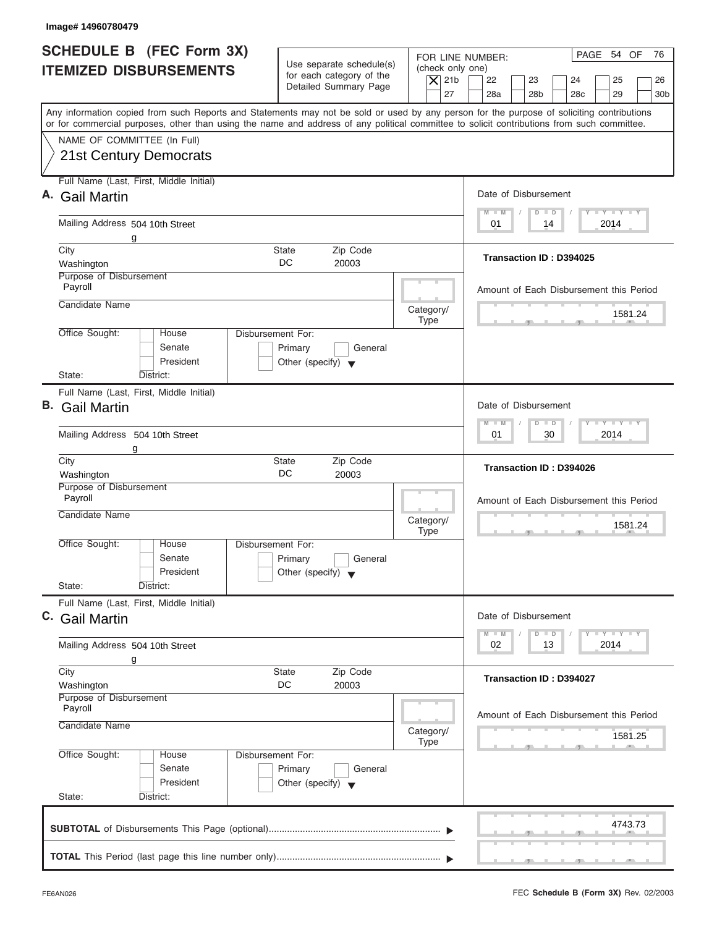| SCHEDULE B (FEC Form 3X)<br><b>ITEMIZED DISBURSEMENTS</b><br>Any information copied from such Reports and Statements may not be sold or used by any person for the purpose of soliciting contributions<br>or for commercial purposes, other than using the name and address of any political committee to solicit contributions from such committee.<br>NAME OF COMMITTEE (In Full) | Use separate schedule(s)<br>for each category of the<br>Detailed Summary Page   | (check only one)<br>$ \mathsf{X} $ 21b | PAGE 54 OF<br>76<br>FOR LINE NUMBER:                                               |
|-------------------------------------------------------------------------------------------------------------------------------------------------------------------------------------------------------------------------------------------------------------------------------------------------------------------------------------------------------------------------------------|---------------------------------------------------------------------------------|----------------------------------------|------------------------------------------------------------------------------------|
|                                                                                                                                                                                                                                                                                                                                                                                     |                                                                                 |                                        | 22<br>23<br>24<br>25<br>26                                                         |
|                                                                                                                                                                                                                                                                                                                                                                                     |                                                                                 | 27                                     | 28a<br>28 <sub>b</sub><br>28 <sub>c</sub><br>29<br>30 <sub>b</sub>                 |
|                                                                                                                                                                                                                                                                                                                                                                                     |                                                                                 |                                        |                                                                                    |
| <b>21st Century Democrats</b>                                                                                                                                                                                                                                                                                                                                                       |                                                                                 |                                        |                                                                                    |
| Full Name (Last, First, Middle Initial)                                                                                                                                                                                                                                                                                                                                             |                                                                                 |                                        |                                                                                    |
| <b>Gail Martin</b>                                                                                                                                                                                                                                                                                                                                                                  |                                                                                 |                                        | Date of Disbursement                                                               |
| Mailing Address 504 10th Street<br>g                                                                                                                                                                                                                                                                                                                                                |                                                                                 |                                        | $T - Y = T - Y = T - Y$<br>$M - M$<br>$D$ $D$<br>2014<br>01<br>14                  |
| City                                                                                                                                                                                                                                                                                                                                                                                | State<br>Zip Code<br>DC.                                                        |                                        | Transaction ID: D394025                                                            |
| Washington<br>Purpose of Disbursement                                                                                                                                                                                                                                                                                                                                               | 20003                                                                           |                                        |                                                                                    |
| Payroll<br>Candidate Name                                                                                                                                                                                                                                                                                                                                                           |                                                                                 |                                        | Amount of Each Disbursement this Period                                            |
|                                                                                                                                                                                                                                                                                                                                                                                     |                                                                                 | Category/<br><b>Type</b>               | 1581.24                                                                            |
| Office Sought:<br>House<br>Senate<br>President                                                                                                                                                                                                                                                                                                                                      | Disbursement For:<br>Primary<br>General<br>Other (specify) $\blacktriangledown$ |                                        |                                                                                    |
| State:<br>District:                                                                                                                                                                                                                                                                                                                                                                 |                                                                                 |                                        |                                                                                    |
| Full Name (Last, First, Middle Initial)<br><b>B.</b> Gail Martin                                                                                                                                                                                                                                                                                                                    |                                                                                 |                                        | Date of Disbursement<br>$-1 - Y - 1 - Y - 1 - Y$<br>$M - M$<br>$D$ $D$             |
| Mailing Address 504 10th Street<br>g                                                                                                                                                                                                                                                                                                                                                |                                                                                 |                                        | 2014<br>01<br>30                                                                   |
| City<br>Washington                                                                                                                                                                                                                                                                                                                                                                  | State<br>Zip Code<br>DC<br>20003                                                |                                        | Transaction ID: D394026                                                            |
| Purpose of Disbursement<br>Payroll                                                                                                                                                                                                                                                                                                                                                  |                                                                                 |                                        |                                                                                    |
| Candidate Name                                                                                                                                                                                                                                                                                                                                                                      |                                                                                 |                                        | Amount of Each Disbursement this Period                                            |
|                                                                                                                                                                                                                                                                                                                                                                                     |                                                                                 | Category/<br><b>Type</b>               | 1581.24<br>an.<br>$\sim$                                                           |
| Office Sought:<br>House<br>Senate<br>President                                                                                                                                                                                                                                                                                                                                      | Disbursement For:<br>Primary<br>General<br>Other (specify) $\blacktriangledown$ |                                        |                                                                                    |
| State:<br>District:                                                                                                                                                                                                                                                                                                                                                                 |                                                                                 |                                        |                                                                                    |
| Full Name (Last, First, Middle Initial)<br>C. Gail Martin                                                                                                                                                                                                                                                                                                                           |                                                                                 |                                        | Date of Disbursement                                                               |
| Mailing Address 504 10th Street<br>g                                                                                                                                                                                                                                                                                                                                                |                                                                                 |                                        | $T - Y - T - Y - T - Y$<br>$M - M$<br>$\overline{D}$<br>$\Box$<br>2014<br>02<br>13 |
| City<br>Washington                                                                                                                                                                                                                                                                                                                                                                  | State<br>Zip Code<br>DC<br>20003                                                |                                        | Transaction ID: D394027                                                            |
| Purpose of Disbursement<br>Payroll                                                                                                                                                                                                                                                                                                                                                  |                                                                                 |                                        | Amount of Each Disbursement this Period                                            |
| Candidate Name                                                                                                                                                                                                                                                                                                                                                                      |                                                                                 | Category/                              | 1581.25                                                                            |
| Office Sought:<br>House<br>Senate<br>President                                                                                                                                                                                                                                                                                                                                      | Disbursement For:<br>Primary<br>General<br>Other (specify) $\blacktriangledown$ | <b>Type</b>                            |                                                                                    |
| State:<br>District:                                                                                                                                                                                                                                                                                                                                                                 |                                                                                 |                                        |                                                                                    |
|                                                                                                                                                                                                                                                                                                                                                                                     |                                                                                 |                                        | 4743.73                                                                            |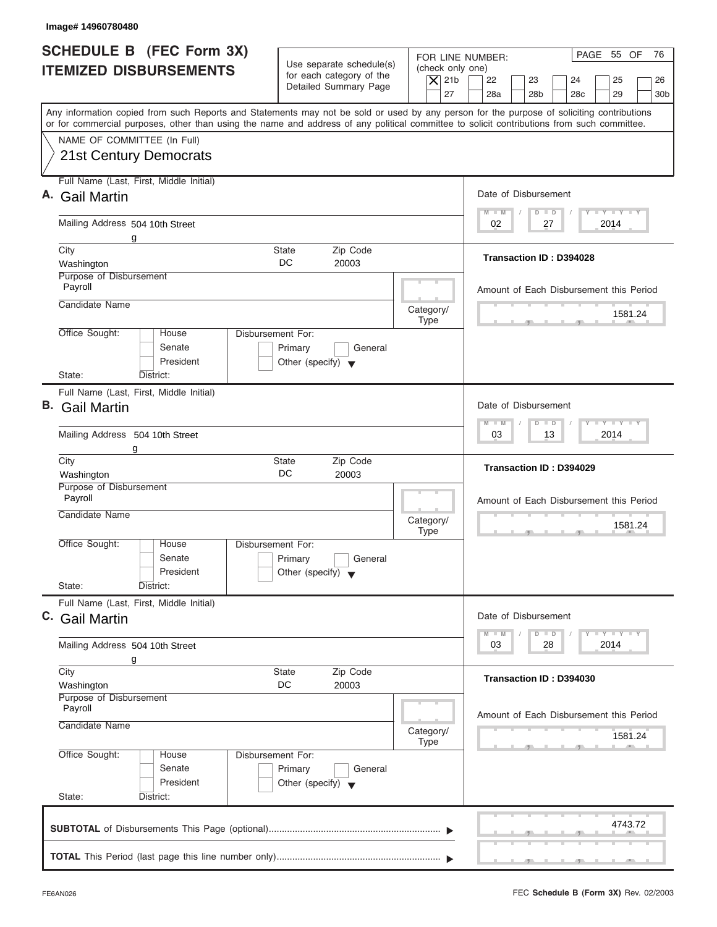| SCHEDULE B (FEC Form 3X)<br><b>ITEMIZED DISBURSEMENTS</b>                                                                                                                                                                                                                               | Use separate schedule(s)<br>for each category of the<br>$ \mathsf{X} $ 21b<br>Detailed Summary Page | PAGE 55 OF<br>76<br>FOR LINE NUMBER:<br>(check only one)<br>22<br>23<br>24<br>25<br>26<br>27<br>28a<br>28 <sub>b</sub><br>28 <sub>c</sub><br>29<br>30 <sub>b</sub> |
|-----------------------------------------------------------------------------------------------------------------------------------------------------------------------------------------------------------------------------------------------------------------------------------------|-----------------------------------------------------------------------------------------------------|--------------------------------------------------------------------------------------------------------------------------------------------------------------------|
| Any information copied from such Reports and Statements may not be sold or used by any person for the purpose of soliciting contributions<br>or for commercial purposes, other than using the name and address of any political committee to solicit contributions from such committee. |                                                                                                     |                                                                                                                                                                    |
| NAME OF COMMITTEE (In Full)<br><b>21st Century Democrats</b>                                                                                                                                                                                                                            |                                                                                                     |                                                                                                                                                                    |
| Full Name (Last, First, Middle Initial)<br><b>Gail Martin</b>                                                                                                                                                                                                                           |                                                                                                     | Date of Disbursement                                                                                                                                               |
| Mailing Address 504 10th Street<br>g                                                                                                                                                                                                                                                    |                                                                                                     | $T - Y = T - Y = T - Y$<br>$M - M$<br>$D$ $D$<br>2014<br>02<br>27                                                                                                  |
| City<br>Washington                                                                                                                                                                                                                                                                      | State<br>Zip Code<br>DC.<br>20003                                                                   | Transaction ID: D394028                                                                                                                                            |
| Purpose of Disbursement<br>Payroll<br>Candidate Name                                                                                                                                                                                                                                    |                                                                                                     | Amount of Each Disbursement this Period                                                                                                                            |
| Office Sought:<br>House                                                                                                                                                                                                                                                                 | Category/<br><b>Type</b><br>Disbursement For:                                                       | 1581.24                                                                                                                                                            |
| Senate<br>President<br>State:<br>District:                                                                                                                                                                                                                                              | Primary<br>General<br>Other (specify) $\blacktriangledown$                                          |                                                                                                                                                                    |
| Full Name (Last, First, Middle Initial)<br><b>B.</b> Gail Martin                                                                                                                                                                                                                        |                                                                                                     | Date of Disbursement                                                                                                                                               |
| Mailing Address 504 10th Street<br>g                                                                                                                                                                                                                                                    |                                                                                                     | $-1 - Y - 1 - Y - 1 - Y$<br>$M - M$<br>$D$ $D$<br>2014<br>03<br>13                                                                                                 |
| City<br>Washington                                                                                                                                                                                                                                                                      | State<br>Zip Code<br>DC<br>20003                                                                    | Transaction ID: D394029                                                                                                                                            |
| Purpose of Disbursement<br>Payroll<br>Candidate Name                                                                                                                                                                                                                                    | Category/                                                                                           | Amount of Each Disbursement this Period<br>1581.24                                                                                                                 |
| Office Sought:<br>House<br>Senate<br>President                                                                                                                                                                                                                                          | <b>Type</b><br>Disbursement For:<br>Primary<br>General<br>Other (specify) $\blacktriangledown$      | an.<br>$\sim$                                                                                                                                                      |
| State:<br>District:<br>Full Name (Last, First, Middle Initial)                                                                                                                                                                                                                          |                                                                                                     |                                                                                                                                                                    |
| C. Gail Martin<br>Mailing Address 504 10th Street                                                                                                                                                                                                                                       |                                                                                                     | Date of Disbursement<br>$T - Y - T - Y - T - Y$<br>$M - M$<br>$D$ $D$<br>2014<br>03<br>28                                                                          |
| g<br>City<br>Washington                                                                                                                                                                                                                                                                 | State<br>Zip Code<br>DC<br>20003                                                                    | Transaction ID: D394030                                                                                                                                            |
| Purpose of Disbursement<br>Payroll<br>Candidate Name                                                                                                                                                                                                                                    | Category/                                                                                           | Amount of Each Disbursement this Period                                                                                                                            |
| Office Sought:<br>House<br>Senate<br>President<br>State:<br>District:                                                                                                                                                                                                                   | <b>Type</b><br>Disbursement For:<br>Primary<br>General<br>Other (specify) $\blacktriangledown$      | 1581.24                                                                                                                                                            |
|                                                                                                                                                                                                                                                                                         |                                                                                                     |                                                                                                                                                                    |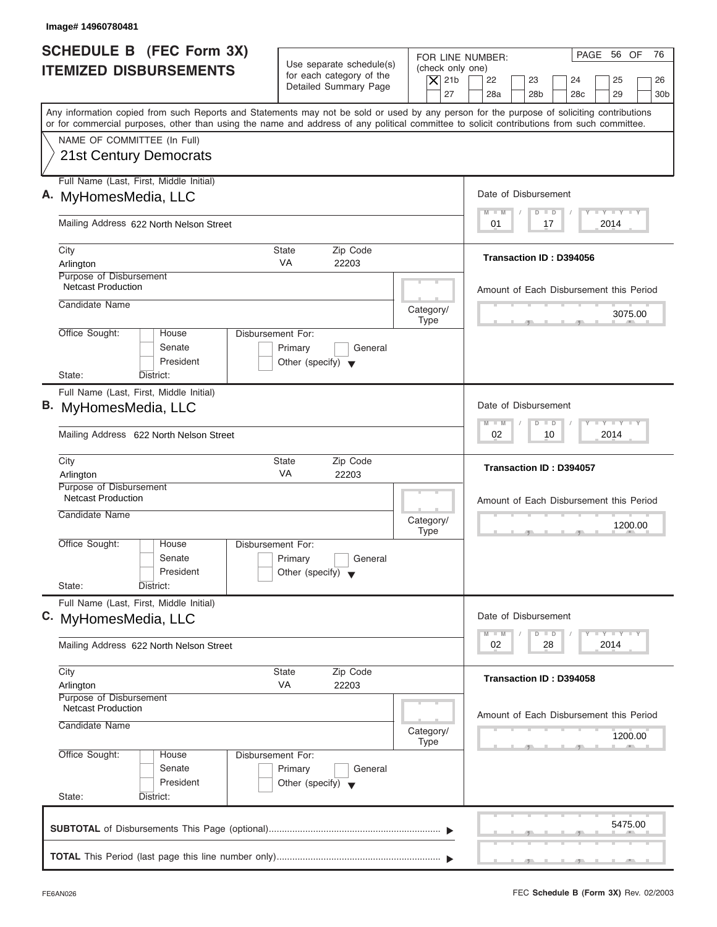| Image# 14960780481                                                                                                                                                                                                                                                                                                     |                                                                                                                               |                                                                                                                                          |
|------------------------------------------------------------------------------------------------------------------------------------------------------------------------------------------------------------------------------------------------------------------------------------------------------------------------|-------------------------------------------------------------------------------------------------------------------------------|------------------------------------------------------------------------------------------------------------------------------------------|
| <b>SCHEDULE B (FEC Form 3X)</b><br><b>ITEMIZED DISBURSEMENTS</b>                                                                                                                                                                                                                                                       | Use separate schedule(s)<br>(check only one)<br>for each category of the<br>$\vert$ $\chi$ 21b<br>Detailed Summary Page<br>27 | PAGE 56 OF<br>76<br>FOR LINE NUMBER:<br>22<br>23<br>24<br>25<br>26<br>28a<br>28 <sub>b</sub><br>28 <sub>c</sub><br>29<br>30 <sub>b</sub> |
| Any information copied from such Reports and Statements may not be sold or used by any person for the purpose of soliciting contributions<br>or for commercial purposes, other than using the name and address of any political committee to solicit contributions from such committee.<br>NAME OF COMMITTEE (In Full) |                                                                                                                               |                                                                                                                                          |
| 21st Century Democrats                                                                                                                                                                                                                                                                                                 |                                                                                                                               |                                                                                                                                          |
| Full Name (Last, First, Middle Initial)<br>A. MyHomesMedia, LLC                                                                                                                                                                                                                                                        |                                                                                                                               | Date of Disbursement                                                                                                                     |
| Mailing Address 622 North Nelson Street                                                                                                                                                                                                                                                                                |                                                                                                                               | $L - Y = L - Y = L - Y$<br>$M - M$<br>$\Box$<br>$\Box$<br>2014<br>01<br>17                                                               |
| City<br>Arlington                                                                                                                                                                                                                                                                                                      | <b>State</b><br>Zip Code<br><b>VA</b><br>22203                                                                                | Transaction ID: D394056                                                                                                                  |
| Purpose of Disbursement<br><b>Netcast Production</b><br>Candidate Name                                                                                                                                                                                                                                                 |                                                                                                                               | Amount of Each Disbursement this Period                                                                                                  |
| Office Sought:<br>House                                                                                                                                                                                                                                                                                                | Category/<br><b>Type</b><br>Disbursement For:                                                                                 | 3075.00                                                                                                                                  |
| Senate<br>President<br>State:<br>District:                                                                                                                                                                                                                                                                             | Primary<br>General<br>Other (specify) $\blacktriangledown$                                                                    |                                                                                                                                          |
| Full Name (Last, First, Middle Initial)<br>B. MyHomesMedia, LLC                                                                                                                                                                                                                                                        |                                                                                                                               | Date of Disbursement                                                                                                                     |
| Mailing Address 622 North Nelson Street                                                                                                                                                                                                                                                                                |                                                                                                                               | $-Y$ $+Y$ $-+Y$<br>$\Box$<br>$M - M$<br>$\overline{D}$<br>2014<br>02<br>10                                                               |
| City<br>Arlington                                                                                                                                                                                                                                                                                                      | Zip Code<br>State<br><b>VA</b><br>22203                                                                                       | Transaction ID: D394057                                                                                                                  |
| Purpose of Disbursement<br><b>Netcast Production</b><br>Candidate Name                                                                                                                                                                                                                                                 | Category/<br><b>Type</b>                                                                                                      | Amount of Each Disbursement this Period<br>1200.00<br>$-7$                                                                               |
| Office Sought:<br>House<br>Senate<br>President<br>State:<br>District:                                                                                                                                                                                                                                                  | Disbursement For:<br>Primary<br>General<br>Other (specify) $\blacktriangledown$                                               |                                                                                                                                          |
| Full Name (Last, First, Middle Initial)<br>C. MyHomesMedia, LLC                                                                                                                                                                                                                                                        |                                                                                                                               | Date of Disbursement                                                                                                                     |
| Mailing Address 622 North Nelson Street                                                                                                                                                                                                                                                                                |                                                                                                                               | $\mathbf{I}$ $\mathbf{Y}$ $\mathbf{I}$ $\mathbf{Y}$ $\mathbf{I}$ $\mathbf{Y}$<br>$M - M$<br>D<br>$\Box$<br>2014<br>02<br>28              |
| City<br>Arlington<br>Purpose of Disbursement                                                                                                                                                                                                                                                                           | Zip Code<br>State<br>VA<br>22203                                                                                              | Transaction ID: D394058                                                                                                                  |
| <b>Netcast Production</b><br>Candidate Name                                                                                                                                                                                                                                                                            | Category/<br><b>Type</b>                                                                                                      | Amount of Each Disbursement this Period<br>1200.00                                                                                       |
| Office Sought:<br>House<br>Senate<br>President<br>State:<br>District:                                                                                                                                                                                                                                                  | Disbursement For:<br>Primary<br>General<br>Other (specify) $\blacktriangledown$                                               |                                                                                                                                          |
|                                                                                                                                                                                                                                                                                                                        |                                                                                                                               | 5475.00                                                                                                                                  |
|                                                                                                                                                                                                                                                                                                                        |                                                                                                                               |                                                                                                                                          |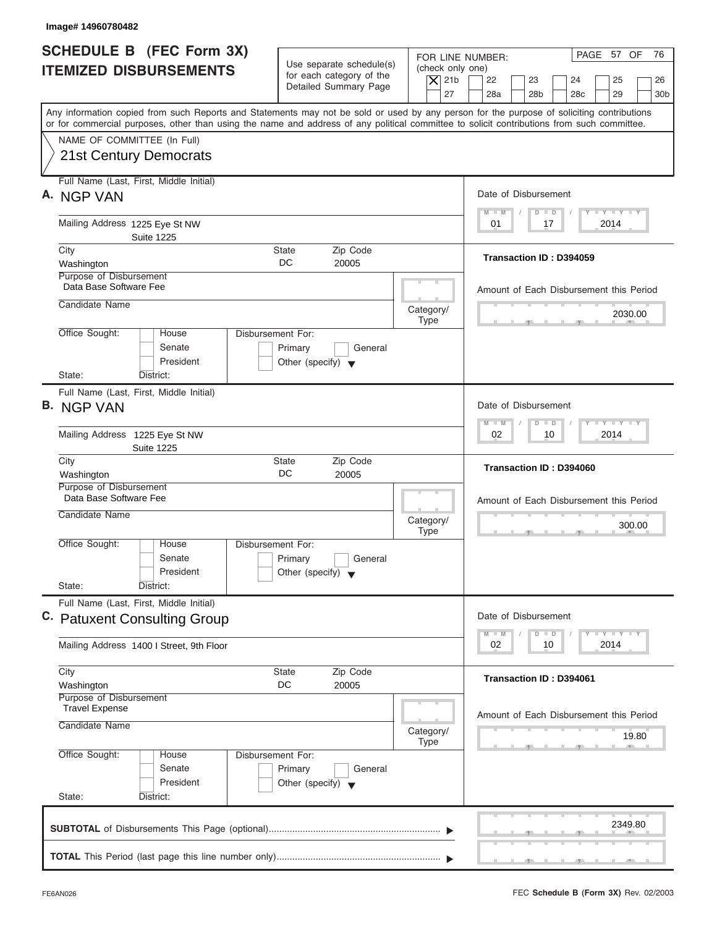| <b>SCHEDULE B (FEC Form 3X)</b><br><b>ITEMIZED DISBURSEMENTS</b><br>Any information copied from such Reports and Statements may not be sold or used by any person for the purpose of soliciting contributions | Use separate schedule(s)<br>for each category of the | (check only one)         | PAGE 57 OF<br>76<br>FOR LINE NUMBER:                                                             |
|---------------------------------------------------------------------------------------------------------------------------------------------------------------------------------------------------------------|------------------------------------------------------|--------------------------|--------------------------------------------------------------------------------------------------|
|                                                                                                                                                                                                               |                                                      |                          |                                                                                                  |
|                                                                                                                                                                                                               | Detailed Summary Page                                | $\overline{X}$ 21b<br>27 | 22<br>23<br>24<br>25<br>26<br>28a<br>28 <sub>b</sub><br>28 <sub>c</sub><br>29<br>30 <sub>b</sub> |
| or for commercial purposes, other than using the name and address of any political committee to solicit contributions from such committee.                                                                    |                                                      |                          |                                                                                                  |
| NAME OF COMMITTEE (In Full)                                                                                                                                                                                   |                                                      |                          |                                                                                                  |
| <b>21st Century Democrats</b>                                                                                                                                                                                 |                                                      |                          |                                                                                                  |
| Full Name (Last, First, Middle Initial)                                                                                                                                                                       |                                                      |                          |                                                                                                  |
| A. NGP VAN                                                                                                                                                                                                    |                                                      |                          | Date of Disbursement<br>$T - Y = T - Y = T - Y$<br>$M - M$<br>$D$ $D$                            |
| Mailing Address 1225 Eye St NW                                                                                                                                                                                |                                                      |                          | 2014<br>01<br>17                                                                                 |
| <b>Suite 1225</b><br>City                                                                                                                                                                                     | Zip Code<br><b>State</b>                             |                          |                                                                                                  |
| Washington<br>Purpose of Disbursement                                                                                                                                                                         | DC<br>20005                                          |                          | Transaction ID: D394059                                                                          |
| Data Base Software Fee                                                                                                                                                                                        |                                                      |                          | Amount of Each Disbursement this Period                                                          |
| Candidate Name                                                                                                                                                                                                |                                                      | Category/                | 2030.00                                                                                          |
| Office Sought:<br>House                                                                                                                                                                                       | Disbursement For:                                    | Type                     |                                                                                                  |
| Senate                                                                                                                                                                                                        | Primary<br>General                                   |                          |                                                                                                  |
| President<br>State:<br>District:                                                                                                                                                                              | Other (specify) $\blacktriangledown$                 |                          |                                                                                                  |
| Full Name (Last, First, Middle Initial)                                                                                                                                                                       |                                                      |                          |                                                                                                  |
| <b>B.</b> NGP VAN                                                                                                                                                                                             |                                                      |                          | Date of Disbursement                                                                             |
| Mailing Address 1225 Eye St NW                                                                                                                                                                                |                                                      |                          | $-1 - Y - 1 - Y - 1 - Y$<br>$M - M$<br>$\overline{D}$<br>$\Box$<br>2014<br>02<br>10              |
| <b>Suite 1225</b>                                                                                                                                                                                             |                                                      |                          |                                                                                                  |
| City<br>Washington                                                                                                                                                                                            | Zip Code<br><b>State</b><br>DC<br>20005              |                          | Transaction ID: D394060                                                                          |
| Purpose of Disbursement<br>Data Base Software Fee                                                                                                                                                             |                                                      |                          |                                                                                                  |
| Candidate Name                                                                                                                                                                                                |                                                      |                          | Amount of Each Disbursement this Period                                                          |
|                                                                                                                                                                                                               |                                                      | Category/<br><b>Type</b> | 300.00<br>$-5$                                                                                   |
| Office Sought:<br>House<br>Senate                                                                                                                                                                             | Disbursement For:<br>Primary<br>General              |                          |                                                                                                  |
| President                                                                                                                                                                                                     | Other (specify) $\blacktriangledown$                 |                          |                                                                                                  |
| State:<br>District:                                                                                                                                                                                           |                                                      |                          |                                                                                                  |
| Full Name (Last, First, Middle Initial)<br>C. Patuxent Consulting Group                                                                                                                                       |                                                      |                          | Date of Disbursement                                                                             |
|                                                                                                                                                                                                               |                                                      |                          | $T - Y - T - Y - T - Y$<br>$M - M$<br>D<br>$\Box$                                                |
| Mailing Address 1400   Street, 9th Floor                                                                                                                                                                      |                                                      |                          | 2014<br>02<br>10                                                                                 |
| City                                                                                                                                                                                                          | Zip Code<br><b>State</b>                             |                          | Transaction ID: D394061                                                                          |
| Washington<br>Purpose of Disbursement                                                                                                                                                                         | DC<br>20005                                          |                          |                                                                                                  |
| <b>Travel Expense</b>                                                                                                                                                                                         |                                                      |                          | Amount of Each Disbursement this Period                                                          |
| Candidate Name                                                                                                                                                                                                |                                                      | Category/                | 19.80                                                                                            |
| Office Sought:<br>House                                                                                                                                                                                       | Disbursement For:                                    | Type                     |                                                                                                  |
| Senate                                                                                                                                                                                                        | Primary<br>General                                   |                          |                                                                                                  |
| President<br>State:<br>District:                                                                                                                                                                              | Other (specify) $\blacktriangledown$                 |                          |                                                                                                  |
|                                                                                                                                                                                                               |                                                      |                          |                                                                                                  |
|                                                                                                                                                                                                               |                                                      |                          | 2349.80                                                                                          |
|                                                                                                                                                                                                               |                                                      |                          |                                                                                                  |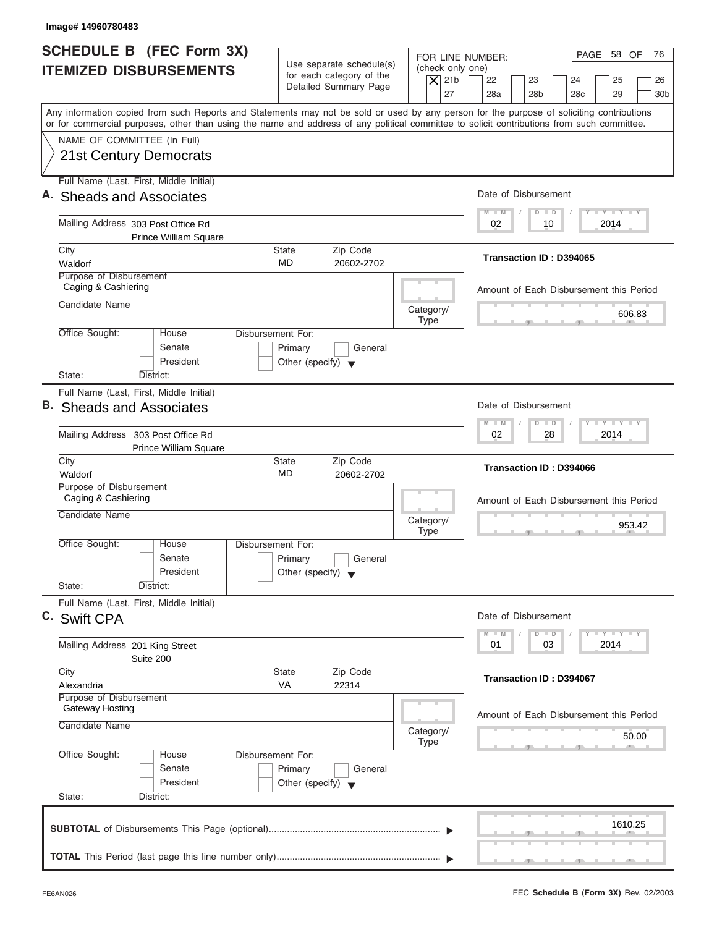| Image# 14960780483                                                                                                                                                                                                                                                                      |                                                                                                                         |                                                                                                                         |
|-----------------------------------------------------------------------------------------------------------------------------------------------------------------------------------------------------------------------------------------------------------------------------------------|-------------------------------------------------------------------------------------------------------------------------|-------------------------------------------------------------------------------------------------------------------------|
| <b>SCHEDULE B (FEC Form 3X)</b><br><b>ITEMIZED DISBURSEMENTS</b>                                                                                                                                                                                                                        | Use separate schedule(s)<br>(check only one)<br>for each category of the<br>$\vert$ $\chi$ 21b<br>Detailed Summary Page | PAGE 58 OF<br>76<br>FOR LINE NUMBER:<br>22<br>23<br>24<br>25<br>26                                                      |
| Any information copied from such Reports and Statements may not be sold or used by any person for the purpose of soliciting contributions<br>or for commercial purposes, other than using the name and address of any political committee to solicit contributions from such committee. | 27                                                                                                                      | 28a<br>28 <sub>b</sub><br>28 <sub>c</sub><br>29<br>30 <sub>b</sub>                                                      |
| NAME OF COMMITTEE (In Full)<br>21st Century Democrats                                                                                                                                                                                                                                   |                                                                                                                         |                                                                                                                         |
| Full Name (Last, First, Middle Initial)<br>A. Sheads and Associates                                                                                                                                                                                                                     |                                                                                                                         | Date of Disbursement                                                                                                    |
| Mailing Address 303 Post Office Rd<br><b>Prince William Square</b>                                                                                                                                                                                                                      |                                                                                                                         | $\mathbf{I} = \mathbf{Y} - \mathbf{I} - \mathbf{Y} - \mathbf{I} - \mathbf{Y}$<br>$M - M$<br>$D$ $D$<br>2014<br>02<br>10 |
| City<br>Waldorf<br>Purpose of Disbursement                                                                                                                                                                                                                                              | <b>State</b><br>Zip Code<br><b>MD</b><br>20602-2702                                                                     | Transaction ID: D394065                                                                                                 |
| Caging & Cashiering<br>Candidate Name                                                                                                                                                                                                                                                   |                                                                                                                         | Amount of Each Disbursement this Period                                                                                 |
| Office Sought:<br>House                                                                                                                                                                                                                                                                 | Category/<br><b>Type</b><br>Disbursement For:                                                                           | 606.83                                                                                                                  |
| Senate<br>President<br>State:<br>District:                                                                                                                                                                                                                                              | Primary<br>General<br>Other (specify) $\blacktriangledown$                                                              |                                                                                                                         |
| Full Name (Last, First, Middle Initial)<br><b>B.</b> Sheads and Associates                                                                                                                                                                                                              |                                                                                                                         | Date of Disbursement                                                                                                    |
| Mailing Address 303 Post Office Rd<br><b>Prince William Square</b>                                                                                                                                                                                                                      |                                                                                                                         | <b>LEYELEYELE</b><br>$M - M$<br>$\overline{D}$<br>$\Box$<br>28<br>2014<br>02                                            |
| City<br>Waldorf<br>Purpose of Disbursement                                                                                                                                                                                                                                              | Zip Code<br><b>State</b><br>MD<br>20602-2702                                                                            | Transaction ID: D394066                                                                                                 |
| Caging & Cashiering<br>Candidate Name                                                                                                                                                                                                                                                   | Category/<br><b>Type</b>                                                                                                | Amount of Each Disbursement this Period<br>953.42                                                                       |
| Office Sought:<br>House<br>Senate<br>President                                                                                                                                                                                                                                          | Disbursement For:<br>Primary<br>General<br>Other (specify) $\blacktriangledown$                                         |                                                                                                                         |
| State:<br>District:<br>Full Name (Last, First, Middle Initial)<br>C. Swift CPA                                                                                                                                                                                                          |                                                                                                                         | Date of Disbursement                                                                                                    |
| Mailing Address 201 King Street<br>Suite 200                                                                                                                                                                                                                                            |                                                                                                                         | $T - Y = Y - T Y$<br>$M - M$<br>$\overline{D}$<br>$\Box$<br>2014<br>01<br>03                                            |
| City<br>Alexandria<br>Purpose of Disbursement                                                                                                                                                                                                                                           | Zip Code<br><b>State</b><br>VA<br>22314                                                                                 | Transaction ID: D394067                                                                                                 |
| Gateway Hosting<br>Candidate Name                                                                                                                                                                                                                                                       | Category/<br><b>Type</b>                                                                                                | Amount of Each Disbursement this Period<br>50.00                                                                        |
| Office Sought:<br>House<br>Senate<br>President                                                                                                                                                                                                                                          | Disbursement For:<br>Primary<br>General<br>Other (specify) $\blacktriangledown$                                         |                                                                                                                         |
| State:<br>District:                                                                                                                                                                                                                                                                     |                                                                                                                         | 1610.25                                                                                                                 |
|                                                                                                                                                                                                                                                                                         |                                                                                                                         |                                                                                                                         |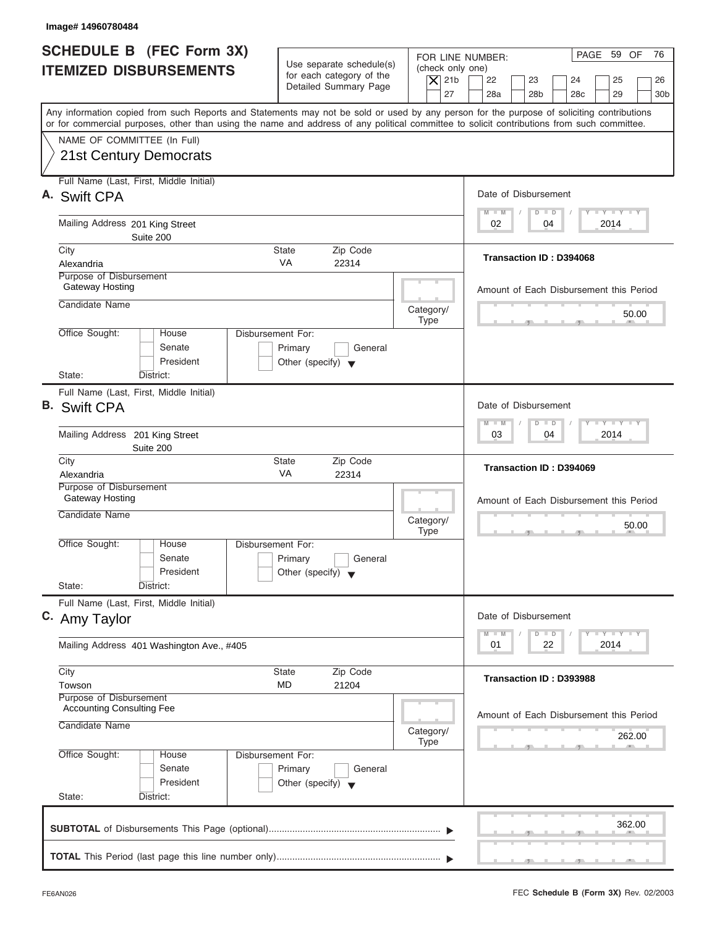| Image# 14960780484                                                                                                                                                                                                                                                                      |                                                                                 |                                      |                                                 |                                                                                       |
|-----------------------------------------------------------------------------------------------------------------------------------------------------------------------------------------------------------------------------------------------------------------------------------------|---------------------------------------------------------------------------------|--------------------------------------|-------------------------------------------------|---------------------------------------------------------------------------------------|
| <b>SCHEDULE B (FEC Form 3X)</b><br><b>ITEMIZED DISBURSEMENTS</b>                                                                                                                                                                                                                        | Use separate schedule(s)<br>for each category of the                            | FOR LINE NUMBER:<br>(check only one) |                                                 | PAGE 59 OF<br>76                                                                      |
|                                                                                                                                                                                                                                                                                         | Detailed Summary Page                                                           | $\vert$ $\chi$ 21b<br>27             | 22<br>23<br>28a<br>28 <sub>b</sub>              | 24<br>25<br>26<br>28 <sub>c</sub><br>29<br>30 <sub>b</sub>                            |
| Any information copied from such Reports and Statements may not be sold or used by any person for the purpose of soliciting contributions<br>or for commercial purposes, other than using the name and address of any political committee to solicit contributions from such committee. |                                                                                 |                                      |                                                 |                                                                                       |
| NAME OF COMMITTEE (In Full)<br>21st Century Democrats                                                                                                                                                                                                                                   |                                                                                 |                                      |                                                 |                                                                                       |
| Full Name (Last, First, Middle Initial)<br>A. Swift CPA                                                                                                                                                                                                                                 |                                                                                 |                                      | Date of Disbursement                            |                                                                                       |
| Mailing Address 201 King Street<br>Suite 200                                                                                                                                                                                                                                            |                                                                                 |                                      | $D$ $D$<br>$M - M$<br>04<br>02                  | $T - Y = T - Y = T - Y$<br>2014                                                       |
| City<br>Alexandria                                                                                                                                                                                                                                                                      | Zip Code<br><b>State</b><br><b>VA</b><br>22314                                  |                                      | Transaction ID: D394068                         |                                                                                       |
| Purpose of Disbursement<br>Gateway Hosting<br>Candidate Name                                                                                                                                                                                                                            |                                                                                 |                                      |                                                 | Amount of Each Disbursement this Period                                               |
| Office Sought:<br>House                                                                                                                                                                                                                                                                 | Disbursement For:                                                               | Category/<br><b>Type</b>             |                                                 | 50.00                                                                                 |
| Senate<br>President<br>State:<br>District:                                                                                                                                                                                                                                              | Primary<br>General<br>Other (specify) $\blacktriangledown$                      |                                      |                                                 |                                                                                       |
| Full Name (Last, First, Middle Initial)<br><b>B.</b> Swift CPA                                                                                                                                                                                                                          |                                                                                 |                                      | Date of Disbursement                            |                                                                                       |
| Mailing Address 201 King Street<br>Suite 200                                                                                                                                                                                                                                            |                                                                                 |                                      | $\Box$<br>$M - M$<br>$\overline{D}$<br>03<br>04 | $-1 - Y - 1 - Y - 1 - Y$<br>2014                                                      |
| City<br>Alexandria                                                                                                                                                                                                                                                                      | Zip Code<br><b>State</b><br>VA<br>22314                                         |                                      | Transaction ID: D394069                         |                                                                                       |
| Purpose of Disbursement<br>Gateway Hosting<br>Candidate Name                                                                                                                                                                                                                            |                                                                                 | Category/                            |                                                 | Amount of Each Disbursement this Period<br>50.00                                      |
| Office Sought:<br>House<br>Senate<br>President<br>State:<br>District:                                                                                                                                                                                                                   | Disbursement For:<br>Primary<br>General<br>Other (specify) $\blacktriangledown$ | <b>Type</b>                          | $-7$                                            | $-5$                                                                                  |
| Full Name (Last, First, Middle Initial)<br>C. Amy Taylor                                                                                                                                                                                                                                |                                                                                 |                                      | Date of Disbursement                            |                                                                                       |
| Mailing Address 401 Washington Ave., #405                                                                                                                                                                                                                                               |                                                                                 |                                      | $M - M$<br>D<br>$\Box$<br>01<br>22              | $\mathbf{I}$ $\mathbf{Y}$ $\mathbf{I}$ $\mathbf{Y}$ $\mathbf{I}$ $\mathbf{Y}$<br>2014 |
| City<br>Towson                                                                                                                                                                                                                                                                          | Zip Code<br><b>State</b><br>MD<br>21204                                         |                                      | Transaction ID: D393988                         |                                                                                       |
| Purpose of Disbursement<br><b>Accounting Consulting Fee</b><br>Candidate Name                                                                                                                                                                                                           |                                                                                 | Category/<br><b>Type</b>             |                                                 | Amount of Each Disbursement this Period<br>262.00                                     |
| Office Sought:<br>House<br>Senate<br>President                                                                                                                                                                                                                                          | Disbursement For:<br>Primary<br>General<br>Other (specify) $\blacktriangledown$ |                                      |                                                 |                                                                                       |
| State:<br>District:                                                                                                                                                                                                                                                                     |                                                                                 |                                      |                                                 |                                                                                       |
|                                                                                                                                                                                                                                                                                         |                                                                                 |                                      |                                                 | 362.00                                                                                |
|                                                                                                                                                                                                                                                                                         |                                                                                 |                                      |                                                 |                                                                                       |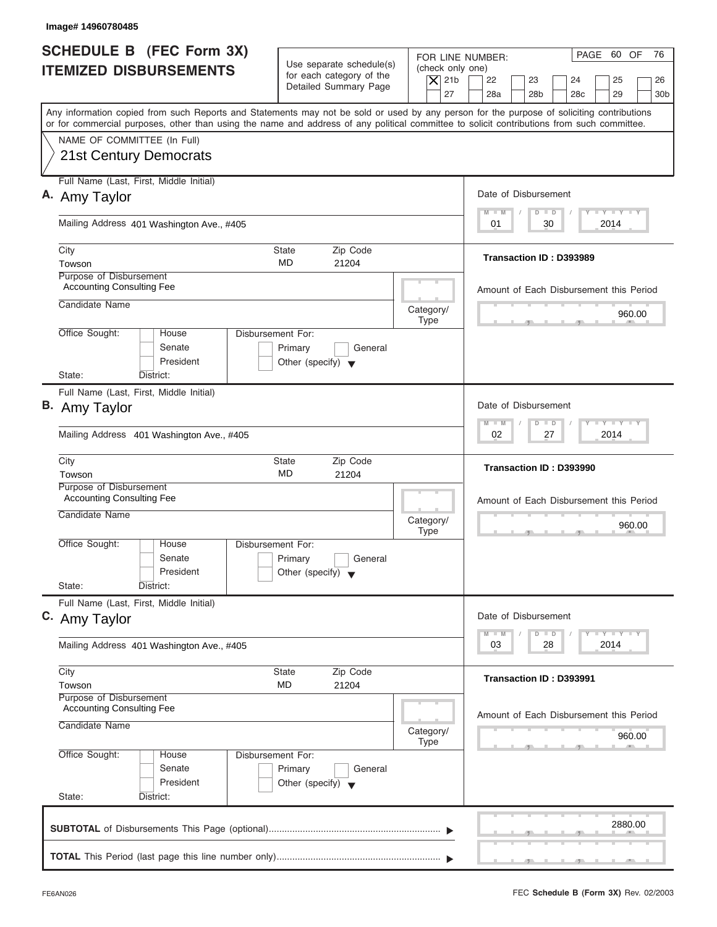| Image# 14960780485                                                                                                                                                        |                                                                                                     |                                                                                                                             |
|---------------------------------------------------------------------------------------------------------------------------------------------------------------------------|-----------------------------------------------------------------------------------------------------|-----------------------------------------------------------------------------------------------------------------------------|
| <b>SCHEDULE B (FEC Form 3X)</b><br><b>ITEMIZED DISBURSEMENTS</b>                                                                                                          | Use separate schedule(s)<br>for each category of the<br>$\vert$ $\chi$ 21b<br>Detailed Summary Page | PAGE 60 OF<br>76<br>FOR LINE NUMBER:<br>(check only one)<br>22<br>23<br>24<br>25<br>26                                      |
| Any information copied from such Reports and Statements may not be sold or used by any person for the purpose of soliciting contributions                                 |                                                                                                     | 27<br>28a<br>28 <sub>b</sub><br>28 <sub>c</sub><br>29<br>30 <sub>b</sub>                                                    |
| or for commercial purposes, other than using the name and address of any political committee to solicit contributions from such committee.<br>NAME OF COMMITTEE (In Full) |                                                                                                     |                                                                                                                             |
| 21st Century Democrats                                                                                                                                                    |                                                                                                     |                                                                                                                             |
| Full Name (Last, First, Middle Initial)                                                                                                                                   |                                                                                                     |                                                                                                                             |
| A. Amy Taylor                                                                                                                                                             |                                                                                                     | Date of Disbursement                                                                                                        |
| Mailing Address 401 Washington Ave., #405                                                                                                                                 |                                                                                                     | $\mathbf{I} = \mathbf{Y} - \mathbf{I} - \mathbf{Y} - \mathbf{I} - \mathbf{Y}$<br>$M - M$<br>$D$ $D$<br>30<br>2014<br>01     |
| City                                                                                                                                                                      | Zip Code<br>State                                                                                   |                                                                                                                             |
| Towson                                                                                                                                                                    | MD<br>21204                                                                                         | Transaction ID: D393989                                                                                                     |
| Purpose of Disbursement<br><b>Accounting Consulting Fee</b>                                                                                                               |                                                                                                     | Amount of Each Disbursement this Period                                                                                     |
| Candidate Name                                                                                                                                                            | Category/                                                                                           | 960.00                                                                                                                      |
| Office Sought:<br>House                                                                                                                                                   | <b>Type</b><br><b>Disbursement For:</b>                                                             |                                                                                                                             |
| Senate<br>President                                                                                                                                                       | Primary<br>General<br>Other (specify) $\blacktriangledown$                                          |                                                                                                                             |
| State:<br>District:                                                                                                                                                       |                                                                                                     |                                                                                                                             |
| Full Name (Last, First, Middle Initial)<br>B. Amy Taylor                                                                                                                  | Date of Disbursement                                                                                |                                                                                                                             |
| Mailing Address 401 Washington Ave., #405                                                                                                                                 |                                                                                                     | $-1$ $-1$ $-1$ $-1$ $-1$<br>$M - M$<br>$\overline{D}$<br>$\Box$<br>2014<br>02<br>27                                         |
| City<br>Towson                                                                                                                                                            | Zip Code<br><b>State</b><br>MD<br>21204                                                             | Transaction ID: D393990                                                                                                     |
| Purpose of Disbursement<br><b>Accounting Consulting Fee</b>                                                                                                               |                                                                                                     |                                                                                                                             |
| Candidate Name                                                                                                                                                            |                                                                                                     | Amount of Each Disbursement this Period                                                                                     |
|                                                                                                                                                                           | Category/<br><b>Type</b>                                                                            | 960.00<br>$-5$                                                                                                              |
| Office Sought:<br>House<br>Senate<br>President                                                                                                                            | Disbursement For:<br>Primary<br>General<br>Other (specify)                                          |                                                                                                                             |
| State:<br>District:                                                                                                                                                       |                                                                                                     |                                                                                                                             |
| Full Name (Last, First, Middle Initial)<br>C. Amy Taylor                                                                                                                  |                                                                                                     | Date of Disbursement                                                                                                        |
| Mailing Address 401 Washington Ave., #405                                                                                                                                 |                                                                                                     | $\mathbf{I}$ $\mathbf{Y}$ $\mathbf{I}$ $\mathbf{Y}$ $\mathbf{I}$ $\mathbf{Y}$<br>$M - M$<br>D<br>$\Box$<br>2014<br>03<br>28 |
| City                                                                                                                                                                      | Zip Code<br><b>State</b>                                                                            | Transaction ID: D393991                                                                                                     |
| Towson<br>Purpose of Disbursement                                                                                                                                         | MD<br>21204                                                                                         |                                                                                                                             |
| <b>Accounting Consulting Fee</b>                                                                                                                                          |                                                                                                     | Amount of Each Disbursement this Period                                                                                     |
| Candidate Name                                                                                                                                                            | Category/<br><b>Type</b>                                                                            | 960.00                                                                                                                      |
| Office Sought:<br>House<br>Senate<br>President                                                                                                                            | Disbursement For:<br>Primary<br>General<br>Other (specify) $\blacktriangledown$                     |                                                                                                                             |
| State:<br>District:                                                                                                                                                       |                                                                                                     |                                                                                                                             |
|                                                                                                                                                                           |                                                                                                     | 2880.00                                                                                                                     |
|                                                                                                                                                                           |                                                                                                     |                                                                                                                             |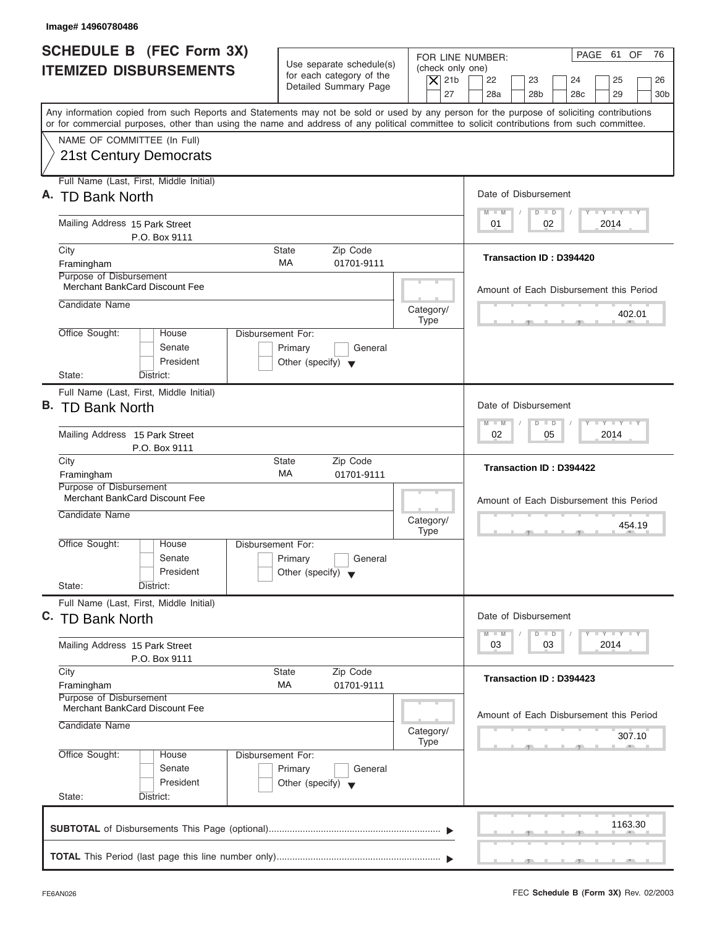| Image# 14960780486                                                                                                                                                                                                                                                                      |                                                                                                                         |                                                                                  |
|-----------------------------------------------------------------------------------------------------------------------------------------------------------------------------------------------------------------------------------------------------------------------------------------|-------------------------------------------------------------------------------------------------------------------------|----------------------------------------------------------------------------------|
| <b>SCHEDULE B (FEC Form 3X)</b><br><b>ITEMIZED DISBURSEMENTS</b>                                                                                                                                                                                                                        | Use separate schedule(s)<br>(check only one)<br>for each category of the<br>$\vert$ $\chi$ 21b<br>Detailed Summary Page | PAGE 61 OF<br>76<br>FOR LINE NUMBER:<br>22<br>23<br>24<br>25<br>26               |
| Any information copied from such Reports and Statements may not be sold or used by any person for the purpose of soliciting contributions<br>or for commercial purposes, other than using the name and address of any political committee to solicit contributions from such committee. | 27                                                                                                                      | 28a<br>28 <sub>b</sub><br>28 <sub>c</sub><br>29<br>30 <sub>b</sub>               |
| NAME OF COMMITTEE (In Full)<br>21st Century Democrats                                                                                                                                                                                                                                   |                                                                                                                         |                                                                                  |
| Full Name (Last, First, Middle Initial)<br>A. TD Bank North                                                                                                                                                                                                                             |                                                                                                                         | Date of Disbursement<br>$T - Y = T - Y = T - Y$<br>$D$ $D$<br>$M - M$            |
| Mailing Address 15 Park Street<br>P.O. Box 9111                                                                                                                                                                                                                                         |                                                                                                                         | 02<br>2014<br>01                                                                 |
| City<br>Framingham                                                                                                                                                                                                                                                                      | <b>State</b><br>Zip Code<br><b>MA</b><br>01701-9111                                                                     | Transaction ID: D394420                                                          |
| Purpose of Disbursement<br><b>Merchant BankCard Discount Fee</b><br>Candidate Name                                                                                                                                                                                                      |                                                                                                                         | Amount of Each Disbursement this Period                                          |
| Office Sought:<br>House                                                                                                                                                                                                                                                                 | Category/<br><b>Type</b><br>Disbursement For:                                                                           | 402.01                                                                           |
| Senate<br>President<br>State:<br>District:                                                                                                                                                                                                                                              | Primary<br>General<br>Other (specify) $\blacktriangledown$                                                              |                                                                                  |
| Full Name (Last, First, Middle Initial)<br>B. TD Bank North                                                                                                                                                                                                                             |                                                                                                                         | Date of Disbursement                                                             |
| Mailing Address 15 Park Street<br>P.O. Box 9111                                                                                                                                                                                                                                         |                                                                                                                         | <b>LY LY LY</b><br>$M - M$<br>$D$ $D$<br>02<br>05<br>2014                        |
| City<br>Framingham                                                                                                                                                                                                                                                                      | Zip Code<br><b>State</b><br>МA<br>01701-9111                                                                            | <b>Transaction ID: D394422</b>                                                   |
| Purpose of Disbursement<br>Merchant BankCard Discount Fee<br>Candidate Name                                                                                                                                                                                                             | Category/<br><b>Type</b>                                                                                                | Amount of Each Disbursement this Period<br>454.19<br>$-7$                        |
| Office Sought:<br>House<br>Senate<br>President                                                                                                                                                                                                                                          | Disbursement For:<br>Primary<br>General<br>Other (specify) $\blacktriangledown$                                         |                                                                                  |
| State:<br>District:<br>Full Name (Last, First, Middle Initial)                                                                                                                                                                                                                          |                                                                                                                         |                                                                                  |
| C. TD Bank North                                                                                                                                                                                                                                                                        |                                                                                                                         | Date of Disbursement<br>$T - Y = Y - T Y$<br>$M - M$<br>$\overline{D}$<br>$\Box$ |
| Mailing Address 15 Park Street<br>P.O. Box 9111                                                                                                                                                                                                                                         |                                                                                                                         | 2014<br>03<br>03                                                                 |
| City<br>Framingham<br>Purpose of Disbursement                                                                                                                                                                                                                                           | Zip Code<br><b>State</b><br>МA<br>01701-9111                                                                            | Transaction ID: D394423                                                          |
| Merchant BankCard Discount Fee<br>Candidate Name                                                                                                                                                                                                                                        | Category/<br><b>Type</b>                                                                                                | Amount of Each Disbursement this Period<br>307.10                                |
| Office Sought:<br>House<br>Senate<br>President<br>State:<br>District:                                                                                                                                                                                                                   | Disbursement For:<br>Primary<br>General<br>Other (specify) $\blacktriangledown$                                         |                                                                                  |
|                                                                                                                                                                                                                                                                                         |                                                                                                                         | 1163.30                                                                          |
|                                                                                                                                                                                                                                                                                         |                                                                                                                         |                                                                                  |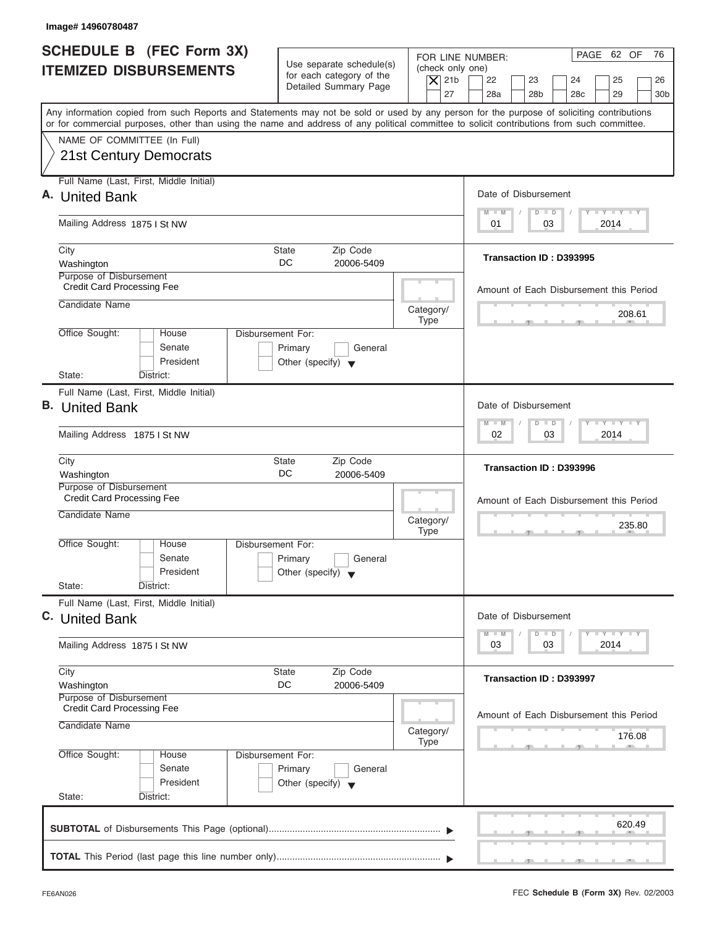| Image# 14960780487                                               |                                                                               |                                                                                                                                                                                                                                                                                                                                                                     |
|------------------------------------------------------------------|-------------------------------------------------------------------------------|---------------------------------------------------------------------------------------------------------------------------------------------------------------------------------------------------------------------------------------------------------------------------------------------------------------------------------------------------------------------|
| SCHEDULE B (FEC Form 3X)                                         |                                                                               | PAGE 62 OF<br>76<br>FOR LINE NUMBER:                                                                                                                                                                                                                                                                                                                                |
| <b>ITEMIZED DISBURSEMENTS</b>                                    | Use separate schedule(s)<br>for each category of the<br>Detailed Summary Page | (check only one)<br>$\overline{X}$ 21b<br>22<br>23<br>24<br>25<br>26                                                                                                                                                                                                                                                                                                |
|                                                                  |                                                                               | 27<br>28a<br>28 <sub>b</sub><br>28 <sub>c</sub><br>29<br>30 <sub>b</sub><br>Any information copied from such Reports and Statements may not be sold or used by any person for the purpose of soliciting contributions<br>or for commercial purposes, other than using the name and address of any political committee to solicit contributions from such committee. |
| NAME OF COMMITTEE (In Full)                                      |                                                                               |                                                                                                                                                                                                                                                                                                                                                                     |
| <b>21st Century Democrats</b>                                    |                                                                               |                                                                                                                                                                                                                                                                                                                                                                     |
| Full Name (Last, First, Middle Initial)                          |                                                                               |                                                                                                                                                                                                                                                                                                                                                                     |
| A. United Bank                                                   |                                                                               | Date of Disbursement<br>$T - Y = T - Y = T - Y$<br>$D$ $D$<br>$M - M$                                                                                                                                                                                                                                                                                               |
| Mailing Address 1875 I St NW                                     |                                                                               | 03<br>2014<br>01                                                                                                                                                                                                                                                                                                                                                    |
| City                                                             | Zip Code<br><b>State</b>                                                      | Transaction ID: D393995                                                                                                                                                                                                                                                                                                                                             |
| Washington<br>Purpose of Disbursement                            | DC<br>20006-5409                                                              |                                                                                                                                                                                                                                                                                                                                                                     |
| <b>Credit Card Processing Fee</b>                                |                                                                               | Amount of Each Disbursement this Period                                                                                                                                                                                                                                                                                                                             |
| Candidate Name                                                   |                                                                               | Category/<br>208.61                                                                                                                                                                                                                                                                                                                                                 |
| Office Sought:<br>House                                          | Disbursement For:                                                             | <b>Type</b>                                                                                                                                                                                                                                                                                                                                                         |
| Senate                                                           | Primary<br>General                                                            |                                                                                                                                                                                                                                                                                                                                                                     |
| President                                                        | Other (specify) $\blacktriangledown$                                          |                                                                                                                                                                                                                                                                                                                                                                     |
| State:<br>District:                                              |                                                                               |                                                                                                                                                                                                                                                                                                                                                                     |
| Full Name (Last, First, Middle Initial)<br><b>B.</b> United Bank |                                                                               | Date of Disbursement                                                                                                                                                                                                                                                                                                                                                |
|                                                                  |                                                                               | <b>LY LY LY</b><br>$M - M$<br>$\Box$<br>$\Box$                                                                                                                                                                                                                                                                                                                      |
| Mailing Address 1875 I St NW                                     |                                                                               | 02<br>03<br>2014                                                                                                                                                                                                                                                                                                                                                    |
| City<br>Washington                                               | Zip Code<br><b>State</b><br>DC<br>20006-5409                                  | Transaction ID: D393996                                                                                                                                                                                                                                                                                                                                             |
| Purpose of Disbursement<br><b>Credit Card Processing Fee</b>     |                                                                               |                                                                                                                                                                                                                                                                                                                                                                     |
| Candidate Name                                                   |                                                                               | Amount of Each Disbursement this Period                                                                                                                                                                                                                                                                                                                             |
|                                                                  |                                                                               | Category/<br>235.80<br><b>Type</b><br>. .                                                                                                                                                                                                                                                                                                                           |
| Office Sought:<br>House                                          | Disbursement For:                                                             |                                                                                                                                                                                                                                                                                                                                                                     |
| Senate<br>President                                              | Primary<br>General<br>Other (specify) $\blacktriangledown$                    |                                                                                                                                                                                                                                                                                                                                                                     |
| State:<br>District:                                              |                                                                               |                                                                                                                                                                                                                                                                                                                                                                     |
| Full Name (Last, First, Middle Initial)                          |                                                                               |                                                                                                                                                                                                                                                                                                                                                                     |
| C. United Bank                                                   |                                                                               | Date of Disbursement                                                                                                                                                                                                                                                                                                                                                |
| Mailing Address 1875 I St NW                                     |                                                                               | <b>LY LY LY</b><br>$M - M$<br>$\overline{D}$<br>$\Box$<br>2014<br>03<br>03                                                                                                                                                                                                                                                                                          |
| City                                                             | Zip Code<br><b>State</b>                                                      |                                                                                                                                                                                                                                                                                                                                                                     |
| Washington                                                       | DC<br>20006-5409                                                              | Transaction ID: D393997                                                                                                                                                                                                                                                                                                                                             |
| Purpose of Disbursement<br><b>Credit Card Processing Fee</b>     |                                                                               | Amount of Each Disbursement this Period                                                                                                                                                                                                                                                                                                                             |
| Candidate Name                                                   |                                                                               | Category/<br>176.08                                                                                                                                                                                                                                                                                                                                                 |
| Office Sought:<br>House                                          | Disbursement For:                                                             | <b>Type</b>                                                                                                                                                                                                                                                                                                                                                         |
| Senate                                                           | Primary<br>General                                                            |                                                                                                                                                                                                                                                                                                                                                                     |
| President                                                        | Other (specify) $\blacktriangledown$                                          |                                                                                                                                                                                                                                                                                                                                                                     |
| State:<br>District:                                              |                                                                               |                                                                                                                                                                                                                                                                                                                                                                     |
|                                                                  |                                                                               | 620.49                                                                                                                                                                                                                                                                                                                                                              |
|                                                                  |                                                                               |                                                                                                                                                                                                                                                                                                                                                                     |
|                                                                  |                                                                               |                                                                                                                                                                                                                                                                                                                                                                     |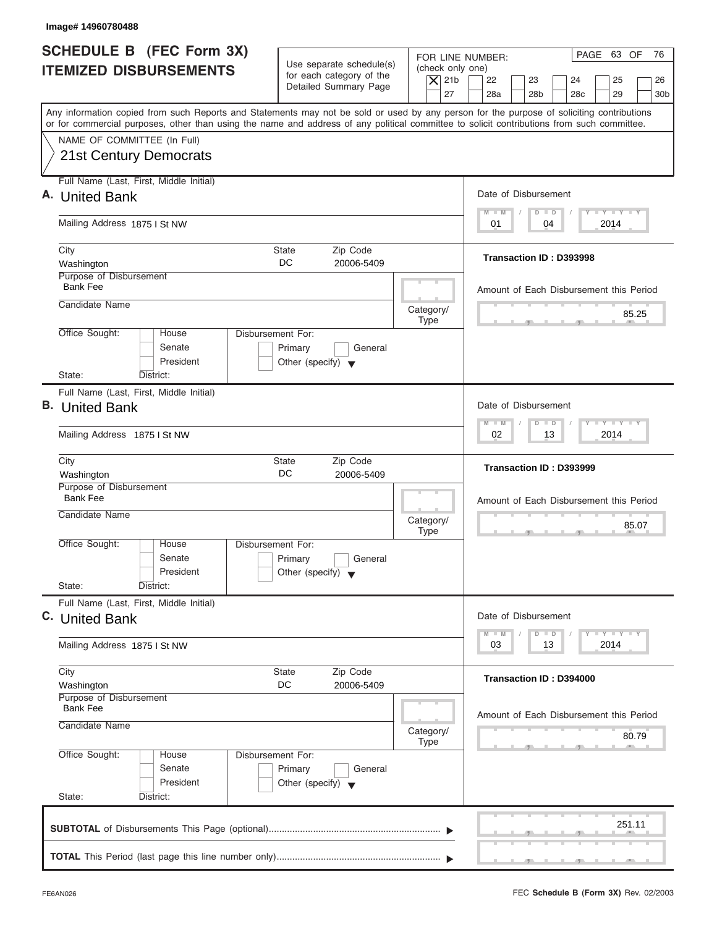| Image# 14960780488                                                                                                                                                                                                                                                                      |                                                                                                |                                                                                                                                                                                          |
|-----------------------------------------------------------------------------------------------------------------------------------------------------------------------------------------------------------------------------------------------------------------------------------------|------------------------------------------------------------------------------------------------|------------------------------------------------------------------------------------------------------------------------------------------------------------------------------------------|
| SCHEDULE B (FEC Form 3X)<br><b>ITEMIZED DISBURSEMENTS</b>                                                                                                                                                                                                                               | Use separate schedule(s)<br>for each category of the<br>Detailed Summary Page                  | PAGE 63 OF<br>76<br>FOR LINE NUMBER:<br>(check only one)<br>$ \mathsf{X} $ 21b<br>22<br>23<br>24<br>25<br>26<br>27<br>28a<br>28 <sub>b</sub><br>28 <sub>c</sub><br>29<br>30 <sub>b</sub> |
| Any information copied from such Reports and Statements may not be sold or used by any person for the purpose of soliciting contributions<br>or for commercial purposes, other than using the name and address of any political committee to solicit contributions from such committee. |                                                                                                |                                                                                                                                                                                          |
| NAME OF COMMITTEE (In Full)<br><b>21st Century Democrats</b>                                                                                                                                                                                                                            |                                                                                                |                                                                                                                                                                                          |
| Full Name (Last, First, Middle Initial)<br>A. United Bank                                                                                                                                                                                                                               |                                                                                                | Date of Disbursement                                                                                                                                                                     |
| Mailing Address 1875 I St NW                                                                                                                                                                                                                                                            |                                                                                                | $T - Y = T - Y = T - Y$<br>$M - M$<br>$D$ $D$<br>04<br>2014<br>01                                                                                                                        |
| City<br>Washington                                                                                                                                                                                                                                                                      | <b>State</b><br>Zip Code<br>DC.<br>20006-5409                                                  | Transaction ID: D393998                                                                                                                                                                  |
| Purpose of Disbursement<br><b>Bank Fee</b><br>Candidate Name                                                                                                                                                                                                                            |                                                                                                | Amount of Each Disbursement this Period                                                                                                                                                  |
|                                                                                                                                                                                                                                                                                         | Category/<br><b>Type</b>                                                                       | 85.25                                                                                                                                                                                    |
| Office Sought:<br>House<br>Senate<br>President<br>State:<br>District:                                                                                                                                                                                                                   | <b>Disbursement For:</b><br>Primary<br>General<br>Other (specify) $\blacktriangledown$         |                                                                                                                                                                                          |
| Full Name (Last, First, Middle Initial)<br><b>B.</b> United Bank                                                                                                                                                                                                                        |                                                                                                | Date of Disbursement<br>$-1 - Y - 1 - Y - 1 - Y$<br>$M - M$<br>$D$ $D$                                                                                                                   |
| Mailing Address 1875 I St NW                                                                                                                                                                                                                                                            |                                                                                                | 2014<br>02<br>13                                                                                                                                                                         |
| City<br>Washington                                                                                                                                                                                                                                                                      | Zip Code<br><b>State</b><br>DC<br>20006-5409                                                   | Transaction ID: D393999                                                                                                                                                                  |
| Purpose of Disbursement<br><b>Bank Fee</b><br>Candidate Name                                                                                                                                                                                                                            | Category/                                                                                      | Amount of Each Disbursement this Period<br>85.07                                                                                                                                         |
| Office Sought:<br>House<br>Senate<br>President<br>State:<br>District:                                                                                                                                                                                                                   | <b>Type</b><br>Disbursement For:<br>Primary<br>General<br>Other (specify) $\blacktriangledown$ | $-7$<br>$7^{\circ}$                                                                                                                                                                      |
| Full Name (Last, First, Middle Initial)<br>C. United Bank                                                                                                                                                                                                                               |                                                                                                | Date of Disbursement                                                                                                                                                                     |
| Mailing Address 1875 I St NW                                                                                                                                                                                                                                                            |                                                                                                | $T - Y - T - Y - T - Y$<br>$M - M$<br>$D$ $D$<br>2014<br>03<br>13                                                                                                                        |
| City<br>Washington                                                                                                                                                                                                                                                                      | Zip Code<br><b>State</b><br>DC<br>20006-5409                                                   | Transaction ID: D394000                                                                                                                                                                  |
| Purpose of Disbursement<br><b>Bank Fee</b><br>Candidate Name                                                                                                                                                                                                                            | Category/<br><b>Type</b>                                                                       | Amount of Each Disbursement this Period<br>80.79                                                                                                                                         |
| Office Sought:<br>House<br>Senate<br>President<br>State:<br>District:                                                                                                                                                                                                                   | Disbursement For:<br>Primary<br>General<br>Other (specify) $\blacktriangledown$                |                                                                                                                                                                                          |
|                                                                                                                                                                                                                                                                                         |                                                                                                | 251.11                                                                                                                                                                                   |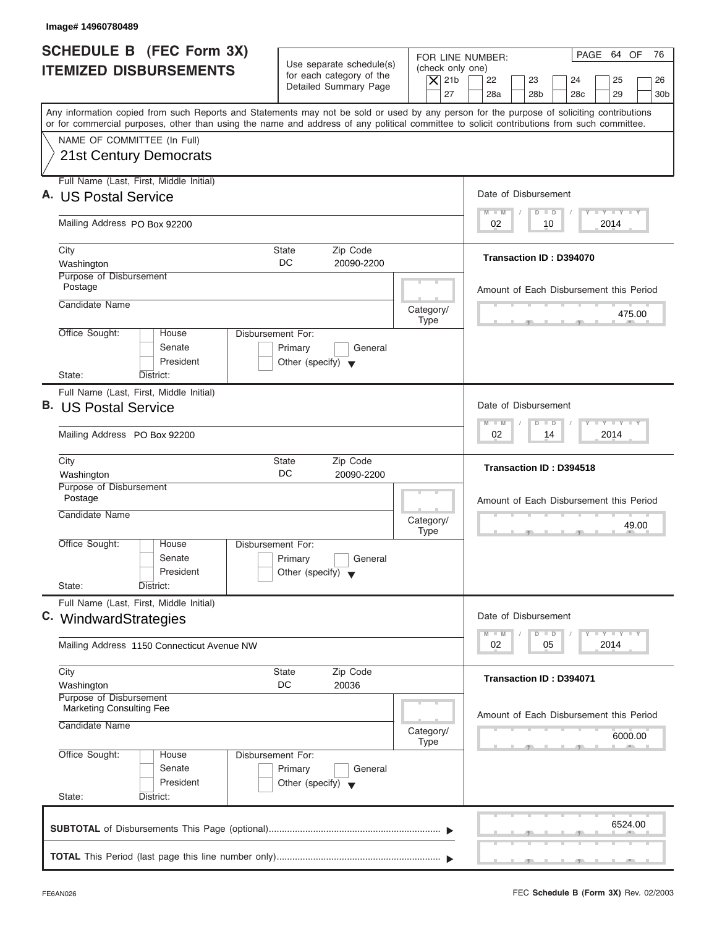| Image#14960780489                                                                                                                                                                                                                                                                       |                                                                                                                         |                                                                                         |
|-----------------------------------------------------------------------------------------------------------------------------------------------------------------------------------------------------------------------------------------------------------------------------------------|-------------------------------------------------------------------------------------------------------------------------|-----------------------------------------------------------------------------------------|
| <b>SCHEDULE B</b> (FEC Form 3X)<br><b>ITEMIZED DISBURSEMENTS</b>                                                                                                                                                                                                                        | Use separate schedule(s)<br>(check only one)<br>for each category of the<br>$\overline{X}$ 21b<br>Detailed Summary Page | PAGE 64 OF<br>76<br>FOR LINE NUMBER:<br>22<br>23<br>24<br>25<br>26                      |
| Any information copied from such Reports and Statements may not be sold or used by any person for the purpose of soliciting contributions<br>or for commercial purposes, other than using the name and address of any political committee to solicit contributions from such committee. | 27                                                                                                                      | 28a<br>28 <sub>b</sub><br>28c<br>29<br>30 <sub>b</sub>                                  |
| NAME OF COMMITTEE (In Full)<br>21st Century Democrats                                                                                                                                                                                                                                   |                                                                                                                         |                                                                                         |
| Full Name (Last, First, Middle Initial)<br>A. US Postal Service                                                                                                                                                                                                                         |                                                                                                                         | Date of Disbursement                                                                    |
| Mailing Address PO Box 92200                                                                                                                                                                                                                                                            |                                                                                                                         | $T - Y = T - Y = T - Y$<br>$D$ $D$<br>$M - M$<br>2014<br>02<br>10                       |
| City<br>Washington                                                                                                                                                                                                                                                                      | State<br>Zip Code<br>DC.<br>20090-2200                                                                                  | Transaction ID: D394070                                                                 |
| Purpose of Disbursement<br>Postage<br>Candidate Name                                                                                                                                                                                                                                    | Category/                                                                                                               | Amount of Each Disbursement this Period                                                 |
| Office Sought:<br>House<br>Senate<br>President                                                                                                                                                                                                                                          | <b>Type</b><br>Disbursement For:<br>Primary<br>General<br>Other (specify) $\blacktriangledown$                          | 475.00                                                                                  |
| State:<br>District:<br>Full Name (Last, First, Middle Initial)                                                                                                                                                                                                                          |                                                                                                                         |                                                                                         |
| <b>B.</b> US Postal Service                                                                                                                                                                                                                                                             |                                                                                                                         | Date of Disbursement<br>$-1 - Y - 1 - Y - 1 - Y$<br>$\Box$<br>$M - M$<br>$\overline{D}$ |
| Mailing Address PO Box 92200                                                                                                                                                                                                                                                            |                                                                                                                         | 02<br>2014<br>14                                                                        |
| City<br>Washington<br>Purpose of Disbursement                                                                                                                                                                                                                                           | Zip Code<br><b>State</b><br>DC<br>20090-2200                                                                            | Transaction ID: D394518                                                                 |
| Postage<br>Candidate Name                                                                                                                                                                                                                                                               | Category/<br><b>Type</b>                                                                                                | Amount of Each Disbursement this Period<br>49.00<br>$-7$<br>$-7$                        |
| Office Sought:<br>House<br>Senate<br>President<br>State:<br>District:                                                                                                                                                                                                                   | Disbursement For:<br>Primary<br>General<br>Other (specify) $\blacktriangledown$                                         |                                                                                         |
| Full Name (Last, First, Middle Initial)<br>C. WindwardStrategies                                                                                                                                                                                                                        |                                                                                                                         | Date of Disbursement                                                                    |
| Mailing Address 1150 Connecticut Avenue NW                                                                                                                                                                                                                                              |                                                                                                                         | <b>LY LY LY</b><br>$M - M$<br>$\Box$<br>D<br>2014<br>02<br>05                           |
| City<br>Washington<br>Purpose of Disbursement                                                                                                                                                                                                                                           | Zip Code<br>State<br>DC<br>20036                                                                                        | Transaction ID: D394071                                                                 |
| <b>Marketing Consulting Fee</b><br>Candidate Name                                                                                                                                                                                                                                       | Category/<br><b>Type</b>                                                                                                | Amount of Each Disbursement this Period<br>6000.00                                      |
| Office Sought:<br>House<br>Senate<br>President                                                                                                                                                                                                                                          | Disbursement For:<br>Primary<br>General<br>Other (specify) $\blacktriangledown$                                         |                                                                                         |
| State:<br>District:                                                                                                                                                                                                                                                                     |                                                                                                                         | 6524.00                                                                                 |
|                                                                                                                                                                                                                                                                                         |                                                                                                                         |                                                                                         |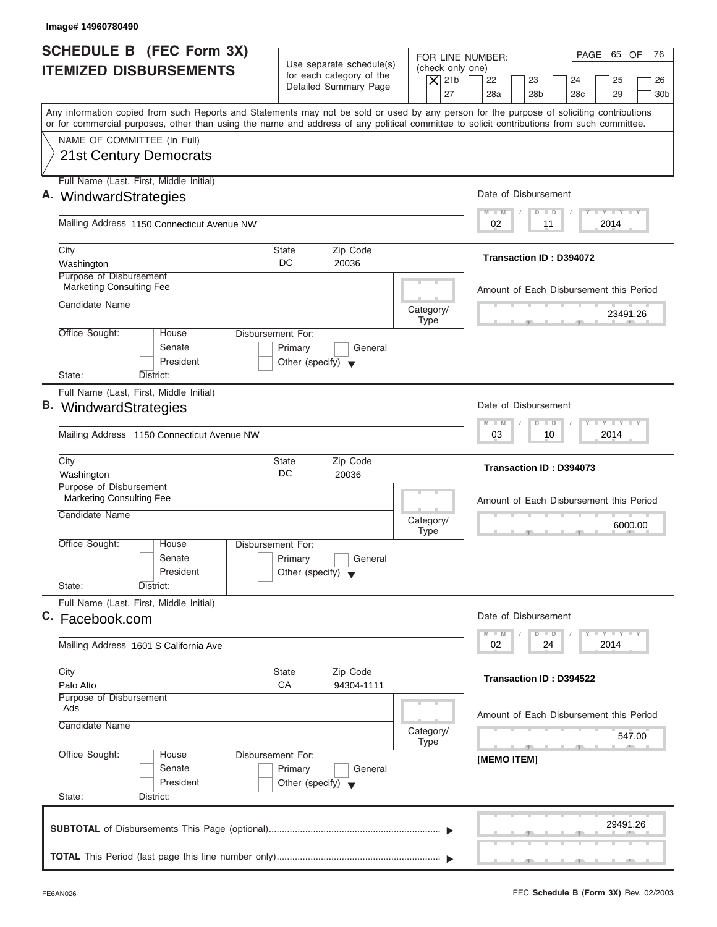| Image# 14960780490                                                                                                                                                                                                                                                                      |                                                                                         |                                                                                                                                                                                          |
|-----------------------------------------------------------------------------------------------------------------------------------------------------------------------------------------------------------------------------------------------------------------------------------------|-----------------------------------------------------------------------------------------|------------------------------------------------------------------------------------------------------------------------------------------------------------------------------------------|
| SCHEDULE B (FEC Form 3X)<br><b>ITEMIZED DISBURSEMENTS</b>                                                                                                                                                                                                                               | Use separate schedule(s)<br>for each category of the<br>Detailed Summary Page           | PAGE 65 OF<br>76<br>FOR LINE NUMBER:<br>(check only one)<br>$\overline{X}$ 21b<br>22<br>23<br>24<br>25<br>26<br>27<br>28a<br>28 <sub>b</sub><br>29<br>28 <sub>c</sub><br>30 <sub>b</sub> |
| Any information copied from such Reports and Statements may not be sold or used by any person for the purpose of soliciting contributions<br>or for commercial purposes, other than using the name and address of any political committee to solicit contributions from such committee. |                                                                                         |                                                                                                                                                                                          |
| NAME OF COMMITTEE (In Full)<br>21st Century Democrats                                                                                                                                                                                                                                   |                                                                                         |                                                                                                                                                                                          |
| Full Name (Last, First, Middle Initial)                                                                                                                                                                                                                                                 |                                                                                         |                                                                                                                                                                                          |
| A. WindwardStrategies                                                                                                                                                                                                                                                                   |                                                                                         | Date of Disbursement<br>$T - Y = T - Y = T - Y$<br>$M - M$<br>$\Box$<br>$\Box$                                                                                                           |
| Mailing Address 1150 Connecticut Avenue NW                                                                                                                                                                                                                                              |                                                                                         | 2014<br>02<br>11                                                                                                                                                                         |
| City<br>Washington                                                                                                                                                                                                                                                                      | Zip Code<br>State<br>DC<br>20036                                                        | Transaction ID: D394072                                                                                                                                                                  |
| Purpose of Disbursement<br><b>Marketing Consulting Fee</b>                                                                                                                                                                                                                              |                                                                                         | Amount of Each Disbursement this Period                                                                                                                                                  |
| Candidate Name                                                                                                                                                                                                                                                                          | Category/<br><b>Type</b>                                                                | 23491.26                                                                                                                                                                                 |
| Office Sought:<br>House<br>Senate<br>President<br>State:<br>District:                                                                                                                                                                                                                   | Disbursement For:<br>Primary<br>General<br>Other (specify) $\blacktriangledown$         |                                                                                                                                                                                          |
| Full Name (Last, First, Middle Initial)<br><b>B.</b> WindwardStrategies                                                                                                                                                                                                                 |                                                                                         | Date of Disbursement                                                                                                                                                                     |
| Mailing Address 1150 Connecticut Avenue NW                                                                                                                                                                                                                                              |                                                                                         | $-$ Y $-$ Y $-$ Y<br>$M - M$<br>$\overline{D}$<br>$\Box$<br>2014<br>03<br>10                                                                                                             |
| City<br>Washington                                                                                                                                                                                                                                                                      | Zip Code<br><b>State</b><br>DC<br>20036                                                 | Transaction ID: D394073                                                                                                                                                                  |
| Purpose of Disbursement<br><b>Marketing Consulting Fee</b>                                                                                                                                                                                                                              |                                                                                         | Amount of Each Disbursement this Period                                                                                                                                                  |
| Candidate Name                                                                                                                                                                                                                                                                          | Category/<br><b>Type</b>                                                                | 6000.00<br>$-5$                                                                                                                                                                          |
| Office Sought:<br>House<br>Senate<br>President<br>State:                                                                                                                                                                                                                                | Disbursement For:<br>Primary<br>General<br>Other (specify) $\blacktriangledown$         |                                                                                                                                                                                          |
| District:<br>Full Name (Last, First, Middle Initial)                                                                                                                                                                                                                                    |                                                                                         |                                                                                                                                                                                          |
| C. Facebook.com                                                                                                                                                                                                                                                                         |                                                                                         | Date of Disbursement                                                                                                                                                                     |
| Mailing Address 1601 S California Ave                                                                                                                                                                                                                                                   |                                                                                         | $T - Y$ $T - Y$<br>$M - M$<br>D<br>$\Box$<br>2014<br>02<br>24                                                                                                                            |
| City<br>Palo Alto                                                                                                                                                                                                                                                                       | Zip Code<br>State<br>СA<br>94304-1111                                                   | Transaction ID: D394522                                                                                                                                                                  |
| Purpose of Disbursement<br>Ads<br>Candidate Name                                                                                                                                                                                                                                        | Category/                                                                               | Amount of Each Disbursement this Period<br>547.00                                                                                                                                        |
| Office Sought:<br>House<br>Senate<br>President<br>State:<br>District:                                                                                                                                                                                                                   | Type<br>Disbursement For:<br>Primary<br>General<br>Other (specify) $\blacktriangledown$ | [MEMO ITEM]                                                                                                                                                                              |
|                                                                                                                                                                                                                                                                                         |                                                                                         | 29491.26                                                                                                                                                                                 |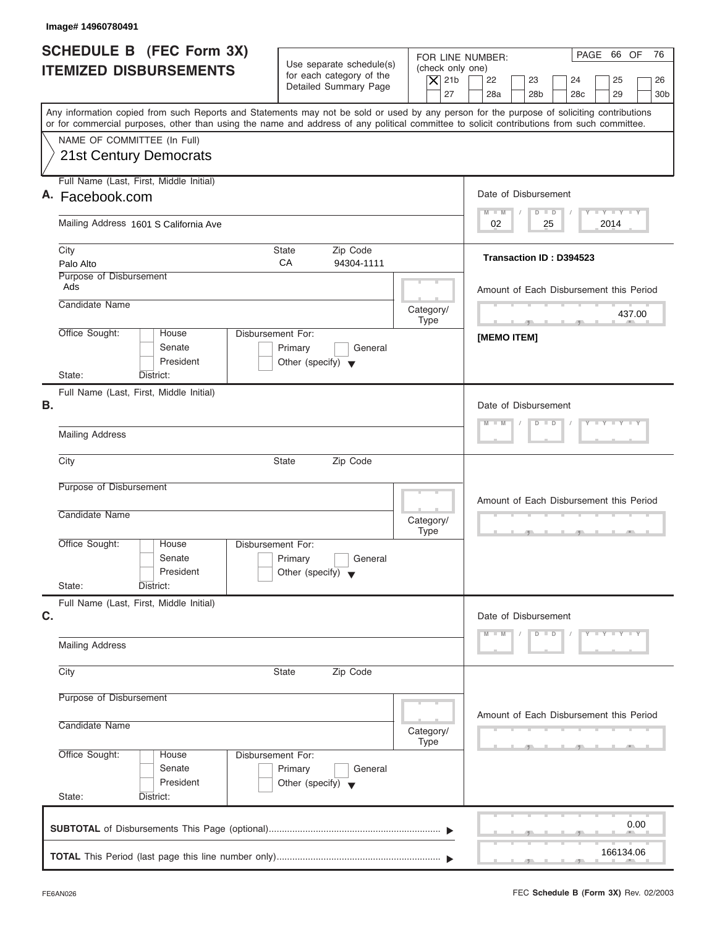| PAGE 66 OF<br>FOR LINE NUMBER:<br>Use separate schedule(s)<br>(check only one)<br>for each category of the<br>$\overline{X}$ 21b<br>22<br>23<br>24<br>25<br>Detailed Summary Page<br>27<br>28a<br>28 <sub>b</sub><br>28 <sub>c</sub><br>29<br>Any information copied from such Reports and Statements may not be sold or used by any person for the purpose of soliciting contributions<br>or for commercial purposes, other than using the name and address of any political committee to solicit contributions from such committee.<br>NAME OF COMMITTEE (In Full)<br>21st Century Democrats<br>Full Name (Last, First, Middle Initial)<br>Date of Disbursement<br>A. Facebook.com<br>$T - Y = T - Y = T - Y$<br>$M - M$<br>$D$ $D$<br>Mailing Address 1601 S California Ave<br>02<br>2014<br>25<br>Zip Code<br>City<br>State<br>Transaction ID: D394523<br>CA<br>Palo Alto<br>94304-1111<br>Purpose of Disbursement<br>Ads<br>Amount of Each Disbursement this Period<br>Candidate Name<br>Category/<br>437.00<br>Type<br>Office Sought:<br>Disbursement For:<br>House<br><b>IMEMO ITEMI</b><br>Senate<br>Primary<br>General<br>President<br>Other (specify) $\blacktriangledown$<br>State:<br>District:<br>Full Name (Last, First, Middle Initial)<br>Date of Disbursement<br>$Y = Y = Y = Y = I - Y$<br>$D$ $D$<br>$M - M$<br><b>Mailing Address</b><br>City<br><b>State</b><br>Zip Code<br>Purpose of Disbursement<br>Amount of Each Disbursement this Period<br>Candidate Name<br>Category/<br><b>Type</b><br>Office Sought:<br>House<br>Disbursement For:<br>Senate<br>Primary<br>General<br>President<br>Other (specify) $\blacktriangledown$<br>State:<br>District:<br>Full Name (Last, First, Middle Initial)<br>Date of Disbursement<br>$Y - Y - Y - Y - Y$<br>$D$ $D$<br>$M - M$<br><b>Mailing Address</b><br>Zip Code<br>City<br>State<br>Purpose of Disbursement<br>Amount of Each Disbursement this Period<br>Candidate Name<br>Category/<br>Type<br>Office Sought:<br>Disbursement For:<br>House<br>Senate<br>Primary<br>General<br>President<br>Other (specify) $\blacktriangledown$<br>State:<br>District: | Image# 14960780491                                        |  |                             |
|-------------------------------------------------------------------------------------------------------------------------------------------------------------------------------------------------------------------------------------------------------------------------------------------------------------------------------------------------------------------------------------------------------------------------------------------------------------------------------------------------------------------------------------------------------------------------------------------------------------------------------------------------------------------------------------------------------------------------------------------------------------------------------------------------------------------------------------------------------------------------------------------------------------------------------------------------------------------------------------------------------------------------------------------------------------------------------------------------------------------------------------------------------------------------------------------------------------------------------------------------------------------------------------------------------------------------------------------------------------------------------------------------------------------------------------------------------------------------------------------------------------------------------------------------------------------------------------------------------------------------------------------------------------------------------------------------------------------------------------------------------------------------------------------------------------------------------------------------------------------------------------------------------------------------------------------------------------------------------------------------------------------------------------------------------------------------------------------------------------------------------|-----------------------------------------------------------|--|-----------------------------|
|                                                                                                                                                                                                                                                                                                                                                                                                                                                                                                                                                                                                                                                                                                                                                                                                                                                                                                                                                                                                                                                                                                                                                                                                                                                                                                                                                                                                                                                                                                                                                                                                                                                                                                                                                                                                                                                                                                                                                                                                                                                                                                                               | SCHEDULE B (FEC Form 3X)<br><b>ITEMIZED DISBURSEMENTS</b> |  | 76<br>26<br>30 <sub>b</sub> |
|                                                                                                                                                                                                                                                                                                                                                                                                                                                                                                                                                                                                                                                                                                                                                                                                                                                                                                                                                                                                                                                                                                                                                                                                                                                                                                                                                                                                                                                                                                                                                                                                                                                                                                                                                                                                                                                                                                                                                                                                                                                                                                                               |                                                           |  |                             |
|                                                                                                                                                                                                                                                                                                                                                                                                                                                                                                                                                                                                                                                                                                                                                                                                                                                                                                                                                                                                                                                                                                                                                                                                                                                                                                                                                                                                                                                                                                                                                                                                                                                                                                                                                                                                                                                                                                                                                                                                                                                                                                                               |                                                           |  |                             |
|                                                                                                                                                                                                                                                                                                                                                                                                                                                                                                                                                                                                                                                                                                                                                                                                                                                                                                                                                                                                                                                                                                                                                                                                                                                                                                                                                                                                                                                                                                                                                                                                                                                                                                                                                                                                                                                                                                                                                                                                                                                                                                                               |                                                           |  |                             |
|                                                                                                                                                                                                                                                                                                                                                                                                                                                                                                                                                                                                                                                                                                                                                                                                                                                                                                                                                                                                                                                                                                                                                                                                                                                                                                                                                                                                                                                                                                                                                                                                                                                                                                                                                                                                                                                                                                                                                                                                                                                                                                                               |                                                           |  |                             |
|                                                                                                                                                                                                                                                                                                                                                                                                                                                                                                                                                                                                                                                                                                                                                                                                                                                                                                                                                                                                                                                                                                                                                                                                                                                                                                                                                                                                                                                                                                                                                                                                                                                                                                                                                                                                                                                                                                                                                                                                                                                                                                                               |                                                           |  |                             |
|                                                                                                                                                                                                                                                                                                                                                                                                                                                                                                                                                                                                                                                                                                                                                                                                                                                                                                                                                                                                                                                                                                                                                                                                                                                                                                                                                                                                                                                                                                                                                                                                                                                                                                                                                                                                                                                                                                                                                                                                                                                                                                                               |                                                           |  |                             |
|                                                                                                                                                                                                                                                                                                                                                                                                                                                                                                                                                                                                                                                                                                                                                                                                                                                                                                                                                                                                                                                                                                                                                                                                                                                                                                                                                                                                                                                                                                                                                                                                                                                                                                                                                                                                                                                                                                                                                                                                                                                                                                                               |                                                           |  |                             |
|                                                                                                                                                                                                                                                                                                                                                                                                                                                                                                                                                                                                                                                                                                                                                                                                                                                                                                                                                                                                                                                                                                                                                                                                                                                                                                                                                                                                                                                                                                                                                                                                                                                                                                                                                                                                                                                                                                                                                                                                                                                                                                                               |                                                           |  |                             |
|                                                                                                                                                                                                                                                                                                                                                                                                                                                                                                                                                                                                                                                                                                                                                                                                                                                                                                                                                                                                                                                                                                                                                                                                                                                                                                                                                                                                                                                                                                                                                                                                                                                                                                                                                                                                                                                                                                                                                                                                                                                                                                                               | В.                                                        |  |                             |
|                                                                                                                                                                                                                                                                                                                                                                                                                                                                                                                                                                                                                                                                                                                                                                                                                                                                                                                                                                                                                                                                                                                                                                                                                                                                                                                                                                                                                                                                                                                                                                                                                                                                                                                                                                                                                                                                                                                                                                                                                                                                                                                               |                                                           |  |                             |
|                                                                                                                                                                                                                                                                                                                                                                                                                                                                                                                                                                                                                                                                                                                                                                                                                                                                                                                                                                                                                                                                                                                                                                                                                                                                                                                                                                                                                                                                                                                                                                                                                                                                                                                                                                                                                                                                                                                                                                                                                                                                                                                               |                                                           |  |                             |
|                                                                                                                                                                                                                                                                                                                                                                                                                                                                                                                                                                                                                                                                                                                                                                                                                                                                                                                                                                                                                                                                                                                                                                                                                                                                                                                                                                                                                                                                                                                                                                                                                                                                                                                                                                                                                                                                                                                                                                                                                                                                                                                               |                                                           |  |                             |
|                                                                                                                                                                                                                                                                                                                                                                                                                                                                                                                                                                                                                                                                                                                                                                                                                                                                                                                                                                                                                                                                                                                                                                                                                                                                                                                                                                                                                                                                                                                                                                                                                                                                                                                                                                                                                                                                                                                                                                                                                                                                                                                               |                                                           |  |                             |
|                                                                                                                                                                                                                                                                                                                                                                                                                                                                                                                                                                                                                                                                                                                                                                                                                                                                                                                                                                                                                                                                                                                                                                                                                                                                                                                                                                                                                                                                                                                                                                                                                                                                                                                                                                                                                                                                                                                                                                                                                                                                                                                               | C.                                                        |  |                             |
|                                                                                                                                                                                                                                                                                                                                                                                                                                                                                                                                                                                                                                                                                                                                                                                                                                                                                                                                                                                                                                                                                                                                                                                                                                                                                                                                                                                                                                                                                                                                                                                                                                                                                                                                                                                                                                                                                                                                                                                                                                                                                                                               |                                                           |  |                             |
|                                                                                                                                                                                                                                                                                                                                                                                                                                                                                                                                                                                                                                                                                                                                                                                                                                                                                                                                                                                                                                                                                                                                                                                                                                                                                                                                                                                                                                                                                                                                                                                                                                                                                                                                                                                                                                                                                                                                                                                                                                                                                                                               |                                                           |  |                             |
|                                                                                                                                                                                                                                                                                                                                                                                                                                                                                                                                                                                                                                                                                                                                                                                                                                                                                                                                                                                                                                                                                                                                                                                                                                                                                                                                                                                                                                                                                                                                                                                                                                                                                                                                                                                                                                                                                                                                                                                                                                                                                                                               |                                                           |  |                             |
|                                                                                                                                                                                                                                                                                                                                                                                                                                                                                                                                                                                                                                                                                                                                                                                                                                                                                                                                                                                                                                                                                                                                                                                                                                                                                                                                                                                                                                                                                                                                                                                                                                                                                                                                                                                                                                                                                                                                                                                                                                                                                                                               |                                                           |  |                             |
|                                                                                                                                                                                                                                                                                                                                                                                                                                                                                                                                                                                                                                                                                                                                                                                                                                                                                                                                                                                                                                                                                                                                                                                                                                                                                                                                                                                                                                                                                                                                                                                                                                                                                                                                                                                                                                                                                                                                                                                                                                                                                                                               |                                                           |  | 0.00                        |
| 166134.06                                                                                                                                                                                                                                                                                                                                                                                                                                                                                                                                                                                                                                                                                                                                                                                                                                                                                                                                                                                                                                                                                                                                                                                                                                                                                                                                                                                                                                                                                                                                                                                                                                                                                                                                                                                                                                                                                                                                                                                                                                                                                                                     |                                                           |  |                             |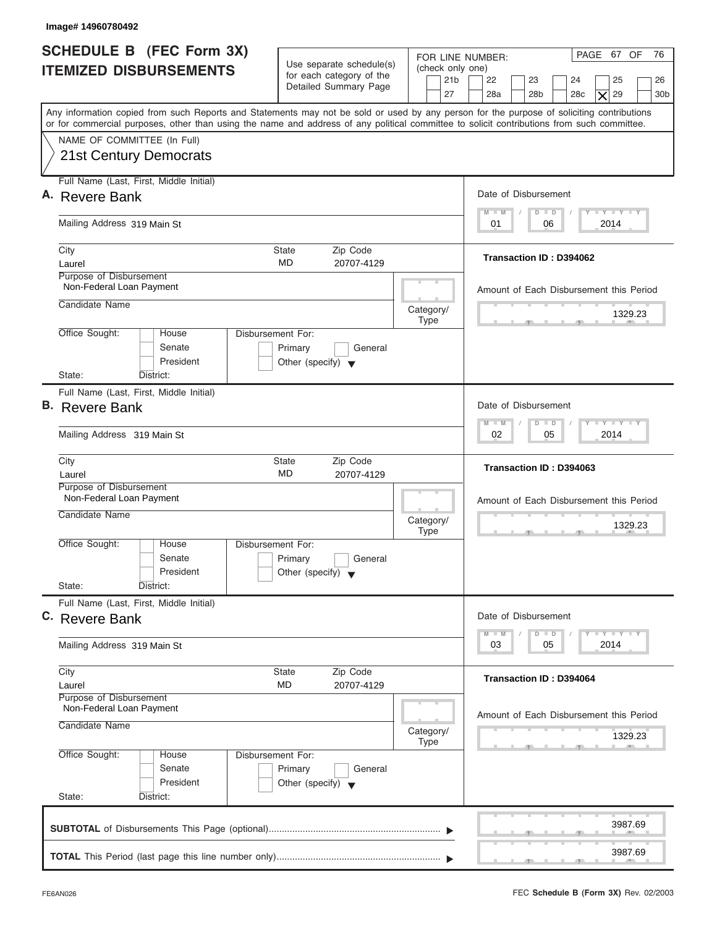| Image# 14960780492                                                                                                                                                                                                                                                                      |                                                                                        |                                                               |                                                                                                                                  |
|-----------------------------------------------------------------------------------------------------------------------------------------------------------------------------------------------------------------------------------------------------------------------------------------|----------------------------------------------------------------------------------------|---------------------------------------------------------------|----------------------------------------------------------------------------------------------------------------------------------|
| <b>SCHEDULE B</b> (FEC Form 3X)<br><b>ITEMIZED DISBURSEMENTS</b>                                                                                                                                                                                                                        | Use separate schedule(s)<br>for each category of the<br>Detailed Summary Page          | FOR LINE NUMBER:<br>(check only one)<br>21 <sub>b</sub><br>27 | PAGE 67 OF<br>76<br>22<br>23<br>24<br>25<br>26<br>28a<br>28 <sub>b</sub><br>29<br>28 <sub>c</sub><br>30 <sub>b</sub><br>$\times$ |
| Any information copied from such Reports and Statements may not be sold or used by any person for the purpose of soliciting contributions<br>or for commercial purposes, other than using the name and address of any political committee to solicit contributions from such committee. |                                                                                        |                                                               |                                                                                                                                  |
| NAME OF COMMITTEE (In Full)<br>21st Century Democrats                                                                                                                                                                                                                                   |                                                                                        |                                                               |                                                                                                                                  |
| Full Name (Last, First, Middle Initial)<br>A. Revere Bank                                                                                                                                                                                                                               |                                                                                        |                                                               | Date of Disbursement                                                                                                             |
| Mailing Address 319 Main St                                                                                                                                                                                                                                                             |                                                                                        |                                                               | $T - Y = T - Y = T - Y$<br>$D$ $D$<br>$M - M$<br>06<br>2014<br>01                                                                |
| City<br>Laurel                                                                                                                                                                                                                                                                          | State<br>Zip Code<br>MD<br>20707-4129                                                  |                                                               | Transaction ID: D394062                                                                                                          |
| Purpose of Disbursement<br>Non-Federal Loan Payment                                                                                                                                                                                                                                     |                                                                                        |                                                               | Amount of Each Disbursement this Period                                                                                          |
| Candidate Name                                                                                                                                                                                                                                                                          |                                                                                        | Category/<br>Type                                             | 1329.23                                                                                                                          |
| Office Sought:<br>House<br>Senate<br>President<br>State:<br>District:                                                                                                                                                                                                                   | <b>Disbursement For:</b><br>Primary<br>General<br>Other (specify) $\blacktriangledown$ |                                                               |                                                                                                                                  |
| Full Name (Last, First, Middle Initial)<br><b>B.</b> Revere Bank                                                                                                                                                                                                                        |                                                                                        |                                                               | Date of Disbursement                                                                                                             |
| Mailing Address 319 Main St                                                                                                                                                                                                                                                             |                                                                                        |                                                               | $-$ Y $-$ Y $-$ Y<br>$M - M$<br>$\Box$<br>$\Box$<br>05<br>2014<br>02                                                             |
| City<br>Laurel                                                                                                                                                                                                                                                                          | Zip Code<br><b>State</b><br>MD<br>20707-4129                                           |                                                               | Transaction ID: D394063                                                                                                          |
| Purpose of Disbursement<br>Non-Federal Loan Payment<br>Candidate Name                                                                                                                                                                                                                   |                                                                                        | Category/<br><b>Type</b>                                      | Amount of Each Disbursement this Period<br>1329.23<br>$-7$                                                                       |
| Office Sought:<br>House<br>Senate<br>President<br>State:<br>District:                                                                                                                                                                                                                   | Disbursement For:<br>Primary<br>General<br>Other (specify) $\blacktriangledown$        |                                                               |                                                                                                                                  |
| Full Name (Last, First, Middle Initial)<br>C. Revere Bank                                                                                                                                                                                                                               |                                                                                        |                                                               | Date of Disbursement<br>$T - Y$ $T - Y$<br>$M - M$<br>$\widehat{\mathsf{D}}$<br>$\Box$                                           |
| Mailing Address 319 Main St                                                                                                                                                                                                                                                             |                                                                                        |                                                               | 2014<br>03<br>05                                                                                                                 |
| City<br>Laurel                                                                                                                                                                                                                                                                          | Zip Code<br><b>State</b><br>MD<br>20707-4129                                           |                                                               | Transaction ID: D394064                                                                                                          |
| Purpose of Disbursement<br>Non-Federal Loan Payment<br>Candidate Name                                                                                                                                                                                                                   |                                                                                        | Category/<br>Type                                             | Amount of Each Disbursement this Period<br>1329.23                                                                               |
| Office Sought:<br>House<br>Senate<br>President<br>State:<br>District:                                                                                                                                                                                                                   | Disbursement For:<br>Primary<br>General<br>Other (specify) $\blacktriangledown$        |                                                               |                                                                                                                                  |
|                                                                                                                                                                                                                                                                                         |                                                                                        |                                                               | 3987.69                                                                                                                          |
|                                                                                                                                                                                                                                                                                         |                                                                                        |                                                               | 3987.69                                                                                                                          |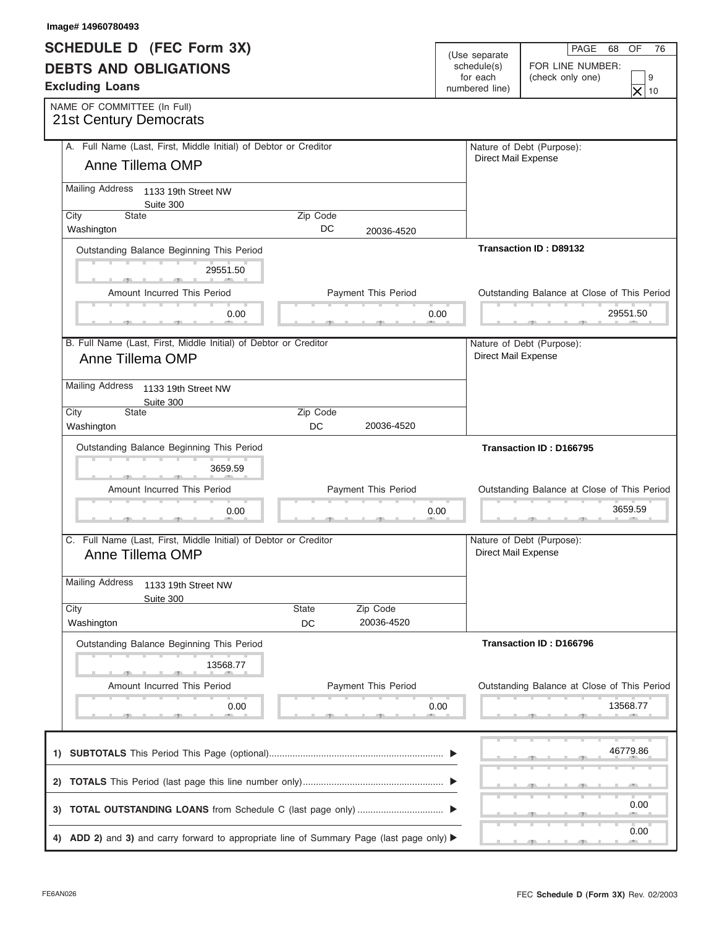| Image# 14960780493                                                                   |                |                            |      |                            |                                                   |
|--------------------------------------------------------------------------------------|----------------|----------------------------|------|----------------------------|---------------------------------------------------|
| <b>SCHEDULE D (FEC Form 3X)</b>                                                      |                |                            |      | (Use separate              | PAGE<br>OF<br>68<br>76                            |
| <b>DEBTS AND OBLIGATIONS</b>                                                         |                |                            |      | schedule(s)                | FOR LINE NUMBER:                                  |
| <b>Excluding Loans</b>                                                               |                |                            |      | for each<br>numbered line) | (check only one)<br>9<br>$\times$<br>10           |
| NAME OF COMMITTEE (In Full)                                                          |                |                            |      |                            |                                                   |
| <b>21st Century Democrats</b>                                                        |                |                            |      |                            |                                                   |
| A. Full Name (Last, First, Middle Initial) of Debtor or Creditor                     |                |                            |      |                            | Nature of Debt (Purpose):                         |
| Anne Tillema OMP                                                                     |                |                            |      | Direct Mail Expense        |                                                   |
| <b>Mailing Address</b><br>1133 19th Street NW<br>Suite 300                           |                |                            |      |                            |                                                   |
| <b>State</b><br>City<br>Washington                                                   | Zip Code<br>DC | 20036-4520                 |      |                            |                                                   |
| Outstanding Balance Beginning This Period                                            |                |                            |      |                            | <b>Transaction ID: D89132</b>                     |
| 29551.50                                                                             |                |                            |      |                            |                                                   |
| Amount Incurred This Period                                                          |                | <b>Payment This Period</b> |      |                            | Outstanding Balance at Close of This Period       |
| 0.00                                                                                 |                |                            | 0.00 |                            | 29551.50                                          |
|                                                                                      |                |                            |      |                            | $\mathcal{F}$ and $\mathcal{F}$ and $\mathcal{F}$ |
| B. Full Name (Last, First, Middle Initial) of Debtor or Creditor<br>Anne Tillema OMP |                |                            |      | Direct Mail Expense        | Nature of Debt (Purpose):                         |
|                                                                                      |                |                            |      |                            |                                                   |
| <b>Mailing Address</b><br>1133 19th Street NW<br>Suite 300                           |                |                            |      |                            |                                                   |
| City<br>State                                                                        | Zip Code       |                            |      |                            |                                                   |
| Washington                                                                           | DC             | 20036-4520                 |      |                            |                                                   |
| Outstanding Balance Beginning This Period                                            |                |                            |      |                            | Transaction ID: D166795                           |
| 3659.59                                                                              |                |                            |      |                            |                                                   |
| Amount Incurred This Period                                                          |                | <b>Payment This Period</b> |      |                            | Outstanding Balance at Close of This Period       |
| 0.00                                                                                 |                |                            | 0.00 |                            | 3659.59                                           |
|                                                                                      |                |                            |      |                            | _____                                             |
| C. Full Name (Last, First, Middle Initial) of Debtor or Creditor<br>Anne Tillema OMP |                |                            |      |                            | Nature of Debt (Purpose):                         |
|                                                                                      |                |                            |      |                            | Direct Mail Expense                               |
|                                                                                      |                |                            |      |                            |                                                   |
| 1133 19th Street NW                                                                  |                |                            |      |                            |                                                   |
| Suite 300<br>City                                                                    | State          | Zip Code                   |      |                            |                                                   |
| <b>Mailing Address</b><br>Washington                                                 | DC             | 20036-4520                 |      |                            |                                                   |
| Outstanding Balance Beginning This Period                                            |                |                            |      |                            | Transaction ID: D166796                           |
| 13568.77                                                                             |                |                            |      |                            |                                                   |
| Amount Incurred This Period                                                          |                | Payment This Period        |      |                            | Outstanding Balance at Close of This Period       |
| 0.00                                                                                 |                |                            | 0.00 |                            | 13568.77                                          |
|                                                                                      |                |                            |      |                            |                                                   |
|                                                                                      |                |                            |      |                            | 46779.86                                          |
|                                                                                      |                |                            |      |                            |                                                   |
|                                                                                      |                |                            |      |                            | 0.00                                              |
|                                                                                      |                |                            |      |                            | 0.00                                              |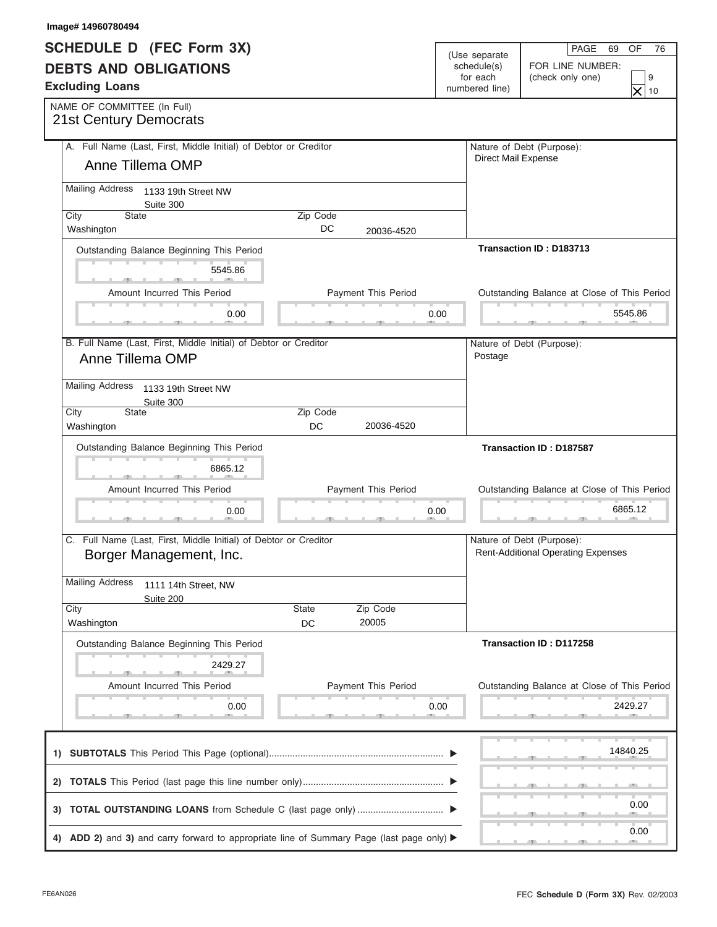| Image# 14960780494                                                                                            |                |                            |                            |                                                  |
|---------------------------------------------------------------------------------------------------------------|----------------|----------------------------|----------------------------|--------------------------------------------------|
| <b>SCHEDULE D (FEC Form 3X)</b>                                                                               |                |                            | (Use separate              | PAGE<br>OF<br>69<br>76                           |
| <b>DEBTS AND OBLIGATIONS</b>                                                                                  |                |                            | schedule(s)                | FOR LINE NUMBER:                                 |
| <b>Excluding Loans</b>                                                                                        |                |                            | for each<br>numbered line) | (check only one)<br>9<br>$\times$                |
| NAME OF COMMITTEE (In Full)                                                                                   |                |                            |                            | 10                                               |
| <b>21st Century Democrats</b>                                                                                 |                |                            |                            |                                                  |
| A. Full Name (Last, First, Middle Initial) of Debtor or Creditor                                              |                |                            |                            | Nature of Debt (Purpose):<br>Direct Mail Expense |
| Anne Tillema OMP                                                                                              |                |                            |                            |                                                  |
| <b>Mailing Address</b><br>1133 19th Street NW<br>Suite 300                                                    |                |                            |                            |                                                  |
| <b>State</b><br>City<br>Washington                                                                            | Zip Code<br>DC | 20036-4520                 |                            |                                                  |
|                                                                                                               |                |                            |                            | Transaction ID: D183713                          |
| Outstanding Balance Beginning This Period                                                                     |                |                            |                            |                                                  |
| 5545.86                                                                                                       |                |                            |                            |                                                  |
| Amount Incurred This Period                                                                                   |                | <b>Payment This Period</b> |                            | Outstanding Balance at Close of This Period      |
| 0.00                                                                                                          |                |                            | 0.00                       | 5545.86                                          |
| B. Full Name (Last, First, Middle Initial) of Debtor or Creditor                                              |                |                            |                            | Nature of Debt (Purpose):                        |
| Anne Tillema OMP                                                                                              |                |                            | Postage                    |                                                  |
| <b>Mailing Address</b><br>1133 19th Street NW                                                                 |                |                            |                            |                                                  |
| Suite 300                                                                                                     |                |                            |                            |                                                  |
| City<br>State<br>Washington                                                                                   | Zip Code<br>DC | 20036-4520                 |                            |                                                  |
| Outstanding Balance Beginning This Period                                                                     |                |                            |                            | <b>Transaction ID: D187587</b>                   |
| 6865.12                                                                                                       |                |                            |                            |                                                  |
| Amount Incurred This Period                                                                                   |                | Payment This Period        |                            | Outstanding Balance at Close of This Period      |
|                                                                                                               |                |                            |                            |                                                  |
| 0.00                                                                                                          |                |                            | 0.00                       | 6865.12<br>______                                |
| C. Full Name (Last, First, Middle Initial) of Debtor or Creditor                                              |                |                            |                            | Nature of Debt (Purpose):                        |
| Borger Management, Inc.                                                                                       |                |                            |                            | <b>Rent-Additional Operating Expenses</b>        |
| <b>Mailing Address</b><br>1111 14th Street, NW                                                                |                |                            |                            |                                                  |
| Suite 200<br>City                                                                                             | State          | Zip Code                   |                            |                                                  |
| Washington                                                                                                    | DC             | 20005                      |                            |                                                  |
| Outstanding Balance Beginning This Period                                                                     |                |                            |                            | Transaction ID: D117258                          |
| 2429.27                                                                                                       |                |                            |                            |                                                  |
| Amount Incurred This Period                                                                                   |                | Payment This Period        |                            | Outstanding Balance at Close of This Period      |
| 0.00                                                                                                          |                |                            | 0.00                       | 2429.27                                          |
|                                                                                                               |                |                            |                            |                                                  |
|                                                                                                               |                |                            |                            | 14840.25                                         |
|                                                                                                               |                |                            |                            |                                                  |
|                                                                                                               |                |                            |                            |                                                  |
|                                                                                                               |                |                            |                            | 0.00                                             |
|                                                                                                               |                |                            |                            |                                                  |
| 4) ADD 2) and 3) and carry forward to appropriate line of Summary Page (last page only) $\blacktriangleright$ |                |                            |                            | 0.00                                             |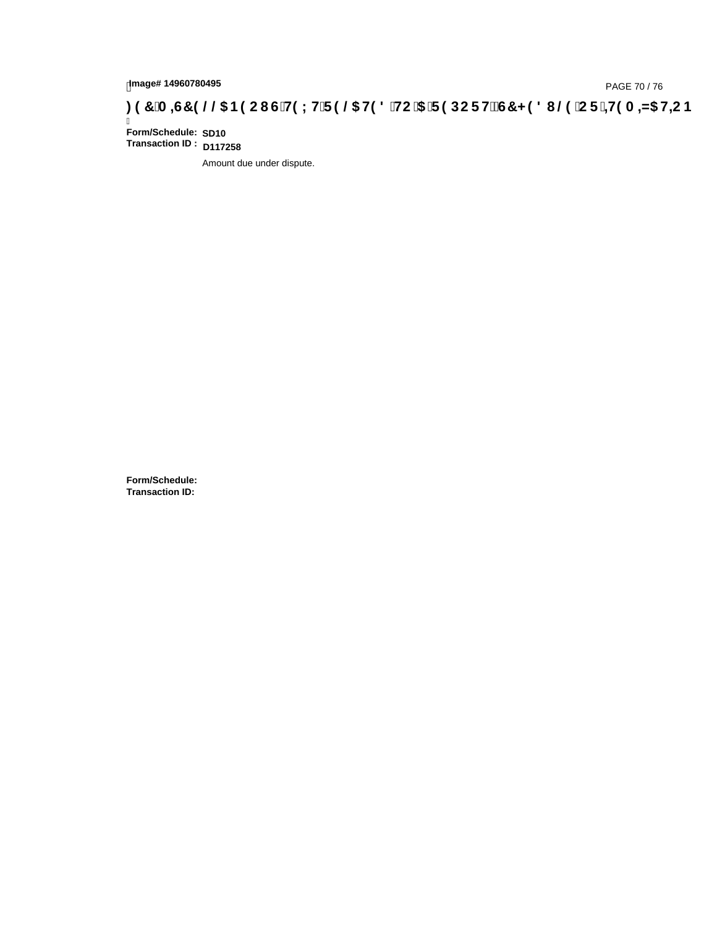## **)(&0,6&(//\$1(2867(;75(/\$7('72\$5(32576&+('8/(25,7(0,=\$7,21**

Ī **Form/Schedule: Transaction ID : D117258 SD10**

Amount due under dispute.

**Form/Schedule: Transaction ID:**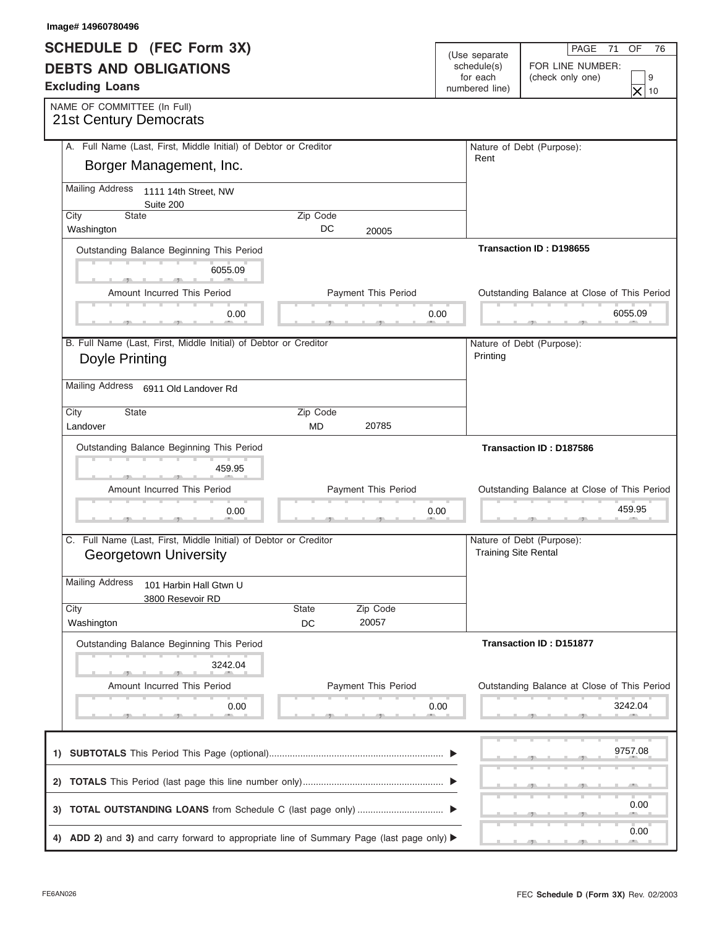| Image# 14960780496                                               |                |                            |      |                             |                                              |
|------------------------------------------------------------------|----------------|----------------------------|------|-----------------------------|----------------------------------------------|
| <b>SCHEDULE D (FEC Form 3X)</b>                                  |                |                            |      | (Use separate               | PAGE<br>OF<br>71<br>76                       |
| <b>DEBTS AND OBLIGATIONS</b>                                     |                |                            |      | schedule(s)                 | FOR LINE NUMBER:                             |
| <b>Excluding Loans</b>                                           |                |                            |      | for each<br>numbered line)  | (check only one)<br>9                        |
| NAME OF COMMITTEE (In Full)                                      |                |                            |      |                             | $\times$<br>10                               |
| <b>21st Century Democrats</b>                                    |                |                            |      |                             |                                              |
| A. Full Name (Last, First, Middle Initial) of Debtor or Creditor |                |                            |      |                             | Nature of Debt (Purpose):                    |
| Borger Management, Inc.                                          |                |                            |      | Rent                        |                                              |
| <b>Mailing Address</b><br>1111 14th Street, NW<br>Suite 200      |                |                            |      |                             |                                              |
| State<br>City<br>Washington                                      | Zip Code<br>DC | 20005                      |      |                             |                                              |
| Outstanding Balance Beginning This Period                        |                |                            |      |                             | Transaction ID: D198655                      |
| 6055.09                                                          |                |                            |      |                             |                                              |
| Amount Incurred This Period                                      |                | Payment This Period        |      |                             | Outstanding Balance at Close of This Period  |
| 0.00                                                             |                |                            | 0.00 |                             | 6055.09<br><b>Contract Contract Contract</b> |
| B. Full Name (Last, First, Middle Initial) of Debtor or Creditor |                |                            |      |                             | Nature of Debt (Purpose):                    |
| Doyle Printing                                                   |                |                            |      | Printing                    |                                              |
| <b>Mailing Address</b><br>6911 Old Landover Rd                   |                |                            |      |                             |                                              |
| State<br>City                                                    | Zip Code       |                            |      |                             |                                              |
| Landover                                                         | <b>MD</b>      | 20785                      |      |                             |                                              |
| Outstanding Balance Beginning This Period                        |                |                            |      |                             | Transaction ID: D187586                      |
| 459.95                                                           |                |                            |      |                             |                                              |
| Amount Incurred This Period                                      |                | <b>Payment This Period</b> |      |                             | Outstanding Balance at Close of This Period  |
| 0.00                                                             |                |                            | 0.00 |                             | 459.95                                       |
| C. Full Name (Last, First, Middle Initial) of Debtor or Creditor |                |                            |      |                             | Nature of Debt (Purpose):                    |
| <b>Georgetown University</b>                                     |                |                            |      | <b>Training Site Rental</b> |                                              |
| <b>Mailing Address</b><br>101 Harbin Hall Gtwn U                 |                |                            |      |                             |                                              |
| 3800 Resevoir RD<br>City                                         | <b>State</b>   | Zip Code                   |      |                             |                                              |
| Washington                                                       | DC             | 20057                      |      |                             |                                              |
| Outstanding Balance Beginning This Period                        |                |                            |      |                             | <b>Transaction ID: D151877</b>               |
| 3242.04                                                          |                |                            |      |                             |                                              |
| Amount Incurred This Period                                      |                | Payment This Period        |      |                             | Outstanding Balance at Close of This Period  |
| 0.00                                                             |                |                            | 0.00 |                             | 3242.04                                      |
|                                                                  |                |                            |      |                             |                                              |
|                                                                  |                |                            |      |                             | 9757.08                                      |
|                                                                  |                |                            |      |                             |                                              |
|                                                                  |                |                            |      |                             | 0.00                                         |
|                                                                  |                |                            |      |                             |                                              |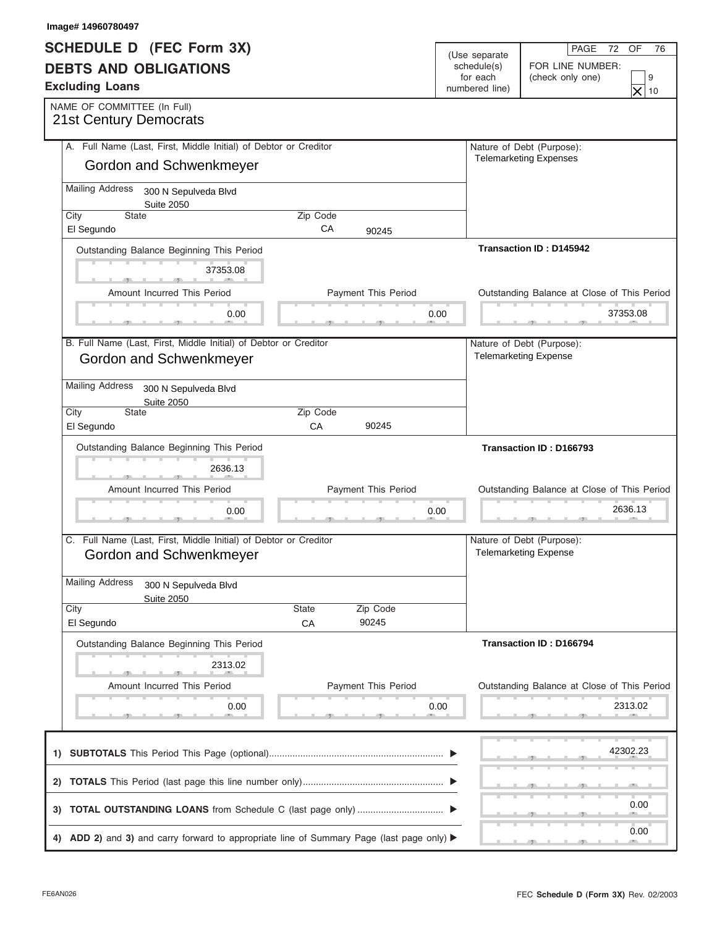| <b>SCHEDULE D (FEC Form 3X)</b>                                                                               |          |                            |      | (Use separate  | PAGE<br>OF<br>72<br>76                                    |
|---------------------------------------------------------------------------------------------------------------|----------|----------------------------|------|----------------|-----------------------------------------------------------|
| <b>DEBTS AND OBLIGATIONS</b>                                                                                  |          |                            |      | schedule(s)    | FOR LINE NUMBER:                                          |
| <b>Excluding Loans</b>                                                                                        |          |                            |      | for each       | (check only one)<br>9                                     |
|                                                                                                               |          |                            |      | numbered line) | $\times$<br>10                                            |
| NAME OF COMMITTEE (In Full)<br><b>21st Century Democrats</b>                                                  |          |                            |      |                |                                                           |
| A. Full Name (Last, First, Middle Initial) of Debtor or Creditor                                              |          |                            |      |                | Nature of Debt (Purpose):                                 |
| Gordon and Schwenkmeyer                                                                                       |          |                            |      |                | <b>Telemarketing Expenses</b>                             |
| <b>Mailing Address</b><br>300 N Sepulveda Blvd<br><b>Suite 2050</b>                                           |          |                            |      |                |                                                           |
| <b>State</b><br>City                                                                                          | Zip Code |                            |      |                |                                                           |
| El Segundo                                                                                                    | CA       | 90245                      |      |                |                                                           |
| Outstanding Balance Beginning This Period                                                                     |          |                            |      |                | Transaction ID: D145942                                   |
| 37353.08                                                                                                      |          |                            |      |                |                                                           |
| Amount Incurred This Period                                                                                   |          | Payment This Period        |      |                | Outstanding Balance at Close of This Period               |
| 0.00                                                                                                          |          |                            | 0.00 |                | 37353.08<br><b>Contract Contract Contract</b>             |
|                                                                                                               |          |                            |      |                |                                                           |
| B. Full Name (Last, First, Middle Initial) of Debtor or Creditor<br>Gordon and Schwenkmeyer                   |          |                            |      |                | Nature of Debt (Purpose):<br><b>Telemarketing Expense</b> |
| <b>Mailing Address</b><br>300 N Sepulveda Blvd<br><b>Suite 2050</b>                                           |          |                            |      |                |                                                           |
| State<br>City                                                                                                 | Zip Code |                            |      |                |                                                           |
| El Segundo                                                                                                    | CA       | 90245                      |      |                |                                                           |
| Outstanding Balance Beginning This Period                                                                     |          |                            |      |                | Transaction ID: D166793                                   |
| 2636.13                                                                                                       |          |                            |      |                |                                                           |
|                                                                                                               |          |                            |      |                |                                                           |
|                                                                                                               |          |                            |      |                |                                                           |
| Amount Incurred This Period                                                                                   |          | <b>Payment This Period</b> |      |                | Outstanding Balance at Close of This Period               |
| 0.00                                                                                                          |          |                            | 0.00 |                | 2636.13<br>___                                            |
| C. Full Name (Last, First, Middle Initial) of Debtor or Creditor                                              |          |                            |      |                | Nature of Debt (Purpose):                                 |
| Gordon and Schwenkmeyer                                                                                       |          |                            |      |                | <b>Telemarketing Expense</b>                              |
|                                                                                                               |          |                            |      |                |                                                           |
| <b>Mailing Address</b><br>300 N Sepulveda Blvd<br><b>Suite 2050</b>                                           |          |                            |      |                |                                                           |
| City                                                                                                          | State    | Zip Code                   |      |                |                                                           |
| El Segundo                                                                                                    | CA       | 90245                      |      |                |                                                           |
| Outstanding Balance Beginning This Period                                                                     |          |                            |      |                | Transaction ID: D166794                                   |
| 2313.02                                                                                                       |          |                            |      |                |                                                           |
| Amount Incurred This Period                                                                                   |          | Payment This Period        |      |                | Outstanding Balance at Close of This Period               |
| 0.00                                                                                                          |          |                            | 0.00 |                | 2313.02                                                   |
|                                                                                                               |          |                            |      |                | 42302.23                                                  |
|                                                                                                               |          |                            |      |                |                                                           |
|                                                                                                               |          |                            |      |                | 0.00                                                      |
| 4) ADD 2) and 3) and carry forward to appropriate line of Summary Page (last page only) $\blacktriangleright$ |          |                            |      |                | 0.00                                                      |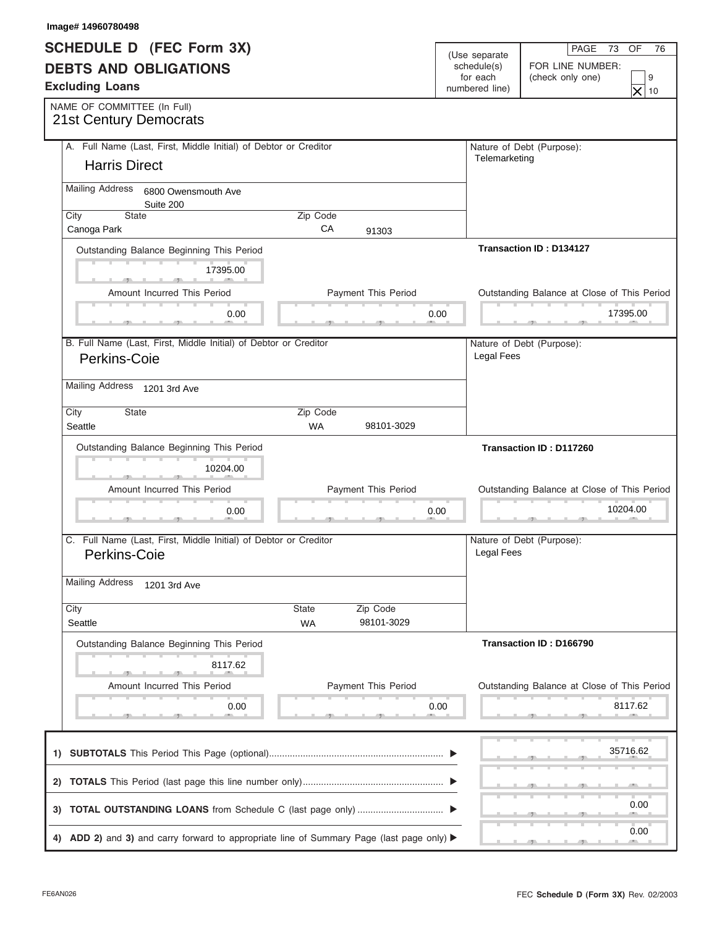| Image# 14960780498                                                                                            |                       |                            |      |                            |                                                               |  |
|---------------------------------------------------------------------------------------------------------------|-----------------------|----------------------------|------|----------------------------|---------------------------------------------------------------|--|
| <b>SCHEDULE D (FEC Form 3X)</b>                                                                               |                       |                            |      | (Use separate              | PAGE<br>OF<br>73<br>76                                        |  |
| <b>DEBTS AND OBLIGATIONS</b><br><b>Excluding Loans</b>                                                        |                       |                            |      | schedule(s)                | FOR LINE NUMBER:                                              |  |
|                                                                                                               |                       |                            |      | for each<br>numbered line) | (check only one)<br>9<br>$\times$<br>10                       |  |
| NAME OF COMMITTEE (In Full)                                                                                   |                       |                            |      |                            |                                                               |  |
| <b>21st Century Democrats</b>                                                                                 |                       |                            |      |                            |                                                               |  |
| A. Full Name (Last, First, Middle Initial) of Debtor or Creditor                                              |                       |                            |      |                            | Nature of Debt (Purpose):                                     |  |
| <b>Harris Direct</b>                                                                                          |                       |                            |      | Telemarketing              |                                                               |  |
| <b>Mailing Address</b><br>6800 Owensmouth Ave<br>Suite 200                                                    |                       |                            |      |                            |                                                               |  |
| State<br>City                                                                                                 | Zip Code<br>CA        |                            |      |                            |                                                               |  |
| Canoga Park                                                                                                   |                       | 91303                      |      |                            |                                                               |  |
| Outstanding Balance Beginning This Period                                                                     |                       |                            |      |                            | <b>Transaction ID: D134127</b>                                |  |
| 17395.00                                                                                                      |                       |                            |      |                            |                                                               |  |
| Amount Incurred This Period                                                                                   |                       | <b>Payment This Period</b> |      |                            | Outstanding Balance at Close of This Period                   |  |
| 0.00                                                                                                          |                       |                            | 0.00 |                            | 17395.00<br>$\mathcal{F}$ and $\mathcal{F}$ and $\mathcal{F}$ |  |
| B. Full Name (Last, First, Middle Initial) of Debtor or Creditor                                              |                       |                            |      |                            |                                                               |  |
| Perkins-Coie                                                                                                  |                       |                            |      | Legal Fees                 | Nature of Debt (Purpose):                                     |  |
| Mailing Address 1201 3rd Ave                                                                                  |                       |                            |      |                            |                                                               |  |
|                                                                                                               |                       |                            |      |                            |                                                               |  |
| City<br>State<br>Seattle                                                                                      | Zip Code<br><b>WA</b> | 98101-3029                 |      |                            |                                                               |  |
| Outstanding Balance Beginning This Period                                                                     |                       |                            |      |                            | Transaction ID: D117260                                       |  |
| 10204.00                                                                                                      |                       |                            |      |                            |                                                               |  |
| Amount Incurred This Period                                                                                   |                       | <b>Payment This Period</b> |      |                            | Outstanding Balance at Close of This Period                   |  |
| 0.00                                                                                                          |                       |                            | 0.00 |                            | 10204.00                                                      |  |
|                                                                                                               |                       |                            |      |                            |                                                               |  |
| C. Full Name (Last, First, Middle Initial) of Debtor or Creditor                                              |                       |                            |      |                            |                                                               |  |
|                                                                                                               |                       |                            |      |                            | Nature of Debt (Purpose):                                     |  |
| Perkins-Coie                                                                                                  |                       |                            |      | Legal Fees                 |                                                               |  |
| <b>Mailing Address</b><br>1201 3rd Ave                                                                        |                       |                            |      |                            |                                                               |  |
| City                                                                                                          | State                 |                            |      |                            |                                                               |  |
| Seattle                                                                                                       | <b>WA</b>             | Zip Code<br>98101-3029     |      |                            |                                                               |  |
| Outstanding Balance Beginning This Period                                                                     |                       |                            |      |                            | Transaction ID: D166790                                       |  |
| 8117.62                                                                                                       |                       |                            |      |                            |                                                               |  |
| Amount Incurred This Period                                                                                   |                       | Payment This Period        |      |                            | Outstanding Balance at Close of This Period                   |  |
| 0.00                                                                                                          |                       |                            | 0.00 |                            | 8117.62                                                       |  |
|                                                                                                               |                       |                            |      |                            |                                                               |  |
|                                                                                                               |                       |                            |      |                            | 35716.62                                                      |  |
|                                                                                                               |                       |                            |      |                            |                                                               |  |
|                                                                                                               |                       |                            |      |                            |                                                               |  |
|                                                                                                               |                       |                            |      |                            | 0.00                                                          |  |
| 4) ADD 2) and 3) and carry forward to appropriate line of Summary Page (last page only) $\blacktriangleright$ |                       |                            |      |                            | 0.00                                                          |  |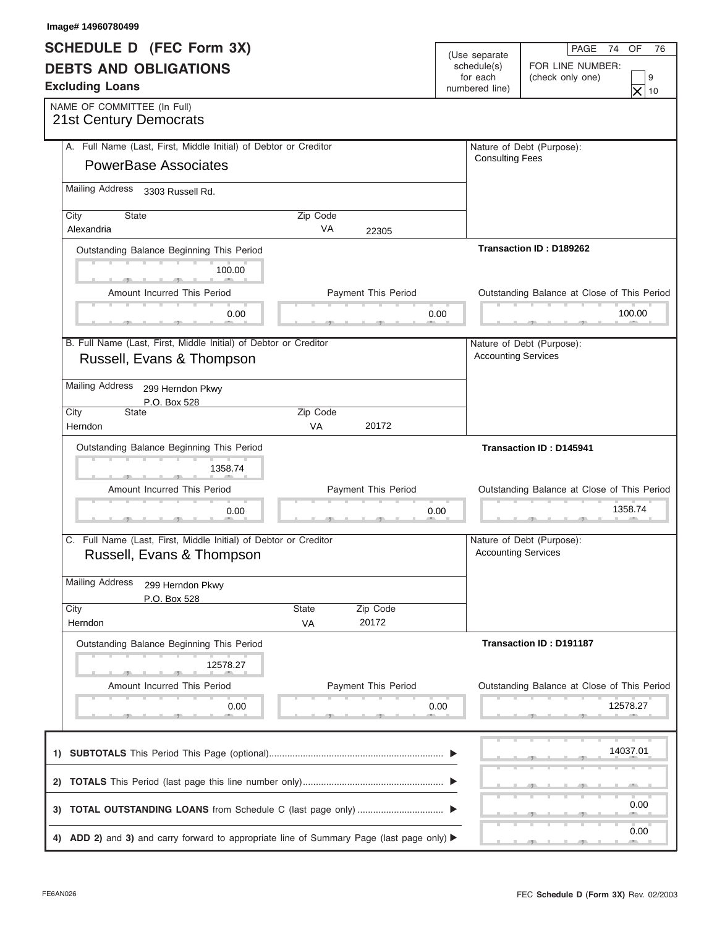| Image# 14960780499                                               |           |                            |             |                            |                                             |  |
|------------------------------------------------------------------|-----------|----------------------------|-------------|----------------------------|---------------------------------------------|--|
| <b>SCHEDULE D (FEC Form 3X)</b>                                  |           |                            |             | (Use separate              | PAGE<br>OF<br>74<br>76                      |  |
| <b>DEBTS AND OBLIGATIONS</b>                                     |           |                            | schedule(s) | FOR LINE NUMBER:           |                                             |  |
| <b>Excluding Loans</b>                                           |           |                            |             | for each<br>numbered line) | (check only one)<br>9                       |  |
|                                                                  |           |                            |             |                            | $\times$<br>10                              |  |
| NAME OF COMMITTEE (In Full)<br><b>21st Century Democrats</b>     |           |                            |             |                            |                                             |  |
| A. Full Name (Last, First, Middle Initial) of Debtor or Creditor |           |                            |             |                            |                                             |  |
|                                                                  |           |                            |             | <b>Consulting Fees</b>     | Nature of Debt (Purpose):                   |  |
| <b>PowerBase Associates</b>                                      |           |                            |             |                            |                                             |  |
| <b>Mailing Address</b><br>3303 Russell Rd.                       |           |                            |             |                            |                                             |  |
| State<br>City                                                    | Zip Code  |                            |             |                            |                                             |  |
| Alexandria                                                       | VA        | 22305                      |             |                            |                                             |  |
| Outstanding Balance Beginning This Period                        |           |                            |             |                            | Transaction ID: D189262                     |  |
| 100.00                                                           |           |                            |             |                            |                                             |  |
| Amount Incurred This Period                                      |           | Payment This Period        |             |                            | Outstanding Balance at Close of This Period |  |
|                                                                  |           |                            |             |                            |                                             |  |
| 0.00                                                             |           |                            | 0.00        |                            | 100.00                                      |  |
| B. Full Name (Last, First, Middle Initial) of Debtor or Creditor |           |                            |             |                            | Nature of Debt (Purpose):                   |  |
| Russell, Evans & Thompson                                        |           |                            |             | <b>Accounting Services</b> |                                             |  |
| <b>Mailing Address</b>                                           |           |                            |             |                            |                                             |  |
| 299 Herndon Pkwy<br>P.O. Box 528                                 |           |                            |             |                            |                                             |  |
| City<br>State                                                    | Zip Code  |                            |             |                            |                                             |  |
| Herndon                                                          | <b>VA</b> | 20172                      |             |                            |                                             |  |
| Outstanding Balance Beginning This Period                        |           |                            |             |                            | <b>Transaction ID: D145941</b>              |  |
| 1358.74                                                          |           |                            |             |                            |                                             |  |
| Amount Incurred This Period                                      |           | <b>Payment This Period</b> |             |                            | Outstanding Balance at Close of This Period |  |
|                                                                  |           |                            |             |                            | 1358.74                                     |  |
| 0.00                                                             |           |                            | 0.00        |                            |                                             |  |
| C. Full Name (Last, First, Middle Initial) of Debtor or Creditor |           |                            |             |                            | Nature of Debt (Purpose):                   |  |
| Russell, Evans & Thompson                                        |           |                            |             | <b>Accounting Services</b> |                                             |  |
| <b>Mailing Address</b>                                           |           |                            |             |                            |                                             |  |
| 299 Herndon Pkwy<br>P.O. Box 528                                 |           |                            |             |                            |                                             |  |
| City                                                             | State     | Zip Code                   |             |                            |                                             |  |
|                                                                  | VA        | 20172                      |             |                            |                                             |  |
| Herndon                                                          |           |                            |             |                            |                                             |  |
| Outstanding Balance Beginning This Period                        |           |                            |             |                            | <b>Transaction ID: D191187</b>              |  |
| 12578.27                                                         |           |                            |             |                            |                                             |  |
| Amount Incurred This Period                                      |           | Payment This Period        |             |                            | Outstanding Balance at Close of This Period |  |
|                                                                  |           |                            |             |                            | 12578.27                                    |  |
| 0.00                                                             |           |                            | 0.00        |                            |                                             |  |
|                                                                  |           |                            |             |                            |                                             |  |
|                                                                  |           |                            |             |                            | 14037.01                                    |  |
|                                                                  |           |                            |             |                            |                                             |  |
|                                                                  |           |                            |             |                            |                                             |  |
|                                                                  |           |                            |             |                            | 0.00                                        |  |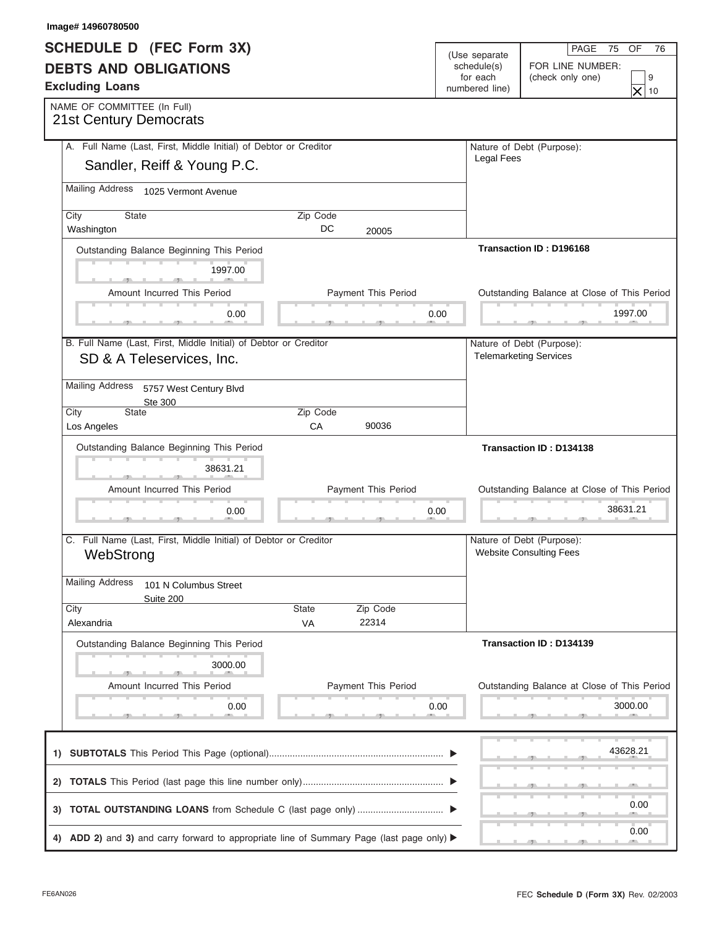| Image# 14960780500                                                                                            |           |                            |                                           |                                                             |                                                            |  |
|---------------------------------------------------------------------------------------------------------------|-----------|----------------------------|-------------------------------------------|-------------------------------------------------------------|------------------------------------------------------------|--|
| <b>SCHEDULE D (FEC Form 3X)</b>                                                                               |           |                            |                                           | (Use separate                                               | PAGE<br>OF<br>75<br>76                                     |  |
| <b>DEBTS AND OBLIGATIONS</b><br><b>Excluding Loans</b>                                                        |           |                            | schedule(s)<br>for each<br>numbered line) |                                                             | FOR LINE NUMBER:                                           |  |
|                                                                                                               |           |                            |                                           |                                                             | (check only one)<br>9<br>$\times$                          |  |
| NAME OF COMMITTEE (In Full)                                                                                   |           |                            |                                           |                                                             | 10                                                         |  |
| <b>21st Century Democrats</b>                                                                                 |           |                            |                                           |                                                             |                                                            |  |
| A. Full Name (Last, First, Middle Initial) of Debtor or Creditor                                              |           |                            |                                           |                                                             | Nature of Debt (Purpose):                                  |  |
| Sandler, Reiff & Young P.C.                                                                                   |           |                            |                                           | <b>Legal Fees</b>                                           |                                                            |  |
| Mailing Address 1025 Vermont Avenue                                                                           |           |                            |                                           |                                                             |                                                            |  |
| <b>State</b><br>City                                                                                          | Zip Code  |                            |                                           |                                                             |                                                            |  |
| Washington                                                                                                    | DC        | 20005                      |                                           |                                                             |                                                            |  |
| Outstanding Balance Beginning This Period                                                                     |           |                            |                                           |                                                             | Transaction ID: D196168                                    |  |
| 1997.00                                                                                                       |           |                            |                                           |                                                             |                                                            |  |
| Amount Incurred This Period                                                                                   |           | Payment This Period        |                                           |                                                             | Outstanding Balance at Close of This Period                |  |
| 0.00                                                                                                          |           |                            | 0.00                                      |                                                             | 1997.00<br>___                                             |  |
|                                                                                                               |           |                            |                                           |                                                             |                                                            |  |
| B. Full Name (Last, First, Middle Initial) of Debtor or Creditor<br>SD & A Teleservices, Inc.                 |           |                            |                                           |                                                             | Nature of Debt (Purpose):<br><b>Telemarketing Services</b> |  |
| <b>Mailing Address</b><br>5757 West Century Blvd                                                              |           |                            |                                           |                                                             |                                                            |  |
| Ste 300<br>State<br>City                                                                                      | Zip Code  |                            |                                           |                                                             |                                                            |  |
| Los Angeles                                                                                                   | CA        | 90036                      |                                           |                                                             |                                                            |  |
| Outstanding Balance Beginning This Period                                                                     |           |                            |                                           |                                                             | Transaction ID: D134138                                    |  |
| 38631.21                                                                                                      |           |                            |                                           |                                                             |                                                            |  |
| Amount Incurred This Period                                                                                   |           | <b>Payment This Period</b> |                                           |                                                             | Outstanding Balance at Close of This Period                |  |
|                                                                                                               |           |                            | 0.00                                      |                                                             | 38631.21                                                   |  |
| 0.00                                                                                                          |           |                            |                                           |                                                             |                                                            |  |
| C. Full Name (Last, First, Middle Initial) of Debtor or Creditor<br>WebStrong                                 |           |                            |                                           | Nature of Debt (Purpose):<br><b>Website Consulting Fees</b> |                                                            |  |
|                                                                                                               |           |                            |                                           |                                                             |                                                            |  |
| <b>Mailing Address</b><br>101 N Columbus Street                                                               |           |                            |                                           |                                                             |                                                            |  |
| Suite 200<br>City                                                                                             | State     | Zip Code                   |                                           |                                                             |                                                            |  |
| Alexandria                                                                                                    | <b>VA</b> | 22314                      |                                           |                                                             |                                                            |  |
| Outstanding Balance Beginning This Period                                                                     |           |                            |                                           |                                                             | Transaction ID: D134139                                    |  |
| 3000.00                                                                                                       |           |                            |                                           |                                                             |                                                            |  |
| Amount Incurred This Period                                                                                   |           | Payment This Period        |                                           |                                                             | Outstanding Balance at Close of This Period                |  |
| 0.00                                                                                                          |           |                            | 0.00                                      |                                                             | 3000.00                                                    |  |
|                                                                                                               |           |                            |                                           |                                                             |                                                            |  |
|                                                                                                               |           |                            |                                           |                                                             | 43628.21                                                   |  |
|                                                                                                               |           |                            |                                           |                                                             |                                                            |  |
|                                                                                                               |           |                            |                                           |                                                             | 0.00                                                       |  |
| 4) ADD 2) and 3) and carry forward to appropriate line of Summary Page (last page only) $\blacktriangleright$ |           |                            |                                           |                                                             | 0.00                                                       |  |